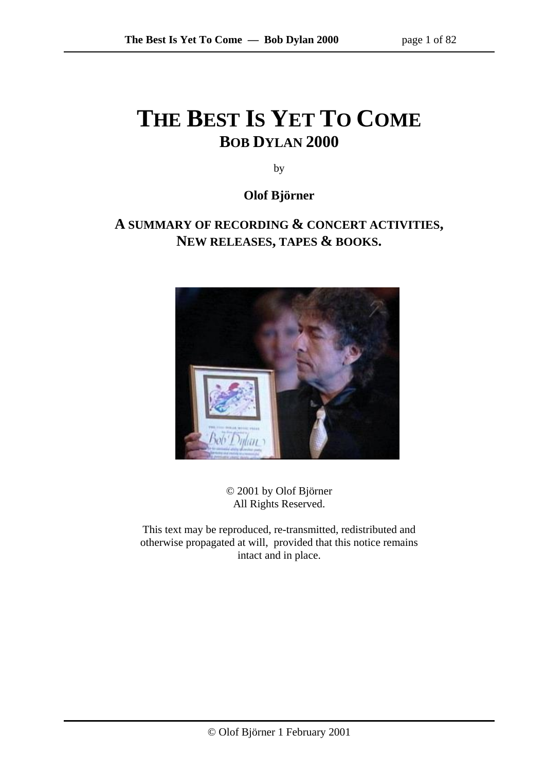# **THE BEST IS YET TO COME BOB DYLAN 2000**

by

**Olof Björner** 

# **A SUMMARY OF RECORDING & CONCERT ACTIVITIES, NEW RELEASES, TAPES & BOOKS.**



© 2001 by Olof Björner All Rights Reserved.

This text may be reproduced, re-transmitted, redistributed and otherwise propagated at will, provided that this notice remains intact and in place.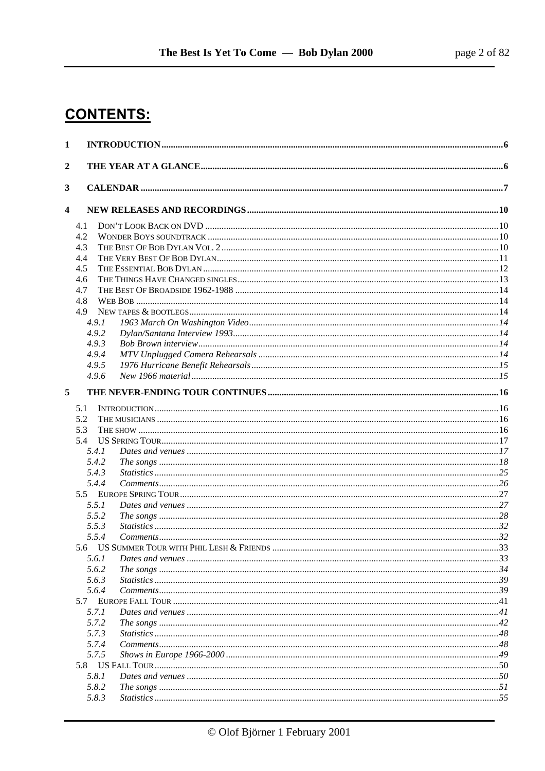# **CONTENTS:**

| $\mathbf{1}$     |                |  |
|------------------|----------------|--|
| $\boldsymbol{2}$ |                |  |
| 3                |                |  |
|                  |                |  |
| 4                |                |  |
|                  | 4.1            |  |
|                  | 4.2            |  |
|                  | 4.3            |  |
|                  | 4.4            |  |
|                  | 4.5            |  |
|                  | 4.6<br>4.7     |  |
|                  | 4.8            |  |
|                  | 4.9            |  |
|                  | 4.9.1          |  |
|                  | 4.9.2          |  |
|                  | 4.9.3          |  |
|                  | 4.9.4          |  |
|                  | 4.9.5          |  |
|                  | 4.9.6          |  |
| 5                |                |  |
|                  | 5.1            |  |
|                  | 5.2            |  |
|                  | 5.3            |  |
|                  | 5.4            |  |
|                  | 5.4.1          |  |
|                  | 5.4.2          |  |
|                  | 5.4.3          |  |
|                  | 5.4.4          |  |
|                  |                |  |
|                  | 5.5.1          |  |
|                  | 5.5.2          |  |
|                  | 5.5.3          |  |
|                  | 5.5.4          |  |
|                  |                |  |
|                  | 5.6.1<br>5.6.2 |  |
|                  | 5.6.3          |  |
|                  | 5.6.4          |  |
|                  |                |  |
|                  | 5.7.1          |  |
|                  | 5.7.2          |  |
|                  | 5.7.3          |  |
|                  | 5.7.4          |  |
|                  | 5.7.5          |  |
|                  |                |  |
|                  | 5.8.1          |  |
|                  | 5.8.2          |  |
|                  | 5.8.3          |  |
|                  |                |  |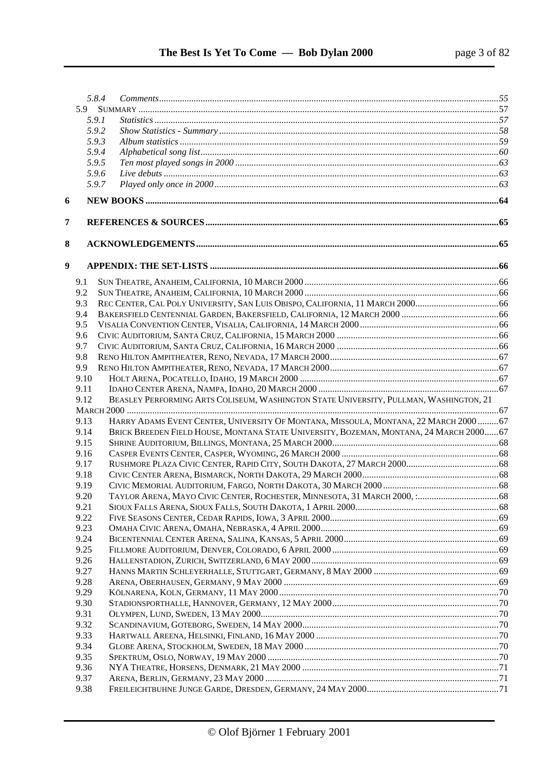|                  |              | 5.8.4 |                                                                                         |  |
|------------------|--------------|-------|-----------------------------------------------------------------------------------------|--|
|                  |              |       |                                                                                         |  |
|                  |              | 5.9.1 |                                                                                         |  |
|                  |              | 5.9.2 |                                                                                         |  |
|                  |              | 5.9.3 |                                                                                         |  |
|                  |              | 5.9.4 |                                                                                         |  |
|                  |              | 5.9.5 |                                                                                         |  |
|                  |              | 5.9.6 |                                                                                         |  |
|                  |              | 5.9.7 |                                                                                         |  |
| 6                |              |       |                                                                                         |  |
| 7                |              |       |                                                                                         |  |
|                  |              |       |                                                                                         |  |
| 8                |              |       |                                                                                         |  |
| $\boldsymbol{9}$ |              |       |                                                                                         |  |
|                  | 9.1          |       |                                                                                         |  |
|                  | 9.2          |       |                                                                                         |  |
|                  | 9.3          |       |                                                                                         |  |
|                  | 9.4          |       |                                                                                         |  |
|                  | 9.5          |       |                                                                                         |  |
|                  | 9.6          |       |                                                                                         |  |
|                  | 9.7          |       |                                                                                         |  |
|                  | 9.8          |       |                                                                                         |  |
|                  | 9.9          |       |                                                                                         |  |
|                  | 9.10         |       |                                                                                         |  |
|                  | 9.11         |       |                                                                                         |  |
|                  | 9.12         |       | BEASLEY PERFORMING ARTS COLISEUM, WASHINGTON STATE UNIVERSITY, PULLMAN, WASHINGTON, 21  |  |
|                  |              |       |                                                                                         |  |
|                  | 9.13         |       | HARRY ADAMS EVENT CENTER, UNIVERSITY OF MONTANA, MISSOULA, MONTANA, 22 MARCH 2000  67   |  |
|                  | 9.14         |       | BRICK BREEDEN FIELD HOUSE, MONTANA STATE UNIVERSITY, BOZEMAN, MONTANA, 24 MARCH 2000 67 |  |
|                  | 9.15         |       |                                                                                         |  |
|                  | 9.16         |       |                                                                                         |  |
|                  | 9.17         |       |                                                                                         |  |
|                  | 9.18         |       |                                                                                         |  |
|                  | 9.19         |       |                                                                                         |  |
|                  | 9.20         |       |                                                                                         |  |
|                  | 9.21         |       |                                                                                         |  |
|                  | 9.22         |       |                                                                                         |  |
|                  | 9.23         |       |                                                                                         |  |
|                  | 9.24         |       |                                                                                         |  |
|                  | 9.25         |       |                                                                                         |  |
|                  | 9.26<br>9.27 |       |                                                                                         |  |
|                  | 9.28         |       |                                                                                         |  |
|                  | 9.29         |       |                                                                                         |  |
|                  | 9.30         |       |                                                                                         |  |
|                  | 9.31         |       |                                                                                         |  |
|                  | 9.32         |       |                                                                                         |  |
|                  | 9.33         |       |                                                                                         |  |
|                  | 9.34         |       |                                                                                         |  |
|                  | 9.35         |       |                                                                                         |  |
|                  | 9.36         |       |                                                                                         |  |
|                  | 9.37         |       |                                                                                         |  |
|                  | 9.38         |       |                                                                                         |  |
|                  |              |       |                                                                                         |  |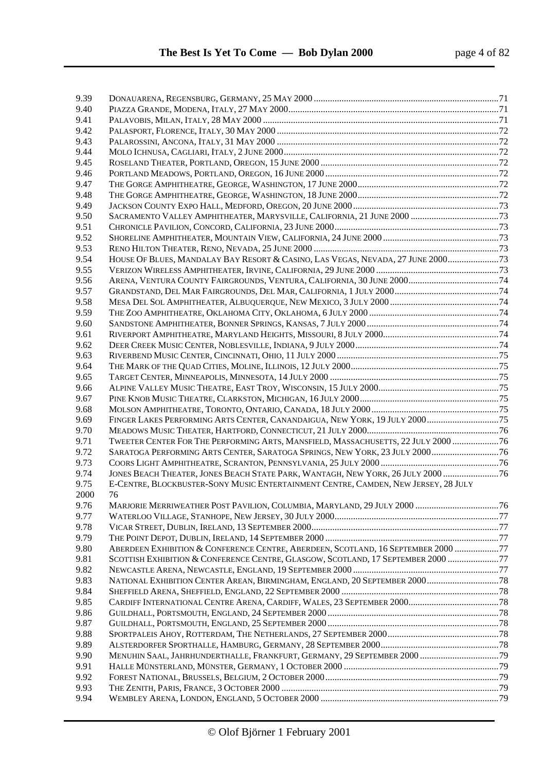| 9.39         |                                                                                    |  |
|--------------|------------------------------------------------------------------------------------|--|
| 9.40         |                                                                                    |  |
| 9.41         |                                                                                    |  |
| 9.42         |                                                                                    |  |
| 9.43         |                                                                                    |  |
| 9.44         |                                                                                    |  |
| 9.45         |                                                                                    |  |
| 9.46         |                                                                                    |  |
| 9.47         |                                                                                    |  |
| 9.48         |                                                                                    |  |
| 9.49         |                                                                                    |  |
| 9.50         |                                                                                    |  |
| 9.51         |                                                                                    |  |
| 9.52         |                                                                                    |  |
| 9.53         |                                                                                    |  |
| 9.54         | HOUSE OF BLUES, MANDALAY BAY RESORT & CASINO, LAS VEGAS, NEVADA, 27 JUNE 200073    |  |
| 9.55         |                                                                                    |  |
| 9.56         |                                                                                    |  |
| 9.57         |                                                                                    |  |
| 9.58         |                                                                                    |  |
| 9.59         |                                                                                    |  |
| 9.60         |                                                                                    |  |
| 9.61         |                                                                                    |  |
| 9.62         |                                                                                    |  |
| 9.63         |                                                                                    |  |
| 9.64         |                                                                                    |  |
| 9.65         |                                                                                    |  |
|              |                                                                                    |  |
| 9.66<br>9.67 |                                                                                    |  |
| 9.68         |                                                                                    |  |
| 9.69         |                                                                                    |  |
| 9.70         |                                                                                    |  |
| 9.71         | TWEETER CENTER FOR THE PERFORMING ARTS, MANSFIELD, MASSACHUSETTS, 22 JULY 2000  76 |  |
| 9.72         | SARATOGA PERFORMING ARTS CENTER, SARATOGA SPRINGS, NEW YORK, 23 JULY 2000 76       |  |
| 9.73         |                                                                                    |  |
| 9.74         | JONES BEACH THEATER, JONES BEACH STATE PARK, WANTAGH, NEW YORK, 26 JULY 2000  76   |  |
| 9.75         | E-CENTRE, BLOCKBUSTER-SONY MUSIC ENTERTAINMENT CENTRE, CAMDEN, NEW JERSEY, 28 JULY |  |
| 2000         | 76                                                                                 |  |
| 9.76         |                                                                                    |  |
| 9.77         |                                                                                    |  |
| 9.78         |                                                                                    |  |
| 9.79         |                                                                                    |  |
| 9.80         | ABERDEEN EXHIBITION & CONFERENCE CENTRE, ABERDEEN, SCOTLAND, 16 SEPTEMBER 2000 77  |  |
| 9.81         | SCOTTISH EXHIBITION & CONFERENCE CENTRE, GLASGOW, SCOTLAND, 17 SEPTEMBER 2000 77   |  |
| 9.82         |                                                                                    |  |
| 9.83         |                                                                                    |  |
| 9.84         |                                                                                    |  |
| 9.85         |                                                                                    |  |
| 9.86         |                                                                                    |  |
| 9.87         |                                                                                    |  |
| 9.88         |                                                                                    |  |
| 9.89         |                                                                                    |  |
| 9.90         | MENUHIN SAAL, JAHRHUNDERTHALLE, FRANKFURT, GERMANY, 29 SEPTEMBER 2000  79          |  |
| 9.91         |                                                                                    |  |
| 9.92         |                                                                                    |  |
| 9.93         |                                                                                    |  |
| 9.94         |                                                                                    |  |
|              |                                                                                    |  |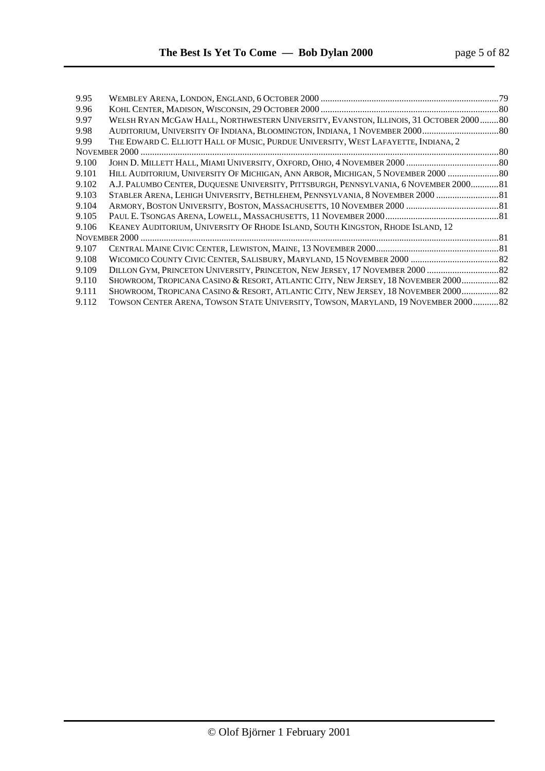| 9.95  |                                                                                       | .79 |
|-------|---------------------------------------------------------------------------------------|-----|
| 9.96  |                                                                                       |     |
| 9.97  | WELSH RYAN MCGAW HALL, NORTHWESTERN UNIVERSITY, EVANSTON, ILLINOIS, 31 OCTOBER 200080 |     |
| 9.98  | AUDITORIUM, UNIVERSITY OF INDIANA, BLOOMINGTON, INDIANA, 1 NOVEMBER 2000 80           |     |
| 9.99  | THE EDWARD C. ELLIOTT HALL OF MUSIC, PURDUE UNIVERSITY, WEST LAFAYETTE, INDIANA, 2    |     |
|       |                                                                                       |     |
| 9.100 |                                                                                       |     |
| 9.101 | HILL AUDITORIUM, UNIVERSITY OF MICHIGAN, ANN ARBOR, MICHIGAN, 5 NOVEMBER 2000  80     |     |
| 9.102 | A.J. PALUMBO CENTER, DUQUESNE UNIVERSITY, PITTSBURGH, PENNSYLVANIA, 6 NOVEMBER 200081 |     |
| 9.103 | STABLER ARENA, LEHIGH UNIVERSITY, BETHLEHEM, PENNSYLVANIA, 8 NOVEMBER 2000  81        |     |
| 9.104 |                                                                                       |     |
| 9.105 |                                                                                       |     |
| 9.106 | KEANEY AUDITORIUM, UNIVERSITY OF RHODE ISLAND, SOUTH KINGSTON, RHODE ISLAND, 12       |     |
|       |                                                                                       |     |
| 9.107 |                                                                                       |     |
| 9.108 |                                                                                       |     |
| 9.109 |                                                                                       |     |
| 9.110 | SHOWROOM, TROPICANA CASINO & RESORT, ATLANTIC CITY, NEW JERSEY, 18 NOVEMBER 2000 82   |     |
| 9.111 | SHOWROOM, TROPICANA CASINO & RESORT, ATLANTIC CITY, NEW JERSEY, 18 NOVEMBER 2000 82   |     |
| 9.112 | TOWSON CENTER ARENA, TOWSON STATE UNIVERSITY, TOWSON, MARYLAND, 19 NOVEMBER 200082    |     |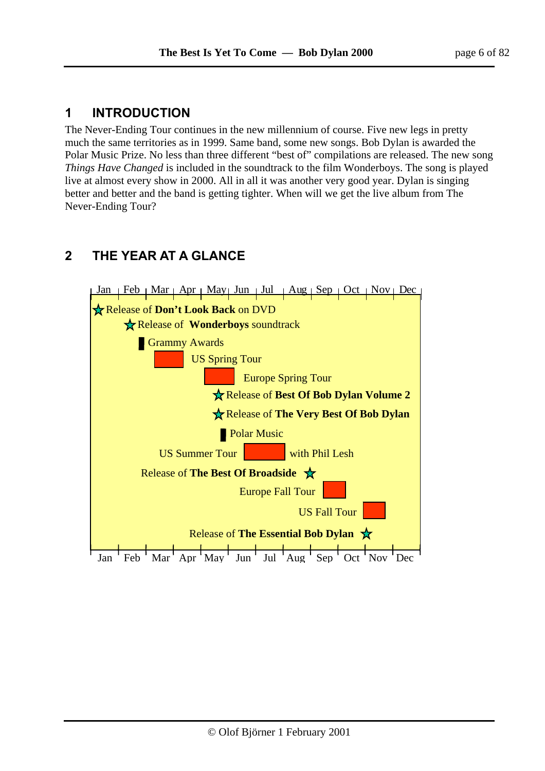# **1 INTRODUCTION**

The Never-Ending Tour continues in the new millennium of course. Five new legs in pretty much the same territories as in 1999. Same band, some new songs. Bob Dylan is awarded the Polar Music Prize. No less than three different "best of" compilations are released. The new song *Things Have Changed* is included in the soundtrack to the film Wonderboys. The song is played live at almost every show in 2000. All in all it was another very good year. Dylan is singing better and better and the band is getting tighter. When will we get the live album from The Never-Ending Tour?

# **2 THE YEAR AT A GLANCE**

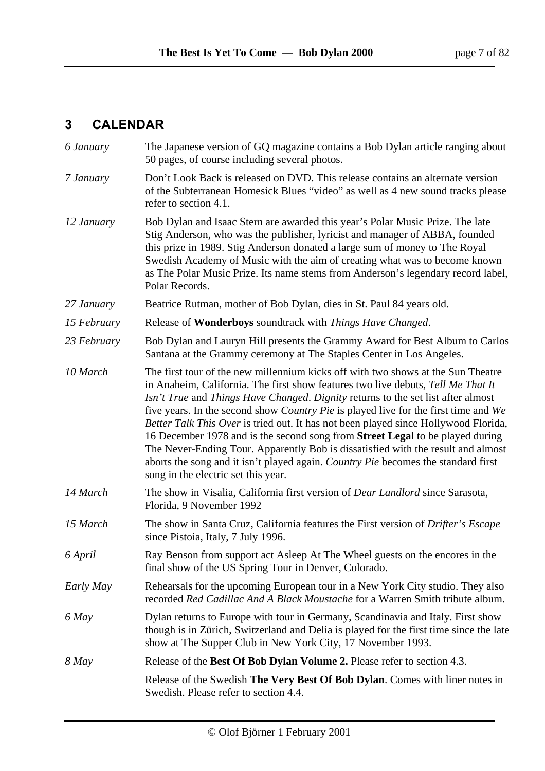# **3 CALENDAR**

| 6 January   | The Japanese version of GQ magazine contains a Bob Dylan article ranging about<br>50 pages, of course including several photos.                                                                                                                                                                                                                                                                                                                                                                                                                                                                                                                                                                                                                |
|-------------|------------------------------------------------------------------------------------------------------------------------------------------------------------------------------------------------------------------------------------------------------------------------------------------------------------------------------------------------------------------------------------------------------------------------------------------------------------------------------------------------------------------------------------------------------------------------------------------------------------------------------------------------------------------------------------------------------------------------------------------------|
| 7 January   | Don't Look Back is released on DVD. This release contains an alternate version<br>of the Subterranean Homesick Blues "video" as well as 4 new sound tracks please<br>refer to section 4.1.                                                                                                                                                                                                                                                                                                                                                                                                                                                                                                                                                     |
| 12 January  | Bob Dylan and Isaac Stern are awarded this year's Polar Music Prize. The late<br>Stig Anderson, who was the publisher, lyricist and manager of ABBA, founded<br>this prize in 1989. Stig Anderson donated a large sum of money to The Royal<br>Swedish Academy of Music with the aim of creating what was to become known<br>as The Polar Music Prize. Its name stems from Anderson's legendary record label,<br>Polar Records.                                                                                                                                                                                                                                                                                                                |
| 27 January  | Beatrice Rutman, mother of Bob Dylan, dies in St. Paul 84 years old.                                                                                                                                                                                                                                                                                                                                                                                                                                                                                                                                                                                                                                                                           |
| 15 February | Release of Wonderboys soundtrack with Things Have Changed.                                                                                                                                                                                                                                                                                                                                                                                                                                                                                                                                                                                                                                                                                     |
| 23 February | Bob Dylan and Lauryn Hill presents the Grammy Award for Best Album to Carlos<br>Santana at the Grammy ceremony at The Staples Center in Los Angeles.                                                                                                                                                                                                                                                                                                                                                                                                                                                                                                                                                                                           |
| 10 March    | The first tour of the new millennium kicks off with two shows at the Sun Theatre<br>in Anaheim, California. The first show features two live debuts, Tell Me That It<br>Isn't True and Things Have Changed. Dignity returns to the set list after almost<br>five years. In the second show <i>Country Pie</i> is played live for the first time and We<br>Better Talk This Over is tried out. It has not been played since Hollywood Florida,<br>16 December 1978 and is the second song from Street Legal to be played during<br>The Never-Ending Tour. Apparently Bob is dissatisfied with the result and almost<br>aborts the song and it isn't played again. Country Pie becomes the standard first<br>song in the electric set this year. |
| 14 March    | The show in Visalia, California first version of <i>Dear Landlord</i> since Sarasota,<br>Florida, 9 November 1992                                                                                                                                                                                                                                                                                                                                                                                                                                                                                                                                                                                                                              |
| 15 March    | The show in Santa Cruz, California features the First version of Drifter's Escape<br>since Pistoia, Italy, 7 July 1996.                                                                                                                                                                                                                                                                                                                                                                                                                                                                                                                                                                                                                        |
| 6 April     | Ray Benson from support act Asleep At The Wheel guests on the encores in the<br>final show of the US Spring Tour in Denver, Colorado.                                                                                                                                                                                                                                                                                                                                                                                                                                                                                                                                                                                                          |
| Early May   | Rehearsals for the upcoming European tour in a New York City studio. They also<br>recorded Red Cadillac And A Black Moustache for a Warren Smith tribute album.                                                                                                                                                                                                                                                                                                                                                                                                                                                                                                                                                                                |
| 6 May       | Dylan returns to Europe with tour in Germany, Scandinavia and Italy. First show<br>though is in Zürich, Switzerland and Delia is played for the first time since the late<br>show at The Supper Club in New York City, 17 November 1993.                                                                                                                                                                                                                                                                                                                                                                                                                                                                                                       |
| 8 May       | Release of the Best Of Bob Dylan Volume 2. Please refer to section 4.3.                                                                                                                                                                                                                                                                                                                                                                                                                                                                                                                                                                                                                                                                        |
|             | Release of the Swedish The Very Best Of Bob Dylan. Comes with liner notes in<br>Swedish. Please refer to section 4.4.                                                                                                                                                                                                                                                                                                                                                                                                                                                                                                                                                                                                                          |
|             |                                                                                                                                                                                                                                                                                                                                                                                                                                                                                                                                                                                                                                                                                                                                                |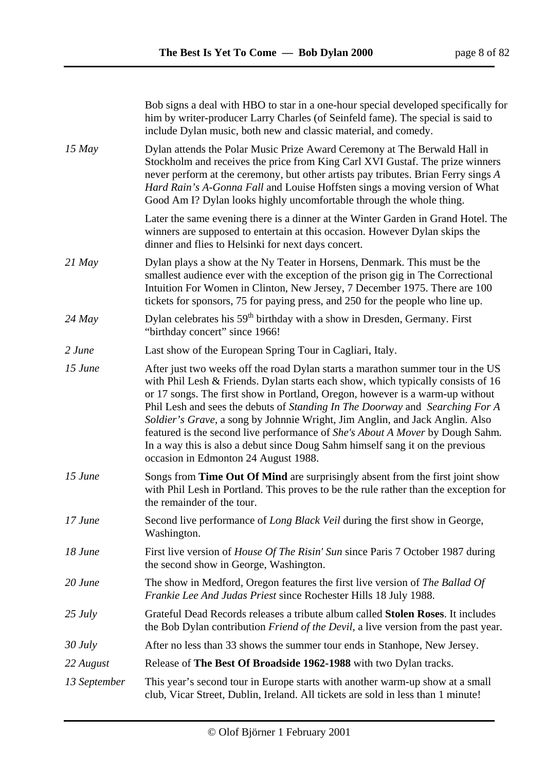|              | Bob signs a deal with HBO to star in a one-hour special developed specifically for<br>him by writer-producer Larry Charles (of Seinfeld fame). The special is said to<br>include Dylan music, both new and classic material, and comedy.                                                                                                                                                                                                                                                                                                                                                                                              |  |
|--------------|---------------------------------------------------------------------------------------------------------------------------------------------------------------------------------------------------------------------------------------------------------------------------------------------------------------------------------------------------------------------------------------------------------------------------------------------------------------------------------------------------------------------------------------------------------------------------------------------------------------------------------------|--|
| $15$ May     | Dylan attends the Polar Music Prize Award Ceremony at The Berwald Hall in<br>Stockholm and receives the price from King Carl XVI Gustaf. The prize winners<br>never perform at the ceremony, but other artists pay tributes. Brian Ferry sings A<br>Hard Rain's A-Gonna Fall and Louise Hoffsten sings a moving version of What<br>Good Am I? Dylan looks highly uncomfortable through the whole thing.                                                                                                                                                                                                                               |  |
|              | Later the same evening there is a dinner at the Winter Garden in Grand Hotel. The<br>winners are supposed to entertain at this occasion. However Dylan skips the<br>dinner and flies to Helsinki for next days concert.                                                                                                                                                                                                                                                                                                                                                                                                               |  |
| $21$ May     | Dylan plays a show at the Ny Teater in Horsens, Denmark. This must be the<br>smallest audience ever with the exception of the prison gig in The Correctional<br>Intuition For Women in Clinton, New Jersey, 7 December 1975. There are 100<br>tickets for sponsors, 75 for paying press, and 250 for the people who line up.                                                                                                                                                                                                                                                                                                          |  |
| $24$ May     | Dylan celebrates his 59 <sup>th</sup> birthday with a show in Dresden, Germany. First<br>"birthday concert" since 1966!                                                                                                                                                                                                                                                                                                                                                                                                                                                                                                               |  |
| 2 June       | Last show of the European Spring Tour in Cagliari, Italy.                                                                                                                                                                                                                                                                                                                                                                                                                                                                                                                                                                             |  |
| $15$ June    | After just two weeks off the road Dylan starts a marathon summer tour in the US<br>with Phil Lesh & Friends. Dylan starts each show, which typically consists of 16<br>or 17 songs. The first show in Portland, Oregon, however is a warm-up without<br>Phil Lesh and sees the debuts of Standing In The Doorway and Searching For A<br>Soldier's Grave, a song by Johnnie Wright, Jim Anglin, and Jack Anglin. Also<br>featured is the second live performance of <i>She's About A Mover</i> by Dough Sahm.<br>In a way this is also a debut since Doug Sahm himself sang it on the previous<br>occasion in Edmonton 24 August 1988. |  |
| 15 June      | Songs from Time Out Of Mind are surprisingly absent from the first joint show<br>with Phil Lesh in Portland. This proves to be the rule rather than the exception for<br>the remainder of the tour.                                                                                                                                                                                                                                                                                                                                                                                                                                   |  |
| $17$ June    | Second live performance of <i>Long Black Veil</i> during the first show in George,<br>Washington.                                                                                                                                                                                                                                                                                                                                                                                                                                                                                                                                     |  |
| 18 June      | First live version of <i>House Of The Risin' Sun</i> since Paris 7 October 1987 during<br>the second show in George, Washington.                                                                                                                                                                                                                                                                                                                                                                                                                                                                                                      |  |
| $20$ June    | The show in Medford, Oregon features the first live version of The Ballad Of<br>Frankie Lee And Judas Priest since Rochester Hills 18 July 1988.                                                                                                                                                                                                                                                                                                                                                                                                                                                                                      |  |
| $25 \, July$ | Grateful Dead Records releases a tribute album called <b>Stolen Roses</b> . It includes<br>the Bob Dylan contribution <i>Friend of the Devil</i> , a live version from the past year.                                                                                                                                                                                                                                                                                                                                                                                                                                                 |  |
| $30$ July    | After no less than 33 shows the summer tour ends in Stanhope, New Jersey.                                                                                                                                                                                                                                                                                                                                                                                                                                                                                                                                                             |  |
| 22 August    | Release of The Best Of Broadside 1962-1988 with two Dylan tracks.                                                                                                                                                                                                                                                                                                                                                                                                                                                                                                                                                                     |  |
| 13 September | This year's second tour in Europe starts with another warm-up show at a small<br>club, Vicar Street, Dublin, Ireland. All tickets are sold in less than 1 minute!                                                                                                                                                                                                                                                                                                                                                                                                                                                                     |  |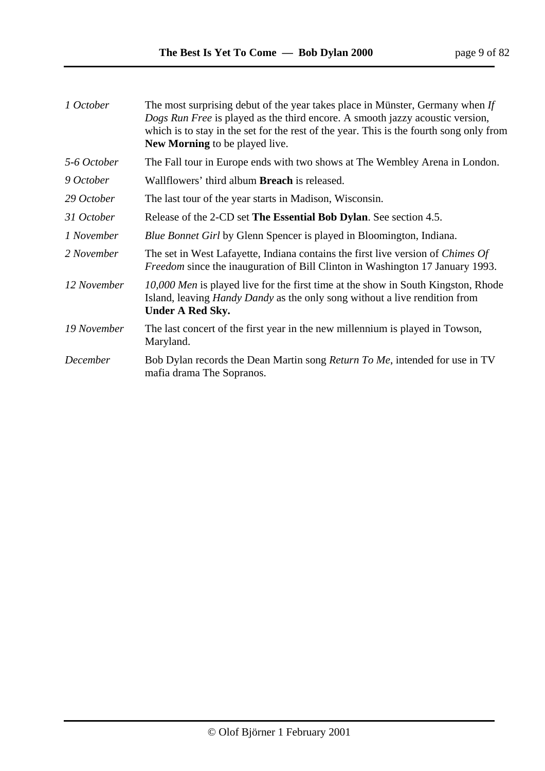| page 9 of 82 |  |  |
|--------------|--|--|
|--------------|--|--|

| 1 October   | The most surprising debut of the year takes place in Münster, Germany when If<br>Dogs Run Free is played as the third encore. A smooth jazzy acoustic version,<br>which is to stay in the set for the rest of the year. This is the fourth song only from<br>New Morning to be played live. |
|-------------|---------------------------------------------------------------------------------------------------------------------------------------------------------------------------------------------------------------------------------------------------------------------------------------------|
| 5-6 October | The Fall tour in Europe ends with two shows at The Wembley Arena in London.                                                                                                                                                                                                                 |
| 9 October   | Wallflowers' third album <b>Breach</b> is released.                                                                                                                                                                                                                                         |
| 29 October  | The last tour of the year starts in Madison, Wisconsin.                                                                                                                                                                                                                                     |
| 31 October  | Release of the 2-CD set The Essential Bob Dylan. See section 4.5.                                                                                                                                                                                                                           |
| 1 November  | <i>Blue Bonnet Girl</i> by Glenn Spencer is played in Bloomington, Indiana.                                                                                                                                                                                                                 |
| 2 November  | The set in West Lafayette, Indiana contains the first live version of <i>Chimes Of</i><br><i>Freedom</i> since the inauguration of Bill Clinton in Washington 17 January 1993.                                                                                                              |
| 12 November | 10,000 Men is played live for the first time at the show in South Kingston, Rhode<br>Island, leaving <i>Handy Dandy</i> as the only song without a live rendition from<br><b>Under A Red Sky.</b>                                                                                           |
| 19 November | The last concert of the first year in the new millennium is played in Towson,<br>Maryland.                                                                                                                                                                                                  |
| December    | Bob Dylan records the Dean Martin song Return To Me, intended for use in TV<br>mafia drama The Sopranos.                                                                                                                                                                                    |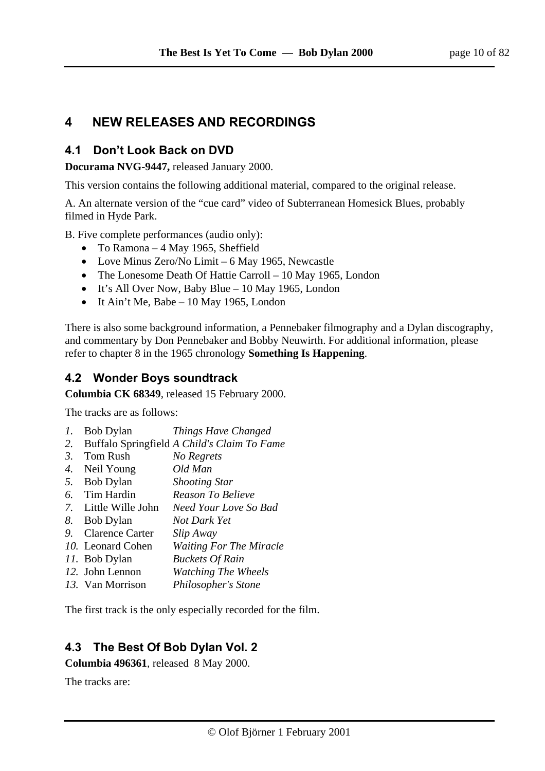# **4 NEW RELEASES AND RECORDINGS**

## **4.1 Don't Look Back on DVD**

**Docurama NVG-9447,** released January 2000.

This version contains the following additional material, compared to the original release.

A. An alternate version of the "cue card" video of Subterranean Homesick Blues, probably filmed in Hyde Park.

B. Five complete performances (audio only):

- To Ramona 4 May 1965, Sheffield
- Love Minus Zero/No Limit 6 May 1965, Newcastle
- The Lonesome Death Of Hattie Carroll 10 May 1965, London
- It's All Over Now, Baby Blue 10 May 1965, London
- $\bullet$  It Ain't Me, Babe 10 May 1965, London

There is also some background information, a Pennebaker filmography and a Dylan discography, and commentary by Don Pennebaker and Bobby Neuwirth. For additional information, please refer to chapter 8 in the 1965 chronology **Something Is Happening**.

## **4.2 Wonder Boys soundtrack**

**Columbia CK 68349**, released 15 February 2000.

The tracks are as follows:

- *1.* Bob Dylan *Things Have Changed*
- *2.* Buffalo Springfield *A Child's Claim To Fame*
- *3.* Tom Rush *No Regrets*
- *4.* Neil Young *Old Man*
- *5.* Bob Dylan *Shooting Star*
- *6.* Tim Hardin *Reason To Believe*
- *7.* Little Wille John *Need Your Love So Bad*
- *8.* Bob Dylan *Not Dark Yet*
- *9.* Clarence Carter *Slip Away*
- *10.* Leonard Cohen *Waiting For The Miracle*
- *11.* Bob Dylan *Buckets Of Rain*
- *12.* John Lennon *Watching The Wheels*
- *13.* Van Morrison *Philosopher's Stone*

The first track is the only especially recorded for the film.

# **4.3 The Best Of Bob Dylan Vol. 2**

**Columbia 496361**, released 8 May 2000.

The tracks are: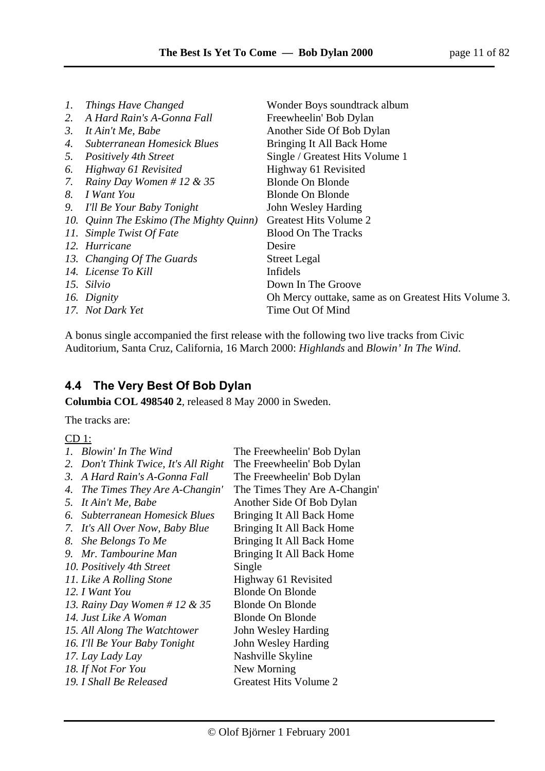| $\mathcal{I}$ . | Things Have Changed                     | Wonder Boys soundtrack album                         |
|-----------------|-----------------------------------------|------------------------------------------------------|
| 2.              | A Hard Rain's A-Gonna Fall              | Freewheelin' Bob Dylan                               |
| 3.              | It Ain't Me, Babe                       | Another Side Of Bob Dylan                            |
| 4.              | Subterranean Homesick Blues             | Bringing It All Back Home                            |
| 5.              | <b>Positively 4th Street</b>            | Single / Greatest Hits Volume 1                      |
| 6.              | Highway 61 Revisited                    | Highway 61 Revisited                                 |
| 7.              | Rainy Day Women # 12 & 35               | <b>Blonde On Blonde</b>                              |
| 8.              | I Want You                              | <b>Blonde On Blonde</b>                              |
| 9.              | I'll Be Your Baby Tonight               | John Wesley Harding                                  |
|                 | 10. Quinn The Eskimo (The Mighty Quinn) | Greatest Hits Volume 2                               |
|                 | 11. Simple Twist Of Fate                | <b>Blood On The Tracks</b>                           |
|                 | 12. Hurricane                           | Desire                                               |
|                 | 13. Changing Of The Guards              | <b>Street Legal</b>                                  |
|                 | 14. License To Kill                     | Infidels                                             |
|                 | 15. Silvio                              | Down In The Groove                                   |
|                 | 16. Dignity                             | Oh Mercy outtake, same as on Greatest Hits Volume 3. |
|                 | 17. Not Dark Yet                        | Time Out Of Mind                                     |
|                 |                                         |                                                      |

A bonus single accompanied the first release with the following two live tracks from Civic Auditorium, Santa Cruz, California, 16 March 2000: *Highlands* and *Blowin' In The Wind*.

# **4.4 The Very Best Of Bob Dylan**

**Columbia COL 498540 2**, released 8 May 2000 in Sweden.

The tracks are:

CD 1:

| Ι. | Blowin' In The Wind               | The Freewheelin' Bob Dylan    |
|----|-----------------------------------|-------------------------------|
| 2. | Don't Think Twice, It's All Right | The Freewheelin' Bob Dylan    |
| 3. | A Hard Rain's A-Gonna Fall        | The Freewheelin' Bob Dylan    |
| 4. | The Times They Are A-Changin'     | The Times They Are A-Changin' |
| 5. | It Ain't Me, Babe                 | Another Side Of Bob Dylan     |
| 6. | Subterranean Homesick Blues       | Bringing It All Back Home     |
| 7. | It's All Over Now, Baby Blue      | Bringing It All Back Home     |
| 8. | She Belongs To Me                 | Bringing It All Back Home     |
| 9. | Mr. Tambourine Man                | Bringing It All Back Home     |
|    | 10. Positively 4th Street         | Single                        |
|    | 11. Like A Rolling Stone          | Highway 61 Revisited          |
|    | 12. I Want You                    | <b>Blonde On Blonde</b>       |
|    | 13. Rainy Day Women # 12 & 35     | <b>Blonde On Blonde</b>       |
|    | 14. Just Like A Woman             | <b>Blonde On Blonde</b>       |
|    | 15. All Along The Watchtower      | John Wesley Harding           |
|    | 16. I'll Be Your Baby Tonight     | John Wesley Harding           |
|    | 17. Lay Lady Lay                  | Nashville Skyline             |
|    | 18. If Not For You                | New Morning                   |
|    | 19. I Shall Be Released           | <b>Greatest Hits Volume 2</b> |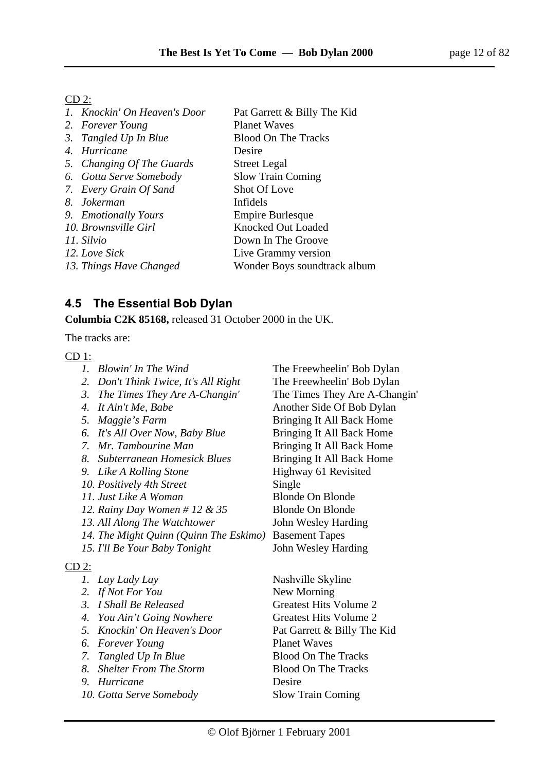#### $CD<sub>2</sub>$ :

| 1. Knockin' On Heaven's Door | Pat Garrett & Billy The Kid  |
|------------------------------|------------------------------|
| 2. Forever Young             | <b>Planet Waves</b>          |
| 3. Tangled Up In Blue        | <b>Blood On The Tracks</b>   |
| 4. Hurricane                 | Desire                       |
| 5. Changing Of The Guards    | <b>Street Legal</b>          |
| 6. Gotta Serve Somebody      | <b>Slow Train Coming</b>     |
| 7. Every Grain Of Sand       | Shot Of Love                 |
| 8. Jokerman                  | Infidels                     |
| 9. Emotionally Yours         | Empire Burlesque             |
| 10. Brownsville Girl         | <b>Knocked Out Loaded</b>    |
| 11. Silvio                   | Down In The Groove           |
| 12. Love Sick                | Live Grammy version          |
| 13. Things Have Changed      | Wonder Boys soundtrack album |
|                              |                              |

# **4.5 The Essential Bob Dylan**

**Columbia C2K 85168,** released 31 October 2000 in the UK.

The tracks are:

#### CD 1:

| The Freewheelin' Bob Dylan    |
|-------------------------------|
| The Freewheelin' Bob Dylan    |
| The Times They Are A-Changin' |
| Another Side Of Bob Dylan     |
| Bringing It All Back Home     |
| Bringing It All Back Home     |
| Bringing It All Back Home     |
| Bringing It All Back Home     |
| Highway 61 Revisited          |
| Single                        |
| <b>Blonde On Blonde</b>       |
| <b>Blonde On Blonde</b>       |
| John Wesley Harding           |
| <b>Basement Tapes</b>         |
| John Wesley Harding           |
|                               |
| Nashville Skyline             |
| New Morning                   |
|                               |

- *3. I Shall Be Released* Greatest Hits Volume 2
- 4. *You Ain't Going Nowhere* **Greatest Hits Volume 2**
- 
- *6. Forever Young* Planet Waves
- 
- 
- *9. Hurricane* Desire
- *10. Gotta Serve Somebody* Slow Train Coming

*5. Knockin' On Heaven's Door* Pat Garrett & Billy The Kid *7. Tangled Up In Blue* Blood On The Tracks *8. Shelter From The Storm* Blood On The Tracks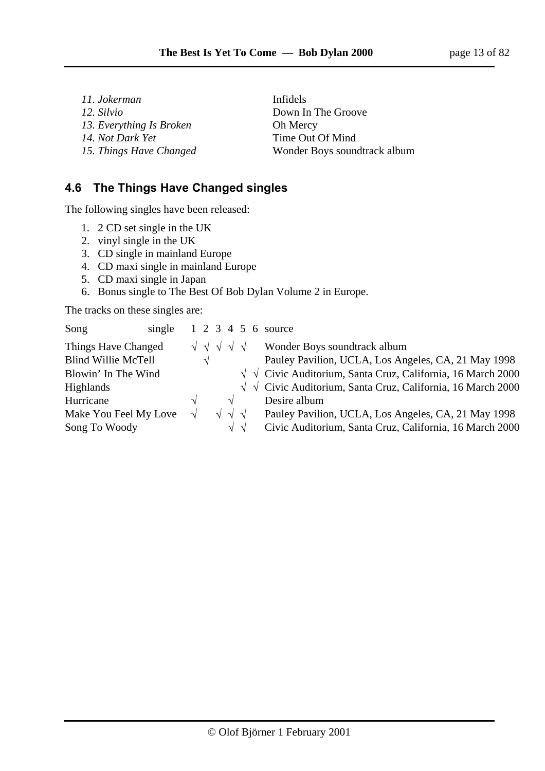*11. Jokerman* Infidels *12. Silvio* Down In The Groove 13. *Everything Is Broken* **Oh Mercy** *14. Not Dark Yet* Time Out Of Mind

15. Things Have Changed **Wonder Boys soundtrack album** 

# **4.6 The Things Have Changed singles**

The following singles have been released:

- 1. 2 CD set single in the UK
- 2. vinyl single in the UK
- 3. CD single in mainland Europe
- 4. CD maxi single in mainland Europe
- 5. CD maxi single in Japan
- 6. Bonus single to The Best Of Bob Dylan Volume 2 in Europe.

The tracks on these singles are:

| Song<br>single             |             |                                     |  | 1 2 3 4 5 6 source                                                       |
|----------------------------|-------------|-------------------------------------|--|--------------------------------------------------------------------------|
| Things Have Changed        | $\sqrt{11}$ |                                     |  | Wonder Boys soundtrack album                                             |
| <b>Blind Willie McTell</b> | $\sqrt{ }$  |                                     |  | Pauley Pavilion, UCLA, Los Angeles, CA, 21 May 1998                      |
| Blowin' In The Wind        |             |                                     |  | $\sqrt{\sqrt{}}$ Civic Auditorium, Santa Cruz, California, 16 March 2000 |
| <b>Highlands</b>           |             |                                     |  | $\sqrt{\sqrt{}}$ Civic Auditorium, Santa Cruz, California, 16 March 2000 |
| Hurricane                  | $\sqrt{ }$  | $\sqrt{ }$                          |  | Desire album                                                             |
| Make You Feel My Love      | $\sqrt{ }$  | $\sqrt{\sqrt{\sqrt{\sqrt{\cdots}}}$ |  | Pauley Pavilion, UCLA, Los Angeles, CA, 21 May 1998                      |
| Song To Woody              |             | $\sqrt{\sqrt{}}$                    |  | Civic Auditorium, Santa Cruz, California, 16 March 2000                  |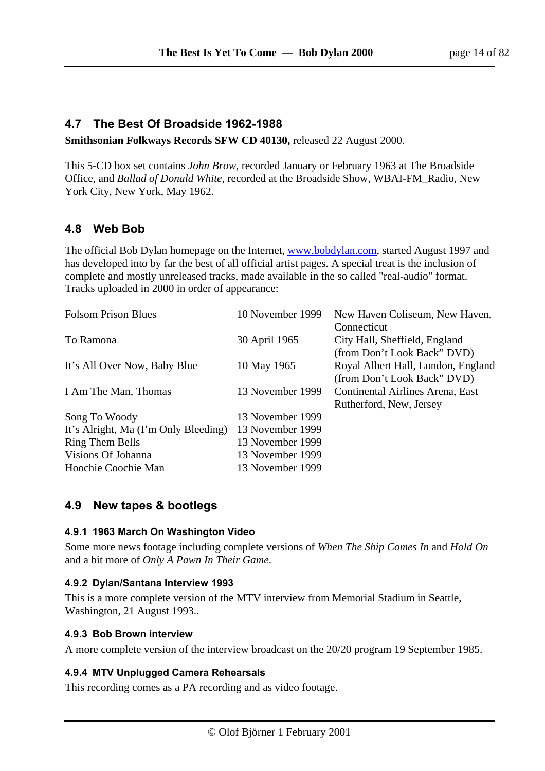## **4.7 The Best Of Broadside 1962-1988**

**Smithsonian Folkways Records SFW CD 40130,** released 22 August 2000.

This 5-CD box set contains *John Brow,* recorded January or February 1963 at The Broadside Office, and *Ballad of Donald White*, recorded at the Broadside Show, WBAI-FM\_Radio, New York City, New York, May 1962.

# **4.8 Web Bob**

The official Bob Dylan homepage on the Internet, www.bobdylan.com, started August 1997 and has developed into by far the best of all official artist pages. A special treat is the inclusion of complete and mostly unreleased tracks, made available in the so called "real-audio" format. Tracks uploaded in 2000 in order of appearance:

| <b>Folsom Prison Blues</b>           | 10 November 1999 | New Haven Coliseum, New Haven,     |
|--------------------------------------|------------------|------------------------------------|
|                                      |                  | Connecticut                        |
| To Ramona                            | 30 April 1965    | City Hall, Sheffield, England      |
|                                      |                  | (from Don't Look Back" DVD)        |
| It's All Over Now, Baby Blue         | 10 May 1965      | Royal Albert Hall, London, England |
|                                      |                  | (from Don't Look Back" DVD)        |
| I Am The Man, Thomas                 | 13 November 1999 | Continental Airlines Arena, East   |
|                                      |                  | Rutherford, New, Jersey            |
| Song To Woody                        | 13 November 1999 |                                    |
| It's Alright, Ma (I'm Only Bleeding) | 13 November 1999 |                                    |
| Ring Them Bells                      | 13 November 1999 |                                    |
| Visions Of Johanna                   | 13 November 1999 |                                    |
| Hoochie Coochie Man                  | 13 November 1999 |                                    |

#### **4.9 New tapes & bootlegs**

#### **4.9.1 1963 March On Washington Video**

Some more news footage including complete versions of *When The Ship Comes In* and *Hold On* and a bit more of *Only A Pawn In Their Game*.

#### **4.9.2 Dylan/Santana Interview 1993**

This is a more complete version of the MTV interview from Memorial Stadium in Seattle, Washington, 21 August 1993..

#### **4.9.3 Bob Brown interview**

A more complete version of the interview broadcast on the 20/20 program 19 September 1985.

#### **4.9.4 MTV Unplugged Camera Rehearsals**

This recording comes as a PA recording and as video footage.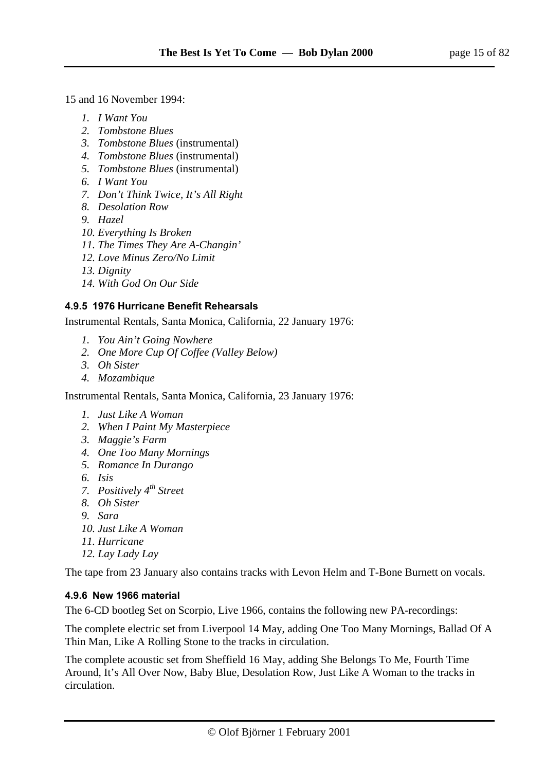15 and 16 November 1994:

- *1. I Want You*
- *2. Tombstone Blues*
- *3. Tombstone Blues* (instrumental)
- *4. Tombstone Blues* (instrumental)
- *5. Tombstone Blues* (instrumental)
- *6. I Want You*
- *7. Don't Think Twice, It's All Right*
- *8. Desolation Row*
- *9. Hazel*
- *10. Everything Is Broken*
- *11. The Times They Are A-Changin'*
- *12. Love Minus Zero/No Limit*
- *13. Dignity*
- *14. With God On Our Side*

#### **4.9.5 1976 Hurricane Benefit Rehearsals**

Instrumental Rentals, Santa Monica, California, 22 January 1976:

- *1. You Ain't Going Nowhere*
- *2. One More Cup Of Coffee (Valley Below)*
- *3. Oh Sister*
- *4. Mozambique*

Instrumental Rentals, Santa Monica, California, 23 January 1976:

- *1. Just Like A Woman*
- *2. When I Paint My Masterpiece*
- *3. Maggie's Farm*
- *4. One Too Many Mornings*
- *5. Romance In Durango*
- *6. Isis*
- *7. Positively 4th Street*
- *8. Oh Sister*
- *9. Sara*
- *10. Just Like A Woman*
- *11. Hurricane*
- *12. Lay Lady Lay*

The tape from 23 January also contains tracks with Levon Helm and T-Bone Burnett on vocals.

#### **4.9.6 New 1966 material**

The 6-CD bootleg Set on Scorpio, Live 1966, contains the following new PA-recordings:

The complete electric set from Liverpool 14 May, adding One Too Many Mornings, Ballad Of A Thin Man, Like A Rolling Stone to the tracks in circulation.

The complete acoustic set from Sheffield 16 May, adding She Belongs To Me, Fourth Time Around, It's All Over Now, Baby Blue, Desolation Row, Just Like A Woman to the tracks in circulation.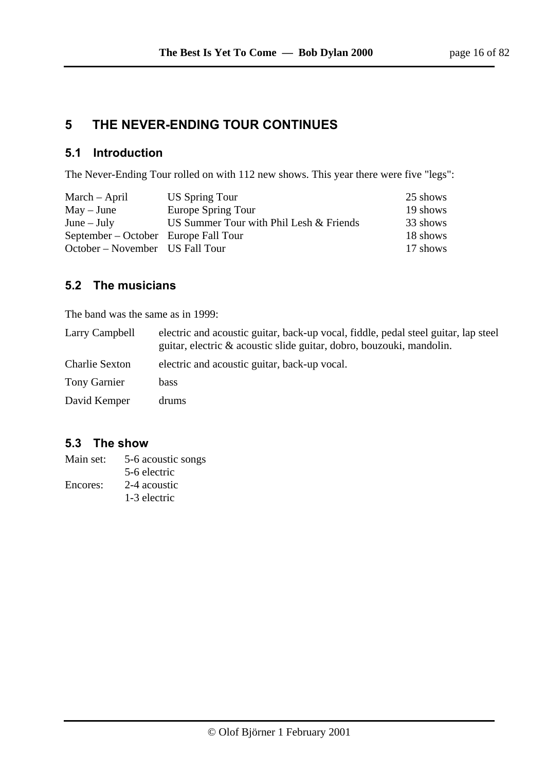# **5 THE NEVER-ENDING TOUR CONTINUES**

## **5.1 Introduction**

The Never-Ending Tour rolled on with 112 new shows. This year there were five "legs":

| March – April                        | US Spring Tour                          | 25 shows |
|--------------------------------------|-----------------------------------------|----------|
| $May - June$                         | Europe Spring Tour                      | 19 shows |
| $June - July$                        | US Summer Tour with Phil Lesh & Friends | 33 shows |
| September – October Europe Fall Tour |                                         | 18 shows |
| October – November US Fall Tour      |                                         | 17 shows |

## **5.2 The musicians**

The band was the same as in 1999:

| Larry Campbell        | electric and acoustic guitar, back-up vocal, fiddle, pedal steel guitar, lap steel<br>guitar, electric & acoustic slide guitar, dobro, bouzouki, mandolin. |
|-----------------------|------------------------------------------------------------------------------------------------------------------------------------------------------------|
| <b>Charlie Sexton</b> | electric and acoustic guitar, back-up vocal.                                                                                                               |
| <b>Tony Garnier</b>   | bass                                                                                                                                                       |
| David Kemper          | drums                                                                                                                                                      |

## **5.3 The show**

| Main set: | 5-6 acoustic songs |
|-----------|--------------------|
|           | 5-6 electric       |
| Encores:  | 2-4 acoustic       |
|           | 1-3 electric       |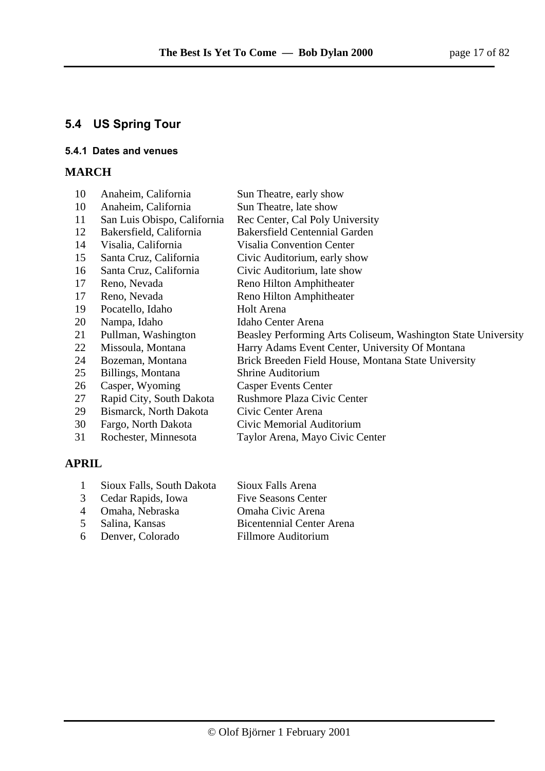# **5.4 US Spring Tour**

#### **5.4.1 Dates and venues**

## **MARCH**

| 10 | Anaheim, California         | Sun Theatre, early show                                       |
|----|-----------------------------|---------------------------------------------------------------|
| 10 | Anaheim, California         | Sun Theatre, late show                                        |
| 11 | San Luis Obispo, California | Rec Center, Cal Poly University                               |
| 12 | Bakersfield, California     | <b>Bakersfield Centennial Garden</b>                          |
| 14 | Visalia, California         | <b>Visalia Convention Center</b>                              |
| 15 | Santa Cruz, California      | Civic Auditorium, early show                                  |
| 16 | Santa Cruz, California      | Civic Auditorium, late show                                   |
| 17 | Reno, Nevada                | Reno Hilton Amphitheater                                      |
| 17 | Reno, Nevada                | Reno Hilton Amphitheater                                      |
| 19 | Pocatello, Idaho            | Holt Arena                                                    |
| 20 | Nampa, Idaho                | Idaho Center Arena                                            |
| 21 | Pullman, Washington         | Beasley Performing Arts Coliseum, Washington State University |
| 22 | Missoula, Montana           | Harry Adams Event Center, University Of Montana               |
| 24 | Bozeman, Montana            | Brick Breeden Field House, Montana State University           |
| 25 | Billings, Montana           | <b>Shrine Auditorium</b>                                      |
| 26 | Casper, Wyoming             | <b>Casper Events Center</b>                                   |
| 27 | Rapid City, South Dakota    | <b>Rushmore Plaza Civic Center</b>                            |
| 29 | Bismarck, North Dakota      | Civic Center Arena                                            |
| 30 | Fargo, North Dakota         | Civic Memorial Auditorium                                     |
| 31 | Rochester, Minnesota        | Taylor Arena, Mayo Civic Center                               |
|    |                             |                                                               |

## **APRIL**

| Sioux Falls, South Dakota<br>Sioux Falls Arena |
|------------------------------------------------|
|------------------------------------------------|

- 
- 
- 
- 
- 3 Cedar Rapids, Iowa Five Seasons Center 4 Omaha, Nebraska Omaha Civic Arena 5 Salina, Kansas Bicentennial Center Arena
- 6 Denver, Colorado Fillmore Auditorium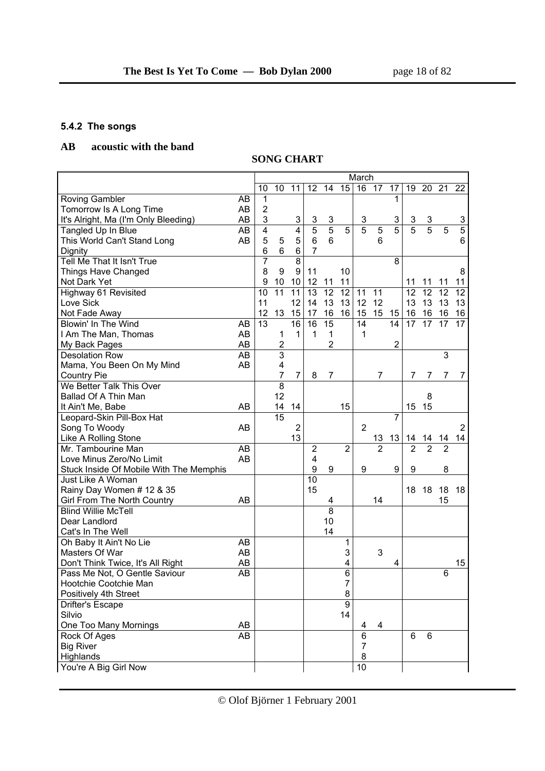### **5.4.2 The songs**

## **AB acoustic with the band**

# **SONG CHART**

|                                         |    |                 |                         |                           |                 |                 |                | March          |                |                |                |                |                |                |
|-----------------------------------------|----|-----------------|-------------------------|---------------------------|-----------------|-----------------|----------------|----------------|----------------|----------------|----------------|----------------|----------------|----------------|
|                                         |    | 10              | 10                      | 11                        | 12              | 14              | 15             | 16             | 17             | 17             | 19             | 20             | 21             | 22             |
| <b>Roving Gambler</b>                   | AB | 1               |                         |                           |                 |                 |                |                |                | 1              |                |                |                |                |
| Tomorrow Is A Long Time                 | AB | $\overline{2}$  |                         |                           |                 |                 |                |                |                |                |                |                |                |                |
| It's Alright, Ma (I'm Only Bleeding)    | AB | 3               |                         | $\ensuremath{\mathsf{3}}$ | 3               | $\overline{3}$  |                | 3              |                | 3              |                |                |                | 3              |
| Tangled Up In Blue                      | AB | 4               |                         | $\overline{\mathbf{4}}$   | $\overline{5}$  | $\overline{5}$  | $\overline{5}$ | $\overline{5}$ | $\overline{5}$ | $\overline{5}$ | $\frac{3}{5}$  | $\frac{3}{5}$  | $\overline{5}$ | $\overline{5}$ |
| This World Can't Stand Long             | AB | 5               | 5                       | 5                         | $6\phantom{1}$  | 6               |                |                | 6              |                |                |                |                | 6              |
| Dignity                                 |    | 6               | 6                       | 6                         | $\overline{7}$  |                 |                |                |                |                |                |                |                |                |
| Tell Me That It Isn't True              |    | $\overline{7}$  |                         | $\overline{8}$            |                 |                 |                |                |                | 8              |                |                |                |                |
| Things Have Changed                     |    | 8               | 9                       | 9                         | 11              |                 | 10             |                |                |                |                |                |                | 8              |
| Not Dark Yet                            |    | 9               | 10                      | 10                        | 12              | 11              | 11             |                |                |                | 11             | 11             | 11             | 11             |
| Highway 61 Revisited                    |    | 10              | $\overline{11}$         | 11                        | 13              | 12              | 12             | 11             | 11             |                | 12             | 12             | 12             | 12             |
| Love Sick                               |    | 11              |                         | 12                        | 14              | 13              | 13             | 12             | 12             |                | 13             | 13             | 13             | 13             |
| Not Fade Away                           |    | 12              | 13                      | 15                        | 17              | 16              | 16             | 15             | 15             | 15             | 16             | 16             | 16             | 16             |
| Blowin' In The Wind                     | AB | $\overline{13}$ |                         | 16                        | 16              | $\overline{15}$ |                | 14             |                | 14             | 17             | 17             | 17             | 17             |
| I Am The Man, Thomas                    | AB |                 | 1                       | $\mathbf{1}$              | 1               | 1               |                | 1              |                |                |                |                |                |                |
| My Back Pages                           | AB |                 | $\overline{\mathbf{c}}$ |                           |                 | $\overline{2}$  |                |                |                | $\overline{2}$ |                |                |                |                |
| <b>Desolation Row</b>                   | AB |                 | $\overline{3}$          |                           |                 |                 |                |                |                |                |                |                | 3              |                |
| Mama, You Been On My Mind               | AB |                 | 4                       |                           |                 |                 |                |                |                |                |                |                |                |                |
| <b>Country Pie</b>                      |    |                 | $\overline{7}$          | $\overline{7}$            | 8               | $\overline{7}$  |                |                | $\overline{7}$ |                | 7              | 7              | 7              | $\overline{7}$ |
| We Better Talk This Over                |    |                 | $\overline{8}$          |                           |                 |                 |                |                |                |                |                |                |                |                |
| Ballad Of A Thin Man                    |    |                 | 12                      |                           |                 |                 |                |                |                |                |                | 8              |                |                |
| It Ain't Me, Babe                       | AB |                 | 14                      | 14                        |                 |                 | 15             |                |                |                | 15             | 15             |                |                |
| Leopard-Skin Pill-Box Hat               |    |                 | $\overline{15}$         |                           |                 |                 |                |                |                | 7              |                |                |                |                |
| Song To Woody                           | AB |                 |                         | $\overline{2}$            |                 |                 |                | $\overline{2}$ |                |                |                |                |                | $\overline{2}$ |
| Like A Rolling Stone                    |    |                 |                         | 13                        |                 |                 |                |                | 13             | 13             | 14             | 14             | 14             | 14             |
| Mr. Tambourine Man                      | AB |                 |                         |                           | $\overline{2}$  |                 | $\overline{2}$ |                | $\overline{2}$ |                | $\overline{2}$ | $\overline{2}$ | $\overline{2}$ |                |
| Love Minus Zero/No Limit                | AB |                 |                         |                           | 4               |                 |                |                |                |                |                |                |                |                |
| Stuck Inside Of Mobile With The Memphis |    |                 |                         |                           | 9               | 9               |                | 9              |                | 9              | 9              |                | 8              |                |
| Just Like A Woman                       |    |                 |                         |                           | $\overline{10}$ |                 |                |                |                |                |                |                |                |                |
| Rainy Day Women # 12 & 35               |    |                 |                         |                           | 15              |                 |                |                |                |                | 18             | 18             | 18             | 18             |
| Girl From The North Country             | AB |                 |                         |                           |                 | 4               |                |                | 14             |                |                |                | 15             |                |
| <b>Blind Willie McTell</b>              |    |                 |                         |                           |                 | $\overline{8}$  |                |                |                |                |                |                |                |                |
| Dear Landlord                           |    |                 |                         |                           |                 | 10              |                |                |                |                |                |                |                |                |
| Cat's In The Well                       |    |                 |                         |                           |                 | 14              |                |                |                |                |                |                |                |                |
| Oh Baby It Ain't No Lie                 | AB |                 |                         |                           |                 |                 | 1              |                |                |                |                |                |                |                |
| Masters Of War                          | AB |                 |                         |                           |                 |                 | 3              |                | 3              |                |                |                |                |                |
| Don't Think Twice, It's All Right       | AB |                 |                         |                           |                 |                 | 4              |                |                | 4              |                |                |                | 15             |
| Pass Me Not, O Gentle Saviour           | AB |                 |                         |                           |                 |                 | 6              |                |                |                |                |                | 6              |                |
| Hootchie Cootchie Man                   |    |                 |                         |                           |                 |                 | ı              |                |                |                |                |                |                |                |
| Positively 4th Street                   |    |                 |                         |                           |                 |                 | 8              |                |                |                |                |                |                |                |
| Drifter's Escape                        |    |                 |                         |                           |                 |                 | $\overline{9}$ |                |                |                |                |                |                |                |
| Silvio                                  |    |                 |                         |                           |                 |                 | 14             |                |                |                |                |                |                |                |
| One Too Many Mornings                   | AB |                 |                         |                           |                 |                 |                | 4              | 4              |                |                |                |                |                |
| Rock Of Ages                            | AB |                 |                         |                           |                 |                 |                | 6              |                |                | 6              | 6              |                |                |
| <b>Big River</b>                        |    |                 |                         |                           |                 |                 |                | 7              |                |                |                |                |                |                |
| Highlands                               |    |                 |                         |                           |                 |                 |                | 8              |                |                |                |                |                |                |
| You're A Big Girl Now                   |    |                 |                         |                           |                 |                 |                | 10             |                |                |                |                |                |                |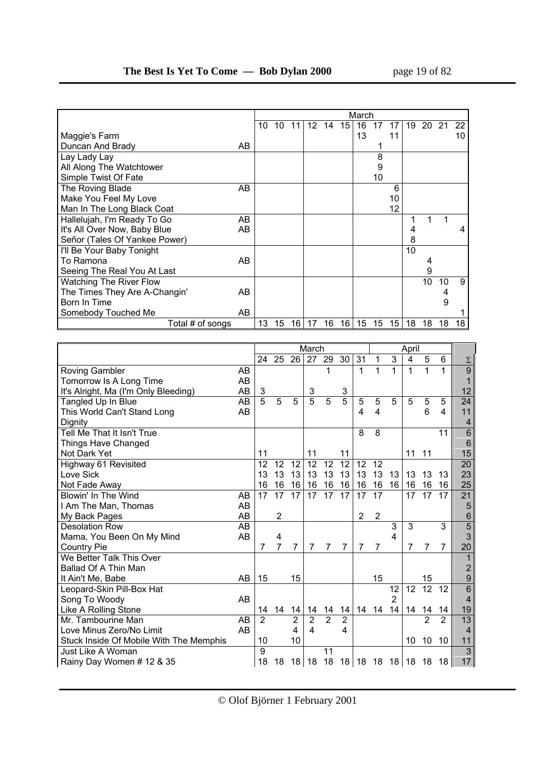|                               |    | March |    |    |                 |    |                 |    |    |    |    |    |    |    |
|-------------------------------|----|-------|----|----|-----------------|----|-----------------|----|----|----|----|----|----|----|
|                               |    | 10    | 10 | 11 | 12 <sup>2</sup> | 14 | 15 <sup>1</sup> | 16 | 17 | 17 | 19 | 20 | 21 | 22 |
| Maggie's Farm                 |    |       |    |    |                 |    |                 | 13 |    | 11 |    |    |    | 10 |
| Duncan And Brady              | AB |       |    |    |                 |    |                 |    |    |    |    |    |    |    |
| Lay Lady Lay                  |    |       |    |    |                 |    |                 |    | 8  |    |    |    |    |    |
| All Along The Watchtower      |    |       |    |    |                 |    |                 |    | 9  |    |    |    |    |    |
| Simple Twist Of Fate          |    |       |    |    |                 |    |                 |    | 10 |    |    |    |    |    |
| The Roving Blade              | AB |       |    |    |                 |    |                 |    |    | 6  |    |    |    |    |
| Make You Feel My Love         |    |       |    |    |                 |    |                 |    |    | 10 |    |    |    |    |
| Man In The Long Black Coat    |    |       |    |    |                 |    |                 |    |    | 12 |    |    |    |    |
| Hallelujah, I'm Ready To Go   | AB |       |    |    |                 |    |                 |    |    |    |    |    |    |    |
| It's All Over Now, Baby Blue  | AB |       |    |    |                 |    |                 |    |    |    | 4  |    |    | 4  |
| Señor (Tales Of Yankee Power) |    |       |    |    |                 |    |                 |    |    |    | 8  |    |    |    |
| I'll Be Your Baby Tonight     |    |       |    |    |                 |    |                 |    |    |    | 10 |    |    |    |
| To Ramona                     | AB |       |    |    |                 |    |                 |    |    |    |    |    |    |    |
| Seeing The Real You At Last   |    |       |    |    |                 |    |                 |    |    |    |    | 9  |    |    |
| Watching The River Flow       |    |       |    |    |                 |    |                 |    |    |    |    | 10 | 10 | 9  |
| The Times They Are A-Changin' | AB |       |    |    |                 |    |                 |    |    |    |    |    |    |    |
| Born In Time                  |    |       |    |    |                 |    |                 |    |    |    |    |    | 9  |    |
| Somebody Touched Me           | AB |       |    |    |                 |    |                 |    |    |    |    |    |    |    |
| Total # of songs              |    | 13    | 15 | 16 | 17              | 16 | 16              | 15 | 15 | 15 | 18 | 18 | 18 | 18 |

|                                         |           | March<br>April |                 |                 |                         |                            |                 |                 |                |                |                |                |                |                |
|-----------------------------------------|-----------|----------------|-----------------|-----------------|-------------------------|----------------------------|-----------------|-----------------|----------------|----------------|----------------|----------------|----------------|----------------|
|                                         |           | 24             | $\overline{25}$ | 26              | 27                      | 29                         | $\overline{30}$ | $\overline{31}$ | 1              | $\overline{3}$ | $\overline{4}$ | $\overline{5}$ | $\overline{6}$ | Σ              |
| <b>Roving Gambler</b>                   | AB        |                |                 |                 |                         | 1                          |                 | 1               | 1              | 1              | 1              | 1              |                | $\overline{9}$ |
| Tomorrow Is A Long Time                 | AB        |                |                 |                 |                         |                            |                 |                 |                |                |                |                |                |                |
| It's Alright, Ma (I'm Only Bleeding)    | AB        | 3              |                 |                 | 3                       |                            | 3               |                 |                |                |                |                |                | 12             |
| Tangled Up In Blue                      | AB        | 5              | 5               | 5               | 5                       | 5                          | 5               | 5               | 5              | 5              | 5              | 5              | 5              | 24             |
| This World Can't Stand Long             | AB        |                |                 |                 |                         |                            |                 | 4               | 4              |                |                | 6              | 4              | 11             |
| Dignity                                 |           |                |                 |                 |                         |                            |                 |                 |                |                |                |                |                | 4              |
| Tell Me That It Isn't True              |           |                |                 |                 |                         |                            |                 | 8               | 8              |                |                |                | 11             | 6              |
| Things Have Changed                     |           |                |                 |                 |                         |                            |                 |                 |                |                |                |                |                | 6              |
| Not Dark Yet                            |           | 11             |                 |                 | 11                      |                            | 11              |                 |                |                | 11             | 11             |                | 15             |
| Highway 61 Revisited                    |           | 12             | 12              | 12              | 12                      | 12                         | 12              | 12              | 12             |                |                |                |                | 20             |
| Love Sick                               |           | 13             | 13              | 13              | 13                      | 13                         | 13              | 13              | 13             | 13             | 13             | 13             | 13             | 23             |
| Not Fade Away                           |           | 16             | 16              | 16              | 16                      | 16                         | 16              | 16              | 16             | 16             | 16             | 16             | 16             | 25             |
| Blowin' In The Wind                     | AB        | 17             | 17              | $\overline{17}$ | 17                      | 17                         | 17              | 17              | 17             |                | 17             | 17             | 17             | 21             |
| I Am The Man, Thomas                    | AB        |                |                 |                 |                         |                            |                 |                 |                |                |                |                |                | 5              |
| My Back Pages                           | AB        |                | 2               |                 |                         |                            |                 | $\overline{2}$  | 2              |                |                |                |                | 6              |
| Desolation Row                          | <b>AB</b> |                |                 |                 |                         |                            |                 |                 |                | 3              | 3              |                | 3              | $\overline{5}$ |
| Mama, You Been On My Mind               | AB        |                | 4               |                 |                         |                            |                 |                 |                | 4              |                |                |                | 3              |
| <b>Country Pie</b>                      |           | 7              | $\overline{7}$  | $\overline{7}$  | 7                       | $\overline{7}$             | $\overline{7}$  | $\overline{7}$  | $\overline{7}$ |                | $\overline{7}$ | $\overline{7}$ | $\overline{7}$ | 20             |
| We Better Talk This Over                |           |                |                 |                 |                         |                            |                 |                 |                |                |                |                |                | 1              |
| Ballad Of A Thin Man                    |           |                |                 |                 |                         |                            |                 |                 |                |                |                |                |                | 2              |
| It Ain't Me, Babe                       | AB        | 15             |                 | 15              |                         |                            |                 |                 | 15             |                |                | 15             |                | 9              |
| Leopard-Skin Pill-Box Hat               |           |                |                 |                 |                         |                            |                 |                 |                | 12             | 12             | 12             | 12             | 6              |
| Song To Woody                           | AB        |                |                 |                 |                         |                            |                 |                 |                | 2              |                |                |                | 4              |
| Like A Rolling Stone                    |           | 14             | 14              | 14              | 14                      | 14                         | 14              | 14              | 14             | 14             | 14             | 14             | 14             | 19             |
| Mr. Tambourine Man                      | AB        | $\overline{2}$ |                 | $\overline{2}$  | $\overline{2}$          | $\overline{2}$             | $\overline{2}$  |                 |                |                |                | $\overline{2}$ | $\overline{2}$ | 13             |
| Love Minus Zero/No Limit                | AB        |                |                 | 4               | $\overline{\mathbf{4}}$ |                            | 4               |                 |                |                |                |                |                | 4              |
| Stuck Inside Of Mobile With The Memphis |           | 10             |                 | 10              |                         |                            |                 |                 |                |                | 10             | 10             | 10             | 11             |
| Just Like A Woman                       |           | 9              |                 |                 |                         | 11                         |                 |                 |                |                |                |                |                | $\overline{3}$ |
| Rainy Day Women # 12 & 35               |           | 18             | 18              |                 |                         | 18 18 18 18 18 18 18 18 18 |                 |                 |                |                |                |                | 18             | 17             |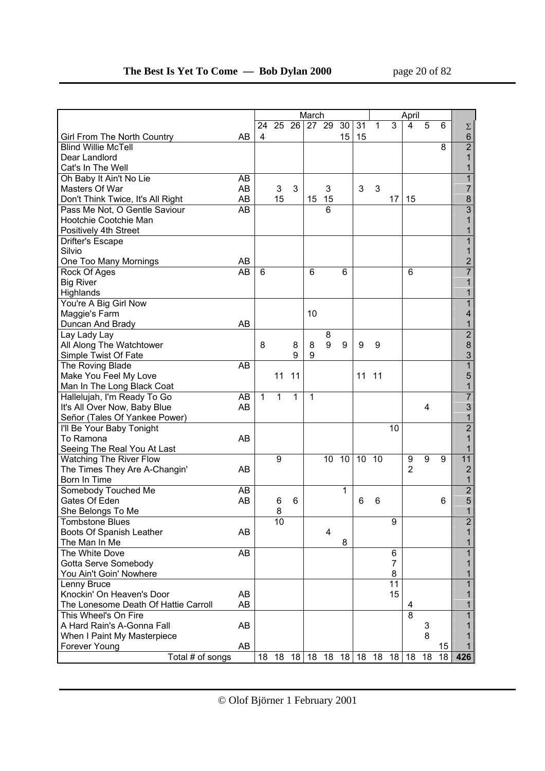|                                      |    |              |    |         | March            |    |                 |                 |    |                 | April          |    |    |                |
|--------------------------------------|----|--------------|----|---------|------------------|----|-----------------|-----------------|----|-----------------|----------------|----|----|----------------|
|                                      |    | 24           |    |         | $25\ 26\ 27\ 29$ |    | 30 <sup>1</sup> | 31              | 1  | 3               | 4              | 5  | 6  | $\Sigma$       |
| Girl From The North Country          | AB | 4            |    |         |                  |    | 15              | 15              |    |                 |                |    |    | 6              |
| <b>Blind Willie McTell</b>           |    |              |    |         |                  |    |                 |                 |    |                 |                |    | 8  | $\overline{2}$ |
| Dear Landlord                        |    |              |    |         |                  |    |                 |                 |    |                 |                |    |    | $\overline{1}$ |
| Cat's In The Well                    |    |              |    |         |                  |    |                 |                 |    |                 |                |    |    | 1              |
| Oh Baby It Ain't No Lie              | AB |              |    |         |                  |    |                 |                 |    |                 |                |    |    | 1              |
| Masters Of War                       | AB |              | 3  | 3       |                  | 3  |                 | 3               | 3  |                 |                |    |    | 7              |
| Don't Think Twice, It's All Right    | AB |              | 15 |         | 15               | 15 |                 |                 |    | 17              | 15             |    |    | 8              |
| Pass Me Not, O Gentle Saviour        | AB |              |    |         |                  | 6  |                 |                 |    |                 |                |    |    | $\overline{3}$ |
| Hootchie Cootchie Man                |    |              |    |         |                  |    |                 |                 |    |                 |                |    |    | 1              |
| Positively 4th Street                |    |              |    |         |                  |    |                 |                 |    |                 |                |    |    | 1              |
| Drifter's Escape                     |    |              |    |         |                  |    |                 |                 |    |                 |                |    |    | $\overline{1}$ |
| Silvio                               |    |              |    |         |                  |    |                 |                 |    |                 |                |    |    | 1              |
| One Too Many Mornings                | AB |              |    |         |                  |    |                 |                 |    |                 |                |    |    | $\overline{c}$ |
| Rock Of Ages                         | AB | 6            |    |         | 6                |    | 6               |                 |    |                 | 6              |    |    | $\overline{7}$ |
| <b>Big River</b>                     |    |              |    |         |                  |    |                 |                 |    |                 |                |    |    | 1              |
| Highlands                            |    |              |    |         |                  |    |                 |                 |    |                 |                |    |    | 1              |
| You're A Big Girl Now                |    |              |    |         |                  |    |                 |                 |    |                 |                |    |    | $\overline{1}$ |
| Maggie's Farm                        |    |              |    |         | 10               |    |                 |                 |    |                 |                |    |    | 4              |
| Duncan And Brady                     | AB |              |    |         |                  |    |                 |                 |    |                 |                |    |    | 1              |
| Lay Lady Lay                         |    |              |    |         |                  | 8  |                 |                 |    |                 |                |    |    | $\overline{2}$ |
| All Along The Watchtower             |    | 8            |    | 8       | 8                | 9  | 9               | 9               | 9  |                 |                |    |    | 8              |
| Simple Twist Of Fate                 |    |              |    | 9       | 9                |    |                 |                 |    |                 |                |    |    | 3              |
| The Roving Blade                     | AB |              |    |         |                  |    |                 |                 |    |                 |                |    |    | $\overline{1}$ |
| Make You Feel My Love                |    |              | 11 | 11      |                  |    |                 | 11              | 11 |                 |                |    |    | 5              |
| Man In The Long Black Coat           |    |              |    |         |                  |    |                 |                 |    |                 |                |    |    | 1              |
| Hallelujah, I'm Ready To Go          | AB | $\mathbf{1}$ | 1  | 1       | $\mathbf{1}$     |    |                 |                 |    |                 |                |    |    | $\overline{7}$ |
| It's All Over Now, Baby Blue         | AB |              |    |         |                  |    |                 |                 |    |                 |                | 4  |    | 3              |
| Señor (Tales Of Yankee Power)        |    |              |    |         |                  |    |                 |                 |    |                 |                |    |    | 1              |
| I'll Be Your Baby Tonight            |    |              |    |         |                  |    |                 |                 |    | 10              |                |    |    | $\overline{2}$ |
| To Ramona                            | AB |              |    |         |                  |    |                 |                 |    |                 |                |    |    | 1              |
| Seeing The Real You At Last          |    |              |    |         |                  |    |                 |                 |    |                 |                |    |    | 1              |
| <b>Watching The River Flow</b>       |    |              | 9  |         |                  | 10 | 10              | $\overline{10}$ | 10 |                 | 9              | 9  | 9  | 11             |
| The Times They Are A-Changin'        | AB |              |    |         |                  |    |                 |                 |    |                 | $\overline{2}$ |    |    | $\overline{2}$ |
| Born In Time                         |    |              |    |         |                  |    |                 |                 |    |                 |                |    |    | 1              |
| Somebody Touched Me                  | AB |              |    |         |                  |    | 1               |                 |    |                 |                |    |    | $\overline{2}$ |
| Gates Of Eden                        | AB |              | 6  | 6       |                  |    |                 | 6               | 6  |                 |                |    | 6  | 5              |
| She Belongs To Me                    |    |              | 8  |         |                  |    |                 |                 |    |                 |                |    |    | 1              |
| Tombstone Blues                      |    |              | 10 |         |                  |    |                 |                 |    | 9               |                |    |    |                |
| Boots Of Spanish Leather             | AB |              |    |         |                  | 4  |                 |                 |    |                 |                |    |    | 2<br>1         |
| The Man In Me                        |    |              |    |         |                  |    | 8               |                 |    |                 |                |    |    |                |
| The White Dove                       | AB |              |    |         |                  |    |                 |                 |    | 6               |                |    |    |                |
| Gotta Serve Somebody                 |    |              |    |         |                  |    |                 |                 |    | $\overline{7}$  |                |    |    |                |
| You Ain't Goin' Nowhere              |    |              |    |         |                  |    |                 |                 |    | 8               |                |    |    |                |
| Lenny Bruce                          |    |              |    |         |                  |    |                 |                 |    | $\overline{11}$ |                |    |    |                |
| Knockin' On Heaven's Door            | AB |              |    |         |                  |    |                 |                 |    | 15              |                |    |    | 1              |
| The Lonesome Death Of Hattie Carroll | AB |              |    |         |                  |    |                 |                 |    |                 | 4              |    |    |                |
| This Wheel's On Fire                 |    |              |    |         |                  |    |                 |                 |    |                 | 8              |    |    |                |
| A Hard Rain's A-Gonna Fall           | AB |              |    |         |                  |    |                 |                 |    |                 |                | 3  |    |                |
| When I Paint My Masterpiece          |    |              |    |         |                  |    |                 |                 |    |                 |                | 8  |    |                |
| Forever Young                        | AB |              |    |         |                  |    |                 |                 |    |                 |                |    | 15 |                |
| Total # of songs                     |    | 18           | 18 | 18   18 |                  | 18 | $18$ 18         |                 | 18 |                 | $18$   18      | 18 | 18 | 426            |
|                                      |    |              |    |         |                  |    |                 |                 |    |                 |                |    |    |                |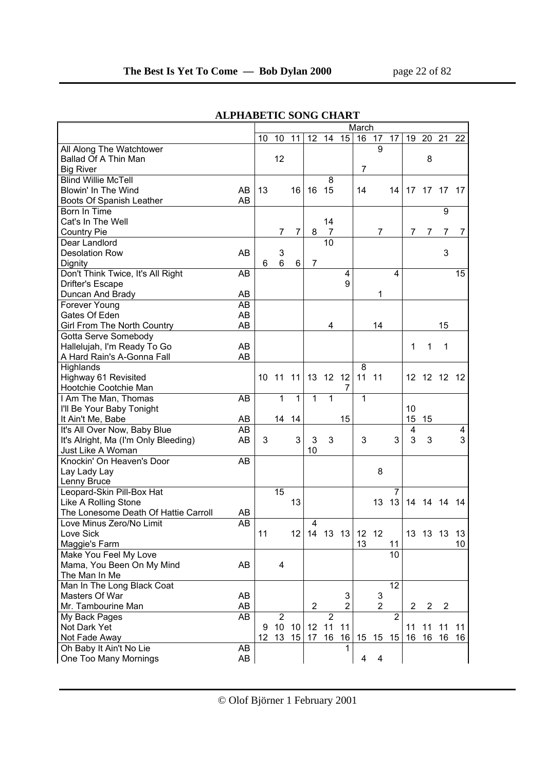|                                            | March |                 |                |                 |                         |                 |                |                 |                |                |                |          |                 |     |
|--------------------------------------------|-------|-----------------|----------------|-----------------|-------------------------|-----------------|----------------|-----------------|----------------|----------------|----------------|----------|-----------------|-----|
|                                            |       | 10              | 10             | 11              | 12                      | 14              | 15             | 16              | 17             | 17             | 19             | 20       | $\overline{21}$ | 22  |
| <b>All Along The Watchtower</b>            |       |                 |                |                 |                         |                 |                |                 | 9              |                |                |          |                 |     |
| Ballad Of A Thin Man                       |       |                 | 12             |                 |                         |                 |                |                 |                |                |                | 8        |                 |     |
| <b>Big River</b>                           |       |                 |                |                 |                         |                 |                | $\overline{7}$  |                |                |                |          |                 |     |
| <b>Blind Willie McTell</b>                 |       |                 |                |                 |                         | 8               |                |                 |                |                |                |          |                 |     |
| Blowin' In The Wind<br>AB                  |       | 13              |                | 16              | 16                      | 15              |                | 14              |                | 14             | 17             | 17       | 17              | 17  |
| AB<br>Boots Of Spanish Leather             |       |                 |                |                 |                         |                 |                |                 |                |                |                |          |                 |     |
| Born In Time                               |       |                 |                |                 |                         |                 |                |                 |                |                |                |          | 9               |     |
| Cat's In The Well                          |       |                 |                |                 |                         | 14              |                |                 |                |                |                |          |                 |     |
| Country Pie                                |       |                 | 7              | 7               | 8                       | 7               |                |                 | $\overline{7}$ |                | 7              | 7        | 7               | 7   |
| Dear Landlord                              |       |                 |                |                 |                         | 10              |                |                 |                |                |                |          |                 |     |
| AB<br><b>Desolation Row</b>                |       |                 | 3              |                 |                         |                 |                |                 |                |                |                |          | 3               |     |
| Dignity                                    |       | 6               | $6\phantom{1}$ | 6               | $\overline{7}$          |                 |                |                 |                |                |                |          |                 |     |
| Don't Think Twice, It's All Right<br>AB    |       |                 |                |                 |                         |                 | 4              |                 |                | $\overline{4}$ |                |          |                 | 15  |
|                                            |       |                 |                |                 |                         |                 | 9              |                 |                |                |                |          |                 |     |
| Drifter's Escape<br>AB                     |       |                 |                |                 |                         |                 |                |                 |                |                |                |          |                 |     |
| Duncan And Brady                           |       |                 |                |                 |                         |                 |                |                 | 1              |                |                |          |                 |     |
| Forever Young<br>AB                        |       |                 |                |                 |                         |                 |                |                 |                |                |                |          |                 |     |
| Gates Of Eden<br>AB                        |       |                 |                |                 |                         |                 |                |                 |                |                |                |          |                 |     |
| <b>Girl From The North Country</b><br>AB   |       |                 |                |                 |                         | 4               |                |                 | 14             |                |                |          | 15              |     |
| Gotta Serve Somebody                       |       |                 |                |                 |                         |                 |                |                 |                |                |                |          |                 |     |
| Hallelujah, I'm Ready To Go<br>AB<br>AB    |       |                 |                |                 |                         |                 |                |                 |                |                | 1              | 1        | $\mathbf 1$     |     |
| A Hard Rain's A-Gonna Fall                 |       |                 |                |                 |                         |                 |                |                 |                |                |                |          |                 |     |
| Highlands                                  |       |                 |                |                 |                         |                 |                | 8               |                |                |                |          |                 |     |
| Highway 61 Revisited                       |       | 10              | 11             | 11              | 13                      | 12 <sup>°</sup> | 12             | 11              | 11             |                | 12             | 12 12    |                 | -12 |
| Hootchie Cootchie Man                      |       |                 |                |                 |                         |                 | 7              |                 |                |                |                |          |                 |     |
| I Am The Man, Thomas<br>AB                 |       |                 | $\overline{1}$ | $\overline{1}$  | $\overline{1}$          | $\overline{1}$  |                | 1               |                |                |                |          |                 |     |
| I'll Be Your Baby Tonight                  |       |                 |                |                 |                         |                 |                |                 |                |                | 10             |          |                 |     |
| It Ain't Me, Babe<br>AB                    |       |                 | 14             | 14              |                         |                 | 15             |                 |                |                | 15             | 15       |                 |     |
| It's All Over Now, Baby Blue<br>AB         |       |                 |                |                 |                         |                 |                |                 |                |                | 4              |          |                 | 4   |
| It's Alright, Ma (I'm Only Bleeding)<br>AB |       | 3               |                | 3               | 3                       | 3               |                | 3               |                | 3              | 3              | 3        |                 | 3   |
| Just Like A Woman                          |       |                 |                |                 | 10                      |                 |                |                 |                |                |                |          |                 |     |
| Knockin' On Heaven's Door<br>AB            |       |                 |                |                 |                         |                 |                |                 |                |                |                |          |                 |     |
| Lay Lady Lay                               |       |                 |                |                 |                         |                 |                |                 | 8              |                |                |          |                 |     |
| Lenny Bruce                                |       |                 |                |                 |                         |                 |                |                 |                |                |                |          |                 |     |
| Leopard-Skin Pill-Box Hat                  |       |                 | 15             |                 |                         |                 |                |                 |                | 7              |                |          |                 |     |
| Like A Rolling Stone                       |       |                 |                | 13              |                         |                 |                |                 | 13             | 13             |                | 14 14 14 |                 | 14  |
| The Lonesome Death Of Hattie Carroll<br>AB |       |                 |                |                 |                         |                 |                |                 |                |                |                |          |                 |     |
| Love Minus Zero/No Limit<br>AB             |       |                 |                |                 | 4                       |                 |                |                 |                |                |                |          |                 |     |
| Love Sick                                  |       | 11              |                | 12 <sub>1</sub> |                         |                 | $14$ 13 13     | 12 12           |                |                |                | 13 13 13 |                 | 13  |
| Maggie's Farm                              |       |                 |                |                 |                         |                 |                | 13              |                | 11             |                |          |                 | 10  |
| Make You Feel My Love                      |       |                 |                |                 |                         |                 |                |                 |                | 10             |                |          |                 |     |
| Mama, You Been On My Mind<br>AB            |       |                 | 4              |                 |                         |                 |                |                 |                |                |                |          |                 |     |
| The Man In Me                              |       |                 |                |                 |                         |                 |                |                 |                |                |                |          |                 |     |
| Man In The Long Black Coat                 |       |                 |                |                 |                         |                 |                |                 |                | 12             |                |          |                 |     |
| Masters Of War<br>AB                       |       |                 |                |                 |                         |                 | 3              |                 | 3              |                |                |          |                 |     |
| Mr. Tambourine Man<br>AB                   |       |                 |                |                 | $\overline{\mathbf{c}}$ |                 | $\overline{2}$ |                 | $\overline{2}$ |                | $\overline{2}$ | 2        | $\overline{c}$  |     |
| AB<br>My Back Pages                        |       |                 | $\overline{2}$ |                 |                         | $\overline{2}$  |                |                 |                | $\overline{2}$ |                |          |                 |     |
| Not Dark Yet                               |       | 9               | 10             | 10              | 12 <sub>2</sub>         | 11              | 11             |                 |                |                | 11             | 11       | 11              | 11  |
| Not Fade Away                              |       | 12 <sup>°</sup> | 13             | 15 <sup>1</sup> | 17                      | 16              | 16             | 15 <sub>1</sub> |                | 15 15          | 16             | 16       | 16              | 16  |
| Oh Baby It Ain't No Lie<br>AB              |       |                 |                |                 |                         |                 | 1              |                 |                |                |                |          |                 |     |
| One Too Many Mornings<br>AB                |       |                 |                |                 |                         |                 |                | 4               | 4              |                |                |          |                 |     |

## **ALPHABETIC SONG CHART**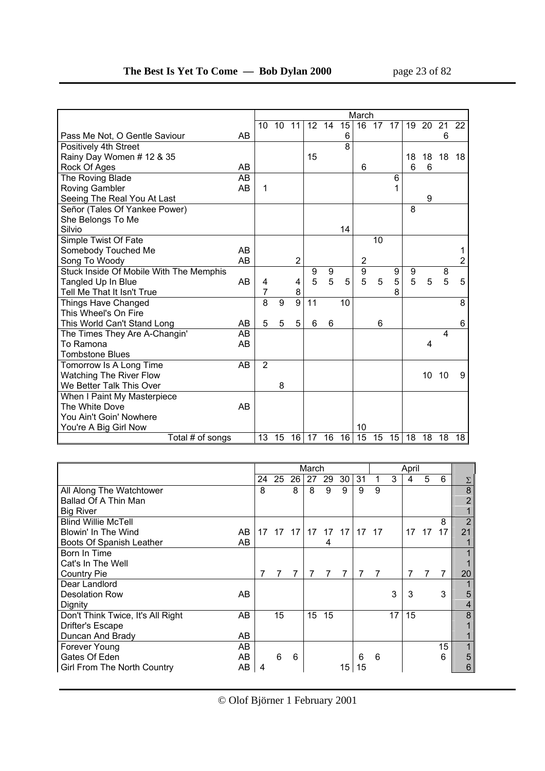|                                         |    | March |    |                |                 |                |    |                |    |    |    |    |                         |    |
|-----------------------------------------|----|-------|----|----------------|-----------------|----------------|----|----------------|----|----|----|----|-------------------------|----|
|                                         |    | 10    | 10 | 11             | 12 <sup>2</sup> | 14             | 15 | 16             | 17 | 17 | 19 | 20 | 21                      | 22 |
| Pass Me Not, O Gentle Saviour           | AB |       |    |                |                 |                | 6  |                |    |    |    |    | 6                       |    |
| Positively 4th Street                   |    |       |    |                |                 |                | 8  |                |    |    |    |    |                         |    |
| Rainy Day Women # 12 & 35               |    |       |    |                | 15              |                |    |                |    |    | 18 | 18 | 18                      | 18 |
| Rock Of Ages                            | AB |       |    |                |                 |                |    | 6              |    |    | 6  | 6  |                         |    |
| The Roving Blade                        | AB |       |    |                |                 |                |    |                |    | 6  |    |    |                         |    |
| <b>Roving Gambler</b>                   | AB | 1     |    |                |                 |                |    |                |    |    |    |    |                         |    |
| Seeing The Real You At Last             |    |       |    |                |                 |                |    |                |    |    |    | 9  |                         |    |
| Señor (Tales Of Yankee Power)           |    |       |    |                |                 |                |    |                |    |    | 8  |    |                         |    |
| She Belongs To Me                       |    |       |    |                |                 |                |    |                |    |    |    |    |                         |    |
| Silvio                                  |    |       |    |                |                 |                | 14 |                |    |    |    |    |                         |    |
| Simple Twist Of Fate                    |    |       |    |                |                 |                |    |                | 10 |    |    |    |                         |    |
| Somebody Touched Me                     | AB |       |    |                |                 |                |    |                |    |    |    |    |                         |    |
| Song To Woody                           | AB |       |    | $\mathbf 2$    |                 |                |    | $\overline{c}$ |    |    |    |    |                         | 2  |
| Stuck Inside Of Mobile With The Memphis |    |       |    |                | 9               | 9              |    | $\overline{9}$ |    | 9  | 9  |    | 8                       |    |
| Tangled Up In Blue                      | AB | 4     |    | 4              | 5               | 5              | 5  | 5              | 5  | 5  | 5  | 5  | 5                       | 5  |
| Tell Me That It Isn't True              |    | 7     |    | 8              |                 |                |    |                |    | 8  |    |    |                         |    |
| Things Have Changed                     |    | 8     | 9  | $\overline{9}$ | 11              |                | 10 |                |    |    |    |    |                         | 8  |
| This Wheel's On Fire                    |    |       |    |                |                 |                |    |                |    |    |    |    |                         |    |
| This World Can't Stand Long             | AB | 5     | 5  | 5              | 6               | $6\phantom{1}$ |    |                | 6  |    |    |    |                         | 6  |
| The Times They Are A-Changin'           | AB |       |    |                |                 |                |    |                |    |    |    |    | $\overline{\mathbf{4}}$ |    |
| To Ramona                               | AB |       |    |                |                 |                |    |                |    |    |    | 4  |                         |    |
| <b>Tombstone Blues</b>                  |    |       |    |                |                 |                |    |                |    |    |    |    |                         |    |
| Tomorrow Is A Long Time                 | AB | 2     |    |                |                 |                |    |                |    |    |    |    |                         |    |
| <b>Watching The River Flow</b>          |    |       |    |                |                 |                |    |                |    |    |    | 10 | 10                      | 9  |
| We Better Talk This Over                |    |       | 8  |                |                 |                |    |                |    |    |    |    |                         |    |
| When I Paint My Masterpiece             |    |       |    |                |                 |                |    |                |    |    |    |    |                         |    |
| The White Dove                          | AB |       |    |                |                 |                |    |                |    |    |    |    |                         |    |
| You Ain't Goin' Nowhere                 |    |       |    |                |                 |                |    |                |    |    |    |    |                         |    |
| You're A Big Girl Now                   |    |       |    |                |                 |                |    | 10             |    |    |    |    |                         |    |
| Total # of songs                        |    | 13    | 15 | 16             | 17              | 16             | 16 | 15             | 15 | 15 | 18 | 18 | 18                      | 18 |

|                                         |   |    |    |    | March |                      |                 |    |   |    | April |       |    |                |
|-----------------------------------------|---|----|----|----|-------|----------------------|-----------------|----|---|----|-------|-------|----|----------------|
|                                         |   | 24 | 25 | 26 | 27    | 29                   | 30              | 31 |   | 3  | 4     | 5     | 6  | $\Sigma$       |
| All Along The Watchtower                | 8 |    |    | 8  | 8     | 9                    | 9               | 9  | 9 |    |       |       |    | 8              |
| Ballad Of A Thin Man                    |   |    |    |    |       |                      |                 |    |   |    |       |       |    |                |
| <b>Big River</b>                        |   |    |    |    |       |                      |                 |    |   |    |       |       |    |                |
| <b>Blind Willie McTell</b>              |   |    |    |    |       |                      |                 |    |   |    |       |       | 8  | $\overline{2}$ |
| Blowin' In The Wind<br>AB               |   | 17 |    |    |       | 17 17 17 17 17 17 17 |                 |    |   |    |       | 17 17 | 17 | 21             |
| Boots Of Spanish Leather<br>AB          |   |    |    |    |       | 4                    |                 |    |   |    |       |       |    |                |
| Born In Time                            |   |    |    |    |       |                      |                 |    |   |    |       |       |    |                |
| Cat's In The Well                       |   |    |    |    |       |                      |                 |    |   |    |       |       |    |                |
| <b>Country Pie</b>                      |   |    | 7  |    |       | $\overline{7}$       | 7               | 7  | 7 |    |       | 7     |    | 20             |
| Dear Landlord                           |   |    |    |    |       |                      |                 |    |   |    |       |       |    |                |
| <b>Desolation Row</b><br>AB             |   |    |    |    |       |                      |                 |    |   | 3  | 3     |       | 3  | 5              |
| Dignity                                 |   |    |    |    |       |                      |                 |    |   |    |       |       |    | 4              |
| Don't Think Twice, It's All Right<br>AB |   |    | 15 |    | 15    | 15                   |                 |    |   | 17 | 15    |       |    | 8              |
| Drifter's Escape                        |   |    |    |    |       |                      |                 |    |   |    |       |       |    |                |
| Duncan And Brady<br>AB                  |   |    |    |    |       |                      |                 |    |   |    |       |       |    |                |
| AB<br>Forever Young                     |   |    |    |    |       |                      |                 |    |   |    |       |       | 15 |                |
| Gates Of Eden<br>AB                     |   |    | 6  | 6  |       |                      |                 | 6  | 6 |    |       |       | 6  | 5              |
| Girl From The North Country<br>AB       | 4 |    |    |    |       |                      | 15 <sup>1</sup> | 15 |   |    |       |       |    | 6              |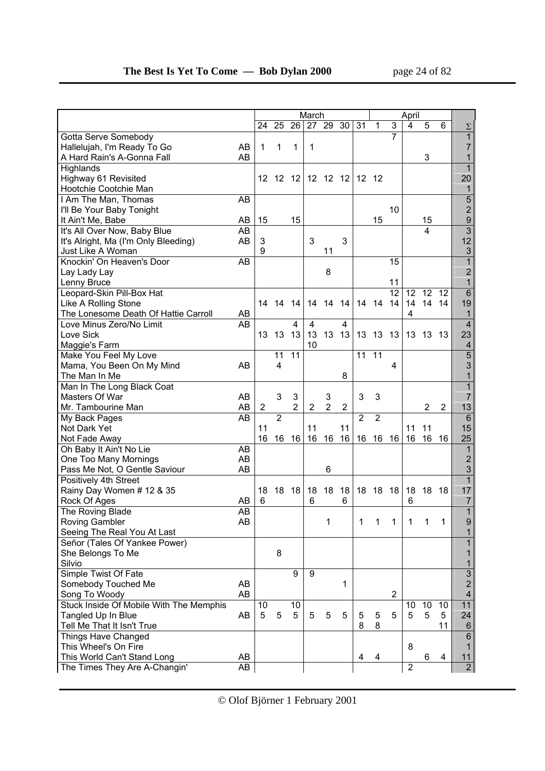|                                              |    |    |                |                | March          |                     |                  |                |                |                   | April          |                |                |                          |
|----------------------------------------------|----|----|----------------|----------------|----------------|---------------------|------------------|----------------|----------------|-------------------|----------------|----------------|----------------|--------------------------|
|                                              |    | 24 | 25             | 26             |                | 27 29 30            |                  | 31             | 1              | 3                 | $\overline{4}$ | 5              | 6              | $\Sigma$                 |
| Gotta Serve Somebody                         |    |    |                |                |                |                     |                  |                |                | $\overline{7}$    |                |                |                | $\overline{1}$           |
| Hallelujah, I'm Ready To Go                  | AB | 1  | 1              | 1              | 1              |                     |                  |                |                |                   |                |                |                | $\overline{7}$           |
| A Hard Rain's A-Gonna Fall                   | AB |    |                |                |                |                     |                  |                |                |                   |                | 3              |                | 1                        |
| Highlands                                    |    |    |                |                |                |                     |                  |                |                |                   |                |                |                | $\mathbf{1}$             |
| Highway 61 Revisited                         |    | 12 | 12             | 12             | 12             | 12                  | 12               | 12             | 12             |                   |                |                |                | 20                       |
| Hootchie Cootchie Man                        |    |    |                |                |                |                     |                  |                |                |                   |                |                |                | 1                        |
| I Am The Man, Thomas                         | AB |    |                |                |                |                     |                  |                |                |                   |                |                |                | 5                        |
| I'll Be Your Baby Tonight                    |    |    |                |                |                |                     |                  |                |                | 10                |                |                |                | $\overline{c}$           |
| It Ain't Me, Babe                            | AB | 15 |                | 15             |                |                     |                  |                | 15             |                   |                | 15             |                | $\boldsymbol{9}$         |
| It's All Over Now, Baby Blue                 | AB |    |                |                |                |                     |                  |                |                |                   |                | 4              |                | $\overline{3}$           |
| It's Alright, Ma (I'm Only Bleeding)         | AB | 3  |                |                | 3              |                     | 3                |                |                |                   |                |                |                | 12                       |
| Just Like A Woman                            |    | 9  |                |                |                | 11                  |                  |                |                |                   |                |                |                | $\mathbf{3}$             |
| Knockin' On Heaven's Door                    | AB |    |                |                |                |                     |                  |                |                | 15                |                |                |                | 1                        |
| Lay Lady Lay                                 |    |    |                |                |                | 8                   |                  |                |                |                   |                |                |                | $\overline{\mathbf{c}}$  |
| Lenny Bruce                                  |    |    |                |                |                |                     |                  |                |                | 11                |                |                |                | 1                        |
| Leopard-Skin Pill-Box Hat                    |    |    |                |                |                |                     |                  |                |                | $\overline{12}$   | 12             | 12             | 12             | $\overline{6}$           |
| Like A Rolling Stone                         |    | 14 | 14             | 14             | 14             | 14                  | 14               |                | 14 14          | 14                | 14             | 14             | 14             | 19                       |
| The Lonesome Death Of Hattie Carroll         | AB |    |                |                |                |                     |                  |                |                |                   | 4              |                |                | 1                        |
| Love Minus Zero/No Limit                     | AB |    |                | 4              | $\overline{4}$ |                     | 4                |                |                |                   |                |                |                | $\overline{4}$           |
| Love Sick                                    |    | 13 | 13             | 13             | 13             | 13                  | 13               | 13             | 13             | 13                | 13             | 13             | 13             | 23                       |
| Maggie's Farm                                |    |    |                |                | 10             |                     |                  |                |                |                   |                |                |                | $\overline{\mathcal{A}}$ |
| Make You Feel My Love                        |    |    | 11             | 11             |                |                     |                  | 11             | 11             |                   |                |                |                | $\overline{5}$           |
| Mama, You Been On My Mind                    | AB |    | 4              |                |                |                     |                  |                |                | 4                 |                |                |                | 3                        |
| The Man In Me                                |    |    |                |                |                |                     | 8                |                |                |                   |                |                |                | 1                        |
|                                              |    |    |                |                |                |                     |                  |                |                |                   |                |                |                | 1                        |
| Man In The Long Black Coat<br>Masters Of War |    |    | 3              |                |                |                     |                  | 3              | 3              |                   |                |                |                | 7                        |
|                                              | AB |    |                | 3<br>2         |                | 3<br>$\overline{2}$ |                  |                |                |                   |                |                |                |                          |
| Mr. Tambourine Man                           | AB | 2  | $\overline{2}$ |                | 2              |                     | $\boldsymbol{2}$ | $\overline{2}$ | $\overline{2}$ |                   |                | $\overline{c}$ | $\overline{2}$ | 13<br>$\overline{6}$     |
| My Back Pages                                | AB |    |                |                |                |                     |                  |                |                |                   |                |                |                |                          |
| Not Dark Yet                                 |    | 11 |                |                | 11             |                     | 11               |                |                |                   | 11             | 11             |                | 15                       |
| Not Fade Away                                |    | 16 | 16             | 16             | 16             | 16                  | 16               | 16             | 16             | 16                | 16             | 16             | 16             | 25                       |
| Oh Baby It Ain't No Lie                      | AB |    |                |                |                |                     |                  |                |                |                   |                |                |                | 1                        |
| One Too Many Mornings                        | AB |    |                |                |                |                     |                  |                |                |                   |                |                |                | $\overline{\mathbf{c}}$  |
| Pass Me Not, O Gentle Saviour                | AB |    |                |                |                | 6                   |                  |                |                |                   |                |                |                | 3                        |
| Positively 4th Street                        |    |    |                |                |                |                     |                  |                |                |                   |                |                |                | $\mathbf{1}$             |
| Rainy Day Women # 12 & 35                    |    | 18 | 18             | 18             | 18             | 18                  | 18               | 18             | 18 18          |                   |                | 18 18          | 18             | 17                       |
| Rock Of Ages                                 | AB | 6  |                |                | 6              |                     | 6                |                |                |                   | 6              |                |                | 7                        |
| The Roving Blade                             | AB |    |                |                |                |                     |                  |                |                |                   |                |                |                | $\overline{1}$           |
| Roving Gambler                               | AB |    |                |                |                | 1                   |                  | 1              | $\overline{1}$ | $\vert$ 1 $\vert$ | $\overline{1}$ | $\overline{1}$ |                | 9                        |
| Seeing The Real You At Last                  |    |    |                |                |                |                     |                  |                |                |                   |                |                |                | 1                        |
| Señor (Tales Of Yankee Power)                |    |    |                |                |                |                     |                  |                |                |                   |                |                |                | 1                        |
| She Belongs To Me                            |    |    | 8              |                |                |                     |                  |                |                |                   |                |                |                | 1                        |
| Silvio                                       |    |    |                |                |                |                     |                  |                |                |                   |                |                |                | 1                        |
| Simple Twist Of Fate                         |    |    |                | $\overline{9}$ | 9              |                     |                  |                |                |                   |                |                |                | $\overline{3}$           |
| Somebody Touched Me                          | AB |    |                |                |                |                     | 1                |                |                |                   |                |                |                | $\overline{\mathbf{c}}$  |
| Song To Woody                                | AB |    |                |                |                |                     |                  |                |                | $\overline{2}$    |                |                |                | $\overline{\mathbf{4}}$  |
| Stuck Inside Of Mobile With The Memphis      |    | 10 |                | 10             |                |                     |                  |                |                |                   | 10             | 10             | 10             | 11                       |
| Tangled Up In Blue                           | AB | 5  | 5              | 5              | 5              | 5                   | 5                | 5              | 5              | 5                 | 5              | 5              | 5              | 24                       |
| Tell Me That It Isn't True                   |    |    |                |                |                |                     |                  | 8              | 8              |                   |                |                | 11             | 6                        |
| Things Have Changed                          |    |    |                |                |                |                     |                  |                |                |                   |                |                |                | $6\phantom{a}$           |
| This Wheel's On Fire                         |    |    |                |                |                |                     |                  |                |                |                   | 8              |                |                | 1                        |
| This World Can't Stand Long                  | AB |    |                |                |                |                     |                  | 4              | 4              |                   |                | 6              | 4              | 11                       |
| The Times They Are A-Changin'                | AB |    |                |                |                |                     |                  |                |                |                   | $\overline{2}$ |                |                | $\overline{2}$           |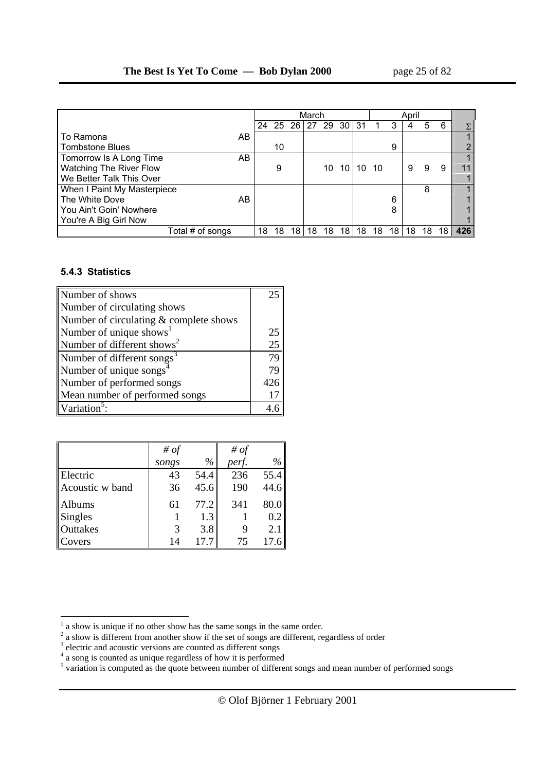|                             |    |    |    |    | March    |    |       |    |      |    | April |    |    |     |
|-----------------------------|----|----|----|----|----------|----|-------|----|------|----|-------|----|----|-----|
|                             |    | 24 |    |    | 25 26 27 | 29 | 30 31 |    |      | 3  |       | 5  | 6  |     |
| l To Ramona                 | AB |    |    |    |          |    |       |    |      |    |       |    |    |     |
| Tombstone Blues             |    |    | 10 |    |          |    |       |    |      | 9  |       |    |    |     |
| Tomorrow Is A Long Time     | AB |    |    |    |          |    |       |    |      |    |       |    |    |     |
| Watching The River Flow     |    |    | 9  |    |          | 10 | 10    | 10 | - 10 |    | 9     | 9  | 9  |     |
| We Better Talk This Over    |    |    |    |    |          |    |       |    |      |    |       |    |    |     |
| When I Paint My Masterpiece |    |    |    |    |          |    |       |    |      |    |       | 8  |    |     |
| The White Dove              | AB |    |    |    |          |    |       |    |      | 6  |       |    |    |     |
| You Ain't Goin' Nowhere     |    |    |    |    |          |    |       |    |      | 8  |       |    |    |     |
| You're A Big Girl Now       |    |    |    |    |          |    |       |    |      |    |       |    |    |     |
| Total # of songs            |    | 18 | 18 | 18 | 18       | 18 | 18    | 18 | 18   | 18 | 18    | 18 | 18 | 426 |

#### **5.4.3 Statistics**

| Number of shows                          | ን ና |
|------------------------------------------|-----|
| Number of circulating shows              |     |
| Number of circulating $&$ complete shows |     |
| Number of unique shows <sup>1</sup>      | 25  |
| Number of different shows <sup>2</sup>   | 25  |
| Number of different songs <sup>3</sup>   | 79  |
| Number of unique songs <sup>4</sup>      | 79  |
| Number of performed songs                | 426 |
| Mean number of performed songs           | 17  |
| Variation <sup>5</sup>                   |     |

|                   | # of  |      | # $of$ |      |
|-------------------|-------|------|--------|------|
|                   | songs | $\%$ | perf.  | $\%$ |
| <b>Electric</b>   | 43    | 54.4 | 236    | 55.4 |
| Acoustic w band   | 36    | 45.6 | 190    | 44.6 |
| Albums            | 61    | 77.2 | 341    | 80.0 |
| Singles           |       | 1.3  |        | 0.2  |
| Outtakes          | 3     | 3.8  |        | 2.1  |
| $\mathsf{Covers}$ | 14    | 17.7 | 75     | 17.6 |

 $\frac{1}{2}$  a show is unique if no other show has the same songs in the same order.<br>  $\frac{2}{3}$  a show is different from another show if the set of songs are different, regardless of order

<sup>&</sup>lt;sup>3</sup> electric and acoustic versions are counted as different songs<br>  $^{4}$  a song is counted as unique regardless of how it is performed<br>  $^{5}$  variation is computed as the quote between number of different songs and mean n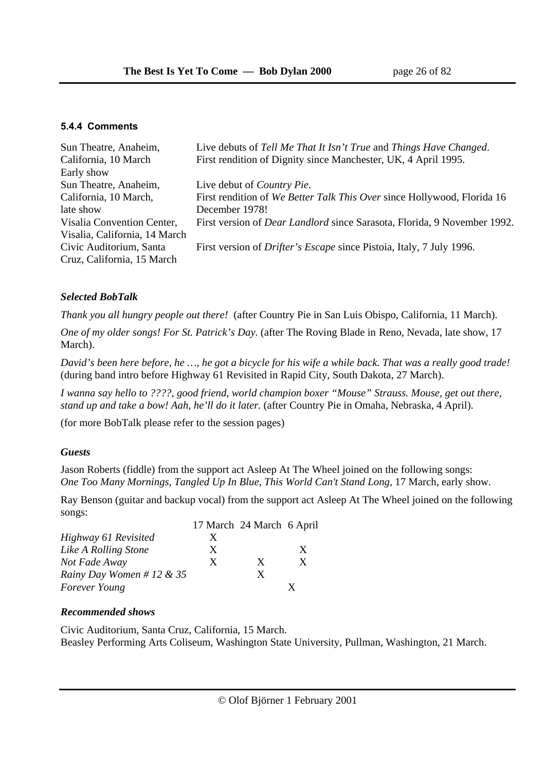#### **5.4.4 Comments**

| Sun Theatre, Anaheim,         | Live debuts of Tell Me That It Isn't True and Things Have Changed.              |
|-------------------------------|---------------------------------------------------------------------------------|
| California, 10 March          | First rendition of Dignity since Manchester, UK, 4 April 1995.                  |
| Early show                    |                                                                                 |
| Sun Theatre, Anaheim,         | Live debut of <i>Country Pie.</i>                                               |
| California, 10 March,         | First rendition of We Better Talk This Over since Hollywood, Florida 16         |
| late show                     | December 1978!                                                                  |
| Visalia Convention Center,    | First version of <i>Dear Landlord</i> since Sarasota, Florida, 9 November 1992. |
| Visalia, California, 14 March |                                                                                 |
| Civic Auditorium, Santa       | First version of <i>Drifter's Escape</i> since Pistoia, Italy, 7 July 1996.     |
| Cruz, California, 15 March    |                                                                                 |
|                               |                                                                                 |

## *Selected BobTalk*

*Thank you all hungry people out there!* (after Country Pie in San Luis Obispo, California, 11 March).

*One of my older songs! For St. Patrick's Day.* (after The Roving Blade in Reno, Nevada, late show, 17 March).

*David's been here before, he …, he got a bicycle for his wife a while back. That was a really good trade!* (during band intro before Highway 61 Revisited in Rapid City, South Dakota, 27 March).

*I wanna say hello to ????, good friend, world champion boxer "Mouse" Strauss. Mouse, get out there, stand up and take a bow! Aah, he'll do it later.* (after Country Pie in Omaha, Nebraska, 4 April).

(for more BobTalk please refer to the session pages)

#### *Guests*

Jason Roberts (fiddle) from the support act Asleep At The Wheel joined on the following songs: *One Too Many Mornings, Tangled Up In Blue*, *This World Can't Stand Long,* 17 March, early show.

Ray Benson (guitar and backup vocal) from the support act Asleep At The Wheel joined on the following songs:

|                           |   | 17 March 24 March 6 April |   |
|---------------------------|---|---------------------------|---|
| Highway 61 Revisited      | X |                           |   |
| Like A Rolling Stone      | X |                           | X |
| Not Fade Away             | X | X                         | X |
| Rainy Day Women # 12 & 35 |   | X                         |   |
| <b>Forever Young</b>      |   |                           |   |

#### *Recommended shows*

Civic Auditorium, Santa Cruz, California, 15 March. Beasley Performing Arts Coliseum, Washington State University, Pullman, Washington, 21 March.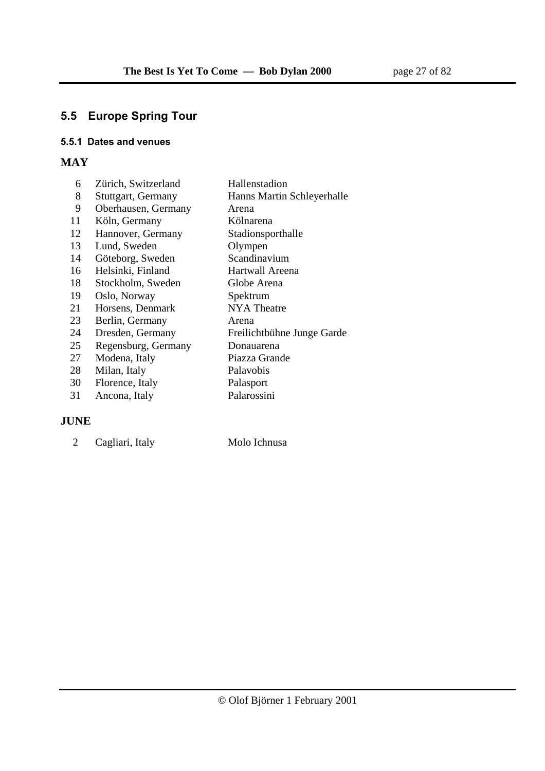# **5.5 Europe Spring Tour**

#### **5.5.1 Dates and venues**

# **MAY**

| 6  | Zürich, Switzerland | Hallenstadion              |
|----|---------------------|----------------------------|
| 8  | Stuttgart, Germany  | Hanns Martin Schleyerhalle |
| 9  | Oberhausen, Germany | Arena                      |
| 11 | Köln, Germany       | Kölnarena                  |
| 12 | Hannover, Germany   | Stadionsporthalle          |
| 13 | Lund, Sweden        | Olympen                    |
| 14 | Göteborg, Sweden    | Scandinavium               |
| 16 | Helsinki, Finland   | Hartwall Areena            |
| 18 | Stockholm, Sweden   | Globe Arena                |
| 19 | Oslo, Norway        | Spektrum                   |
| 21 | Horsens, Denmark    | <b>NYA</b> Theatre         |
| 23 | Berlin, Germany     | Arena                      |
| 24 | Dresden, Germany    | Freilichtbühne Junge Garde |
| 25 | Regensburg, Germany | Donauarena                 |
| 27 | Modena, Italy       | Piazza Grande              |
| 28 | Milan, Italy        | Palavobis                  |
| 30 | Florence, Italy     | Palasport                  |
| 31 | Ancona, Italy       | Palarossini                |

#### **JUNE**

| Cagliari, Italy | Molo Ichnusa |
|-----------------|--------------|
|                 |              |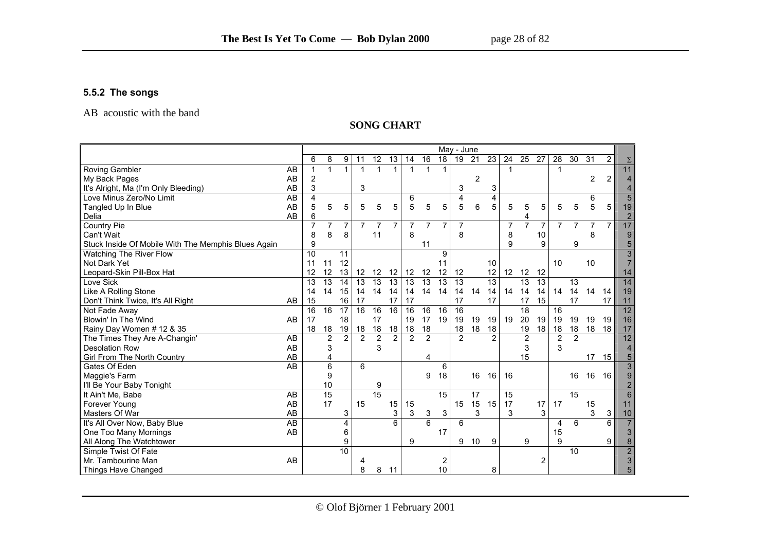#### **5.5.2 The songs**

AB acoustic with the band

#### **SONG CHART**

|                                                     |                 | May - June     |                 |                 |                |                 |                 |                |                 |                 |                |                 |                 |                |                |                |                |                 |                |                |                 |
|-----------------------------------------------------|-----------------|----------------|-----------------|-----------------|----------------|-----------------|-----------------|----------------|-----------------|-----------------|----------------|-----------------|-----------------|----------------|----------------|----------------|----------------|-----------------|----------------|----------------|-----------------|
|                                                     |                 | 6              | 8               | 9               | 11             | $\overline{12}$ | $\overline{13}$ | 14             | $\overline{16}$ | 18              | 19             | 21              | 23              | 24             | 25             | 27             | 28             | 30              | 31             | $\overline{2}$ | $\Sigma$        |
| <b>Roving Gambler</b>                               | AB              | -1             | $\mathbf{1}$    | 1               | 1              | 1               | 1               | 1              | 1               | 1               |                |                 |                 | 1              |                |                | -1             |                 |                |                | 11              |
| My Back Pages                                       | AB              | $\overline{2}$ |                 |                 |                |                 |                 |                |                 |                 |                | $\overline{2}$  |                 |                |                |                |                |                 | 2              | 2              | $\overline{4}$  |
| It's Alright, Ma (I'm Only Bleeding)                | AB              | 3              |                 |                 | 3              |                 |                 |                |                 |                 | 3              |                 | 3               |                |                |                |                |                 |                |                | $\overline{4}$  |
| Love Minus Zero/No Limit                            | $\overline{AB}$ | $\overline{4}$ |                 |                 |                |                 |                 | 6              |                 |                 | 4              |                 | 4               |                |                |                |                |                 | 6              |                | $\overline{5}$  |
| Tangled Up In Blue                                  | AB              | 5              | 5               | 5               | 5              | 5               | 5               | 5              | 5               | 5               | 5              | 6               | 5               | 5              | 5              | 5              | 5              | 5               | 5              | 5              | 19              |
| Delia                                               | AB              | 6              |                 |                 |                |                 |                 |                |                 |                 |                |                 |                 |                | 4              |                |                |                 |                |                | $\overline{c}$  |
| Country Pie                                         |                 | $\overline{7}$ |                 | 7               | 7              | $\overline{7}$  | $\overline{7}$  |                | 7               | $\overline{7}$  | $\overline{7}$ |                 |                 | $\overline{7}$ | $\overline{7}$ | $\overline{7}$ |                |                 | $\overline{7}$ | $\overline{7}$ | 17              |
| Can't Wait                                          |                 | 8              | 8               | 8               |                | 11              |                 | 8              |                 |                 | 8              |                 |                 | 8              |                | 10             |                |                 | 8              |                | 9               |
| Stuck Inside Of Mobile With The Memphis Blues Again |                 | 9              |                 |                 |                |                 |                 |                | 11              |                 |                |                 |                 | 9              |                | 9              |                | 9               |                |                | 5               |
| Watching The River Flow                             |                 | 10             |                 | 11              |                |                 |                 |                |                 | 9               |                |                 |                 |                |                |                |                |                 |                |                | $\overline{3}$  |
| Not Dark Yet                                        |                 | 11             | 11              | 12              |                |                 |                 |                |                 | 11              |                |                 | 10              |                |                |                | 10             |                 | 10             |                | $\overline{7}$  |
| Leopard-Skin Pill-Box Hat                           |                 | 12             | 12              | 13              | 12             | 12              | 12              | 12             | 12              | 12              | 12             |                 | 12              | 12             | 12             | 12             |                |                 |                |                | 14              |
| Love Sick                                           |                 | 13             | 13              | 14              | 13             | 13              | $\overline{13}$ | 13             | 13              | 13              | 13             |                 | $\overline{13}$ |                | 13             | 13             |                | 13              |                |                | 14              |
| Like A Rolling Stone                                |                 | 14             | 14              | 15              | 14             | 14              | 14              | 14             | 14              | 14              | 14             | 14              | 14              | 14             | 14             | 14             | 14             | 14              | 14             | 14             | 19              |
| Don't Think Twice, It's All Right                   | AB              | 15             |                 | 16              | 17             |                 | 17              | 17             |                 |                 | 17             |                 | 17              |                | 17             | 15             |                | 17              |                | 17             | 11              |
| Not Fade Away                                       |                 | 16             | 16              | 17              | 16             | 16              | 16              | 16             | 16              | 16              | 16             |                 |                 |                | 18             |                | 16             |                 |                |                | $\overline{12}$ |
| Blowin' In The Wind                                 | AB              | 17             |                 | 18              |                | 17              |                 | 19             | 17              | 19              | 19             | 19              | 19              | 19             | 20             | 19             | 19             | 19              | 19             | 19             | 16              |
| Rainy Day Women # 12 & 35                           |                 | 18             | 18              | 19              | 18             | 18              | 18              | 18             | 18              |                 | 18             | 18              | 18              |                | 19             | 18             | 18             | 18              | 18             | 18             | 17              |
| The Times They Are A-Changin'                       | AB              |                | $\overline{2}$  | $\overline{2}$  | $\overline{2}$ | $\overline{2}$  | $\overline{2}$  | $\overline{2}$ | $\overline{2}$  |                 | $\overline{2}$ |                 | $\overline{2}$  |                | $\overline{2}$ |                | $\overline{2}$ | $\overline{2}$  |                |                | 12              |
| <b>Desolation Row</b>                               | AB              |                | 3               |                 |                | 3               |                 |                |                 |                 |                |                 |                 |                | 3              |                | 3              |                 |                |                | $\overline{4}$  |
| Girl From The North Country                         | AB              |                | 4               |                 |                |                 |                 |                | 4               |                 |                |                 |                 |                | 15             |                |                |                 | 17             | 15             | 5               |
| Gates Of Eden                                       | AB              |                | $6\phantom{1}6$ |                 | 6              |                 |                 |                |                 | 6               |                |                 |                 |                |                |                |                |                 |                |                | $\overline{3}$  |
| Maggie's Farm                                       |                 |                | 9               |                 |                |                 |                 |                | 9               | 18              |                | 16              | 16              | 16             |                |                |                | 16              | 16             | 16             | 9               |
| I'll Be Your Baby Tonight                           |                 |                | 10              |                 |                | 9               |                 |                |                 |                 |                |                 |                 |                |                |                |                |                 |                |                | $\overline{2}$  |
| It Ain't Me, Babe                                   | AB              |                | 15              |                 |                | $\overline{15}$ |                 |                |                 | 15              |                | $\overline{17}$ |                 | 15             |                |                |                | $\overline{15}$ |                |                | 6               |
| Forever Young                                       | AB              |                | 17              |                 | 15             |                 | 15              | 15             |                 |                 | 15             | 15              | 15              | 17             |                | 17             | 17             |                 | 15             |                | 11              |
| Masters Of War                                      | AB              |                |                 | 3               |                |                 | 3               | 3              | 3               | 3               |                | 3               |                 | 3              |                | 3              |                |                 | 3              | $\mathbf{3}$   | 10              |
| It's All Over Now, Baby Blue                        | <b>AB</b>       |                |                 | 4               |                |                 | 6               |                | $\overline{6}$  |                 | 6              |                 |                 |                |                |                | $\overline{4}$ | 6               |                | 6              | $\overline{7}$  |
| One Too Many Mornings                               | AB              |                |                 | 6               |                |                 |                 |                |                 | 17              |                |                 |                 |                |                |                | 15             |                 |                |                | $\overline{3}$  |
| All Along The Watchtower                            |                 |                |                 | 9               |                |                 |                 | 9              |                 |                 | 9              | 10              | 9               |                | 9              |                | 9              |                 |                | 9              | 8               |
| Simple Twist Of Fate                                |                 |                |                 | $\overline{10}$ |                |                 |                 |                |                 |                 |                |                 |                 |                |                |                |                | 10              |                |                | $\overline{2}$  |
| Mr. Tambourine Man                                  | AB              |                |                 |                 |                |                 |                 |                |                 | 2               |                |                 |                 |                |                | 2              |                |                 |                |                | $\overline{3}$  |
| Things Have Changed                                 |                 |                |                 |                 | 8              | 8               | 11              |                |                 | 10 <sup>°</sup> |                |                 | 8               |                |                |                |                |                 |                |                | $\overline{5}$  |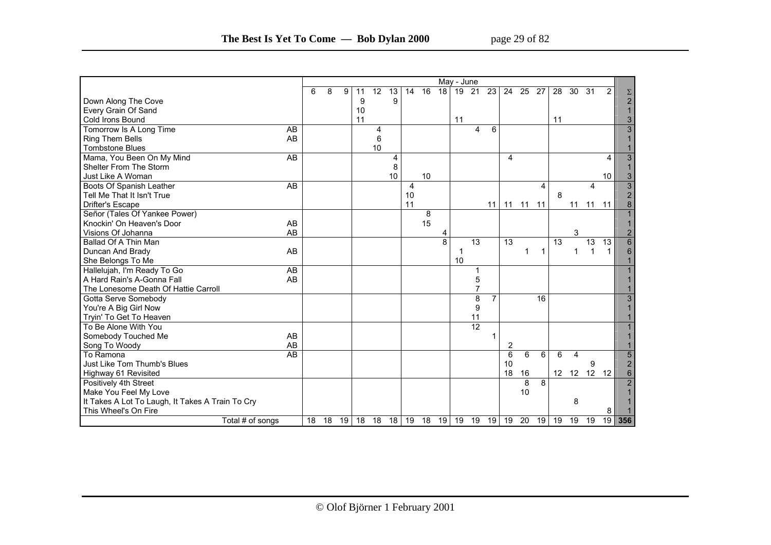| page 29 of 82 |  |  |
|---------------|--|--|
|---------------|--|--|

|                                                  | May - June |    |    |    |    |    |    |    |    |                |    |                |    |                 |      |              |                  |    |              |                |                                            |
|--------------------------------------------------|------------|----|----|----|----|----|----|----|----|----------------|----|----------------|----|-----------------|------|--------------|------------------|----|--------------|----------------|--------------------------------------------|
|                                                  |            | 6  | 8  | 9  | 11 | 12 | 13 | 14 | 16 | 18             | 19 | 21             | 23 | 24              | - 25 | 27           | 28               | 30 | 31           | $\overline{2}$ |                                            |
| Down Along The Cove                              |            |    |    |    | 9  |    | 9  |    |    |                |    |                |    |                 |      |              |                  |    |              |                | $\frac{\Sigma}{2}$                         |
| Every Grain Of Sand                              |            |    |    |    | 10 |    |    |    |    |                |    |                |    |                 |      |              |                  |    |              |                | $\mathbf{1}$                               |
| Cold Irons Bound                                 |            |    |    |    | 11 |    |    |    |    |                | 11 |                |    |                 |      |              | 11               |    |              |                | 3                                          |
| Tomorrow Is A Long Time                          | AB         |    |    |    |    | 4  |    |    |    |                |    | 4              | 6  |                 |      |              |                  |    |              |                | $\overline{3}$                             |
| Ring Them Bells                                  | AB         |    |    |    |    | 6  |    |    |    |                |    |                |    |                 |      |              |                  |    |              |                | $\mathbf{1}$                               |
| <b>Tombstone Blues</b>                           |            |    |    |    |    | 10 |    |    |    |                |    |                |    |                 |      |              |                  |    |              |                |                                            |
| Mama, You Been On My Mind                        | AB         |    |    |    |    |    | 4  |    |    |                |    |                |    | 4               |      |              |                  |    |              | 4              | $\mathbf{3}$                               |
| Shelter From The Storm                           |            |    |    |    |    |    | 8  |    |    |                |    |                |    |                 |      |              |                  |    |              |                | $\mathbf{1}$                               |
| Just Like A Woman                                |            |    |    |    |    |    | 10 |    | 10 |                |    |                |    |                 |      |              |                  |    |              | 10             | $\mathbf{3}$                               |
| Boots Of Spanish Leather                         | AB         |    |    |    |    |    |    | 4  |    |                |    |                |    |                 |      | 4            |                  |    | 4            |                |                                            |
| Tell Me That It Isn't True                       |            |    |    |    |    |    |    | 10 |    |                |    |                |    |                 |      |              | 8                |    |              |                | $\begin{array}{c} 3 \\ 2 \\ 8 \end{array}$ |
| Drifter's Escape                                 |            |    |    |    |    |    |    | 11 |    |                |    |                | 11 | 11              | 11   | 11           |                  | 11 | 11           | 11             |                                            |
| Señor (Tales Of Yankee Power)                    |            |    |    |    |    |    |    |    | 8  |                |    |                |    |                 |      |              |                  |    |              |                | $\mathbf{1}$                               |
| Knockin' On Heaven's Door                        | AB         |    |    |    |    |    |    |    | 15 |                |    |                |    |                 |      |              |                  |    |              |                | $\mathbf{1}$                               |
| Visions Of Johanna                               | AB         |    |    |    |    |    |    |    |    | 4              |    |                |    |                 |      |              |                  | 3  |              |                | $\overline{2}$                             |
| Ballad Of A Thin Man                             |            |    |    |    |    |    |    |    |    | $\overline{8}$ |    | 13             |    | 13              |      |              | 13               |    | 13           | 13             | $\overline{6}$                             |
| Duncan And Brady                                 | AB         |    |    |    |    |    |    |    |    |                |    |                |    |                 | 1    | $\mathbf{1}$ |                  | 1  | $\mathbf{1}$ | 1              | $6\phantom{1}$                             |
| She Belongs To Me                                |            |    |    |    |    |    |    |    |    |                | 10 |                |    |                 |      |              |                  |    |              |                |                                            |
| Hallelujah, I'm Ready To Go                      | AB         |    |    |    |    |    |    |    |    |                |    |                |    |                 |      |              |                  |    |              |                |                                            |
| A Hard Rain's A-Gonna Fall                       | AB         |    |    |    |    |    |    |    |    |                |    | 5              |    |                 |      |              |                  |    |              |                |                                            |
| The Lonesome Death Of Hattie Carroll             |            |    |    |    |    |    |    |    |    |                |    | $\overline{7}$ |    |                 |      |              |                  |    |              |                |                                            |
| Gotta Serve Somebody                             |            |    |    |    |    |    |    |    |    |                |    | $\overline{8}$ |    |                 |      | 16           |                  |    |              |                | $\mathbf{3}$                               |
| You're A Big Girl Now                            |            |    |    |    |    |    |    |    |    |                |    | 9              |    |                 |      |              |                  |    |              |                |                                            |
| Tryin' To Get To Heaven                          |            |    |    |    |    |    |    |    |    |                |    | 11             |    |                 |      |              |                  |    |              |                |                                            |
| To Be Alone With You                             |            |    |    |    |    |    |    |    |    |                |    | 12             |    |                 |      |              |                  |    |              |                |                                            |
| Somebody Touched Me                              | AB         |    |    |    |    |    |    |    |    |                |    |                |    |                 |      |              |                  |    |              |                |                                            |
| Song To Woody                                    | AB         |    |    |    |    |    |    |    |    |                |    |                |    | 2               |      |              |                  |    |              |                |                                            |
| To Ramona                                        | <b>AB</b>  |    |    |    |    |    |    |    |    |                |    |                |    | $6\phantom{1}6$ | 6    | 6            | 6                |    |              |                |                                            |
| Just Like Tom Thumb's Blues                      |            |    |    |    |    |    |    |    |    |                |    |                |    | 10              |      |              |                  |    | 9            |                | $\frac{5}{2}$                              |
| Highway 61 Revisited                             |            |    |    |    |    |    |    |    |    |                |    |                |    | 18              | 16   |              | 12 <sup>12</sup> | 12 | 12           | 12             |                                            |
| Positively 4th Street                            |            |    |    |    |    |    |    |    |    |                |    |                |    |                 | 8    | 8            |                  |    |              |                | $\overline{2}$                             |
| Make You Feel My Love                            |            |    |    |    |    |    |    |    |    |                |    |                |    |                 | 10   |              |                  |    |              |                |                                            |
| It Takes A Lot To Laugh, It Takes A Train To Cry |            |    |    |    |    |    |    |    |    |                |    |                |    |                 |      |              |                  | 8  |              |                |                                            |
| This Wheel's On Fire                             |            |    |    |    |    |    |    |    |    |                |    |                |    |                 |      |              |                  |    |              | 8              |                                            |
| Total # of songs                                 |            | 18 | 18 | 19 | 18 | 18 | 18 | 19 | 18 | 19             | 19 | 19             | 19 | 19              | 20   | 19           | 19               | 19 | 19           | 19             | 356                                        |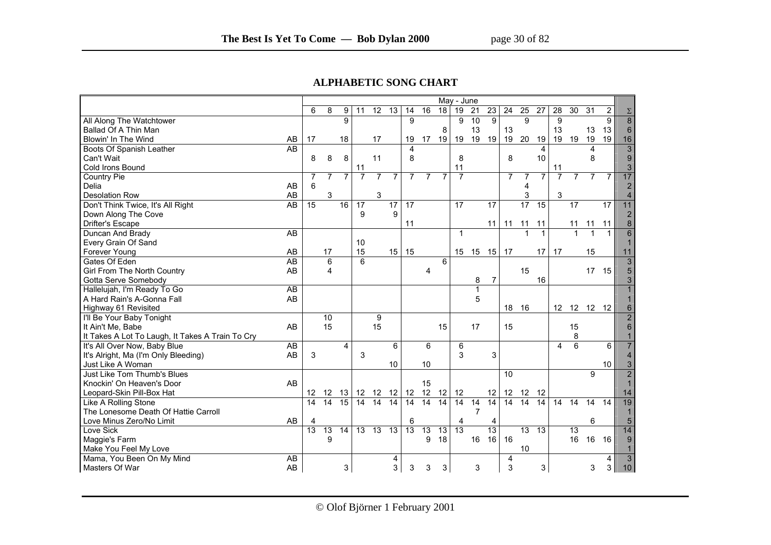#### **ALPHABETIC SONG CHART**

|                                                  | May - June      |                 |                |                 |                 |                 |                |                 |                 |                |                 |                 |                 |                 |                |                |                 |                |                 |                 |
|--------------------------------------------------|-----------------|-----------------|----------------|-----------------|-----------------|-----------------|----------------|-----------------|-----------------|----------------|-----------------|-----------------|-----------------|-----------------|----------------|----------------|-----------------|----------------|-----------------|-----------------|
|                                                  | 6               | 8               | 9              | 11              | 12              | 13              | 14             | 16              | 18              | 19             | 21              | $\overline{23}$ | 24              | $\overline{25}$ | 27             | 28             | 30              | 31             | $\overline{2}$  | $\Sigma$        |
| All Along The Watchtower                         |                 |                 | 9              |                 |                 |                 | 9              |                 |                 | 9              | 10              | 9               |                 | 9               |                | 9              |                 |                | 9               | $\overline{8}$  |
| Ballad Of A Thin Man                             |                 |                 |                |                 |                 |                 |                |                 | 8               |                | 13              |                 | 13              |                 |                | 13             |                 | 13             | 13              | $6\phantom{1}6$ |
| Blowin' In The Wind<br>AB                        | 17              |                 | 18             |                 | 17              |                 | 19             | 17              | 19              | 19             | 19              | 19              | 19              | 20              | 19             | 19             | 19              | 19             | 19              | 16              |
| AB<br>Boots Of Spanish Leather                   |                 |                 |                |                 |                 |                 | 4              |                 |                 |                |                 |                 |                 |                 | 4              |                |                 | $\overline{4}$ |                 | 3               |
| Can't Wait                                       | 8               | 8               | 8              |                 | 11              |                 | 8              |                 |                 | 8              |                 |                 | 8               |                 | 10             |                |                 | 8              |                 | $\mathbf{Q}$    |
| Cold Irons Bound                                 |                 |                 |                | 11              |                 |                 |                |                 |                 | 11             |                 |                 |                 |                 |                | 11             |                 |                |                 | 3               |
| Country Pie                                      | $\overline{7}$  | $\overline{7}$  | $\overline{7}$ | $\overline{7}$  | $\overline{7}$  | $\overline{7}$  | $\overline{7}$ | $\overline{7}$  | $\overline{7}$  | $\overline{7}$ |                 |                 | $\overline{7}$  | $\overline{7}$  | $\overline{7}$ | $\overline{7}$ | $\overline{7}$  | $\overline{7}$ | $\overline{7}$  | 17              |
| Delia<br>AB                                      | 6               |                 |                |                 |                 |                 |                |                 |                 |                |                 |                 |                 | 4               |                |                |                 |                |                 | $\overline{2}$  |
| AB<br><b>Desolation Row</b>                      |                 | 3               |                |                 | $\mathbf{3}$    |                 |                |                 |                 |                |                 |                 |                 | 3               |                | 3              |                 |                |                 | $\overline{4}$  |
| Don't Think Twice, It's All Right<br>AB          | 15              |                 | 16             | $\overline{17}$ |                 | $\overline{17}$ | 17             |                 |                 | 17             |                 | $\overline{17}$ |                 | 17              | 15             |                | $\overline{17}$ |                | $\overline{17}$ | 11              |
| Down Along The Cove                              |                 |                 |                | 9               |                 | 9               |                |                 |                 |                |                 |                 |                 |                 |                |                |                 |                |                 | $\overline{2}$  |
| Drifter's Escape                                 |                 |                 |                |                 |                 |                 | 11             |                 |                 |                |                 | 11              | 11              | 11              | 11             |                | 11              | 11             | 11              | 8               |
| AB<br>Duncan And Brady                           |                 |                 |                |                 |                 |                 |                |                 |                 | $\mathbf{1}$   |                 |                 |                 |                 | 1              |                | 1               | 1              | 1               | 6               |
| Every Grain Of Sand                              |                 |                 |                | 10              |                 |                 |                |                 |                 |                |                 |                 |                 |                 |                |                |                 |                |                 |                 |
| AB<br>Forever Young                              |                 | 17              |                | 15              |                 | 15              | 15             |                 |                 | 15             | 15              | 15              | 17              |                 | 17             | 17             |                 | 15             |                 | 11              |
| <b>AB</b><br>Gates Of Eden                       |                 | 6               |                | 6               |                 |                 |                |                 | 6               |                |                 |                 |                 |                 |                |                |                 |                |                 | 3               |
| Girl From The North Country<br>AB                |                 | 4               |                |                 |                 |                 |                | 4               |                 |                |                 |                 |                 | 15              |                |                |                 | 17             | 15              |                 |
| Gotta Serve Somebody                             |                 |                 |                |                 |                 |                 |                |                 |                 |                | 8               | $\overline{7}$  |                 |                 | 16             |                |                 |                |                 |                 |
| Hallelujah, I'm Ready To Go<br>AB                |                 |                 |                |                 |                 |                 |                |                 |                 |                | 1               |                 |                 |                 |                |                |                 |                |                 |                 |
| AB<br>A Hard Rain's A-Gonna Fall                 |                 |                 |                |                 |                 |                 |                |                 |                 |                | 5               |                 |                 |                 |                |                |                 |                |                 |                 |
| Highway 61 Revisited                             |                 |                 |                |                 |                 |                 |                |                 |                 |                |                 |                 | 18 16           |                 |                |                |                 | 12 12 12 12    |                 |                 |
| I'll Be Your Baby Tonight                        |                 | 10              |                |                 | 9               |                 |                |                 |                 |                |                 |                 |                 |                 |                |                |                 |                |                 | $\overline{2}$  |
| It Ain't Me, Babe<br>AB                          |                 | 15              |                |                 | 15              |                 |                |                 | 15              |                | 17              |                 | 15              |                 |                |                | 15              |                |                 |                 |
| It Takes A Lot To Laugh, It Takes A Train To Cry |                 |                 |                |                 |                 |                 |                |                 |                 |                |                 |                 |                 |                 |                |                | 8               |                |                 |                 |
| It's All Over Now, Baby Blue<br>AB               |                 |                 | 4              |                 |                 | 6               |                | 6               |                 | 6              |                 |                 |                 |                 |                | 4              | 6               |                | 6               |                 |
| AB<br>It's Alright, Ma (I'm Only Bleeding)       | 3               |                 |                | 3               |                 |                 |                |                 |                 | 3              |                 | 3               |                 |                 |                |                |                 |                |                 |                 |
| Just Like A Woman                                |                 |                 |                |                 |                 | 10              |                | 10              |                 |                |                 |                 |                 |                 |                |                |                 |                | 10              | 3               |
| Just Like Tom Thumb's Blues                      |                 |                 |                |                 |                 |                 |                |                 |                 |                |                 |                 | 10              |                 |                |                |                 | 9              |                 | $\overline{2}$  |
| AB<br>Knockin' On Heaven's Door                  |                 |                 |                |                 |                 |                 |                | 15              |                 |                |                 |                 |                 |                 |                |                |                 |                |                 |                 |
| Leopard-Skin Pill-Box Hat                        | 12 <sup>2</sup> | 12              | 13             |                 | 12 12           | 12              | 12             | 12              | 12              | 12             |                 | 12              | 12              | 12              | 12             |                |                 |                |                 | 14              |
| Like A Rolling Stone                             | $\overline{14}$ | $\overline{14}$ | 15             | $\overline{14}$ | $\overline{14}$ | 14              | 14             | 14              | $\overline{14}$ | 14             | $\overline{14}$ | 14              | $\overline{14}$ | $\overline{14}$ | 14             | 14             | 14              | 14             | 14              | 19              |
| The Lonesome Death Of Hattie Carroll             |                 |                 |                |                 |                 |                 |                |                 |                 |                | $\overline{7}$  |                 |                 |                 |                |                |                 |                |                 |                 |
| AB<br>Love Minus Zero/No Limit                   | 4               |                 |                |                 |                 |                 | 6              |                 |                 | 4              |                 | 4               |                 |                 |                |                |                 | 6              |                 | 5               |
| Love Sick                                        | 13              | $\overline{13}$ | 14             | 13              | $\overline{13}$ | $\overline{13}$ | 13             | $\overline{13}$ | 13              | 13             |                 | 13              |                 | 13              | 13             |                | 13              |                |                 | 14              |
| Maggie's Farm                                    |                 | 9               |                |                 |                 |                 |                | 9               | 18              |                | 16              | 16              | 16              |                 |                |                | 16              | 16             | 16              | 9               |
| Make You Feel My Love                            |                 |                 |                |                 |                 |                 |                |                 |                 |                |                 |                 |                 | 10              |                |                |                 |                |                 |                 |
| Mama, You Been On My Mind<br>AB                  |                 |                 |                |                 |                 | 4               |                |                 |                 |                |                 |                 | 4               |                 |                |                |                 |                | 4               | 3               |
| Masters Of War<br>AB                             |                 |                 | 3 <sup>1</sup> |                 |                 | $\mathbf{3}$    | 3              | 3               | 3               |                | 3               |                 | $\mathsf 3$     |                 | 3              |                |                 | 3              | 3               | 10              |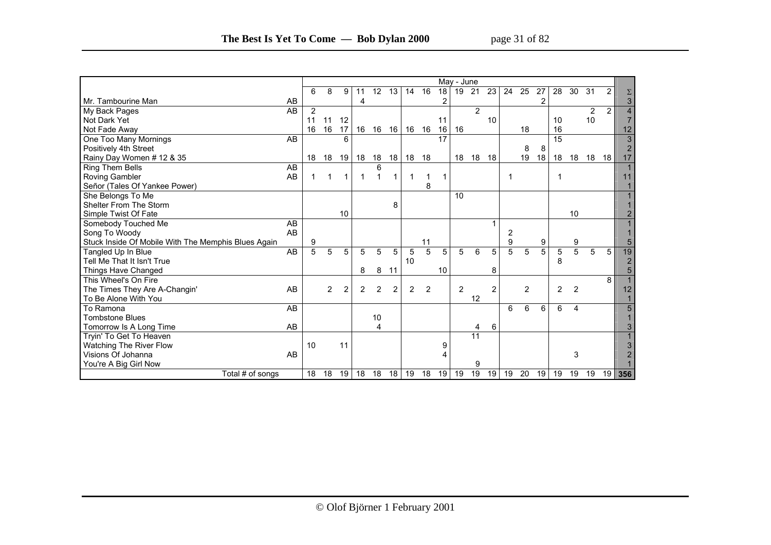|                                                     | May - June      |    |                |                 |                |                |                |                |    |                 |                |                 |                |                |    |    |                |                |                |                |                |
|-----------------------------------------------------|-----------------|----|----------------|-----------------|----------------|----------------|----------------|----------------|----|-----------------|----------------|-----------------|----------------|----------------|----|----|----------------|----------------|----------------|----------------|----------------|
|                                                     |                 | 6  | 8              | 9               | 11             | 12             | 13             | 14             | 16 | 18              | 19             | 21              | 23             | 24             | 25 | 27 | 28             | 30             | 31             | $\overline{2}$ |                |
| l Mr. Tambourine Man                                | AB              |    |                |                 | 4              |                |                |                |    | 2               |                |                 |                |                |    | 2  |                |                |                |                | 3              |
| My Back Pages                                       | $\overline{AB}$ | 2  |                |                 |                |                |                |                |    |                 |                | 2               |                |                |    |    |                |                | $\overline{2}$ | 2              |                |
| Not Dark Yet                                        |                 | 11 | 11             | 12              |                |                |                |                |    | 11              |                |                 | 10             |                |    |    | 10             |                | 10             |                |                |
| Not Fade Away                                       |                 | 16 | 16             | 17              | 16             | 16             | 16             | 16             | 16 | 16              | 16             |                 |                |                | 18 |    | 16             |                |                |                | 12             |
| One Too Many Mornings                               | AB              |    |                | 6               |                |                |                |                |    | $\overline{17}$ |                |                 |                |                |    |    | 15             |                |                |                | $\overline{3}$ |
| Positively 4th Street                               |                 |    |                |                 |                |                |                |                |    |                 |                |                 |                |                | 8  | 8  |                |                |                |                | $\overline{2}$ |
| Rainy Day Women # 12 & 35                           |                 | 18 | 18             | 19 <sup>1</sup> | 18             | 18             | 18             | 18             | 18 |                 | 18             | 18              | 18             |                | 19 | 18 | 18             | 18             | 18             | 18             | 17             |
| Ring Them Bells                                     | AB              |    |                |                 |                | 6              |                |                |    |                 |                |                 |                |                |    |    |                |                |                |                | $\overline{1}$ |
| <b>Roving Gambler</b>                               | AB              | 1  | -1             | 1               | -1             |                | 1              |                | 1  | 1               |                |                 |                |                |    |    |                |                |                |                | 11             |
| Señor (Tales Of Yankee Power)                       |                 |    |                |                 |                |                |                |                | 8  |                 |                |                 |                |                |    |    |                |                |                |                |                |
| She Belongs To Me                                   |                 |    |                |                 |                |                |                |                |    |                 | 10             |                 |                |                |    |    |                |                |                |                |                |
| Shelter From The Storm                              |                 |    |                |                 |                |                | 8              |                |    |                 |                |                 |                |                |    |    |                |                |                |                |                |
| Simple Twist Of Fate                                |                 |    |                | 10              |                |                |                |                |    |                 |                |                 |                |                |    |    |                | 10             |                |                |                |
| Somebody Touched Me                                 | AB              |    |                |                 |                |                |                |                |    |                 |                |                 |                |                |    |    |                |                |                |                |                |
| Song To Woody                                       | AB              |    |                |                 |                |                |                |                |    |                 |                |                 |                | 2              |    |    |                |                |                |                |                |
| Stuck Inside Of Mobile With The Memphis Blues Again |                 | 9  |                |                 |                |                |                |                | 11 |                 |                |                 |                | 9              |    | 9  |                | 9              |                |                | 5              |
| Tangled Up In Blue                                  | AB              | 5  | 5              | 5               | 5              | 5              | 5              | 5              | 5  | 5               | 5              | 6               | 5              | $\overline{5}$ | 5  | 5  | 5              | 5              | 5              | 5              | 19             |
| Tell Me That It Isn't True                          |                 |    |                |                 |                |                |                | 10             |    |                 |                |                 |                |                |    |    | 8              |                |                |                | $\overline{2}$ |
| Things Have Changed                                 |                 |    |                |                 | 8              | 8              | 11             |                |    | 10              |                |                 | 8              |                |    |    |                |                |                |                | 5              |
| This Wheel's On Fire                                |                 |    |                |                 |                |                |                |                |    |                 |                |                 |                |                |    |    |                |                |                | 8              |                |
| The Times They Are A-Changin'                       | AB              |    | $\overline{2}$ | $\overline{2}$  | $\overline{2}$ | $\overline{2}$ | $\overline{2}$ | $\overline{2}$ | 2  |                 | $\overline{2}$ |                 | $\overline{2}$ |                | 2  |    | $\overline{2}$ | $\overline{2}$ |                |                | 12             |
| To Be Alone With You                                |                 |    |                |                 |                |                |                |                |    |                 |                | 12              |                |                |    |    |                |                |                |                |                |
| To Ramona                                           | AB              |    |                |                 |                |                |                |                |    |                 |                |                 |                | 6              | 6  | 6  | 6              | 4              |                |                | 5              |
| <b>Tombstone Blues</b>                              |                 |    |                |                 |                | 10             |                |                |    |                 |                |                 |                |                |    |    |                |                |                |                |                |
| Tomorrow Is A Long Time                             | AB              |    |                |                 |                | 4              |                |                |    |                 |                | 4               | 6              |                |    |    |                |                |                |                |                |
| Tryin' To Get To Heaven                             |                 |    |                |                 |                |                |                |                |    |                 |                | $\overline{11}$ |                |                |    |    |                |                |                |                |                |
| Watching The River Flow                             |                 | 10 |                | 11              |                |                |                |                |    | 9               |                |                 |                |                |    |    |                |                |                |                |                |
| Visions Of Johanna                                  | AB              |    |                |                 |                |                |                |                |    |                 |                |                 |                |                |    |    |                | 3              |                |                |                |
| You're A Big Girl Now                               |                 |    |                |                 |                |                |                |                |    |                 |                | 9               |                |                |    |    |                |                |                |                |                |
| Total # of songs                                    |                 | 18 | 18             | 19 <sup>1</sup> | 18             | 18             | 18             | 19             | 18 | 19              | 19             | 19              |                | $19$ 19        | 20 |    | 19 19          | 19             | 19             | 19             | 356            |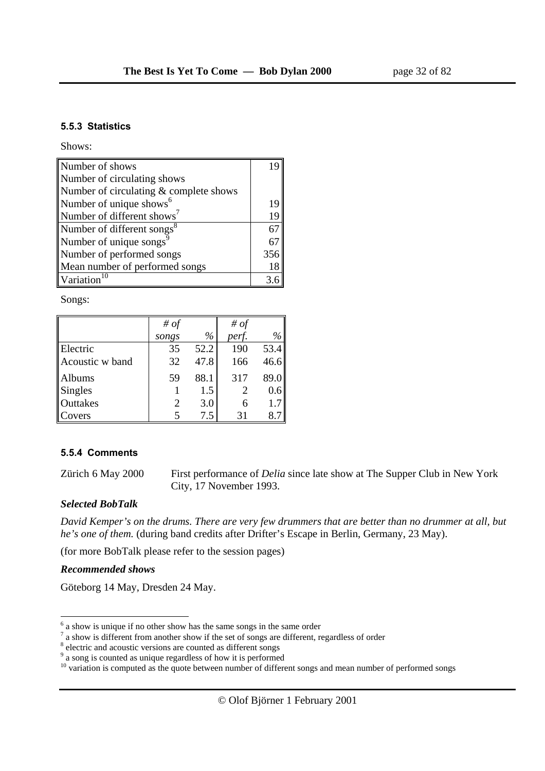#### **5.5.3 Statistics**

Shows:

| Number of shows                        |     |
|----------------------------------------|-----|
| Number of circulating shows            |     |
| Number of circulating & complete shows |     |
| Number of unique shows <sup>6</sup>    | 19  |
| Number of different shows <sup>7</sup> | 19  |
| Number of different songs <sup>8</sup> | 67  |
| Number of unique songs <sup>9</sup>    | 67  |
| Number of performed songs              | 356 |
| Mean number of performed songs         | 18  |
| $\sqrt{\frac{10}{10}}$                 | 3.6 |

Songs:

|                 | # of                  |      | # $of$ |      |
|-----------------|-----------------------|------|--------|------|
|                 | songs                 | $\%$ | perf.  | $\%$ |
| Electric        | 35                    | 52.2 | 190    | 53.4 |
| Acoustic w band | 32                    | 47.8 | 166    | 46.6 |
| Albums          | 59                    | 88.1 | 317    | 89.0 |
| <b>Singles</b>  |                       | 1.5  |        | 0.6  |
| Outtakes        | $\mathcal{D}_{\cdot}$ | 3.0  |        | 1.7  |
| Covers          |                       | 7.5  | 31     | 8.   |

#### **5.5.4 Comments**

Zürich 6 May 2000 First performance of *Delia* since late show at The Supper Club in New York City, 17 November 1993.

#### *Selected BobTalk*

*David Kemper's on the drums. There are very few drummers that are better than no drummer at all, but he's one of them.* (during band credits after Drifter's Escape in Berlin, Germany, 23 May).

(for more BobTalk please refer to the session pages)

#### *Recommended shows*

Göteborg 14 May, Dresden 24 May.

<sup>&</sup>lt;sup>6</sup> a show is unique if no other show has the same songs in the same order

 $<sup>7</sup>$  a show is different from another show if the set of songs are different, regardless of order</sup>

<sup>&</sup>lt;sup>8</sup> electric and acoustic versions are counted as different songs

<sup>&</sup>lt;sup>9</sup> a song is counted as unique regardless of how it is performed

<sup>&</sup>lt;sup>10</sup> variation is computed as the quote between number of different songs and mean number of performed songs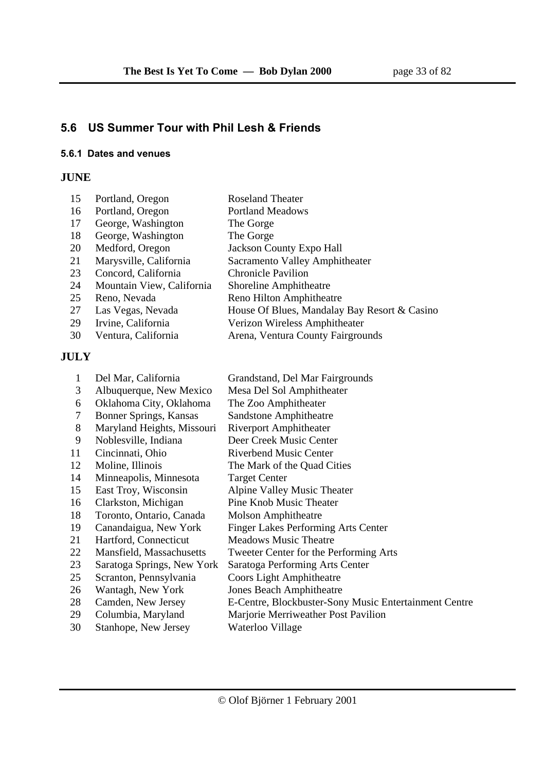# **5.6 US Summer Tour with Phil Lesh & Friends**

#### **5.6.1 Dates and venues**

## **JUNE**

| 15 | Portland, Oregon          | <b>Roseland Theater</b>                      |
|----|---------------------------|----------------------------------------------|
| 16 | Portland, Oregon          | <b>Portland Meadows</b>                      |
| 17 | George, Washington        | The Gorge                                    |
| 18 | George, Washington        | The Gorge                                    |
| 20 | Medford, Oregon           | <b>Jackson County Expo Hall</b>              |
| 21 | Marysville, California    | Sacramento Valley Amphitheater               |
| 23 | Concord, California       | <b>Chronicle Pavilion</b>                    |
| 24 | Mountain View, California | Shoreline Amphitheatre                       |
| 25 | Reno, Nevada              | Reno Hilton Amphitheatre                     |
| 27 | Las Vegas, Nevada         | House Of Blues, Mandalay Bay Resort & Casino |
| 29 | Irvine, California        | Verizon Wireless Amphitheater                |
| 30 | Ventura, California       | Arena, Ventura County Fairgrounds            |

## **JULY**

| 1  | Del Mar, California           | Grandstand, Del Mar Fairgrounds                       |
|----|-------------------------------|-------------------------------------------------------|
| 3  | Albuquerque, New Mexico       | Mesa Del Sol Amphitheater                             |
| 6  | Oklahoma City, Oklahoma       | The Zoo Amphitheater                                  |
| 7  | <b>Bonner Springs, Kansas</b> | <b>Sandstone Amphitheatre</b>                         |
| 8  | Maryland Heights, Missouri    | <b>Riverport Amphitheater</b>                         |
| 9  | Noblesville, Indiana          | Deer Creek Music Center                               |
| 11 | Cincinnati, Ohio              | <b>Riverbend Music Center</b>                         |
| 12 | Moline, Illinois              | The Mark of the Quad Cities                           |
| 14 | Minneapolis, Minnesota        | <b>Target Center</b>                                  |
| 15 | East Troy, Wisconsin          | Alpine Valley Music Theater                           |
| 16 | Clarkston, Michigan           | Pine Knob Music Theater                               |
| 18 | Toronto, Ontario, Canada      | <b>Molson Amphitheatre</b>                            |
| 19 | Canandaigua, New York         | Finger Lakes Performing Arts Center                   |
| 21 | Hartford, Connecticut         | <b>Meadows Music Theatre</b>                          |
| 22 | Mansfield, Massachusetts      | Tweeter Center for the Performing Arts                |
| 23 | Saratoga Springs, New York    | Saratoga Performing Arts Center                       |
| 25 | Scranton, Pennsylvania        | Coors Light Amphitheatre                              |
| 26 | Wantagh, New York             | <b>Jones Beach Amphitheatre</b>                       |
| 28 | Camden, New Jersey            | E-Centre, Blockbuster-Sony Music Entertainment Centre |
| 29 | Columbia, Maryland            | Marjorie Merriweather Post Pavilion                   |
| 30 | Stanhope, New Jersey          | Waterloo Village                                      |
|    |                               |                                                       |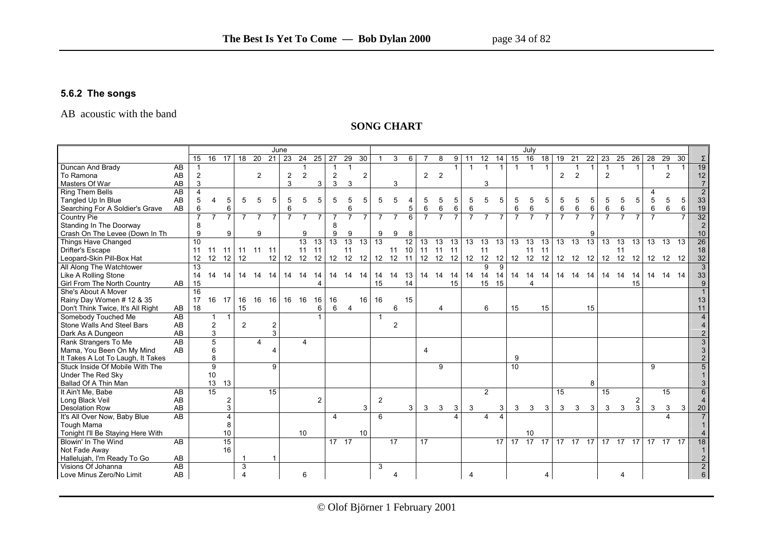#### **5.6.2 The songs**

#### AB acoustic with the band

#### **SONG CHART**

|                                   |                 | June                    |                 |                         |                 |                |                          |                |                |                 |                         |                 |                 |                 |                |                 |                 |                          |                |                 |                         |                |                 | July            |                 |                |                 |                 |                 |                 |                 |                |                 |                 |                 |
|-----------------------------------|-----------------|-------------------------|-----------------|-------------------------|-----------------|----------------|--------------------------|----------------|----------------|-----------------|-------------------------|-----------------|-----------------|-----------------|----------------|-----------------|-----------------|--------------------------|----------------|-----------------|-------------------------|----------------|-----------------|-----------------|-----------------|----------------|-----------------|-----------------|-----------------|-----------------|-----------------|----------------|-----------------|-----------------|-----------------|
|                                   |                 | 15                      | $\overline{16}$ | $\overline{17}$         | $\overline{18}$ | 20             | $21 \mid 23$             |                | 24             | $\overline{25}$ | 27                      | 29              | 30              |                 | 3              | 6               |                 |                          | 9              | -11             | 12                      | 14             | 15              | 16              | 18              | 19             | 21              | 22              | 23              | 25              | 26              | 28             | 29              | $\overline{30}$ |                 |
| Duncan And Brady                  | AB              |                         |                 |                         |                 |                |                          |                |                |                 |                         |                 |                 |                 |                |                 |                 |                          | 1              | $\overline{1}$  | $\mathbf{1}$            | $\overline{1}$ | $\mathbf{1}$    | $\overline{1}$  | $\mathbf{1}$    |                |                 | $\mathbf{1}$    |                 |                 |                 | $\overline{1}$ | $\mathbf{1}$    |                 | 19              |
| To Ramona                         | AB              | 2                       |                 |                         |                 | $\overline{2}$ |                          | $\overline{2}$ | 2              |                 | $\overline{c}$          |                 | $\overline{2}$  |                 |                |                 | $\overline{2}$  | $\overline{\phantom{0}}$ |                |                 |                         |                |                 |                 |                 | $\overline{2}$ | 2               |                 | $\overline{2}$  |                 |                 |                | 2               |                 | 12              |
| Masters Of War                    | AB              | 3                       |                 |                         |                 |                |                          | 3              |                | 3               | 3                       | 3               |                 |                 | 3              |                 |                 |                          |                |                 | 3                       |                |                 |                 |                 |                |                 |                 |                 |                 |                 |                |                 |                 | $\overline{7}$  |
| Ring Them Bells                   | $\overline{AB}$ | $\overline{\mathbf{A}}$ |                 |                         |                 |                |                          |                |                |                 |                         |                 |                 |                 |                |                 |                 |                          |                |                 |                         |                |                 |                 |                 |                |                 |                 |                 |                 |                 |                |                 |                 | $\overline{2}$  |
| Tangled Up In Blue                | AB              | 5                       | 4               | 5                       | 5               | 5              | 5                        | 5              | 5              | 5               | 5                       | 5               | 5               | 5               | 5              |                 | 5               |                          | 5              | 5               | 5                       | 5              | 5               | 5               | 5               |                | 5               | 5               | 5               | 5               | 5               | 5              | 5               | 5               | 33              |
| Searching For A Soldier's Grave   | AB              | 6                       |                 | 6                       |                 |                |                          |                |                |                 |                         | 6               |                 |                 |                | 5               | $\,6\,$         | 6                        | 6              |                 |                         |                | 6               | 6               |                 | 6              | 6               | 6               | 6               | $\,6$           |                 | $\,6\,$        | 6               | 6               | 19              |
| <b>Country Pie</b>                |                 | $\overline{7}$          | $\overline{7}$  | $\overline{7}$          | $\overline{7}$  | $\overline{7}$ |                          |                | $\overline{7}$ | $\overline{7}$  |                         | $\overline{7}$  | 7               | $\overline{7}$  | $\overline{7}$ | 6               | $\overline{7}$  | $\overline{7}$           | $\overline{7}$ | $\overline{7}$  | $\overline{7}$          |                | $\overline{7}$  | $\overline{7}$  | $\overline{7}$  |                | $\overline{7}$  |                 |                 | $\overline{7}$  | $\overline{7}$  | $\overline{7}$ |                 |                 | 32              |
| Standing In The Doorway           |                 | 8                       |                 |                         |                 |                |                          |                |                |                 | 8                       |                 |                 |                 |                |                 |                 |                          |                |                 |                         |                |                 |                 |                 |                |                 |                 |                 |                 |                 |                |                 |                 | 2               |
| Crash On The Levee (Down In Th    |                 | 9                       |                 | 9                       |                 | 9              |                          |                | 9              |                 | 9                       | 9               |                 | 9               | 9              | 8               |                 |                          |                |                 |                         |                |                 |                 |                 |                |                 |                 |                 |                 |                 |                |                 |                 | 10              |
| Things Have Changed               |                 | 10                      |                 |                         |                 |                |                          |                | 13             | $\overline{13}$ | $\overline{13}$         | $\overline{13}$ | $\overline{13}$ | $\overline{13}$ |                | $\overline{12}$ | $\overline{13}$ | $\overline{13}$          | 13             | $\overline{13}$ | $\overline{13}$         | 13             | $\overline{13}$ | $\overline{13}$ | $\overline{13}$ | 13             | $\overline{13}$ | $\overline{13}$ | $\overline{13}$ | $\overline{13}$ | $\overline{13}$ | 13             | $\overline{13}$ | $\overline{13}$ | $\overline{26}$ |
| Drifter's Escape                  |                 | 11                      | $11 \quad 11$   |                         |                 | 11 11          | 11                       |                | 11             | 11              |                         | 11              |                 |                 | 11             | 10              | 11              | 11                       | 11             |                 | 11                      |                |                 | 11              | 11              |                |                 |                 |                 | 11              |                 |                |                 |                 | 18              |
| Leopard-Skin Pill-Box Hat         |                 | 12                      | 12              | 12                      | 12              |                |                          |                | 12 12 12 12    |                 | 12 12 12                |                 |                 | 12 12           |                | 11              |                 |                          |                |                 |                         |                |                 |                 |                 |                |                 |                 |                 |                 |                 |                | 12 12 12        |                 | 32              |
| All Along The Watchtower          |                 | 13                      |                 |                         |                 |                |                          |                |                |                 |                         |                 |                 |                 |                |                 |                 |                          |                |                 | 9                       | 9              |                 |                 |                 |                |                 |                 |                 |                 |                 |                |                 |                 | $\overline{3}$  |
| Like A Rolling Stone              |                 | 14                      | 14 14           |                         |                 | 14 14          | 14                       | 14 14          |                | 14              |                         | 14 14 14        |                 | 14              | 14             | 13              |                 | 14 14                    |                | 14 14 14        |                         | 14             | 14 14           |                 | - 14            |                | 14  14  14      |                 | 14 14           |                 | 14              |                | 14 14 14        |                 | 33              |
| Girl From The North Country       | AB              | 15                      |                 |                         |                 |                |                          |                |                |                 |                         |                 |                 | 15              |                | 14              |                 |                          | 15             |                 | 15                      | 15             |                 | $\Delta$        |                 |                |                 |                 |                 |                 | 15              |                |                 |                 |                 |
| She's About A Mover               |                 | $\overline{16}$         |                 |                         |                 |                |                          |                |                |                 |                         |                 |                 |                 |                |                 |                 |                          |                |                 |                         |                |                 |                 |                 |                |                 |                 |                 |                 |                 |                |                 |                 |                 |
| Rainy Day Women # 12 & 35         |                 | 17                      | 16 17           |                         | 16              | 16             | 16                       | 16             | 16             | 16              | 16                      |                 | 16              | 16              |                | 15              |                 |                          |                |                 |                         |                |                 |                 |                 |                |                 |                 |                 |                 |                 |                |                 |                 | 13              |
| Don't Think Twice, It's All Right | AB              | 18                      |                 |                         | 15              |                |                          |                |                | 6               | 6                       | $\overline{4}$  |                 |                 | 6              |                 |                 | 4                        |                |                 | 6                       |                | 15              |                 | 15              |                |                 | 15              |                 |                 |                 |                |                 |                 | 11              |
| Somebody Touched Me               | AB              |                         | 1               | $\mathbf 1$             |                 |                |                          |                |                |                 |                         |                 |                 | $\mathbf{1}$    |                |                 |                 |                          |                |                 |                         |                |                 |                 |                 |                |                 |                 |                 |                 |                 |                |                 |                 |                 |
| Stone Walls And Steel Bars        | AB              |                         | $\overline{2}$  |                         | $\overline{2}$  |                | $\overline{2}$           |                |                |                 |                         |                 |                 |                 | $\overline{2}$ |                 |                 |                          |                |                 |                         |                |                 |                 |                 |                |                 |                 |                 |                 |                 |                |                 |                 |                 |
| Dark As A Dungeon                 | AB              |                         | 3               |                         |                 |                | 3                        |                |                |                 |                         |                 |                 |                 |                |                 |                 |                          |                |                 |                         |                |                 |                 |                 |                |                 |                 |                 |                 |                 |                |                 |                 |                 |
| Rank Strangers To Me              | AB              |                         | $\overline{5}$  |                         |                 | $\overline{4}$ |                          |                | $\overline{4}$ |                 |                         |                 |                 |                 |                |                 |                 |                          |                |                 |                         |                |                 |                 |                 |                |                 |                 |                 |                 |                 |                |                 |                 |                 |
| Mama, You Been On My Mind         | AB              |                         | 6               |                         |                 |                | $\boldsymbol{\varDelta}$ |                |                |                 |                         |                 |                 |                 |                |                 | 4               |                          |                |                 |                         |                |                 |                 |                 |                |                 |                 |                 |                 |                 |                |                 |                 |                 |
| It Takes A Lot To Laugh, It Takes |                 |                         | 8               |                         |                 |                |                          |                |                |                 |                         |                 |                 |                 |                |                 |                 |                          |                |                 |                         |                | 9               |                 |                 |                |                 |                 |                 |                 |                 |                |                 |                 |                 |
| Stuck Inside Of Mobile With The   |                 |                         | 9               |                         |                 |                | 9                        |                |                |                 |                         |                 |                 |                 |                |                 |                 | 9                        |                |                 |                         |                | $\overline{10}$ |                 |                 |                |                 |                 |                 |                 |                 | 9              |                 |                 |                 |
| Under The Red Sky                 |                 |                         | 10              |                         |                 |                |                          |                |                |                 |                         |                 |                 |                 |                |                 |                 |                          |                |                 |                         |                |                 |                 |                 |                |                 |                 |                 |                 |                 |                |                 |                 |                 |
| Ballad Of A Thin Man              |                 |                         | 13              | 13                      |                 |                |                          |                |                |                 |                         |                 |                 |                 |                |                 |                 |                          |                |                 |                         |                |                 |                 |                 |                |                 | 8               |                 |                 |                 |                |                 |                 |                 |
| It Ain't Me. Babe                 | AB              |                         | $\overline{15}$ |                         |                 |                | $\overline{15}$          |                |                |                 |                         |                 |                 |                 |                |                 |                 |                          |                |                 | $\overline{2}$          |                |                 |                 |                 | 15             |                 |                 | 15              |                 |                 |                | 15              |                 | 6               |
| Long Black Veil                   | AB              |                         |                 | $\overline{\mathbf{c}}$ |                 |                |                          |                |                | $\overline{2}$  |                         |                 |                 | 2               |                |                 |                 |                          |                |                 |                         |                |                 |                 |                 |                |                 |                 |                 |                 | 2               |                |                 |                 |                 |
| <b>Desolation Row</b>             | AB              |                         |                 | 3                       |                 |                |                          |                |                |                 |                         |                 | 3               |                 |                | 3               | $\mathbf{3}$    | 3                        | 3              | 3               |                         | 3              | 3               | 3               | 3               | 3              | 3               | 3               | $\mathbf{3}$    | 3               | 3               | 3              | 3               | 3               | 20              |
| It's All Over Now, Baby Blue      | $\overline{AB}$ |                         |                 | 4                       |                 |                |                          |                |                |                 | $\overline{\mathbf{A}}$ |                 |                 | 6               |                |                 |                 |                          | $\Delta$       |                 | $\overline{\mathbf{A}}$ |                |                 |                 |                 |                |                 |                 |                 |                 |                 |                |                 |                 |                 |
| <b>Tough Mama</b>                 |                 |                         |                 | 8                       |                 |                |                          |                |                |                 |                         |                 |                 |                 |                |                 |                 |                          |                |                 |                         |                |                 |                 |                 |                |                 |                 |                 |                 |                 |                |                 |                 |                 |
| Tonight I'll Be Staying Here With |                 |                         |                 | 10                      |                 |                |                          |                | 10             |                 |                         |                 | 10              |                 |                |                 |                 |                          |                |                 |                         |                |                 | 10              |                 |                |                 |                 |                 |                 |                 |                |                 |                 |                 |
| Blowin' In The Wind               | AB              |                         |                 | 15                      |                 |                |                          |                |                |                 | 17 17                   |                 |                 |                 | 17             |                 | 17              |                          |                |                 |                         | 17             | 17              | 17              | 17              | 17             | 17              | 17              | 17              | 17              | 17              | 17             | 17              | 17              |                 |
| Not Fade Away                     |                 |                         |                 | 16                      |                 |                |                          |                |                |                 |                         |                 |                 |                 |                |                 |                 |                          |                |                 |                         |                |                 |                 |                 |                |                 |                 |                 |                 |                 |                |                 |                 |                 |
| Hallelujah, I'm Ready To Go       | AB              |                         |                 |                         |                 |                | -1                       |                |                |                 |                         |                 |                 |                 |                |                 |                 |                          |                |                 |                         |                |                 |                 |                 |                |                 |                 |                 |                 |                 |                |                 |                 |                 |
| Visions Of Johanna                | $\overline{AB}$ |                         |                 |                         | 3               |                |                          |                |                |                 |                         |                 |                 | 3               |                |                 |                 |                          |                |                 |                         |                |                 |                 |                 |                |                 |                 |                 |                 |                 |                |                 |                 | $\overline{2}$  |
| Love Minus Zero/No Limit          | AB              |                         |                 |                         | Δ               |                |                          |                | 6              |                 |                         |                 |                 |                 |                |                 |                 |                          |                |                 |                         |                |                 |                 | 4               |                |                 |                 |                 |                 |                 |                |                 |                 | 6               |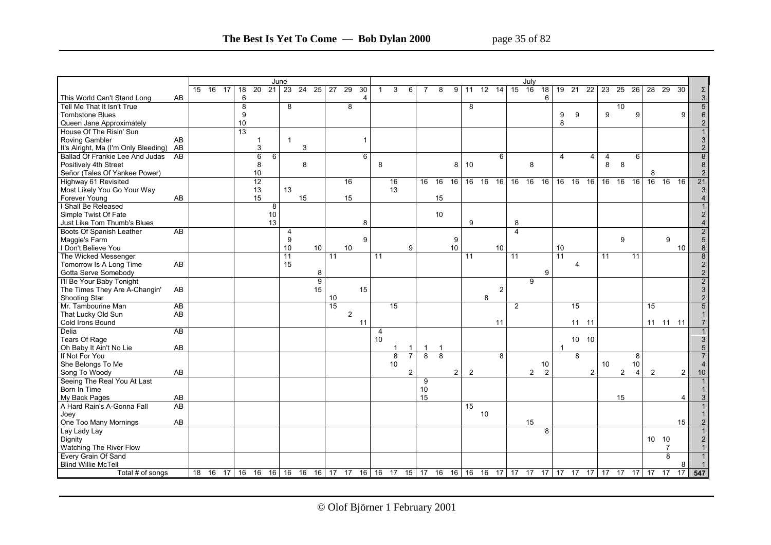|                                                    |           |                 |                 |                   | June            |                |    |                |    |                |                |                |                         |                |                |                |         |                |                |                 |                | July           |                 |                 |                 |                |              |                 |                 |                 |                 |                 |                         |
|----------------------------------------------------|-----------|-----------------|-----------------|-------------------|-----------------|----------------|----|----------------|----|----------------|----------------|----------------|-------------------------|----------------|----------------|----------------|---------|----------------|----------------|-----------------|----------------|----------------|-----------------|-----------------|-----------------|----------------|--------------|-----------------|-----------------|-----------------|-----------------|-----------------|-------------------------|
|                                                    | $15 \t16$ | $\overline{17}$ | $\overline{18}$ | 20                | $\overline{21}$ | 23             | 24 | 25             | 27 | 29             | 30             | -1             | 3                       | 6              |                | 8              | 9       | 11             | 12             | $\overline{14}$ | 15             | 16             | $\overline{18}$ | $\overline{19}$ | $\overline{21}$ | 22             | 23           | $\overline{25}$ | $\overline{26}$ | $\overline{28}$ | 29              | 30              |                         |
|                                                    |           |                 |                 |                   |                 |                |    |                |    |                |                |                |                         |                |                |                |         |                |                |                 |                |                |                 |                 |                 |                |              |                 |                 |                 |                 |                 | Σ                       |
| This World Can't Stand Long<br>AB                  |           |                 | 6               |                   |                 |                |    |                |    |                | $\overline{4}$ |                |                         |                |                |                |         |                |                |                 |                |                | 6               |                 |                 |                |              |                 |                 |                 |                 |                 | $\mathsf 3$             |
| Tell Me That It Isn't True                         |           |                 | 8               |                   |                 | 8              |    |                |    | 8              |                |                |                         |                |                |                |         | 8              |                |                 |                |                |                 |                 |                 |                |              | 10              |                 |                 |                 |                 | $\overline{5}$          |
| <b>Tombstone Blues</b>                             |           |                 | 9               |                   |                 |                |    |                |    |                |                |                |                         |                |                |                |         |                |                |                 |                |                |                 | 9               | 9               |                | 9            |                 | 9               |                 |                 | 9               | 6                       |
| Queen Jane Approximately                           |           |                 | 10              |                   |                 |                |    |                |    |                |                |                |                         |                |                |                |         |                |                |                 |                |                |                 | 8               |                 |                |              |                 |                 |                 |                 |                 | $\overline{2}$          |
| House Of The Risin' Sun                            |           |                 | $\overline{13}$ |                   |                 |                |    |                |    |                |                |                |                         |                |                |                |         |                |                |                 |                |                |                 |                 |                 |                |              |                 |                 |                 |                 |                 |                         |
| Roving Gambler<br>AB                               |           |                 |                 | 1                 |                 | $\mathbf{1}$   |    |                |    |                | $\overline{1}$ |                |                         |                |                |                |         |                |                |                 |                |                |                 |                 |                 |                |              |                 |                 |                 |                 |                 | 3                       |
| It's Alright, Ma (I'm Only Bleeding) AB            |           |                 |                 | 3                 |                 |                | 3  |                |    |                |                |                |                         |                |                |                |         |                |                |                 |                |                |                 |                 |                 |                |              |                 |                 |                 |                 |                 | $\sqrt{2}$              |
| Ballad Of Frankie Lee And Judas<br>$\overline{AB}$ |           |                 |                 | 6                 | 6               |                |    |                |    |                | 6              |                |                         |                |                |                |         |                |                | 6               |                |                |                 | $\overline{4}$  |                 | $\overline{4}$ |              |                 | 6               |                 |                 |                 | $\overline{8}$          |
|                                                    |           |                 |                 |                   |                 |                |    |                |    |                |                |                |                         |                |                |                |         |                |                |                 |                |                |                 |                 |                 |                | 4<br>$\bf 8$ | 8               |                 |                 |                 |                 |                         |
| Positively 4th Street                              |           |                 |                 | 8                 |                 |                | 8  |                |    |                |                | 8              |                         |                |                |                | 8       | 10             |                |                 |                | 8              |                 |                 |                 |                |              |                 |                 |                 |                 |                 | $\bf 8$                 |
| Señor (Tales Of Yankee Power)                      |           |                 |                 | 10                |                 |                |    |                |    |                |                |                |                         |                |                |                |         |                |                |                 |                |                |                 |                 |                 |                |              |                 |                 | 8               |                 |                 | $\sqrt{2}$              |
| Highway 61 Revisited                               |           |                 |                 | 12                |                 |                |    |                |    | 16             |                |                | 16                      |                | 16             | 16             | 16      | 16             | 16             | 16              | 16             | 16             | 16              | 16              | 16              | 16             | 16 16        |                 | 16              | 16              | 16              | 16              | 21                      |
| Most Likely You Go Your Way                        |           |                 |                 | 13                |                 | 13             |    |                |    |                |                |                | 13                      |                |                |                |         |                |                |                 |                |                |                 |                 |                 |                |              |                 |                 |                 |                 |                 | 3                       |
| AB<br>Forever Young                                |           |                 |                 | 15                |                 |                | 15 |                |    | 15             |                |                |                         |                |                | 15             |         |                |                |                 |                |                |                 |                 |                 |                |              |                 |                 |                 |                 |                 | $\overline{\mathbf{4}}$ |
| I Shall Be Released                                |           |                 |                 |                   | 8               |                |    |                |    |                |                |                |                         |                |                |                |         |                |                |                 |                |                |                 |                 |                 |                |              |                 |                 |                 |                 |                 |                         |
| Simple Twist Of Fate                               |           |                 |                 |                   | 10              |                |    |                |    |                |                |                |                         |                |                | 10             |         |                |                |                 |                |                |                 |                 |                 |                |              |                 |                 |                 |                 |                 | $\overline{2}$          |
| Just Like Tom Thumb's Blues                        |           |                 |                 |                   | 13              |                |    |                |    |                | 8              |                |                         |                |                |                |         | 9              |                |                 | 8              |                |                 |                 |                 |                |              |                 |                 |                 |                 |                 |                         |
| Boots Of Spanish Leather<br>AB                     |           |                 |                 |                   |                 | $\overline{4}$ |    |                |    |                |                |                |                         |                |                |                |         |                |                |                 | $\overline{4}$ |                |                 |                 |                 |                |              |                 |                 |                 |                 |                 | $\boldsymbol{2}$        |
| Maggie's Farm                                      |           |                 |                 |                   |                 | 9              |    |                |    |                | 9              |                |                         |                |                |                | 9       |                |                |                 |                |                |                 |                 |                 |                |              | 9               |                 |                 | 9               |                 | $\sqrt{5}$              |
| I Don't Believe You                                |           |                 |                 |                   |                 | 10             |    | 10             |    | 10             |                |                |                         | 9              |                |                | 10      |                |                | 10              |                |                |                 | 10              |                 |                |              |                 |                 |                 |                 | 10              | $\bf 8$                 |
| The Wicked Messenger                               |           |                 |                 |                   |                 | 11             |    |                | 11 |                |                | 11             |                         |                |                |                |         | 11             |                |                 | 11             |                |                 | 11              |                 |                | 11           |                 | 11              |                 |                 |                 | $\overline{8}$          |
| AB<br>Tomorrow Is A Long Time                      |           |                 |                 |                   |                 | 15             |    |                |    |                |                |                |                         |                |                |                |         |                |                |                 |                |                |                 |                 | 4               |                |              |                 |                 |                 |                 |                 | $\sqrt{2}$              |
|                                                    |           |                 |                 |                   |                 |                |    |                |    |                |                |                |                         |                |                |                |         |                |                |                 |                |                | 9               |                 |                 |                |              |                 |                 |                 |                 |                 |                         |
| Gotta Serve Somebody                               |           |                 |                 |                   |                 |                |    | 8              |    |                |                |                |                         |                |                |                |         |                |                |                 |                |                |                 |                 |                 |                |              |                 |                 |                 |                 |                 | $\sqrt{2}$              |
| I'll Be Your Baby Tonight                          |           |                 |                 |                   |                 |                |    | $\overline{9}$ |    |                |                |                |                         |                |                |                |         |                |                |                 |                | 9              |                 |                 |                 |                |              |                 |                 |                 |                 |                 | $\overline{2}$          |
| The Times They Are A-Changin'<br>AB                |           |                 |                 |                   |                 |                |    | 15             |    |                | 15             |                |                         |                |                |                |         |                |                | 2               |                |                |                 |                 |                 |                |              |                 |                 |                 |                 |                 | $\mathbf{3}$            |
| Shooting Star                                      |           |                 |                 |                   |                 |                |    |                | 10 |                |                |                |                         |                |                |                |         |                | 8              |                 |                |                |                 |                 |                 |                |              |                 |                 |                 |                 |                 | $\sqrt{2}$              |
| $\overline{AB}$<br>Mr. Tambourine Man              |           |                 |                 |                   |                 |                |    |                | 15 |                |                |                | $\overline{15}$         |                |                |                |         |                |                |                 | $\overline{2}$ |                |                 |                 | $\overline{15}$ |                |              |                 |                 | $\overline{15}$ |                 |                 | $\overline{5}$          |
| AB<br>That Lucky Old Sun                           |           |                 |                 |                   |                 |                |    |                |    | $\overline{2}$ |                |                |                         |                |                |                |         |                |                |                 |                |                |                 |                 |                 |                |              |                 |                 |                 |                 |                 | $\mathbf{1}$            |
| Cold Irons Bound                                   |           |                 |                 |                   |                 |                |    |                |    |                | 11             |                |                         |                |                |                |         |                | 11             |                 |                |                |                 |                 | $11 \quad 11$   |                |              |                 |                 |                 | 11 11 11        |                 | $\overline{7}$          |
| Delia<br>AB                                        |           |                 |                 |                   |                 |                |    |                |    |                |                | $\overline{4}$ |                         |                |                |                |         |                |                |                 |                |                |                 |                 |                 |                |              |                 |                 |                 |                 |                 |                         |
| Tears Of Rage                                      |           |                 |                 |                   |                 |                |    |                |    |                |                | 10             |                         |                |                |                |         |                |                |                 |                |                |                 |                 | 10 10           |                |              |                 |                 |                 |                 |                 | 3                       |
| AB<br>Oh Baby It Ain't No Lie                      |           |                 |                 |                   |                 |                |    |                |    |                |                |                | $\mathbf{1}$            | $\mathbf{1}$   | $\mathbf{1}$   | $\overline{1}$ |         |                |                |                 |                |                |                 | $\overline{1}$  |                 |                |              |                 |                 |                 |                 |                 | 5                       |
| If Not For You                                     |           |                 |                 |                   |                 |                |    |                |    |                |                |                | $\overline{\mathbf{8}}$ | $\overline{7}$ | $\overline{8}$ | $\overline{8}$ |         |                |                | 8               |                |                |                 |                 | 8               |                |              |                 | 8               |                 |                 |                 |                         |
| She Belongs To Me                                  |           |                 |                 |                   |                 |                |    |                |    |                |                |                | 10                      |                |                |                |         |                |                |                 |                |                | 10              |                 |                 |                | 10           |                 | 10              |                 |                 |                 |                         |
| AB<br>Song To Woody                                |           |                 |                 |                   |                 |                |    |                |    |                |                |                |                         | $\overline{2}$ |                |                | 2       | $\overline{2}$ |                |                 |                | $\overline{2}$ | $\overline{2}$  |                 |                 | 2              |              | $\overline{2}$  | $\overline{4}$  | $\overline{2}$  |                 | $\overline{2}$  | 10                      |
| Seeing The Real You At Last                        |           |                 |                 |                   |                 |                |    |                |    |                |                |                |                         |                | 9              |                |         |                |                |                 |                |                |                 |                 |                 |                |              |                 |                 |                 |                 |                 |                         |
| Born In Time                                       |           |                 |                 |                   |                 |                |    |                |    |                |                |                |                         |                | 10             |                |         |                |                |                 |                |                |                 |                 |                 |                |              |                 |                 |                 |                 |                 |                         |
|                                                    |           |                 |                 |                   |                 |                |    |                |    |                |                |                |                         |                | 15             |                |         |                |                |                 |                |                |                 |                 |                 |                |              |                 |                 |                 |                 |                 |                         |
| AB<br>My Back Pages<br>AB                          |           |                 |                 |                   |                 |                |    |                |    |                |                |                |                         |                |                |                |         |                |                |                 |                |                |                 |                 |                 |                |              | 15              |                 |                 |                 | $\overline{4}$  |                         |
| A Hard Rain's A-Gonna Fall                         |           |                 |                 |                   |                 |                |    |                |    |                |                |                |                         |                |                |                |         | 15             |                |                 |                |                |                 |                 |                 |                |              |                 |                 |                 |                 |                 |                         |
| Joey                                               |           |                 |                 |                   |                 |                |    |                |    |                |                |                |                         |                |                |                |         |                | 10             |                 |                |                |                 |                 |                 |                |              |                 |                 |                 |                 |                 |                         |
| AB<br>One Too Many Mornings                        |           |                 |                 |                   |                 |                |    |                |    |                |                |                |                         |                |                |                |         |                |                |                 |                | 15             |                 |                 |                 |                |              |                 |                 |                 |                 | 15              |                         |
| Lay Lady Lay                                       |           |                 |                 |                   |                 |                |    |                |    |                |                |                |                         |                |                |                |         |                |                |                 |                |                | 8               |                 |                 |                |              |                 |                 |                 |                 |                 |                         |
| Dignity                                            |           |                 |                 |                   |                 |                |    |                |    |                |                |                |                         |                |                |                |         |                |                |                 |                |                |                 |                 |                 |                |              |                 |                 | 10 10           |                 |                 | $\overline{2}$          |
| Watching The River Flow                            |           |                 |                 |                   |                 |                |    |                |    |                |                |                |                         |                |                |                |         |                |                |                 |                |                |                 |                 |                 |                |              |                 |                 |                 | $\overline{7}$  |                 |                         |
| Every Grain Of Sand                                |           |                 |                 |                   |                 |                |    |                |    |                |                |                |                         |                |                |                |         |                |                |                 |                |                |                 |                 |                 |                |              |                 |                 |                 | 8               |                 |                         |
| <b>Blind Willie McTell</b>                         |           |                 |                 |                   |                 |                |    |                |    |                |                |                |                         |                |                |                |         |                |                |                 |                |                |                 |                 |                 |                |              |                 |                 |                 |                 | 8               |                         |
| Total # of songs                                   | 18 16     | 17              |                 | 16 16 16 16 16 16 |                 |                |    |                |    |                |                |                | 17 17 16 16 17 15 17 16 |                |                |                | $16$ 16 |                | 16 17 17 17 17 |                 |                |                |                 | 17 17           |                 | 17             | 17           | $\overline{17}$ | 17              | 17              | $\overline{17}$ | $\overline{17}$ | 547                     |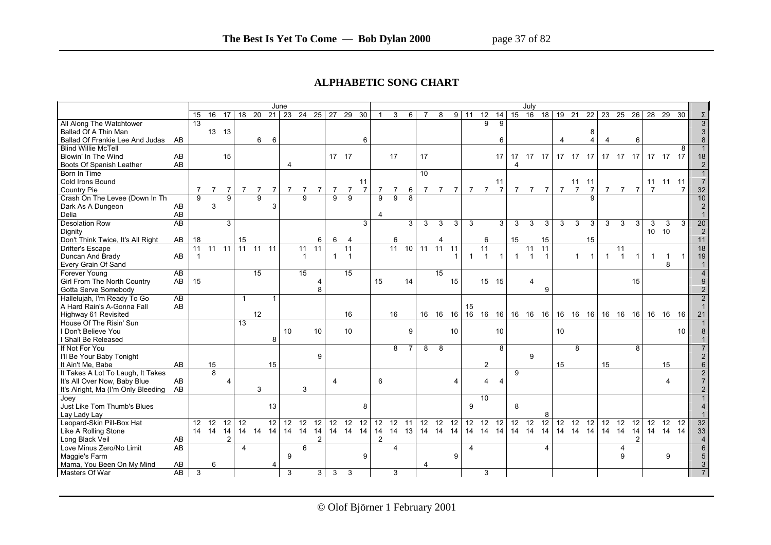#### **ALPHABETIC SONG CHART**

|                                           |                 |                |                 |                 |                | June               |                |                 |                 |                |                   |                |                |                |                |                 |                |                 |                 |                 |                 |                | July            |                 |                 |              |                |                |                   |              |              |                    |                 |                 |
|-------------------------------------------|-----------------|----------------|-----------------|-----------------|----------------|--------------------|----------------|-----------------|-----------------|----------------|-------------------|----------------|----------------|----------------|----------------|-----------------|----------------|-----------------|-----------------|-----------------|-----------------|----------------|-----------------|-----------------|-----------------|--------------|----------------|----------------|-------------------|--------------|--------------|--------------------|-----------------|-----------------|
|                                           | 15              | 16             | 17              | 18              | 20             | $21 \overline{23}$ |                | 24 25 27        |                 |                | 29                | 30             |                | 3              | 6              |                 | 8              | 9               | 11              | 12              | 14              | 15             | 16              | 18              | 19              | 21           | 22             | 23             | 25                | 26           | 28           | 29                 | 30              | Σ               |
| All Along The Watchtower                  | $\overline{13}$ |                |                 |                 |                |                    |                |                 |                 |                |                   |                |                |                |                |                 |                |                 |                 | $\overline{9}$  | $\overline{9}$  |                |                 |                 |                 |              |                |                |                   |              |              |                    |                 | $\overline{3}$  |
| Ballad Of A Thin Man                      |                 |                | 13 13           |                 |                |                    |                |                 |                 |                |                   |                |                |                |                |                 |                |                 |                 |                 |                 |                |                 |                 |                 |              | 8              |                |                   |              |              |                    |                 | $\mathbf{3}$    |
| Ballad Of Frankie Lee And Judas AB        |                 |                |                 |                 | 6              | 6                  |                |                 |                 |                |                   | 6              |                |                |                |                 |                |                 |                 |                 | 6               |                |                 |                 |                 |              | 4              |                |                   | 6            |              |                    |                 | $\bf{8}$        |
| <b>Blind Willie McTell</b>                |                 |                |                 |                 |                |                    |                |                 |                 |                |                   |                |                |                |                |                 |                |                 |                 |                 |                 |                |                 |                 |                 |              |                |                |                   |              |              |                    | 8               | $\overline{1}$  |
| Blowin' In The Wind<br>AB                 |                 |                | 15              |                 |                |                    |                |                 |                 | 17 17          |                   |                |                | 17             |                | 17              |                |                 |                 |                 | 17              |                | 17 17 17        |                 |                 |              | 17 17 17       |                | 17 17 17 17 17 17 |              |              |                    |                 | 18              |
| AB<br>Boots Of Spanish Leather            |                 |                |                 |                 |                |                    | $\overline{4}$ |                 |                 |                |                   |                |                |                |                |                 |                |                 |                 |                 |                 | $\overline{4}$ |                 |                 |                 |              |                |                |                   |              |              |                    |                 | 2 <sup>1</sup>  |
| Born In Time                              |                 |                |                 |                 |                |                    |                |                 |                 |                |                   |                |                |                |                | $\overline{10}$ |                |                 |                 |                 |                 |                |                 |                 |                 |              |                |                |                   |              |              |                    |                 | 1               |
| Cold Irons Bound                          |                 |                |                 |                 |                |                    |                |                 |                 |                |                   | 11             |                |                |                |                 |                |                 |                 |                 | 11              |                |                 |                 |                 |              | $11$ 11        |                |                   |              |              | 11 11 11           |                 | $\overline{7}$  |
| Country Pie                               | $\overline{7}$  | $\overline{7}$ | $\overline{7}$  | $\overline{7}$  | $\overline{7}$ | $\overline{7}$     | 7              | $\overline{7}$  | $\overline{7}$  | $\overline{7}$ | $\overline{7}$    | $\overline{7}$ | $\overline{7}$ | $\overline{7}$ | 6              | $\overline{7}$  | $\overline{7}$ | $\overline{7}$  | 7 <sub>7</sub>  |                 | $\overline{7}$  | $\overline{7}$ | 7 7             |                 |                 | 7 7          | $\overline{7}$ | $\overline{7}$ | 7 7               |              | 7            |                    | $\overline{7}$  | 32              |
| Crash On The Levee (Down In Th            | $\overline{9}$  |                | $\overline{9}$  |                 | $\overline{9}$ |                    |                | $\overline{9}$  |                 | 9              | $\overline{9}$    |                | $\overline{9}$ | $\overline{9}$ | $\overline{8}$ |                 |                |                 |                 |                 |                 |                |                 |                 |                 |              |                |                |                   |              |              |                    |                 | 10              |
| Dark As A Dungeon<br>AB                   |                 | 3              |                 |                 |                | 3                  |                |                 |                 |                |                   |                |                |                |                |                 |                |                 |                 |                 |                 |                |                 |                 |                 |              |                |                |                   |              |              |                    |                 | $\overline{2}$  |
| AB<br>Delia                               |                 |                |                 |                 |                |                    |                |                 |                 |                |                   |                | 4              |                |                |                 |                |                 |                 |                 |                 |                |                 |                 |                 |              |                |                |                   |              |              |                    |                 | $\mathbf{1}$    |
| Desolation Row<br>AB                      |                 |                | 3               |                 |                |                    |                |                 |                 |                |                   | 3              |                |                | 3              | 3               | 3              | 3               | $\mathbf{3}$    |                 | 3               | 3              | 3               | 3               | 3               | 3            | 3              | 3              | $\mathbf{3}$      | 3            | 3            | 3                  | 3               | 20              |
| Dignity                                   |                 |                |                 |                 |                |                    |                |                 |                 |                |                   |                |                |                |                |                 |                |                 |                 |                 |                 |                |                 |                 |                 |              |                |                |                   |              | 10 10        |                    |                 | $\overline{2}$  |
| Don't Think Twice, It's All Right<br>AB   | 18              |                |                 | 15              |                |                    |                |                 | 6               | 6              | $\overline{4}$    |                |                | 6              |                |                 | 4              |                 |                 | 6               |                 | 15             |                 | 15              |                 |              | 15             |                |                   |              |              |                    |                 | 11              |
| Drifter's Escape                          |                 | $11$ $11$ $11$ |                 |                 | $11$ $11$ $11$ |                    |                | 11              | 11              |                | 11                |                |                | $11 \t 10$     |                | $11 \quad 11$   |                | 11              |                 | 11              |                 |                | 11              | $\overline{11}$ |                 |              |                |                | 11                |              |              |                    |                 | 18              |
| Duncan And Brady<br>AB                    | $\mathbf{1}$    |                |                 |                 |                |                    |                | $\mathbf{1}$    |                 | $\mathbf{1}$   | $\overline{1}$    |                |                |                |                |                 |                |                 |                 | $\overline{1}$  | $\mathbf{1}$    | $\mathbf{1}$   |                 | $\overline{1}$  |                 | $\mathbf{1}$ | $\mathbf{1}$   | $\mathbf{1}$   | $\overline{1}$    | $\mathbf{1}$ | $\mathbf{1}$ | $\overline{1}$     | $\mathbf{1}$    | 19              |
| Every Grain Of Sand                       |                 |                |                 |                 |                |                    |                |                 |                 |                |                   |                |                |                |                |                 |                |                 |                 |                 |                 |                |                 |                 |                 |              |                |                |                   |              |              | 8                  |                 | $\vert$ 1       |
| Forever Young<br>$\overline{AB}$          |                 |                |                 |                 | 15             |                    |                | 15              |                 |                | $\overline{15}$   |                |                |                |                |                 | 15             |                 |                 |                 |                 |                |                 |                 |                 |              |                |                |                   |              |              |                    |                 | $\overline{4}$  |
| Girl From The North Country<br>AB         | 15              |                |                 |                 |                |                    |                |                 | 4               |                |                   |                | 15             |                | 14             |                 |                | 15              |                 | 15 15           |                 |                | $\overline{4}$  |                 |                 |              |                |                |                   | 15           |              |                    |                 | $9\,$           |
| Gotta Serve Somebody                      |                 |                |                 |                 |                |                    |                |                 | 8               |                |                   |                |                |                |                |                 |                |                 |                 |                 |                 |                |                 | 9               |                 |              |                |                |                   |              |              |                    |                 | $\overline{2}$  |
| AB<br>Hallelujah, I'm Ready To Go         |                 |                |                 | $\mathbf{1}$    |                |                    |                |                 |                 |                |                   |                |                |                |                |                 |                |                 |                 |                 |                 |                |                 |                 |                 |              |                |                |                   |              |              |                    |                 | $\overline{2}$  |
| A Hard Rain's A-Gonna Fall<br>AB          |                 |                |                 |                 |                |                    |                |                 |                 |                |                   |                |                |                |                |                 |                |                 | 15              |                 |                 |                |                 |                 |                 |              |                |                |                   |              |              |                    |                 | $\mathbf{1}$    |
| Highway 61 Revisited                      |                 |                |                 |                 | 12             |                    |                |                 |                 |                | 16                |                |                | 16             |                |                 |                |                 |                 |                 |                 |                |                 |                 |                 |              |                |                |                   |              |              |                    |                 | 21              |
| House Of The Risin' Sun                   |                 |                |                 | $\overline{13}$ |                |                    |                |                 |                 |                |                   |                |                |                |                |                 |                |                 |                 |                 |                 |                |                 |                 |                 |              |                |                |                   |              |              |                    |                 |                 |
| I Don't Believe You                       |                 |                |                 |                 |                |                    | 10             |                 | 10              |                | 10                |                |                |                | 9              |                 |                | 10 <sup>1</sup> |                 |                 | 10              |                |                 |                 | 10 <sup>1</sup> |              |                |                |                   |              |              |                    | 10 <sup>1</sup> | 8               |
| I Shall Be Released                       |                 |                |                 |                 |                | 8                  |                |                 |                 |                |                   |                |                |                |                |                 |                |                 |                 |                 |                 |                |                 |                 |                 |              |                |                |                   |              |              |                    |                 |                 |
| If Not For You                            |                 |                |                 |                 |                |                    |                |                 |                 |                |                   |                |                | 8              | 7              | 8               | -8             |                 |                 |                 | 8               |                |                 |                 |                 | 8            |                |                |                   | 8            |              |                    |                 | $\overline{7}$  |
| I'll Be Your Baby Tonight                 |                 |                |                 |                 |                |                    |                |                 | 9               |                |                   |                |                |                |                |                 |                |                 |                 |                 |                 |                | 9               |                 |                 |              |                |                |                   |              |              |                    |                 | $\overline{2}$  |
| It Ain't Me, Babe<br>AB                   |                 | 15             |                 |                 |                | 15                 |                |                 |                 |                |                   |                |                |                |                |                 |                |                 |                 | $\overline{2}$  |                 |                |                 |                 | 15              |              |                | 15             |                   |              |              | 15                 |                 | $6\phantom{a}$  |
| It Takes A Lot To Laugh, It Takes         |                 | $\overline{8}$ |                 |                 |                |                    |                |                 |                 |                |                   |                |                |                |                |                 |                |                 |                 |                 |                 | 9              |                 |                 |                 |              |                |                |                   |              |              |                    |                 | $\overline{2}$  |
| It's All Over Now, Baby Blue<br>AB        |                 |                | $\overline{4}$  |                 |                |                    |                |                 |                 | $\overline{4}$ |                   |                | 6              |                |                |                 |                |                 |                 | 4               | 4               |                |                 |                 |                 |              |                |                |                   |              |              | 4                  |                 | 7 <sup>1</sup>  |
| AB<br>It's Alright, Ma (I'm Only Bleeding |                 |                |                 |                 | 3              |                    |                | 3               |                 |                |                   |                |                |                |                |                 |                |                 |                 |                 |                 |                |                 |                 |                 |              |                |                |                   |              |              |                    |                 | 2 <sup>1</sup>  |
| Joey                                      |                 |                |                 |                 |                |                    |                |                 |                 |                |                   |                |                |                |                |                 |                |                 |                 | 10              |                 |                |                 |                 |                 |              |                |                |                   |              |              |                    |                 |                 |
| Just Like Tom Thumb's Blues               |                 |                |                 |                 |                | 13                 |                |                 |                 |                |                   | 8              |                |                |                |                 |                |                 | $\mathsf{Q}$    |                 |                 | 8              |                 |                 |                 |              |                |                |                   |              |              |                    |                 | $\overline{4}$  |
| Lay Lady Lay                              |                 |                |                 |                 |                |                    |                |                 |                 |                |                   |                |                |                |                |                 |                |                 |                 |                 |                 |                |                 |                 |                 |              |                |                |                   |              |              |                    |                 | $\mathbf{1}$    |
| Leopard-Skin Pill-Box Hat                 |                 | $12 \quad 12$  | $\overline{12}$ | $\overline{12}$ |                | $\overline{12}$    | 12             | $\overline{12}$ | $\overline{12}$ | 12             | $\overline{12}$   | 12             | 12             | 12             | 11             | 12              | 12 12          |                 | $\overline{12}$ | $\overline{12}$ | $\overline{12}$ | 12             | $\overline{12}$ | $\overline{12}$ | 12              | 12           | 12             | 12             | 12                | 12           | 12           | $\overline{12}$ 12 |                 | 32              |
| Like A Rolling Stone                      |                 | 14 14          | 14              |                 | 14 14 14       |                    |                |                 |                 |                | 14 14 14 14 14 14 |                | 14 14 13       |                |                |                 | 14  14  14     |                 |                 | 14  14  14      |                 |                | 14 14           | 14              |                 | 14 14        | 14             | 14 14          |                   | 14           |              | 14 14 14           |                 | 33              |
| Long Black Veil<br>AB                     |                 |                | $\overline{2}$  |                 |                |                    |                |                 |                 |                |                   |                | 2              |                |                |                 |                |                 |                 |                 |                 |                |                 |                 |                 |              |                |                |                   |              |              |                    |                 | $\overline{4}$  |
| <b>AB</b><br>Love Minus Zero/No Limit     |                 |                |                 | $\overline{4}$  |                |                    |                | 6               |                 |                |                   |                |                | 4              |                |                 |                |                 | 4               |                 |                 |                |                 | $\Delta$        |                 |              |                |                | 4                 |              |              |                    |                 | $6\overline{6}$ |
| Maggie's Farm                             |                 |                |                 |                 |                |                    | 9              |                 |                 |                |                   | 9              |                |                |                |                 |                | 9               |                 |                 |                 |                |                 |                 |                 |              |                |                | 9                 |              |              | 9                  |                 | $\sqrt{5}$      |
| Mama, You Been On My Mind<br>AB           |                 | 6              |                 |                 |                |                    |                |                 |                 |                |                   |                |                |                |                | 4               |                |                 |                 |                 |                 |                |                 |                 |                 |              |                |                |                   |              |              |                    |                 | 3               |
| AB<br>Masters Of War                      | 3               |                |                 |                 |                |                    | 3              |                 | $\overline{3}$  | 3              | 3                 |                |                | 3              |                |                 |                |                 |                 | 3               |                 |                |                 |                 |                 |              |                |                |                   |              |              |                    |                 |                 |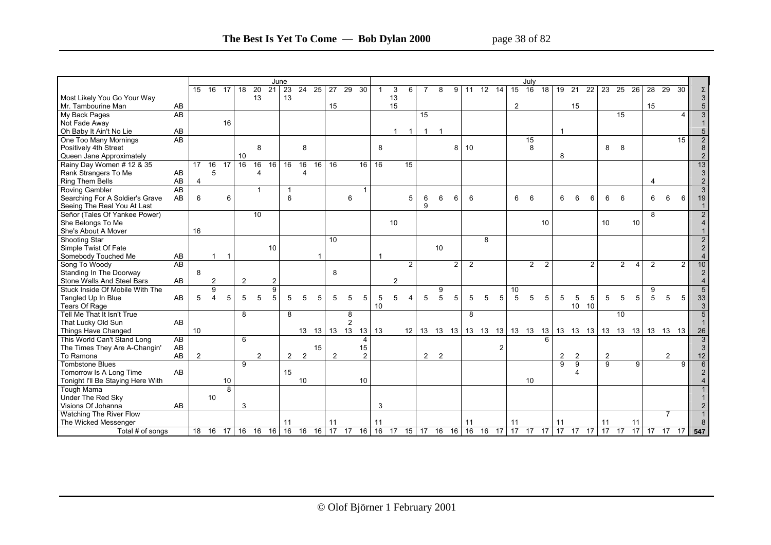|                                   |                 |         |                |                 |                |                 | June           |                |                 |                 |                 |               |                |                |                |                 |                 |    |                |          |                 |    |                 | July            |                 |                |                |                |    |                 |    |                |                 |                 |                |
|-----------------------------------|-----------------|---------|----------------|-----------------|----------------|-----------------|----------------|----------------|-----------------|-----------------|-----------------|---------------|----------------|----------------|----------------|-----------------|-----------------|----|----------------|----------|-----------------|----|-----------------|-----------------|-----------------|----------------|----------------|----------------|----|-----------------|----|----------------|-----------------|-----------------|----------------|
|                                   |                 | 15      | 16             | 17              | 18             | $\overline{20}$ | 21             | 23             | $\overline{24}$ | $\overline{25}$ | 27              | 29            | 30             |                | 3              | 6               |                 | R  | g              | 11       | $\overline{12}$ | 14 | $\overline{15}$ | $\overline{16}$ | $\overline{18}$ | 19             | 21             | 22             | 23 | 25              | 26 | 28             | 29              | 30              | Σ              |
| Most Likely You Go Your Way       |                 |         |                |                 |                | 13              |                | 13             |                 |                 |                 |               |                |                | 13             |                 |                 |    |                |          |                 |    |                 |                 |                 |                |                |                |    |                 |    |                |                 |                 | $\mathfrak{S}$ |
| Mr. Tambourine Man                | AB              |         |                |                 |                |                 |                |                |                 |                 | 15              |               |                |                | 15             |                 |                 |    |                |          |                 |    | $\overline{2}$  |                 |                 |                | 15             |                |    |                 |    | 15             |                 |                 | 5              |
| My Back Pages                     | $\overline{AB}$ |         |                |                 |                |                 |                |                |                 |                 |                 |               |                |                |                |                 | $\overline{15}$ |    |                |          |                 |    |                 |                 |                 |                |                |                |    | 15              |    |                |                 | $\overline{4}$  | 3              |
| Not Fade Away                     |                 |         |                | 16              |                |                 |                |                |                 |                 |                 |               |                |                |                |                 |                 |    |                |          |                 |    |                 |                 |                 |                |                |                |    |                 |    |                |                 |                 |                |
| Oh Baby It Ain't No Lie           | AB              |         |                |                 |                |                 |                |                |                 |                 |                 |               |                |                | $\mathbf{1}$   | $\mathbf{1}$    | $\mathbf{1}$    |    |                |          |                 |    |                 |                 |                 | -1             |                |                |    |                 |    |                |                 |                 | 5              |
| One Too Many Mornings             | <b>AB</b>       |         |                |                 |                |                 |                |                |                 |                 |                 |               |                |                |                |                 |                 |    |                |          |                 |    |                 | 15              |                 |                |                |                |    |                 |    |                |                 | 15              | $\overline{2}$ |
| Positively 4th Street             |                 |         |                |                 |                | 8               |                |                | 8               |                 |                 |               |                | 8              |                |                 |                 |    | 8              | 10       |                 |    |                 | 8               |                 |                |                |                | 8  | 8               |    |                |                 |                 | $\bf 8$        |
| Queen Jane Approximately          |                 |         |                |                 | 10             |                 |                |                |                 |                 |                 |               |                |                |                |                 |                 |    |                |          |                 |    |                 |                 |                 | 8              |                |                |    |                 |    |                |                 |                 | $\overline{2}$ |
| Rainy Day Women # 12 & 35         |                 | 17      | 16             | $\overline{17}$ | 16             | 16              | 16             | 16             | 16              | $\overline{16}$ | $\overline{16}$ |               | 16             | 16             |                | $\overline{15}$ |                 |    |                |          |                 |    |                 |                 |                 |                |                |                |    |                 |    |                |                 |                 | 13             |
| Rank Strangers To Me              | AB              |         | 5              |                 |                | 4               |                |                | 4               |                 |                 |               |                |                |                |                 |                 |    |                |          |                 |    |                 |                 |                 |                |                |                |    |                 |    |                |                 |                 | 3              |
| Ring Them Bells                   | AB              | 4       |                |                 |                |                 |                |                |                 |                 |                 |               |                |                |                |                 |                 |    |                |          |                 |    |                 |                 |                 |                |                |                |    |                 |    | $\overline{4}$ |                 |                 | $\overline{2}$ |
| Roving Gambler                    | $\overline{AB}$ |         |                |                 |                | 1               |                | $\overline{1}$ |                 |                 |                 |               |                |                |                |                 |                 |    |                |          |                 |    |                 |                 |                 |                |                |                |    |                 |    |                |                 |                 | 3              |
| Searching For A Soldier's Grave   | AB              | 6       |                | 6               |                |                 |                | 6              |                 |                 |                 | 6             |                |                |                | 5               | 6               | 6  | 6              | 6        |                 |    | 6               | 6               |                 | 6              | 6              | 6              | 6  | 6               |    | 6              | 6               | 6               | 19             |
| Seeing The Real You At Last       |                 |         |                |                 |                |                 |                |                |                 |                 |                 |               |                |                |                |                 | 9               |    |                |          |                 |    |                 |                 |                 |                |                |                |    |                 |    |                |                 |                 |                |
| Señor (Tales Of Yankee Power)     |                 |         |                |                 |                | 10              |                |                |                 |                 |                 |               |                |                |                |                 |                 |    |                |          |                 |    |                 |                 |                 |                |                |                |    |                 |    | 8              |                 |                 | $\overline{2}$ |
| She Belongs To Me                 |                 |         |                |                 |                |                 |                |                |                 |                 |                 |               |                |                | 10             |                 |                 |    |                |          |                 |    |                 |                 | 10              |                |                |                | 10 |                 | 10 |                |                 |                 |                |
| She's About A Mover               |                 | 16      |                |                 |                |                 |                |                |                 |                 |                 |               |                |                |                |                 |                 |    |                |          |                 |    |                 |                 |                 |                |                |                |    |                 |    |                |                 |                 |                |
| <b>Shooting Star</b>              |                 |         |                |                 |                |                 |                |                |                 |                 | $\overline{10}$ |               |                |                |                |                 |                 |    |                |          | 8               |    |                 |                 |                 |                |                |                |    |                 |    |                |                 |                 |                |
| Simple Twist Of Fate              |                 |         |                |                 |                |                 | 10             |                |                 |                 |                 |               |                |                |                |                 |                 | 10 |                |          |                 |    |                 |                 |                 |                |                |                |    |                 |    |                |                 |                 | $\overline{2}$ |
| Somebody Touched Me               | AB              |         |                |                 |                |                 |                |                |                 |                 |                 |               |                |                |                |                 |                 |    |                |          |                 |    |                 |                 |                 |                |                |                |    |                 |    |                |                 |                 |                |
| Song To Woody                     | AB              |         |                |                 |                |                 |                |                |                 |                 |                 |               |                |                |                | 2               |                 |    | $\overline{2}$ | 2        |                 |    |                 | $\overline{2}$  | $\overline{2}$  |                |                | $\overline{2}$ |    | $\overline{2}$  | 4  | $\overline{2}$ |                 | $\overline{2}$  | 10             |
| Standing In The Doorway           |                 | 8       |                |                 |                |                 |                |                |                 |                 | 8               |               |                |                |                |                 |                 |    |                |          |                 |    |                 |                 |                 |                |                |                |    |                 |    |                |                 |                 | $\overline{2}$ |
| Stone Walls And Steel Bars        | AB              |         | $\overline{2}$ |                 | $\overline{2}$ |                 | $\overline{2}$ |                |                 |                 |                 |               |                |                | $\overline{2}$ |                 |                 |    |                |          |                 |    |                 |                 |                 |                |                |                |    |                 |    |                |                 |                 |                |
| Stuck Inside Of Mobile With The   |                 |         | 9              |                 |                |                 | 9              |                |                 |                 |                 |               |                |                |                |                 |                 | 9  |                |          |                 |    | 10              |                 |                 |                |                |                |    |                 |    | 9              |                 |                 | 5              |
| Tangled Up In Blue                | AB              | 5       | 4              | 5               | 5              | 5               | 5              | 5              | 5               | 5               | 5               | 5             | 5              | 5              | 5              | $\Delta$        | 5               | 5  | 5              | 5        | 5               | 5  | 5               | 5               | 5               | 5              | 5              | 5              | 5  | 5               | 5  | 5              | 5               | 5               | 33             |
| Tears Of Rage                     |                 |         |                |                 |                |                 |                |                |                 |                 |                 |               |                | 10             |                |                 |                 |    |                |          |                 |    |                 |                 |                 |                | 10             | 10             |    |                 |    |                |                 |                 | 3              |
| Tell Me That It Isn't True        |                 |         |                |                 | 8              |                 |                | 8              |                 |                 |                 | 8             |                |                |                |                 |                 |    |                | 8        |                 |    |                 |                 |                 |                |                |                |    | 10              |    |                |                 |                 | 5              |
| That Lucky Old Sun                | AB              |         |                |                 |                |                 |                |                |                 |                 |                 | $\mathcal{P}$ |                |                |                |                 |                 |    |                |          |                 |    |                 |                 |                 |                |                |                |    |                 |    |                |                 |                 |                |
| Things Have Changed               |                 | 10      |                |                 |                |                 |                |                |                 | 13 13           | 13 13           |               | 13             | 13             |                |                 |                 |    |                |          |                 |    |                 |                 |                 |                |                |                |    |                 |    |                | 13  13  13      |                 | 26             |
| This World Can't Stand Long       | A <sub>B</sub>  |         |                |                 | 6              |                 |                |                |                 |                 |                 |               |                |                |                |                 |                 |    |                |          |                 |    |                 |                 |                 |                |                |                |    |                 |    |                |                 |                 | $\mathfrak{S}$ |
| The Times They Are A-Changin'     | AB              |         |                |                 |                |                 |                |                |                 | 15              |                 |               | 15             |                |                |                 |                 |    |                |          |                 | 2  |                 |                 |                 |                |                |                |    |                 |    |                |                 |                 | 3              |
| To Ramona                         | AB              | 2       |                |                 |                | $\overline{c}$  |                | $2^{\circ}$    | $\overline{2}$  |                 | 2               |               | $\overline{2}$ |                |                |                 | $2 \quad 2$     |    |                |          |                 |    |                 |                 |                 | $\overline{2}$ | $\overline{2}$ |                | 2  |                 |    |                | $\overline{2}$  |                 | 12             |
| <b>Tombstone Blues</b>            |                 |         |                |                 | 9              |                 |                |                |                 |                 |                 |               |                |                |                |                 |                 |    |                |          |                 |    |                 |                 |                 | 9              | 9              |                | 9  |                 | 9  |                |                 | 9               | $6\phantom{1}$ |
| Tomorrow Is A Long Time           | AB              |         |                |                 |                |                 |                | 15             |                 |                 |                 |               |                |                |                |                 |                 |    |                |          |                 |    |                 |                 |                 |                | 4              |                |    |                 |    |                |                 |                 | $\overline{2}$ |
| Tonight I'll Be Staying Here With |                 |         |                | 10              |                |                 |                |                | 10              |                 |                 |               | 10             |                |                |                 |                 |    |                |          |                 |    |                 | 10              |                 |                |                |                |    |                 |    |                |                 |                 |                |
| <b>Tough Mama</b>                 |                 |         |                | 8               |                |                 |                |                |                 |                 |                 |               |                |                |                |                 |                 |    |                |          |                 |    |                 |                 |                 |                |                |                |    |                 |    |                |                 |                 |                |
| <b>Under The Red Sky</b>          |                 |         | 10             |                 |                |                 |                |                |                 |                 |                 |               |                |                |                |                 |                 |    |                |          |                 |    |                 |                 |                 |                |                |                |    |                 |    |                |                 |                 |                |
| Visions Of Johanna                | AB              |         |                |                 | 3              |                 |                |                |                 |                 |                 |               |                | 3              |                |                 |                 |    |                |          |                 |    |                 |                 |                 |                |                |                |    |                 |    |                |                 |                 |                |
| Watching The River Flow           |                 |         |                |                 |                |                 |                |                |                 |                 |                 |               |                |                |                |                 |                 |    |                |          |                 |    |                 |                 |                 |                |                |                |    |                 |    |                | $\overline{7}$  |                 |                |
| The Wicked Messenger              |                 |         |                |                 |                |                 |                | 11             |                 |                 | 11              |               |                | 11             |                |                 |                 |    |                | 11       |                 |    | 11              |                 |                 | 11             |                |                | 11 |                 | 11 |                |                 |                 |                |
| Total # of songs                  |                 | $18$ 16 |                | $\overline{17}$ |                | 16 16 16 16     |                |                | 16              | 16              |                 |               |                | 17 17 16 16 17 |                |                 | 15 17 16        |    |                | 16 16 16 |                 |    |                 | 17 17 17 17     |                 | 17             | $17 \quad 17$  |                | 17 | $\overline{17}$ | 17 | 17             | $\overline{17}$ | $\overline{17}$ | 547            |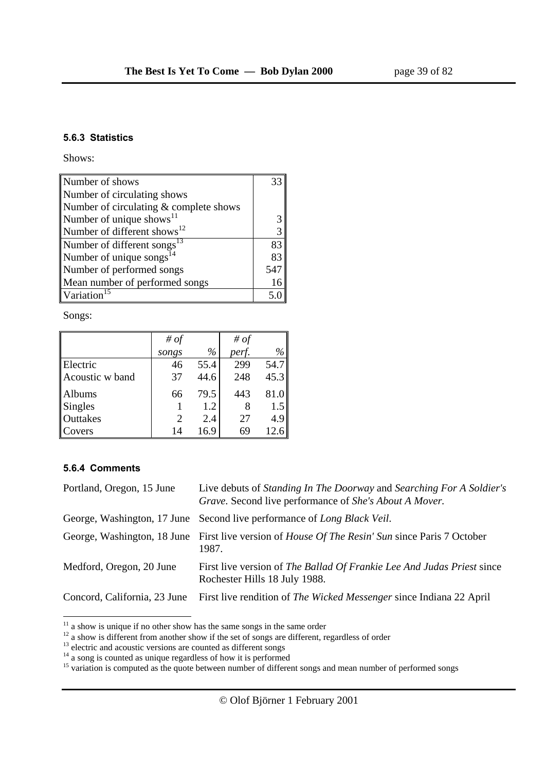#### **5.6.3 Statistics**

Shows:

| Number of shows                         |     |
|-----------------------------------------|-----|
| Number of circulating shows             |     |
| Number of circulating & complete shows  |     |
| Number of unique shows <sup>11</sup>    | 3   |
| Number of different shows <sup>12</sup> | 3   |
| Number of different songs <sup>13</sup> | 83  |
| Number of unique songs $^{14}$          | 83  |
| Number of performed songs               | 547 |
| Mean number of performed songs          | 16  |
| Variation <sup>15</sup>                 |     |

Songs:

|                 | # $of$         |      | # $of$ |      |
|-----------------|----------------|------|--------|------|
|                 | songs          | $\%$ | perf.  | $\%$ |
| Electric        | 46             | 55.4 | 299    | 54.7 |
| Acoustic w band | 37             | 44.6 | 248    | 45.3 |
| Albums          | 66             | 79.5 | 443    | 81.0 |
| <b>Singles</b>  |                | 1.2  |        | 1.5  |
| <b>Outtakes</b> | $\overline{2}$ | 2.4  | 27     | 4.9  |
| Covers          | 14             | 16.9 | 69     | 12.6 |

#### **5.6.4 Comments**

| Portland, Oregon, 15 June    | Live debuts of Standing In The Doorway and Searching For A Soldier's<br>Grave. Second live performance of She's About A Mover. |
|------------------------------|--------------------------------------------------------------------------------------------------------------------------------|
|                              | George, Washington, 17 June Second live performance of Long Black Veil.                                                        |
|                              | George, Washington, 18 June First live version of House Of The Resin' Sun since Paris 7 October<br>1987.                       |
| Medford, Oregon, 20 June     | First live version of The Ballad Of Frankie Lee And Judas Priest since<br>Rochester Hills 18 July 1988.                        |
| Concord, California, 23 June | First live rendition of The Wicked Messenger since Indiana 22 April                                                            |
|                              |                                                                                                                                |

 $11$  a show is unique if no other show has the same songs in the same order

 $12$  a show is different from another show if the set of songs are different, regardless of order  $13$  electric and acoustic versions are counted as different songs

 $14$  a song is counted as unique regardless of how it is performed

<sup>&</sup>lt;sup>15</sup> variation is computed as the quote between number of different songs and mean number of performed songs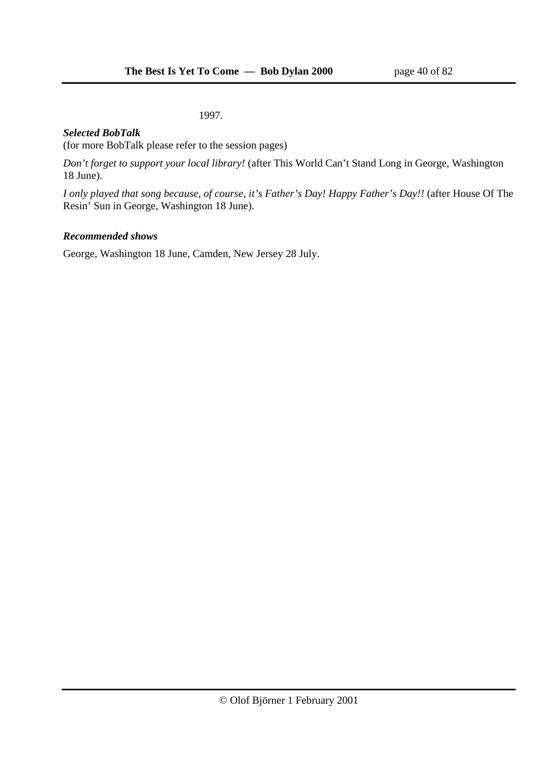1997.

### *Selected BobTalk*

(for more BobTalk please refer to the session pages)

*Don't forget to support your local library!* (after This World Can't Stand Long in George, Washington 18 June).

*I only played that song because, of course, it's Father's Day! Happy Father's Day!!* (after House Of The Resin' Sun in George, Washington 18 June).

### *Recommended shows*

George, Washington 18 June, Camden, New Jersey 28 July.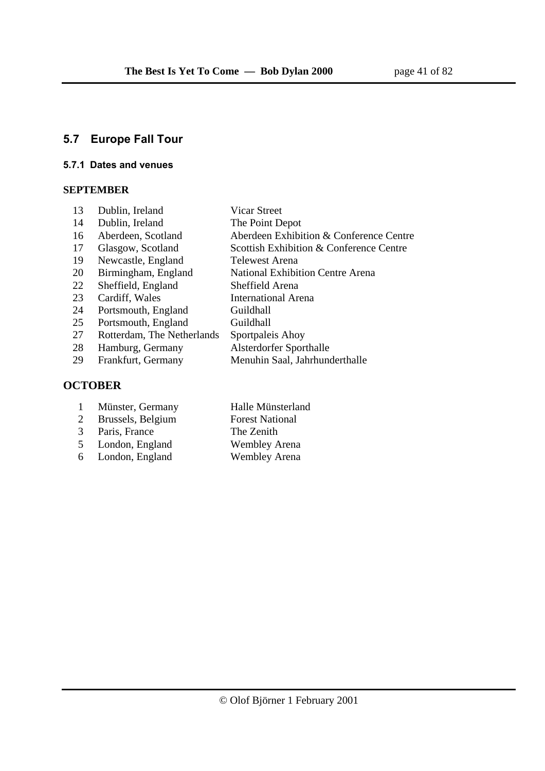# **5.7 Europe Fall Tour**

#### **5.7.1 Dates and venues**

### **SEPTEMBER**

| 13 | Dublin, Ireland            | <b>Vicar Street</b>                     |
|----|----------------------------|-----------------------------------------|
| 14 | Dublin, Ireland            | The Point Depot                         |
| 16 | Aberdeen, Scotland         | Aberdeen Exhibition & Conference Centre |
| 17 | Glasgow, Scotland          | Scottish Exhibition & Conference Centre |
| 19 | Newcastle, England         | Telewest Arena                          |
| 20 | Birmingham, England        | <b>National Exhibition Centre Arena</b> |
| 22 | Sheffield, England         | Sheffield Arena                         |
| 23 | Cardiff, Wales             | <b>International Arena</b>              |
| 24 | Portsmouth, England        | Guildhall                               |
| 25 | Portsmouth, England        | Guildhall                               |
| 27 | Rotterdam, The Netherlands | Sportpaleis Ahoy                        |
| 28 | Hamburg, Germany           | Alsterdorfer Sporthalle                 |
| 29 | Frankfurt, Germany         | Menuhin Saal, Jahrhunderthalle          |
|    | <b>CTORFR</b>              |                                         |

# **OCTOBER**

|   | Münster, Germany  | Halle Münsterland      |
|---|-------------------|------------------------|
| 2 | Brussels, Belgium | <b>Forest National</b> |

- 
- 
- $6$  London, England
- 3 Paris, France The Zenith<br>5 London, England Wembley Arena
- 5 London, England Wembley Arena<br>6 London, England Wembley Arena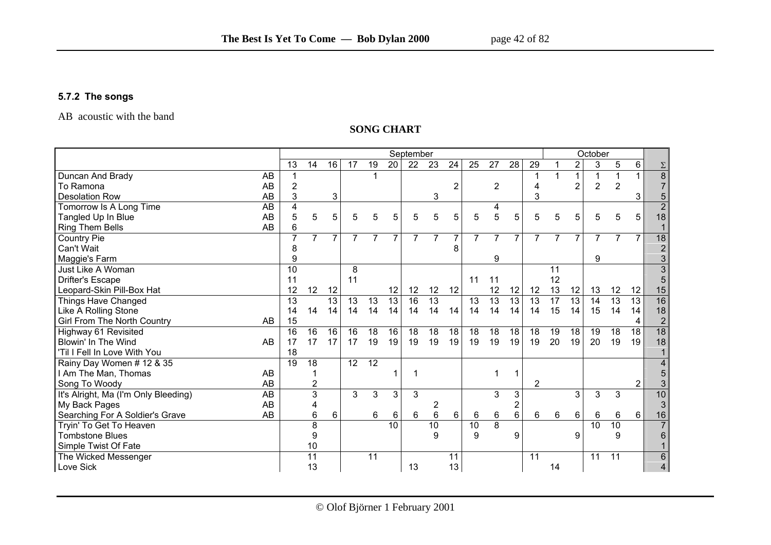### **5.7.2 The songs**

AB acoustic with the band

#### **SONG CHART**

|                                      | September<br>October |                |                 |                 |                 |                 |                 |                 |                 |                  |                 |                 |                 |                |    |                 |                |                 |                |                 |
|--------------------------------------|----------------------|----------------|-----------------|-----------------|-----------------|-----------------|-----------------|-----------------|-----------------|------------------|-----------------|-----------------|-----------------|----------------|----|-----------------|----------------|-----------------|----------------|-----------------|
|                                      | 13                   |                | 14              | 16              | 17              | 19              | $\overline{20}$ | 22              | 23              | 24               | $\overline{25}$ | $\overline{27}$ | $\overline{28}$ | 29             |    | 2               | 3              | 5               | 6              | $\Sigma$        |
| Duncan And Brady                     | AB                   |                |                 |                 |                 |                 |                 |                 |                 |                  |                 |                 |                 |                |    |                 |                |                 |                | $\overline{8}$  |
| To Ramona                            | AB                   | $\overline{2}$ |                 |                 |                 |                 |                 |                 |                 | $\overline{2}$   |                 | 2               |                 | 4              |    | $\overline{2}$  | $\overline{2}$ | $\overline{2}$  |                | $\overline{7}$  |
| <b>Desolation Row</b>                | AB                   | 3              |                 | 3               |                 |                 |                 |                 | 3               |                  |                 |                 |                 | 3              |    |                 |                |                 | 3              | 5               |
| Tomorrow Is A Long Time              | AB                   | 4              |                 |                 |                 |                 |                 |                 |                 |                  |                 | 4               |                 |                |    |                 |                |                 |                | $\overline{2}$  |
| Tangled Up In Blue                   | <b>AB</b>            | 5              | 5               | 5               | 5               | 5               | 5               | 5               | 5               | 5                | 5               | 5               | 5               | 5              | 5  | 5               | 5              | 5               | 5              | 18              |
| <b>Ring Them Bells</b>               | AB                   | 6              |                 |                 |                 |                 |                 |                 |                 |                  |                 |                 |                 |                |    |                 |                |                 |                |                 |
| <b>Country Pie</b>                   |                      | 7              | $\overline{7}$  | 7               | 7               | 7               | 7               |                 |                 | 7                | $\overline{7}$  | 7               | 7               | 7              | 7  | $\overline{7}$  | 7              | 7               | $\overline{7}$ | $\overline{18}$ |
| Can't Wait                           |                      | 8              |                 |                 |                 |                 |                 |                 |                 | 8                |                 |                 |                 |                |    |                 |                |                 |                | $\overline{2}$  |
| Maggie's Farm                        |                      | g              |                 |                 |                 |                 |                 |                 |                 |                  |                 | 9               |                 |                |    |                 | 9              |                 |                | 3               |
| Just Like A Woman                    | 10                   |                |                 |                 | 8               |                 |                 |                 |                 |                  |                 |                 |                 |                | 11 |                 |                |                 |                |                 |
| <b>Drifter's Escape</b>              | 11                   |                |                 |                 | 11              |                 |                 |                 |                 |                  | 11              | 11              |                 |                | 12 |                 |                |                 |                |                 |
| Leopard-Skin Pill-Box Hat            | 12                   |                | 12              | 12              |                 |                 | 12              | 12              | 12              | 12               |                 | 12              | 12              | 12             | 13 | 12              | 13             | 12              | 12             | 15              |
| Things Have Changed                  | 13                   |                |                 | $\overline{13}$ | 13              | 13              | 13              | $\overline{16}$ | $\overline{13}$ |                  | 13              | $\overline{13}$ | 13              | 13             | 17 | $\overline{13}$ | 14             | 13              | 13             | 16              |
| Like A Rolling Stone                 | 14                   |                | 14              | 14              | 14              | 14              | 14              | 14              | 14              | 14               | 14              | 14              | 14              | 14             | 15 | 14              | 15             | 14              | 14             | 18              |
| Girl From The North Country          | 15<br>AB             |                |                 |                 |                 |                 |                 |                 |                 |                  |                 |                 |                 |                |    |                 |                |                 | 4              | $\sqrt{2}$      |
| Highway 61 Revisited                 | 16                   |                | 16              | 16              | 16              | 18              | 16              | 18              | 18              | 18               | 18              | 18              | 18              | 18             | 19 | 18              | 19             | 18              | 18             | $\overline{18}$ |
| Blowin' In The Wind                  | AB<br>17             |                | 17              | 17              | 17              | 19              | 19              | 19              | 19              | 19               | 19              | 19              | 19              | 19             | 20 | 19              | 20             | 19              | 19             | 18              |
| 'Til I Fell In Love With You         | 18                   |                |                 |                 |                 |                 |                 |                 |                 |                  |                 |                 |                 |                |    |                 |                |                 |                |                 |
| Rainy Day Women # 12 & 35            | $\overline{19}$      |                | 18              |                 | $\overline{12}$ | $\overline{12}$ |                 |                 |                 |                  |                 |                 |                 |                |    |                 |                |                 |                |                 |
| I Am The Man, Thomas                 | AB                   |                |                 |                 |                 |                 |                 |                 |                 |                  |                 | 1               | 1               |                |    |                 |                |                 |                |                 |
| Song To Woody                        | AB                   |                | 2               |                 |                 |                 |                 |                 |                 |                  |                 |                 |                 | $\overline{2}$ |    |                 |                |                 | $\mathbf{2}$   |                 |
| It's Alright, Ma (I'm Only Bleeding) | AB                   |                | 3               |                 | 3               | 3               | 3               | 3               |                 |                  |                 | 3               | 3               |                |    | 3               | 3              | 3               |                | 10              |
| My Back Pages                        | AB                   |                | 4               |                 |                 |                 |                 |                 | 2               |                  |                 |                 | $\overline{c}$  |                |    |                 |                |                 |                | 3               |
| Searching For A Soldier's Grave      | AB                   |                | 6               | 6               |                 | 6               | 6               | 6               | 6               | $6 \overline{6}$ | 6               | 6               | 6               | 6              | 6  | 6               | 6              | 6               | 6              | 16              |
| Tryin' To Get To Heaven              |                      |                | 8               |                 |                 |                 | 10              |                 | $\overline{10}$ |                  | 10              | $\overline{8}$  |                 |                |    |                 | 10             | $\overline{10}$ |                | $\overline{7}$  |
| <b>Tombstone Blues</b>               |                      |                | 9               |                 |                 |                 |                 |                 | 9               |                  | 9               |                 | 9               |                |    | 9               |                | 9               |                | 6               |
| Simple Twist Of Fate                 |                      |                | 10              |                 |                 |                 |                 |                 |                 |                  |                 |                 |                 |                |    |                 |                |                 |                |                 |
| The Wicked Messenger                 |                      |                | $\overline{11}$ |                 |                 | 11              |                 |                 |                 | 11               |                 |                 |                 | 11             |    |                 | 11             | 11              |                | 6               |
| Love Sick                            |                      |                | 13              |                 |                 |                 |                 | 13              |                 | 13               |                 |                 |                 |                | 14 |                 |                |                 |                | 4               |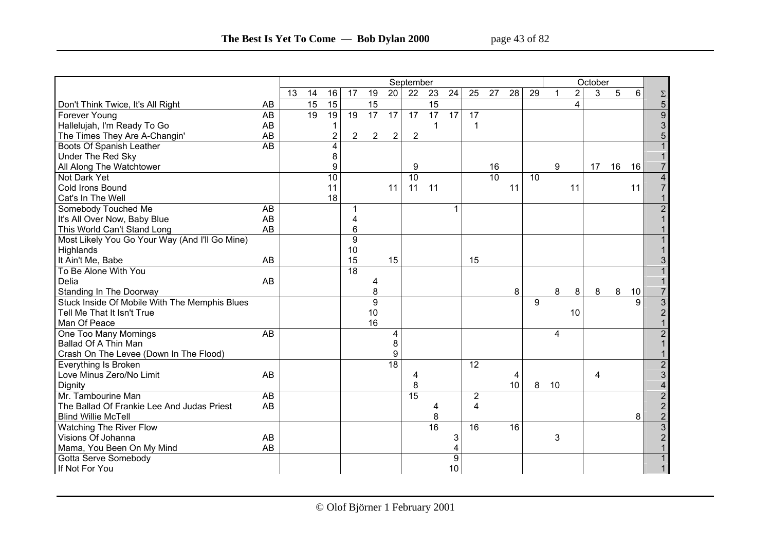|                                                |                 |                 |    |                 |                 |                 |                 | September       |                 |                 |                 |                 |                 |    |    |                | October |    |    |                         |
|------------------------------------------------|-----------------|-----------------|----|-----------------|-----------------|-----------------|-----------------|-----------------|-----------------|-----------------|-----------------|-----------------|-----------------|----|----|----------------|---------|----|----|-------------------------|
|                                                |                 | $\overline{13}$ | 14 | 16              | $\overline{17}$ | $\overline{19}$ | $\overline{20}$ | $\overline{22}$ | $\overline{23}$ | $\overline{24}$ | $\overline{25}$ | $\overline{27}$ | $\overline{28}$ | 29 | 1  | $\overline{2}$ | 3       | 5  | 6  | $\Sigma$                |
| Don't Think Twice, It's All Right              | AB              |                 | 15 | $\overline{15}$ |                 | $\overline{15}$ |                 |                 | $\overline{15}$ |                 |                 |                 |                 |    |    | 4              |         |    |    | 5                       |
| Forever Young                                  | $\overline{AB}$ |                 | 19 | 19              | $\overline{19}$ | 17              | $\overline{17}$ | $\overline{17}$ | $\overline{17}$ | $\overline{17}$ | $\overline{17}$ |                 |                 |    |    |                |         |    |    | $\overline{9}$          |
| Hallelujah, I'm Ready To Go                    | AB              |                 |    | 1               |                 |                 |                 |                 | 1               |                 | -1              |                 |                 |    |    |                |         |    |    | 3                       |
| The Times They Are A-Changin'                  | AB              |                 |    | 2               | 2               | $\overline{2}$  | $\overline{c}$  | $\overline{2}$  |                 |                 |                 |                 |                 |    |    |                |         |    |    | 5                       |
| <b>Boots Of Spanish Leather</b>                | $\overline{AB}$ |                 |    | 4               |                 |                 |                 |                 |                 |                 |                 |                 |                 |    |    |                |         |    |    |                         |
| <b>Under The Red Sky</b>                       |                 |                 |    | 8               |                 |                 |                 |                 |                 |                 |                 |                 |                 |    |    |                |         |    |    |                         |
| All Along The Watchtower                       |                 |                 |    | 9               |                 |                 |                 | 9               |                 |                 |                 | 16              |                 |    | 9  |                | 17      | 16 | 16 | $\overline{7}$          |
| Not Dark Yet                                   |                 |                 |    | 10              |                 |                 |                 | 10              |                 |                 |                 | 10              |                 | 10 |    |                |         |    |    | $\overline{\mathbf{4}}$ |
| <b>Cold Irons Bound</b>                        |                 |                 |    | 11              |                 |                 | 11              | 11              | 11              |                 |                 |                 | 11              |    |    | 11             |         |    | 11 | $\overline{7}$          |
| Cat's In The Well                              |                 |                 |    | 18              |                 |                 |                 |                 |                 |                 |                 |                 |                 |    |    |                |         |    |    |                         |
| Somebody Touched Me                            | AB              |                 |    |                 | 1               |                 |                 |                 |                 |                 |                 |                 |                 |    |    |                |         |    |    | $\overline{2}$          |
| It's All Over Now, Baby Blue                   | AB              |                 |    |                 | 4               |                 |                 |                 |                 |                 |                 |                 |                 |    |    |                |         |    |    |                         |
| This World Can't Stand Long                    | AB              |                 |    |                 | 6               |                 |                 |                 |                 |                 |                 |                 |                 |    |    |                |         |    |    |                         |
| Most Likely You Go Your Way (And I'll Go Mine) |                 |                 |    |                 | 9               |                 |                 |                 |                 |                 |                 |                 |                 |    |    |                |         |    |    |                         |
| Highlands                                      |                 |                 |    |                 | 10              |                 |                 |                 |                 |                 |                 |                 |                 |    |    |                |         |    |    |                         |
| It Ain't Me, Babe                              | AB              |                 |    |                 | 15              |                 | 15              |                 |                 |                 | 15              |                 |                 |    |    |                |         |    |    | 3                       |
| To Be Alone With You                           |                 |                 |    |                 | $\overline{18}$ |                 |                 |                 |                 |                 |                 |                 |                 |    |    |                |         |    |    |                         |
| Delia                                          | AB              |                 |    |                 |                 | 4               |                 |                 |                 |                 |                 |                 |                 |    |    |                |         |    |    |                         |
| Standing In The Doorway                        |                 |                 |    |                 |                 | 8               |                 |                 |                 |                 |                 |                 | 8               |    | 8  | 8              | 8       | 8  | 10 | $\overline{7}$          |
| Stuck Inside Of Mobile With The Memphis Blues  |                 |                 |    |                 |                 | 9               |                 |                 |                 |                 |                 |                 |                 | 9  |    |                |         |    | 9  | $\overline{3}$          |
| Tell Me That It Isn't True                     |                 |                 |    |                 |                 | 10              |                 |                 |                 |                 |                 |                 |                 |    |    | 10             |         |    |    | $\overline{2}$          |
| Man Of Peace                                   |                 |                 |    |                 |                 | 16              |                 |                 |                 |                 |                 |                 |                 |    |    |                |         |    |    |                         |
| One Too Many Mornings                          | AB              |                 |    |                 |                 |                 | 4               |                 |                 |                 |                 |                 |                 |    | 4  |                |         |    |    | $\overline{2}$          |
| Ballad Of A Thin Man                           |                 |                 |    |                 |                 |                 | 8               |                 |                 |                 |                 |                 |                 |    |    |                |         |    |    |                         |
| Crash On The Levee (Down In The Flood)         |                 |                 |    |                 |                 |                 | 9               |                 |                 |                 |                 |                 |                 |    |    |                |         |    |    |                         |
| Everything Is Broken                           |                 |                 |    |                 |                 |                 | $\overline{18}$ |                 |                 |                 | 12              |                 |                 |    |    |                |         |    |    | 2                       |
| Love Minus Zero/No Limit                       | AB              |                 |    |                 |                 |                 |                 | 4               |                 |                 |                 |                 | 4               |    |    |                | 4       |    |    | 3                       |
| Dignity                                        |                 |                 |    |                 |                 |                 |                 | 8               |                 |                 |                 |                 | 10              | 8  | 10 |                |         |    |    | 4                       |
| Mr. Tambourine Man                             | $\overline{AB}$ |                 |    |                 |                 |                 |                 | 15              |                 |                 | $\overline{2}$  |                 |                 |    |    |                |         |    |    | $\overline{2}$          |
| The Ballad Of Frankie Lee And Judas Priest     | AB              |                 |    |                 |                 |                 |                 |                 | 4               |                 | 4               |                 |                 |    |    |                |         |    |    | $\overline{2}$          |
| <b>Blind Willie McTell</b>                     |                 |                 |    |                 |                 |                 |                 |                 | 8               |                 |                 |                 |                 |    |    |                |         |    | 8  | $\mathbf{2}$            |
| <b>Watching The River Flow</b>                 |                 |                 |    |                 |                 |                 |                 |                 | 16              |                 | 16              |                 | $\overline{16}$ |    |    |                |         |    |    | $\overline{3}$          |
| Visions Of Johanna                             | AB              |                 |    |                 |                 |                 |                 |                 |                 | 3               |                 |                 |                 |    | 3  |                |         |    |    | $\overline{2}$          |
| Mama, You Been On My Mind                      | AB              |                 |    |                 |                 |                 |                 |                 |                 |                 |                 |                 |                 |    |    |                |         |    |    |                         |
| Gotta Serve Somebody                           |                 |                 |    |                 |                 |                 |                 |                 |                 | 9               |                 |                 |                 |    |    |                |         |    |    |                         |
| If Not For You                                 |                 |                 |    |                 |                 |                 |                 |                 |                 | 10              |                 |                 |                 |    |    |                |         |    |    |                         |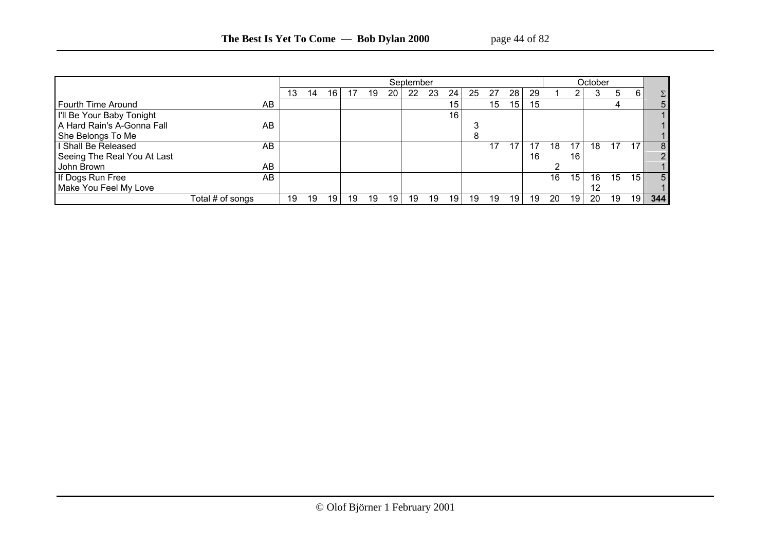|                             |                  |    |    |     |    |    |    | September |    |    |    |    |    |    |    |    | October |    |    |                |
|-----------------------------|------------------|----|----|-----|----|----|----|-----------|----|----|----|----|----|----|----|----|---------|----|----|----------------|
|                             |                  | 13 | 14 | 16. | 17 | 19 | 20 | 22        | 23 | 24 | 25 | 27 | 28 | 29 |    |    |         | 5  | 6  | $\Sigma$ .     |
| Fourth Time Around          | AB               |    |    |     |    |    |    |           |    | 15 |    | 15 | 15 | 15 |    |    |         | 4  |    | 5.             |
| I'll Be Your Baby Tonight   |                  |    |    |     |    |    |    |           |    | 16 |    |    |    |    |    |    |         |    |    |                |
| A Hard Rain's A-Gonna Fall  | AB               |    |    |     |    |    |    |           |    |    |    |    |    |    |    |    |         |    |    |                |
| She Belongs To Me           |                  |    |    |     |    |    |    |           |    |    |    |    |    |    |    |    |         |    |    |                |
| I Shall Be Released         | AB               |    |    |     |    |    |    |           |    |    |    | 17 | 17 |    | 18 | 17 | 18      | 17 | 17 | 8 <sup>1</sup> |
| Seeing The Real You At Last |                  |    |    |     |    |    |    |           |    |    |    |    |    | 16 |    | 16 |         |    |    | າ              |
| John Brown                  | AB               |    |    |     |    |    |    |           |    |    |    |    |    |    |    |    |         |    |    |                |
| If Dogs Run Free            | AB               |    |    |     |    |    |    |           |    |    |    |    |    |    | 16 | 15 | 16      | 15 | 15 | 5 I            |
| Make You Feel My Love       |                  |    |    |     |    |    |    |           |    |    |    |    |    |    |    |    |         |    |    |                |
|                             | Total # of songs | 19 | 19 | 19  | 19 | 19 | 19 | 19        | 19 | 19 | 19 | 19 | 19 | 19 | 20 | 19 | 20      | 19 | 19 | 344            |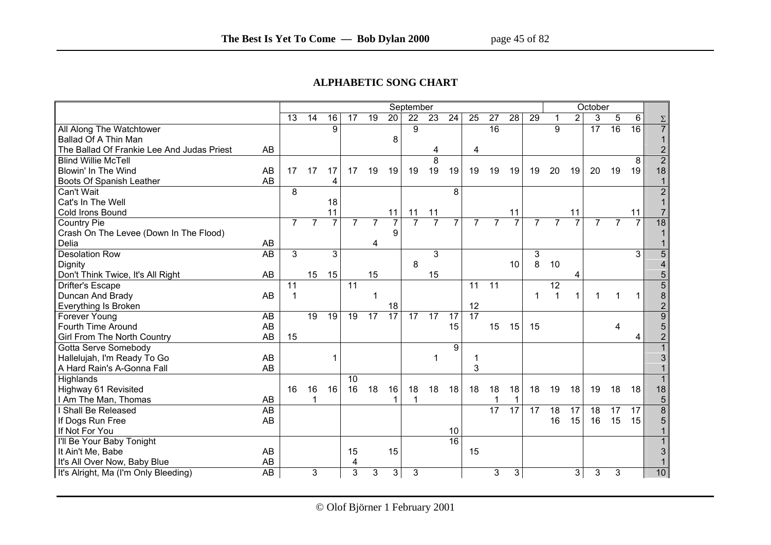#### **ALPHABETIC SONG CHART**

|                                            |                 |                |                |                 |                 |                 |                 | September       |                 |                 |                |                 |                 |                |                |                | October         |                |                 |                 |
|--------------------------------------------|-----------------|----------------|----------------|-----------------|-----------------|-----------------|-----------------|-----------------|-----------------|-----------------|----------------|-----------------|-----------------|----------------|----------------|----------------|-----------------|----------------|-----------------|-----------------|
|                                            |                 | 13             | 14             | 16              | 17              | 19              | 20              | 22              | 23              | 24              | 25             | 27              | $\overline{28}$ | 29             | 1              | $\overline{2}$ | 3               | 5              | 6               | $\Sigma$        |
| All Along The Watchtower                   |                 |                |                | 9               |                 |                 |                 | 9               |                 |                 |                | 16              |                 |                | 9              |                | $\overline{17}$ | 16             | $\overline{16}$ | $\overline{7}$  |
| Ballad Of A Thin Man                       |                 |                |                |                 |                 |                 | 8               |                 |                 |                 |                |                 |                 |                |                |                |                 |                |                 |                 |
| The Ballad Of Frankie Lee And Judas Priest | AB              |                |                |                 |                 |                 |                 |                 | 4               |                 | 4              |                 |                 |                |                |                |                 |                |                 | $\overline{2}$  |
| <b>Blind Willie McTell</b>                 |                 |                |                |                 |                 |                 |                 |                 | 8               |                 |                |                 |                 |                |                |                |                 |                | 8               | $\overline{2}$  |
| Blowin' In The Wind                        | AB              | 17             | 17             | 17              | 17              | 19              | 19              | 19              | 19              | 19              | 19             | 19              | 19              | 19             | 20             | 19             | 20              | 19             | 19              | 18              |
| Boots Of Spanish Leather                   | AB              |                |                | 4               |                 |                 |                 |                 |                 |                 |                |                 |                 |                |                |                |                 |                |                 |                 |
| Can't Wait                                 |                 | 8              |                |                 |                 |                 |                 |                 |                 | 8               |                |                 |                 |                |                |                |                 |                |                 | $\overline{2}$  |
| Cat's In The Well                          |                 |                |                | 18              |                 |                 |                 |                 |                 |                 |                |                 |                 |                |                |                |                 |                |                 |                 |
| Cold Irons Bound                           |                 |                |                | 11              |                 |                 | 11              | 11              | 11              |                 |                |                 | 11              |                |                | 11             |                 |                | 11              | $\overline{7}$  |
| <b>Country Pie</b>                         |                 | $\overline{7}$ | $\overline{7}$ | $\overline{7}$  | $\overline{7}$  | $\overline{7}$  | $\overline{7}$  | $\overline{7}$  | $\overline{7}$  | 7               | $\overline{7}$ | $\overline{7}$  | $\overline{7}$  | $\overline{7}$ | $\overline{7}$ | $\overline{7}$ | $\overline{7}$  | $\overline{7}$ | $\overline{7}$  | $\overline{18}$ |
| Crash On The Levee (Down In The Flood)     |                 |                |                |                 |                 |                 | 9               |                 |                 |                 |                |                 |                 |                |                |                |                 |                |                 |                 |
| Delia                                      | AB              |                |                |                 |                 | 4               |                 |                 |                 |                 |                |                 |                 |                |                |                |                 |                |                 |                 |
| <b>Desolation Row</b>                      | <b>AB</b>       | 3              |                | 3               |                 |                 |                 |                 | 3               |                 |                |                 |                 | 3              |                |                |                 |                | 3               | $\overline{5}$  |
| Dignity                                    |                 |                |                |                 |                 |                 |                 | 8               |                 |                 |                |                 | 10              | 8              | 10             |                |                 |                |                 | 4               |
| Don't Think Twice, It's All Right          | AB              |                | 15             | 15              |                 | 15              |                 |                 | 15              |                 |                |                 |                 |                |                | 4              |                 |                |                 | 5               |
| Drifter's Escape                           |                 | 11             |                |                 | 11              |                 |                 |                 |                 |                 | 11             | $\overline{11}$ |                 |                | 12             |                |                 |                |                 | $\overline{5}$  |
| Duncan And Brady                           | AB              |                |                |                 |                 |                 |                 |                 |                 |                 |                |                 |                 | 1              |                | 1              |                 |                | 1               | $\bf 8$         |
| Everything Is Broken                       |                 |                |                |                 |                 |                 | 18              |                 |                 |                 | 12             |                 |                 |                |                |                |                 |                |                 | $\overline{2}$  |
| Forever Young                              | $\overline{AB}$ |                | 19             | $\overline{19}$ | $\overline{19}$ | $\overline{17}$ | $\overline{17}$ | $\overline{17}$ | $\overline{17}$ | $\overline{17}$ | 17             |                 |                 |                |                |                |                 |                |                 | $\overline{9}$  |
| Fourth Time Around                         | AB              |                |                |                 |                 |                 |                 |                 |                 | 15              |                | 15              | 15              | 15             |                |                |                 | 4              |                 | 5               |
| <b>Girl From The North Country</b>         | AB              | 15             |                |                 |                 |                 |                 |                 |                 |                 |                |                 |                 |                |                |                |                 |                | 4               | $\overline{2}$  |
| Gotta Serve Somebody                       |                 |                |                |                 |                 |                 |                 |                 |                 | 9               |                |                 |                 |                |                |                |                 |                |                 |                 |
| Hallelujah, I'm Ready To Go                | AB              |                |                |                 |                 |                 |                 |                 | 1               |                 |                |                 |                 |                |                |                |                 |                |                 | 3               |
| A Hard Rain's A-Gonna Fall                 | AB              |                |                |                 |                 |                 |                 |                 |                 |                 | 3              |                 |                 |                |                |                |                 |                |                 |                 |
| Highlands                                  |                 |                |                |                 | 10              |                 |                 |                 |                 |                 |                |                 |                 |                |                |                |                 |                |                 |                 |
| Highway 61 Revisited                       |                 | 16             | 16             | 16              | 16              | 18              | 16              | 18              | 18              | 18              | 18             | 18              | 18              | 18             | 19             | 18             | 19              | 18             | 18              | 18              |
| I Am The Man, Thomas                       | AB              |                |                |                 |                 |                 |                 |                 |                 |                 |                |                 | 1               |                |                |                |                 |                |                 | $\overline{5}$  |
| I Shall Be Released                        | $\overline{AB}$ |                |                |                 |                 |                 |                 |                 |                 |                 |                | $\overline{17}$ | $\overline{17}$ | 17             | 18             | 17             | 18              | 17             | 17              | $\overline{8}$  |
| If Dogs Run Free                           | AB              |                |                |                 |                 |                 |                 |                 |                 |                 |                |                 |                 |                | 16             | 15             | 16              | 15             | 15              | 5               |
| If Not For You                             |                 |                |                |                 |                 |                 |                 |                 |                 | 10              |                |                 |                 |                |                |                |                 |                |                 |                 |
| I'll Be Your Baby Tonight                  |                 |                |                |                 |                 |                 |                 |                 |                 | $\overline{16}$ |                |                 |                 |                |                |                |                 |                |                 |                 |
| It Ain't Me, Babe                          | AB              |                |                |                 | 15              |                 | 15              |                 |                 |                 | 15             |                 |                 |                |                |                |                 |                |                 | 3               |
| It's All Over Now, Baby Blue               | AB              |                |                |                 | 4               |                 |                 |                 |                 |                 |                |                 |                 |                |                |                |                 |                |                 |                 |
| It's Alright, Ma (I'm Only Bleeding)       | $\overline{AB}$ |                | 3              |                 | 3               | 3               | $\mathbf{3}$    | 3               |                 |                 |                | 3               | 3 <sup>1</sup>  |                |                | 3              | 3               | 3              |                 | 10              |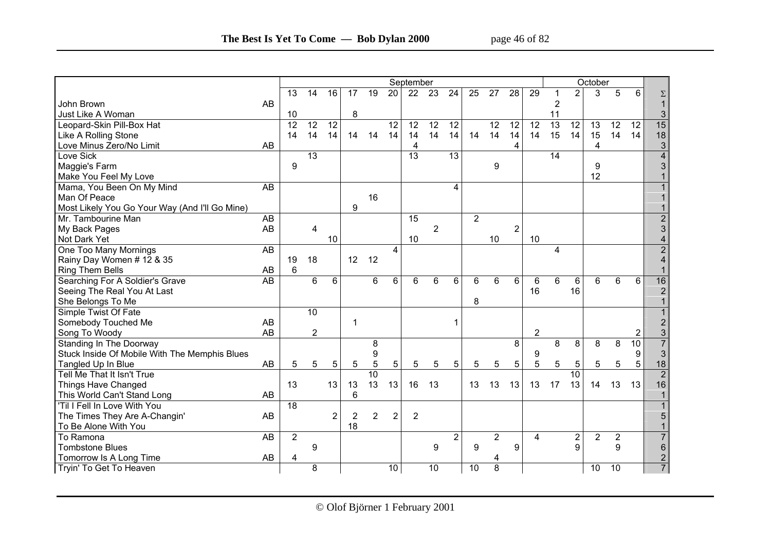|                                                |                 |                 |                         |                 |    |                 |                 | September       |                 |                         |                 |                 |                 |                 |                 |                         | October |                |                |                         |
|------------------------------------------------|-----------------|-----------------|-------------------------|-----------------|----|-----------------|-----------------|-----------------|-----------------|-------------------------|-----------------|-----------------|-----------------|-----------------|-----------------|-------------------------|---------|----------------|----------------|-------------------------|
|                                                |                 | $\overline{13}$ | $\overline{14}$         | $\overline{16}$ | 17 | $\overline{19}$ | $\overline{20}$ | $\overline{22}$ | $\overline{23}$ | $\overline{24}$         | $\overline{25}$ | $\overline{27}$ | $\overline{28}$ | 29              |                 | $\overline{2}$          | 3       | $\overline{5}$ | 6              | Σ                       |
| John Brown                                     | AB              |                 |                         |                 |    |                 |                 |                 |                 |                         |                 |                 |                 |                 | 2               |                         |         |                |                |                         |
| Just Like A Woman                              |                 | 10              |                         |                 | 8  |                 |                 |                 |                 |                         |                 |                 |                 |                 | 11              |                         |         |                |                | $\mathfrak{S}$          |
| Leopard-Skin Pill-Box Hat                      |                 | 12              | $\overline{12}$         | 12              |    |                 | $\overline{12}$ | 12              | 12              | $\overline{12}$         |                 | 12              | 12              | $\overline{12}$ | $\overline{13}$ | $\overline{12}$         | 13      | 12             | 12             | 15                      |
| Like A Rolling Stone                           |                 | 14              | 14                      | 14              | 14 | 14              | 14              | 14              | 14              | 14                      | 14              | 14              | 14              | 14              | 15              | 14                      | 15      | 14             | 14             | 18                      |
| Love Minus Zero/No Limit                       | AB              |                 |                         |                 |    |                 |                 | 4               |                 |                         |                 |                 | 4               |                 |                 |                         | 4       |                |                | $\sqrt{3}$              |
| Love Sick                                      |                 |                 | $\overline{13}$         |                 |    |                 |                 | $\overline{13}$ |                 | $\overline{13}$         |                 |                 |                 |                 | 14              |                         |         |                |                |                         |
| Maggie's Farm                                  |                 | 9               |                         |                 |    |                 |                 |                 |                 |                         |                 | 9               |                 |                 |                 |                         | 9       |                |                | 3                       |
| Make You Feel My Love                          |                 |                 |                         |                 |    |                 |                 |                 |                 |                         |                 |                 |                 |                 |                 |                         | 12      |                |                |                         |
| Mama, You Been On My Mind                      | AB              |                 |                         |                 |    |                 |                 |                 |                 | $\overline{\mathbf{4}}$ |                 |                 |                 |                 |                 |                         |         |                |                |                         |
| Man Of Peace                                   |                 |                 |                         |                 |    | 16              |                 |                 |                 |                         |                 |                 |                 |                 |                 |                         |         |                |                |                         |
| Most Likely You Go Your Way (And I'll Go Mine) |                 |                 |                         |                 | 9  |                 |                 |                 |                 |                         |                 |                 |                 |                 |                 |                         |         |                |                |                         |
| Mr. Tambourine Man                             | AB              |                 |                         |                 |    |                 |                 | 15              |                 |                         | $\overline{2}$  |                 |                 |                 |                 |                         |         |                |                |                         |
| My Back Pages                                  | AB              |                 | $\overline{\mathbf{4}}$ |                 |    |                 |                 |                 | $\overline{2}$  |                         |                 |                 | $\overline{c}$  |                 |                 |                         |         |                |                | 3                       |
| Not Dark Yet                                   |                 |                 |                         | 10              |    |                 |                 | 10              |                 |                         |                 | 10              |                 | 10              |                 |                         |         |                |                | 4                       |
| One Too Many Mornings                          | AB              |                 |                         |                 |    |                 | 4               |                 |                 |                         |                 |                 |                 |                 | 4               |                         |         |                |                | $\overline{2}$          |
| Rainy Day Women # 12 & 35                      |                 | 19              | 18                      |                 | 12 | 12              |                 |                 |                 |                         |                 |                 |                 |                 |                 |                         |         |                |                | 4                       |
| <b>Ring Them Bells</b>                         | AB              | 6               |                         |                 |    |                 |                 |                 |                 |                         |                 |                 |                 |                 |                 |                         |         |                |                |                         |
| Searching For A Soldier's Grave                | $\overline{AB}$ |                 | $6\phantom{1}$          | 6               |    | 6               | $6\phantom{1}$  | 6               | $\,6\,$         | $\,6$                   | 6               | 6               | 6               | 6               | 6               | 6                       | 6       | 6              | 6              | 16                      |
| Seeing The Real You At Last                    |                 |                 |                         |                 |    |                 |                 |                 |                 |                         |                 |                 |                 | 16              |                 | 16                      |         |                |                | $\overline{2}$          |
| She Belongs To Me                              |                 |                 |                         |                 |    |                 |                 |                 |                 |                         | 8               |                 |                 |                 |                 |                         |         |                |                |                         |
| Simple Twist Of Fate                           |                 |                 | 10                      |                 |    |                 |                 |                 |                 |                         |                 |                 |                 |                 |                 |                         |         |                |                |                         |
| Somebody Touched Me                            | AB              |                 |                         |                 | 1  |                 |                 |                 |                 | -1                      |                 |                 |                 |                 |                 |                         |         |                |                | $\overline{2}$          |
| Song To Woody                                  | AB              |                 | $\overline{2}$          |                 |    |                 |                 |                 |                 |                         |                 |                 |                 | $\overline{2}$  |                 |                         |         |                | $\overline{2}$ | $\mathfrak{S}$          |
| Standing In The Doorway                        |                 |                 |                         |                 |    | 8               |                 |                 |                 |                         |                 |                 | 8               |                 | 8               | 8                       | 8       | 8              | 10             | $\overline{7}$          |
| Stuck Inside Of Mobile With The Memphis Blues  |                 |                 |                         |                 |    | 9               |                 |                 |                 |                         |                 |                 |                 | 9               |                 |                         |         |                | 9              | $\mathbf{3}$            |
| Tangled Up In Blue                             | AB              | 5               | 5                       | 5               | 5  | 5               | 5               | 5               | 5               | 5                       | 5               | 5               | 5               | 5               | 5               | 5                       | 5       | 5              | 5              | 18                      |
| Tell Me That It Isn't True                     |                 |                 |                         |                 |    | $\overline{10}$ |                 |                 |                 |                         |                 |                 |                 |                 |                 | 10                      |         |                |                | $\overline{2}$          |
| Things Have Changed                            |                 | 13              |                         | 13              | 13 | 13              | 13              | 16              | 13              |                         | 13              | 13              | 13              | 13              | 17              | 13                      | 14      | 13             | 13             | 16                      |
| This World Can't Stand Long                    | AB              |                 |                         |                 | 6  |                 |                 |                 |                 |                         |                 |                 |                 |                 |                 |                         |         |                |                | $\blacktriangleright$   |
| 'Til I Fell In Love With You                   |                 | 18              |                         |                 |    |                 |                 |                 |                 |                         |                 |                 |                 |                 |                 |                         |         |                |                |                         |
| The Times They Are A-Changin'                  | AB              |                 |                         | $\overline{2}$  | 2  | 2               | $\overline{2}$  | $\overline{2}$  |                 |                         |                 |                 |                 |                 |                 |                         |         |                |                |                         |
| To Be Alone With You                           |                 |                 |                         |                 | 18 |                 |                 |                 |                 |                         |                 |                 |                 |                 |                 |                         |         |                |                |                         |
| To Ramona                                      | AB              | $\overline{2}$  |                         |                 |    |                 |                 |                 |                 | $\overline{2}$          |                 | $\overline{2}$  |                 | 4               |                 | $\overline{\mathbf{c}}$ | 2       | $\overline{2}$ |                | $\overline{7}$          |
| <b>Tombstone Blues</b>                         |                 |                 | 9                       |                 |    |                 |                 |                 | 9               |                         | 9               |                 | 9               |                 |                 | 9                       |         | 9              |                | 6                       |
| Tomorrow Is A Long Time                        | AB              | 4               |                         |                 |    |                 |                 |                 |                 |                         |                 | 4               |                 |                 |                 |                         |         |                |                | $\overline{\mathbf{c}}$ |
| Tryin' To Get To Heaven                        |                 |                 | 8                       |                 |    |                 | 10              |                 | 10              |                         | 10              | 8               |                 |                 |                 |                         | 10      | 10             |                | $\overline{7}$          |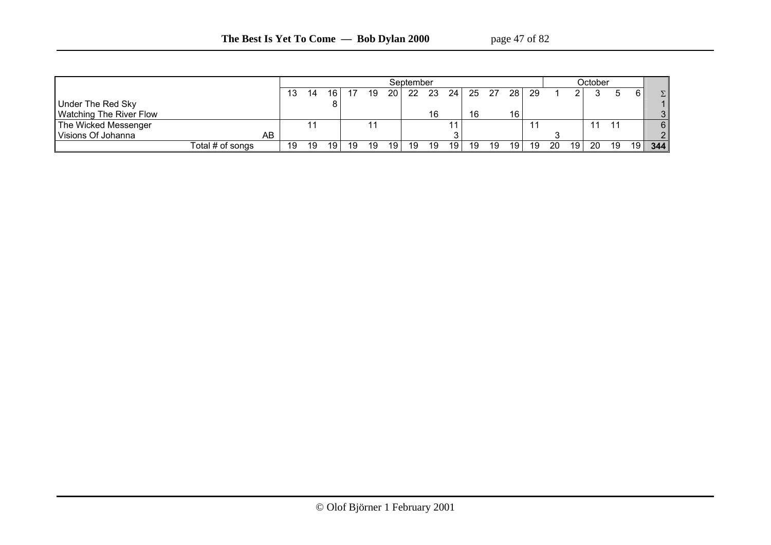|                                |                   |    |    |                 |    |    |                 | September |      |      |    |     |                 |     |    |    | October |                 |    |               |
|--------------------------------|-------------------|----|----|-----------------|----|----|-----------------|-----------|------|------|----|-----|-----------------|-----|----|----|---------|-----------------|----|---------------|
|                                |                   | 13 | 14 | 16 I            |    | 19 | 20 <sub>1</sub> | -22       | - 23 | 24 I | 25 | -27 | 28 <sub>1</sub> | -29 |    |    |         |                 |    | Σ             |
| Under The Red Sky              |                   |    |    |                 |    |    |                 |           |      |      |    |     |                 |     |    |    |         |                 |    |               |
| <b>Watching The River Flow</b> |                   |    |    |                 |    |    |                 |           | 16   |      | 16 |     | 16              |     |    |    |         |                 |    | 3             |
| The Wicked Messenger           |                   |    |    |                 |    |    |                 |           |      |      |    |     |                 |     |    |    | 11      | $\overline{44}$ |    | 6             |
| Visions Of Johanna             | AB                |    |    |                 |    |    |                 |           |      |      |    |     |                 |     |    |    |         |                 |    | $\mathcal{P}$ |
|                                | Total # of songs_ | 19 | 19 | 19 <sup>1</sup> | 19 | 19 | 19 <sub>1</sub> | 19        | 19   | 19   | 19 | 19  | 19              | 19  | 20 | 19 | -20     | 19              | 19 | 344           |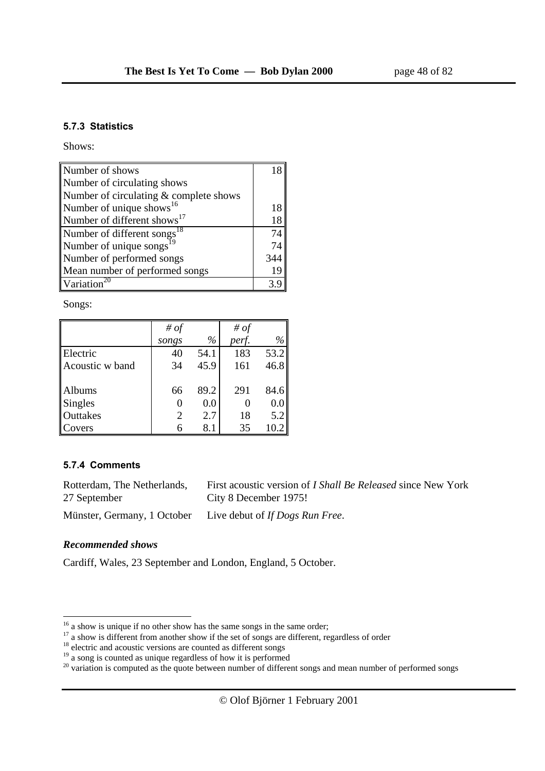#### **5.7.3 Statistics**

Shows:

| Number of shows                         |     |
|-----------------------------------------|-----|
| Number of circulating shows             |     |
| Number of circulating & complete shows  |     |
| Number of unique shows <sup>16</sup>    |     |
| Number of different shows <sup>17</sup> | 18  |
| Number of different songs <sup>18</sup> | 74  |
| Number of unique songs <sup>1</sup>     | 74  |
| Number of performed songs               | 344 |
| Mean number of performed songs          | 19  |
| Variation <sup>20</sup>                 |     |

Songs:

|                 | # of  |      | # $of$ |      |
|-----------------|-------|------|--------|------|
|                 | songs | $\%$ | perf.  | $\%$ |
| Electric        | 40    | 54.1 | 183    | 53.2 |
| Acoustic w band | 34    | 45.9 | 161    | 46.8 |
|                 |       |      |        |      |
| Albums          | 66    | 89.2 | 291    | 84.6 |
| Singles         | 0     | 0.0  |        | 0.0  |
| Outtakes        | 2     | 2.7  | 18     | 5.2  |
| Covers          |       | 8.1  | 35     | 10.2 |

#### **5.7.4 Comments**

| Rotterdam, The Netherlands, | First acoustic version of <i>I Shall Be Released</i> since New York |
|-----------------------------|---------------------------------------------------------------------|
| 27 September                | City 8 December 1975!                                               |
|                             | Münster, Germany, 1 October Live debut of If Dogs Run Free.         |

#### *Recommended shows*

Cardiff, Wales, 23 September and London, England, 5 October.

 $16$  a show is unique if no other show has the same songs in the same order;

<sup>&</sup>lt;sup>17</sup> a show is different from another show if the set of songs are different, regardless of order  $^{18}$  electric and acoustic versions are counted as different songs

<sup>&</sup>lt;sup>19</sup> a song is counted as unique regardless of how it is performed

 $20$  variation is computed as the quote between number of different songs and mean number of performed songs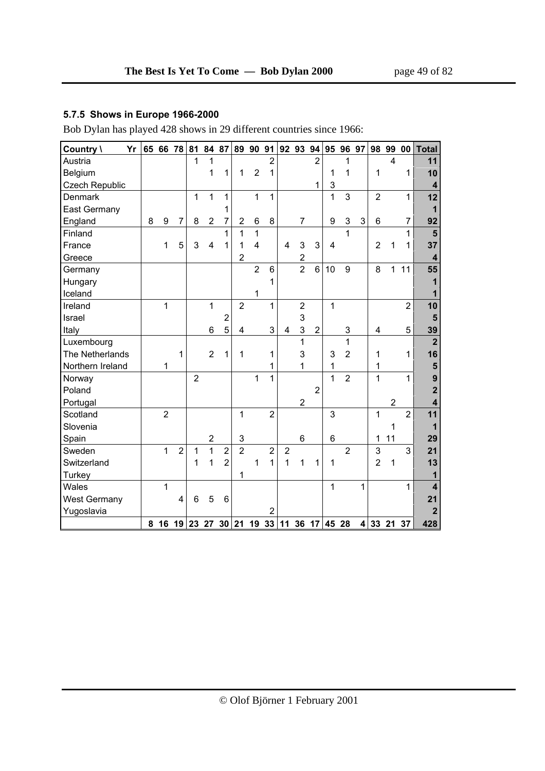### **5.7.5 Shows in Europe 1966-2000**

Bob Dylan has played 428 shows in 29 different countries since 1966:

| Yr<br>Country \       |   | 65 66 78                                 |                | 81             | 84 87                   |                |                | 89 90 91       |                |                         | 92 93 94         |                | 95             | 96 97          |   | 98             | 99             | 00             | <b>Total</b>            |
|-----------------------|---|------------------------------------------|----------------|----------------|-------------------------|----------------|----------------|----------------|----------------|-------------------------|------------------|----------------|----------------|----------------|---|----------------|----------------|----------------|-------------------------|
| Austria               |   |                                          |                | 1              | 1                       |                |                |                | $\overline{2}$ |                         |                  | $\overline{2}$ |                | 1              |   |                | $\overline{4}$ |                | 11                      |
| Belgium               |   |                                          |                |                | 1                       | 1              | 1              | $\overline{2}$ | 1              |                         |                  |                | 1              | 1              |   | 1              |                | 1              | 10                      |
| <b>Czech Republic</b> |   |                                          |                |                |                         |                |                |                |                |                         |                  | $\mathbf 1$    | 3              |                |   |                |                |                | $\boldsymbol{4}$        |
| Denmark               |   |                                          |                | 1              | 1                       | 1              |                | 1              | $\mathbf{1}$   |                         |                  |                | 1              | 3              |   | $\overline{2}$ |                | 1              | 12                      |
| <b>East Germany</b>   |   |                                          |                |                |                         | 1              |                |                |                |                         |                  |                |                |                |   |                |                |                | $\mathbf{1}$            |
| England               | 8 | 9                                        | $\overline{7}$ | 8              | $\overline{2}$          | 7              | $\overline{2}$ | 6              | 8              |                         | $\overline{7}$   |                | 9              | 3              | 3 | 6              |                | $\overline{7}$ | 92                      |
| Finland               |   |                                          |                |                |                         | 1              | 1              | 1              |                |                         |                  |                |                | 1              |   |                |                | 1              | $5\phantom{1}$          |
| France                |   | 1                                        | 5              | 3              | 4                       | 1              | 1              | $\overline{4}$ |                | $\overline{\mathbf{4}}$ | $\mathbf{3}$     | 3              | $\overline{4}$ |                |   | $\overline{2}$ | 1              | $\mathbf{1}$   | 37                      |
| Greece                |   |                                          |                |                |                         |                | $\overline{2}$ |                |                |                         | $\boldsymbol{2}$ |                |                |                |   |                |                |                | $\overline{\mathbf{4}}$ |
| Germany               |   |                                          |                |                |                         |                |                | $\overline{2}$ | 6              |                         | $\overline{2}$   | 6              | 10             | 9              |   | 8              | 1              | 11             | 55                      |
| Hungary               |   |                                          |                |                |                         |                |                |                | 1              |                         |                  |                |                |                |   |                |                |                | 1                       |
| Iceland               |   |                                          |                |                |                         |                |                | 1              |                |                         |                  |                |                |                |   |                |                |                | 1                       |
| Ireland               |   | 1                                        |                |                | $\mathbf{1}$            |                | $\overline{2}$ |                | 1              |                         | $\overline{2}$   |                | 1              |                |   |                |                | $\overline{2}$ | 10                      |
| Israel                |   |                                          |                |                |                         | $\overline{c}$ |                |                |                |                         | 3                |                |                |                |   |                |                |                | $5\phantom{1}$          |
| Italy                 |   |                                          |                |                | 6                       | 5              | 4              |                | 3              | 4                       | $\mathbf{3}$     | $\sqrt{2}$     |                | 3              |   | 4              |                | 5              | 39                      |
| Luxembourg            |   |                                          |                |                |                         |                |                |                |                |                         | 1                |                |                | 1              |   |                |                |                | $\overline{2}$          |
| The Netherlands       |   |                                          | 1              |                | $\overline{2}$          | 1              | 1              |                | 1              |                         | 3                |                | 3              | $\overline{2}$ |   | 1              |                | 1              | 16                      |
| Northern Ireland      |   | 1                                        |                |                |                         |                |                |                | 1              |                         | 1                |                | 1              |                |   | 1              |                |                | ${\bf 5}$               |
| Norway                |   |                                          |                | $\overline{2}$ |                         |                |                | 1              | 1              |                         |                  |                | 1              | $\overline{2}$ |   | 1              |                | $\mathbf{1}$   | $\overline{9}$          |
| Poland                |   |                                          |                |                |                         |                |                |                |                |                         |                  | $\overline{2}$ |                |                |   |                |                |                | $\overline{\mathbf{2}}$ |
| Portugal              |   |                                          |                |                |                         |                |                |                |                |                         | $\overline{2}$   |                |                |                |   |                | $\overline{2}$ |                | 4                       |
| Scotland              |   | $\overline{2}$                           |                |                |                         |                | $\mathbf{1}$   |                | $\overline{2}$ |                         |                  |                | 3              |                |   | $\mathbf{1}$   |                | $\overline{2}$ | 11                      |
| Slovenia              |   |                                          |                |                |                         |                |                |                |                |                         |                  |                |                |                |   |                | $\mathbf{1}$   |                | $\overline{1}$          |
| Spain                 |   |                                          |                |                | $\overline{\mathbf{c}}$ |                | 3              |                |                |                         | $6\phantom{1}$   |                | 6              |                |   | 1              | 11             |                | 29                      |
| Sweden                |   | 1                                        | $\overline{2}$ | 1              | $\mathbf{1}$            | $\overline{2}$ | $\overline{2}$ |                | $\overline{2}$ | $\overline{2}$          |                  |                |                | $\overline{2}$ |   | 3              |                | 3              | 21                      |
| Switzerland           |   |                                          |                | 1              | 1                       | $\overline{2}$ |                | 1              | $\mathbf{1}$   | 1                       | 1                | 1              | 1              |                |   | $\overline{2}$ | $\mathbf{1}$   |                | 13                      |
| Turkey                |   |                                          |                |                |                         |                | 1              |                |                |                         |                  |                |                |                |   |                |                |                | 1                       |
| Wales                 |   | 1                                        |                |                |                         |                |                |                |                |                         |                  |                | 1              |                | 1 |                |                | 1              | $\overline{\mathbf{4}}$ |
| <b>West Germany</b>   |   |                                          | 4              | 6              | 5                       | 6              |                |                |                |                         |                  |                |                |                |   |                |                |                | 21                      |
| Yugoslavia            |   |                                          |                |                |                         |                |                |                | $\overline{2}$ |                         |                  |                |                |                |   |                |                |                | $\mathbf{2}$            |
|                       |   | 8 16 19 23 27 30 21 19 33 11 36 17 45 28 |                |                |                         |                |                |                |                |                         |                  |                |                |                |   | 4 33 21 37     |                |                | 428                     |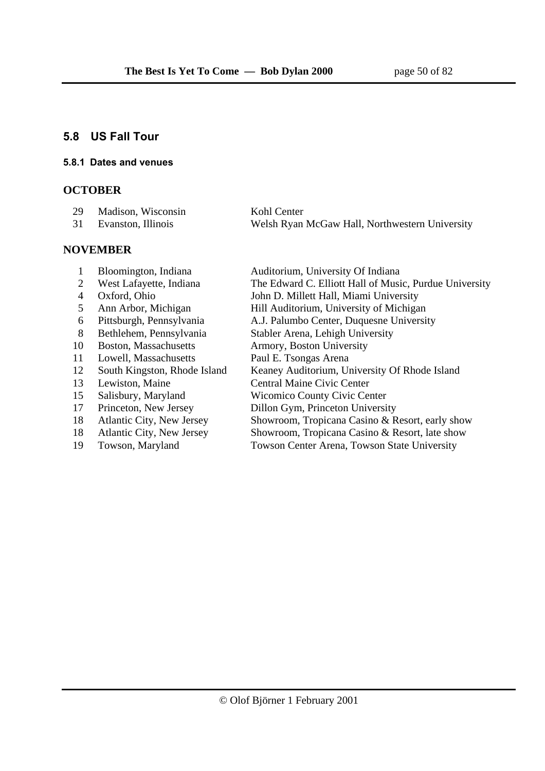### **5.8 US Fall Tour**

#### **5.8.1 Dates and venues**

### **OCTOBER**

| 29 Madison, Wisconsin | Kohl Center                                    |
|-----------------------|------------------------------------------------|
| 31 Evanston, Illinois | Welsh Ryan McGaw Hall, Northwestern University |

### **NOVEMBER**

- 
- 
- 
- 
- 
- 
- 
- 11 Lowell, Massachusetts Paul E. Tsongas Arena
- 
- 
- 
- 
- 
- 
- 

- 1 Bloomington, Indiana Auditorium, University Of Indiana
- 2 West Lafayette, Indiana The Edward C. Elliott Hall of Music, Purdue University
- 4 Oxford, Ohio John D. Millett Hall, Miami University
- 5 Ann Arbor, Michigan Hill Auditorium, University of Michigan<br>6 Pittsburgh, Pennsylvania A.J. Palumbo Center, Duquesne Universi
- 6 Pittsburgh, Pennsylvania A.J. Palumbo Center, Duquesne University
- 8 Bethlehem, Pennsylvania Stabler Arena, Lehigh University
- 10 Boston, Massachusetts Armory, Boston University
	-
- 12 South Kingston, Rhode Island Keaney Auditorium, University Of Rhode Island
	-
- 13 Lewiston, Maine Central Maine Civic Center<br>15 Salisbury, Maryland Wicomico County Civic Center 15 Salisbury, Maryland Wicomico County Civic Center<br>17 Princeton, New Jersey Dillon Gym, Princeton Universi
	-
- 17 Princeton, New Jersey Dillon Gym, Princeton University<br>
18 Atlantic City, New Jersey Showroom, Tropicana Casino & R 18 Atlantic City, New Jersey Showroom, Tropicana Casino & Resort, early show
- 18 Atlantic City, New Jersey Showroom, Tropicana Casino & Resort, late show
- 19 Towson, Maryland Towson Center Arena, Towson State University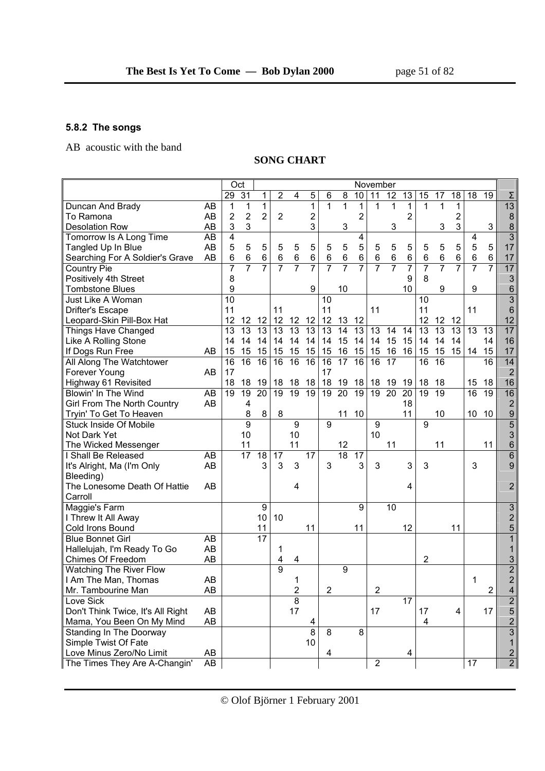# **5.8.2 The songs**

AB acoustic with the band

### **SONG CHART**

|                                   |    |                 | Oct                     |                 |                 |                  |                 |                 |                 |                 | November         |                 |                 |                 |                 |                         |                 |                  |                         |
|-----------------------------------|----|-----------------|-------------------------|-----------------|-----------------|------------------|-----------------|-----------------|-----------------|-----------------|------------------|-----------------|-----------------|-----------------|-----------------|-------------------------|-----------------|------------------|-------------------------|
|                                   |    | 29              | 31                      | 1               | $\overline{2}$  | 4                | 5               | 6               | 8               | 10              | 11               | 12              | 13              | 15              | 17              | 18                      | 18              | 19               | Σ                       |
| Duncan And Brady                  | AB | 1               | 1                       | $\mathbf{1}$    |                 |                  | $\mathbf{1}$    | 1               | $\mathbf{1}$    | 1               | 1                | $\mathbf 1$     | $\mathbf{1}$    | 1               | $\mathbf 1$     | 1                       |                 |                  | 13                      |
| To Ramona                         | AB | 2               | $\overline{2}$          | $\overline{2}$  | $\overline{2}$  |                  | $\overline{2}$  |                 |                 | $\overline{2}$  |                  |                 | $\overline{2}$  |                 |                 | $\overline{\mathbf{c}}$ |                 |                  | $\boldsymbol{8}$        |
| <b>Desolation Row</b>             | AB | 3               | 3                       |                 |                 |                  | 3               |                 | 3               |                 |                  | 3               |                 |                 | 3               | 3                       |                 | 3                | $\bf 8$                 |
| Tomorrow Is A Long Time           | AB | 4               |                         |                 |                 |                  |                 |                 |                 | 4               |                  |                 |                 |                 |                 |                         | 4               |                  | $\overline{3}$          |
| Tangled Up In Blue                | AB | 5               | 5                       | 5               | 5               | 5                | 5               | 5               | 5               | 5               | 5                | 5               | 5               | 5               | 5               | 5                       | 5               | 5                | 17                      |
| Searching For A Soldier's Grave   | AB | 6               | $6\phantom{1}$          | 6               | $\,6$           | $\,6$            | 6               | $6\phantom{1}6$ | 6               | 6               | $\,6$            | $\,6\,$         | $\,6$           | $\,6$           | $\,6$           | 6                       | $\,6$           | 6                | 17                      |
| <b>Country Pie</b>                |    | 7               | 7                       | $\overline{7}$  | $\overline{7}$  | $\overline{7}$   | $\overline{7}$  | 7               | $\overline{7}$  | $\overline{7}$  | $\overline{7}$   | $\overline{7}$  | 7               | $\overline{7}$  | 7               | 7                       | $\overline{7}$  | $\overline{7}$   | $\overline{17}$         |
| Positively 4th Street             |    | 8               |                         |                 |                 |                  |                 |                 |                 |                 |                  |                 | 9               | 8               |                 |                         |                 |                  | 3                       |
| <b>Tombstone Blues</b>            |    | 9               |                         |                 |                 |                  | 9               |                 | 10              |                 |                  |                 | 10              |                 | 9               |                         | 9               |                  | $6\phantom{1}6$         |
| <b>Just Like A Woman</b>          |    | $\overline{10}$ |                         |                 |                 |                  |                 | 10              |                 |                 |                  |                 |                 | 10              |                 |                         |                 |                  | $\overline{3}$          |
| <b>Drifter's Escape</b>           |    | 11              |                         |                 | 11              |                  |                 | 11              |                 |                 | 11               |                 |                 | 11              |                 |                         | 11              |                  | $6\phantom{1}$          |
| Leopard-Skin Pill-Box Hat         |    | 12              | 12                      | 12              | 12              | 12               | 12              | 12              | 13              | 12              |                  |                 |                 | 12              | 12              | 12                      |                 |                  | 12                      |
| <b>Things Have Changed</b>        |    | $\overline{13}$ | $\overline{13}$         | $\overline{13}$ | $\overline{13}$ | 13               | $\overline{13}$ | 13              | $\overline{14}$ | $\overline{13}$ | $\overline{13}$  | 14              | $\overline{14}$ | $\overline{13}$ | $\overline{13}$ | $\overline{13}$         | $\overline{13}$ | $\overline{13}$  | $\overline{17}$         |
| Like A Rolling Stone              |    | 14              | 14                      | 14              | 14              | 14               | 14              | 14              | 15              | 14              | 14               | 15              | 15              | 14              | 14              | 14                      |                 | 14               | 16                      |
| If Dogs Run Free                  | AB | 15              | 15                      | 15              | 15              | 15               | 15              | 15              | 16              | 15              | 15               | 16              | 16              | 15              | 15              | 15                      | 14              | 15               | 17                      |
| All Along The Watchtower          |    | $\overline{16}$ | 16                      | 16              | $\overline{16}$ | 16               | 16              | 16              | $\overline{17}$ | 16              | $\overline{16}$  | $\overline{17}$ |                 | $\overline{16}$ | $\overline{16}$ |                         |                 | $\overline{16}$  | 14                      |
| Forever Young                     | AB | 17              |                         |                 |                 |                  |                 | 17              |                 |                 |                  |                 |                 |                 |                 |                         |                 |                  | $\overline{2}$          |
| Highway 61 Revisited              |    | 18              | 18                      | 19              | 18              | 18               | 18              | 18              | 19              | 18              | 18               | 19              | 19              | 18              | 18              |                         | 15              | 18               | 16                      |
| Blowin' In The Wind               | AB | 19              | 19                      | 20              | 19              | 19               | $\overline{19}$ | 19              | 20              | $\overline{19}$ | 19               | 20              | 20              | 19              | 19              |                         | 16              | 19               | 16                      |
| Girl From The North Country       | AB |                 | $\overline{\mathbf{4}}$ |                 |                 |                  |                 |                 |                 |                 |                  |                 | 18              |                 |                 |                         |                 |                  | $\overline{2}$          |
| Tryin' To Get To Heaven           |    |                 | 8                       | 8               | 8               |                  |                 |                 | 11              | 10              |                  |                 | 11              |                 | 10              |                         | 10              | 10               | $\boldsymbol{9}$        |
| <b>Stuck Inside Of Mobile</b>     |    |                 | 9                       |                 |                 | $\boldsymbol{9}$ |                 | 9               |                 |                 | 9                |                 |                 | 9               |                 |                         |                 |                  | $\overline{5}$          |
| Not Dark Yet                      |    |                 | 10                      |                 |                 | 10               |                 |                 |                 |                 | 10               |                 |                 |                 |                 |                         |                 |                  | 3                       |
| The Wicked Messenger              |    |                 | 11                      |                 |                 | 11               |                 |                 | 12              |                 |                  | 11              |                 |                 | 11              |                         |                 | 11               | $6 \overline{}$         |
| I Shall Be Released               | AB |                 | 17                      | 18              | 17              |                  | 17              |                 | $\overline{18}$ | 17              |                  |                 |                 |                 |                 |                         |                 |                  | $\,6$                   |
| It's Alright, Ma (I'm Only        | AB |                 |                         | 3               | 3               | 3                |                 | 3               |                 | 3               | 3                |                 | 3               | 3               |                 |                         | 3               |                  | $\overline{9}$          |
| Bleeding)                         |    |                 |                         |                 |                 |                  |                 |                 |                 |                 |                  |                 |                 |                 |                 |                         |                 |                  |                         |
| The Lonesome Death Of Hattie      | AB |                 |                         |                 |                 | 4                |                 |                 |                 |                 |                  |                 | 4               |                 |                 |                         |                 |                  | $\overline{2}$          |
| Carroll                           |    |                 |                         |                 |                 |                  |                 |                 |                 |                 |                  |                 |                 |                 |                 |                         |                 |                  |                         |
| Maggie's Farm                     |    |                 |                         | 9               |                 |                  |                 |                 |                 | 9               |                  | 10              |                 |                 |                 |                         |                 |                  | $\overline{3}$          |
| I Threw It All Away               |    |                 |                         | 10              | 10              |                  |                 |                 |                 |                 |                  |                 |                 |                 |                 |                         |                 |                  | $\overline{\mathbf{c}}$ |
| Cold Irons Bound                  |    |                 |                         | 11              |                 |                  | 11              |                 |                 | 11              |                  |                 | 12              |                 |                 | 11                      |                 |                  | 5                       |
| <b>Blue Bonnet Girl</b>           | AB |                 |                         | 17              |                 |                  |                 |                 |                 |                 |                  |                 |                 |                 |                 |                         |                 |                  | $\overline{1}$          |
| Hallelujah, I'm Ready To Go       | AB |                 |                         |                 | 1               |                  |                 |                 |                 |                 |                  |                 |                 |                 |                 |                         |                 |                  | 1                       |
| Chimes Of Freedom                 | AB |                 |                         |                 | 4               | 4                |                 |                 |                 |                 |                  |                 |                 | 2               |                 |                         |                 |                  | 3                       |
| <b>Watching The River Flow</b>    |    |                 |                         |                 | 9               |                  |                 |                 | $\overline{9}$  |                 |                  |                 |                 |                 |                 |                         |                 |                  | $\overline{2}$          |
| I Am The Man, Thomas              | AB |                 |                         |                 |                 | 1                |                 |                 |                 |                 |                  |                 |                 |                 |                 |                         | 1               |                  | $\overline{2}$          |
| Mr. Tambourine Man                | AB |                 |                         |                 |                 | $\overline{c}$   |                 | ۷               |                 |                 | ۷                |                 |                 |                 |                 |                         |                 | $\boldsymbol{2}$ | 4                       |
| Love Sick                         |    |                 |                         |                 |                 | $\overline{8}$   |                 |                 |                 |                 |                  |                 | 17              |                 |                 |                         |                 |                  | $\overline{2}$          |
| Don't Think Twice, It's All Right | AB |                 |                         |                 |                 | 17               |                 |                 |                 |                 | 17               |                 |                 | 17              |                 | 4                       |                 | 17               | 5                       |
| Mama, You Been On My Mind         | AB |                 |                         |                 |                 |                  | 4               |                 |                 |                 |                  |                 |                 | 4               |                 |                         |                 |                  | $\overline{2}$          |
| Standing In The Doorway           |    |                 |                         |                 |                 |                  | 8               | 8               |                 | 8               |                  |                 |                 |                 |                 |                         |                 |                  | $\overline{3}$          |
| Simple Twist Of Fate              |    |                 |                         |                 |                 |                  | 10              |                 |                 |                 |                  |                 |                 |                 |                 |                         |                 |                  | 1                       |
| Love Minus Zero/No Limit          | AB |                 |                         |                 |                 |                  |                 | 4               |                 |                 |                  |                 | 4               |                 |                 |                         |                 |                  | $\overline{2}$          |
| The Times They Are A-Changin'     | AB |                 |                         |                 |                 |                  |                 |                 |                 |                 | $\boldsymbol{2}$ |                 |                 |                 |                 |                         | 17              |                  | $\overline{2}$          |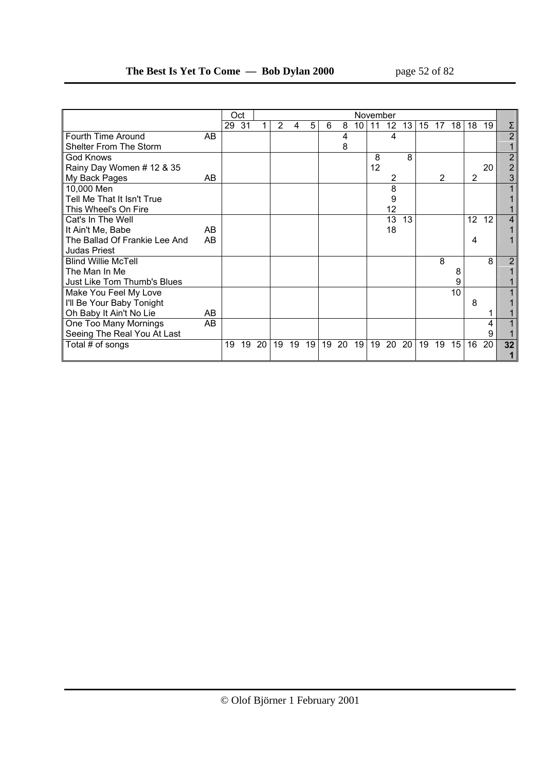|                               |    | Oct   |    |    |    |    |    |    |    |    | November |    |    |    |    |    |    |    |                |
|-------------------------------|----|-------|----|----|----|----|----|----|----|----|----------|----|----|----|----|----|----|----|----------------|
|                               |    | 29 31 |    |    | 2  | 4  | 5  | 6  | 8  | 10 | 11       | 12 | 13 | 15 | 17 | 18 | 18 | 19 |                |
| Fourth Time Around            | AB |       |    |    |    |    |    |    | 4  |    |          | 4  |    |    |    |    |    |    | $\overline{2}$ |
| <b>Shelter From The Storm</b> |    |       |    |    |    |    |    |    | 8  |    |          |    |    |    |    |    |    |    |                |
| <b>God Knows</b>              |    |       |    |    |    |    |    |    |    |    | 8        |    | 8  |    |    |    |    |    |                |
| Rainy Day Women # 12 & 35     |    |       |    |    |    |    |    |    |    |    | 12       |    |    |    |    |    |    | 20 |                |
| My Back Pages                 | AB |       |    |    |    |    |    |    |    |    |          | 2  |    |    | 2  |    | 2  |    |                |
| 10,000 Men                    |    |       |    |    |    |    |    |    |    |    |          | 8  |    |    |    |    |    |    |                |
| Tell Me That It Isn't True    |    |       |    |    |    |    |    |    |    |    |          | 9  |    |    |    |    |    |    |                |
| This Wheel's On Fire          |    |       |    |    |    |    |    |    |    |    |          | 12 |    |    |    |    |    |    |                |
| Cat's In The Well             |    |       |    |    |    |    |    |    |    |    |          | 13 | 13 |    |    |    | 12 | 12 |                |
| It Ain't Me, Babe             | AB |       |    |    |    |    |    |    |    |    |          | 18 |    |    |    |    |    |    |                |
| The Ballad Of Frankie Lee And | AB |       |    |    |    |    |    |    |    |    |          |    |    |    |    |    | 4  |    |                |
| <b>Judas Priest</b>           |    |       |    |    |    |    |    |    |    |    |          |    |    |    |    |    |    |    |                |
| <b>Blind Willie McTell</b>    |    |       |    |    |    |    |    |    |    |    |          |    |    |    | 8  |    |    | 8  |                |
| The Man In Me                 |    |       |    |    |    |    |    |    |    |    |          |    |    |    |    | 8  |    |    |                |
| Just Like Tom Thumb's Blues   |    |       |    |    |    |    |    |    |    |    |          |    |    |    |    | 9  |    |    |                |
| Make You Feel My Love         |    |       |    |    |    |    |    |    |    |    |          |    |    |    |    | 10 |    |    |                |
| I'll Be Your Baby Tonight     |    |       |    |    |    |    |    |    |    |    |          |    |    |    |    |    | 8  |    |                |
| Oh Baby It Ain't No Lie       | AB |       |    |    |    |    |    |    |    |    |          |    |    |    |    |    |    |    |                |
| One Too Many Mornings         | AB |       |    |    |    |    |    |    |    |    |          |    |    |    |    |    |    | 4  |                |
| Seeing The Real You At Last   |    |       |    |    |    |    |    |    |    |    |          |    |    |    |    |    |    | 9  |                |
| Total # of songs              |    | 19    | 19 | 20 | 19 | 19 | 19 | 19 | 20 | 19 | 19       | 20 | 20 | 19 | 19 | 15 | 16 | 20 | 32             |
|                               |    |       |    |    |    |    |    |    |    |    |          |    |    |    |    |    |    |    |                |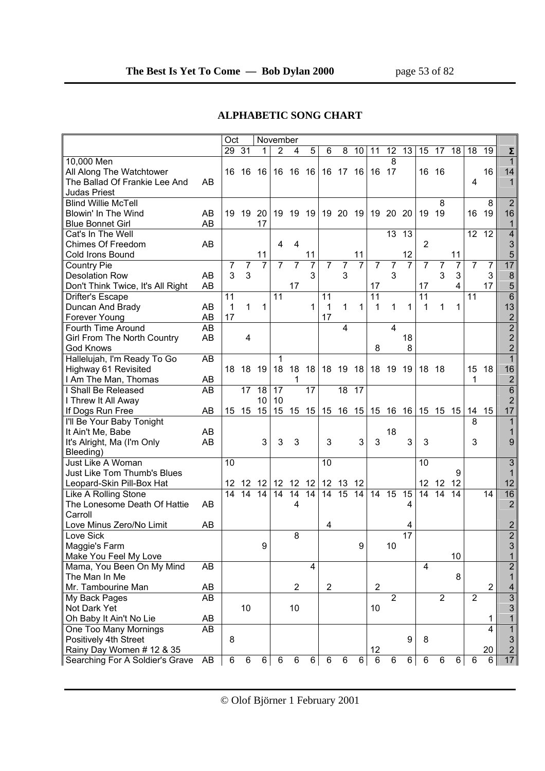### **ALPHABETIC SONG CHART**

|                                                                                           |          | Oct           |                     |                | November                    |                      |          |                |                     |                |                      |                     |                |                      |                |                                       |                |                |                                                             |
|-------------------------------------------------------------------------------------------|----------|---------------|---------------------|----------------|-----------------------------|----------------------|----------|----------------|---------------------|----------------|----------------------|---------------------|----------------|----------------------|----------------|---------------------------------------|----------------|----------------|-------------------------------------------------------------|
|                                                                                           |          | 29            | 31                  | 1              | 2                           | 4                    | 5        | 6              | 8                   | 10             | 11                   | 12                  | 13             | 15                   | 17             | 18                                    | 18             | 19             | Σ                                                           |
| 10,000 Men<br>All Along The Watchtower<br>The Ballad Of Frankie Lee And<br>Judas Priest   | AB       | 16            | 16                  | 16             | 16                          | 16                   | 16       |                | 16 17               | 16             | 16                   | 8<br>17             |                | 16                   | 16             |                                       | 4              | 16             | 1<br>14<br>1                                                |
| <b>Blind Willie McTell</b><br>Blowin' In The Wind<br><b>Blue Bonnet Girl</b>              | AB<br>AB | 19            | 19                  | 20<br>17       | 19                          | 19                   | -19      | 19             | 20                  | - 19           | 19                   | 20                  | 20             | 19                   | 8<br>19        |                                       | 16             | 8<br>19        | $\overline{2}$<br>16<br>1                                   |
| Cat's In The Well<br>Chimes Of Freedom<br>Cold Irons Bound                                | AB       |               |                     | 11             | 4                           | 4                    | 11       |                |                     | 11             |                      | 13                  | 13<br>12       | $\overline{2}$       |                | 11                                    | 12             | 12             | 4<br>3<br>5                                                 |
| <b>Country Pie</b><br><b>Desolation Row</b><br>Don't Think Twice, It's All Right          | AB<br>AB | 7<br>3        | $\overline{7}$<br>3 | $\overline{7}$ | $\overline{7}$              | $\overline{7}$<br>17 | 7<br>3   | 7              | $\overline{7}$<br>3 | $\overline{7}$ | $\overline{7}$<br>17 | $\overline{7}$<br>3 | $\overline{7}$ | $\overline{7}$<br>17 | 7<br>3         | $\overline{7}$<br>3<br>$\overline{4}$ | $\overline{7}$ | 7<br>3<br>17   | 17<br>8<br>$\overline{5}$                                   |
| Drifter's Escape<br>Duncan And Brady<br>Forever Young                                     | AB<br>AB | 11<br>1<br>17 | 1                   | 1              | 11                          |                      | 1        | 11<br>1<br>17  | 1                   | 1              | 11<br>1              | 1                   | 1              | 11<br>1              | 1              | 1                                     | 11             |                | $\overline{6}$<br>13<br>$\overline{c}$                      |
| Fourth Time Around<br>Girl From The North Country<br><b>God Knows</b>                     | AB<br>AB |               | $\overline{4}$      |                |                             |                      |          |                | 4                   |                | 8                    | 4                   | 18<br>8        |                      |                |                                       |                |                | $\overline{2}$<br>$\overline{\mathbf{c}}$<br>$\overline{c}$ |
| Hallelujah, I'm Ready To Go<br>Highway 61 Revisited<br>I Am The Man, Thomas               | AB<br>AB | 18            | 18                  | 19             | 1<br>18                     | 18<br>1              | 18       | 18             | 19                  | 18             | 18                   | 19                  | 19             | 18                   | 18             |                                       | 15<br>1        | 18             | $\overline{1}$<br>16<br>$\mathbf 2$                         |
| I Shall Be Released<br>I Threw It All Away<br>If Dogs Run Free                            | AB<br>AB | 15            | 17<br>15            | 18<br>10<br>15 | $\overline{17}$<br>10<br>15 | 15                   | 17<br>15 | 15             | 18<br>16            | 17<br>15       | 15                   | 16                  | 16             | 15                   | 15             | 15                                    | 14             | 15             | $\overline{6}$<br>$\overline{2}$<br>17                      |
| I'll Be Your Baby Tonight<br>It Ain't Me, Babe<br>It's Alright, Ma (I'm Only<br>Bleeding) | AB<br>AB |               |                     | 3              | 3                           | 3                    |          | 3              |                     | 3              | 3                    | 18                  | 3              | 3                    |                |                                       | 8<br>3         |                | $\mathbf{1}$<br>1<br>9                                      |
| Just Like A Woman<br>Just Like Tom Thumb's Blues<br>Leopard-Skin Pill-Box Hat             |          | 10<br>12      | 12                  | 12             | 12                          | 12                   | 12       | 10<br>12       | 13                  | 12             |                      |                     |                | 10<br>12             | 12             | 9<br>12                               |                |                | 3<br>1<br>12                                                |
| Like A Rolling Stone<br>The Lonesome Death Of Hattie<br>Carroll                           | AB       | 14            | 14                  | 14             | 14                          | 14<br>$\overline{4}$ | 14       | 14             | 15                  | 14             | 14                   | 15                  | 15<br>4        | 14                   | 14             | 14                                    |                | 14             | 16<br>$\overline{2}$                                        |
| Love Minus Zero/No Limit<br>Love Sick<br>Maggie's Farm<br>Make You Feel My Love           | AB       |               |                     | 9              |                             | 8                    |          | 4              |                     | 9              |                      | 10                  | 4<br>17        |                      |                | 10                                    |                |                | $\overline{\mathbf{c}}$<br>$\overline{2}$<br>3<br>1         |
| Mama, You Been On My Mind<br>The Man In Me<br>Mr. Tambourine Man                          | AB<br>AB |               |                     |                |                             | $\overline{2}$       | 4        | $\overline{c}$ |                     |                | $\boldsymbol{2}$     |                     |                | 4                    |                | 8                                     |                | $\overline{2}$ | $\overline{2}$<br>$\overline{1}$<br>4                       |
| My Back Pages<br>Not Dark Yet<br>Oh Baby It Ain't No Lie                                  | AB<br>AB |               | 10                  |                |                             | 10                   |          |                |                     |                | 10                   | $\overline{2}$      |                |                      | $\overline{2}$ |                                       | $\overline{2}$ | 1              | $\overline{3}$<br>3<br>$\mathbf 1$                          |
| One Too Many Mornings<br>Positively 4th Street<br>Rainy Day Women # 12 & 35               | AB       | 8             |                     |                |                             |                      |          |                |                     |                | 12                   |                     | 9              | 8                    |                |                                       |                | 4<br>20        | $\mathbf{1}$<br>$\frac{3}{2}$                               |
| Searching For A Soldier's Grave                                                           | AB       | 6             | 6                   | 6              | 6                           | 6                    | 6        | 6              | 6                   | 6              | $\,6$                | 6                   | 6              | 6                    | 6              | 6                                     | $6\phantom{1}$ | $\overline{6}$ | 17                                                          |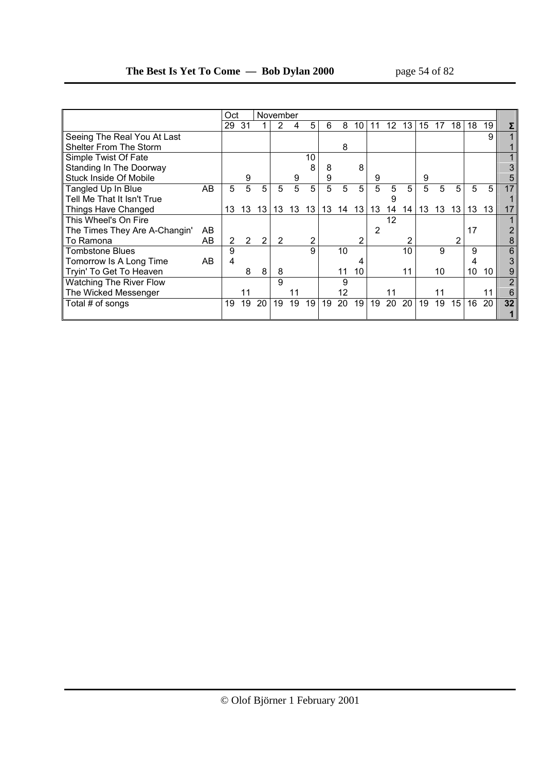|                                |    | Oct            |    |                | November |    |    |    |    |    |    |    |    |    |    |                 |    |    |    |
|--------------------------------|----|----------------|----|----------------|----------|----|----|----|----|----|----|----|----|----|----|-----------------|----|----|----|
|                                |    | 29             | 31 |                |          | 4  | 5  | 6  | 8  | 10 |    | 12 | 13 | 15 | 17 | 18 <sup>1</sup> | 18 | 19 |    |
| Seeing The Real You At Last    |    |                |    |                |          |    |    |    |    |    |    |    |    |    |    |                 |    | 9  |    |
| Shelter From The Storm         |    |                |    |                |          |    |    |    | 8  |    |    |    |    |    |    |                 |    |    |    |
| Simple Twist Of Fate           |    |                |    |                |          |    | 10 |    |    |    |    |    |    |    |    |                 |    |    |    |
| Standing In The Doorway        |    |                |    |                |          |    | 8  | 8  |    | 8  |    |    |    |    |    |                 |    |    |    |
| <b>Stuck Inside Of Mobile</b>  |    |                | 9  |                |          | 9  |    | 9  |    |    | 9  |    |    | 9  |    |                 |    |    |    |
| Tangled Up In Blue             | AB | 5.             | 5  | 5              | 5        | 5  | 5  | 5  | 5  | 5  | 5  | 5  | 5  | 5  | 5  | 5               | 5  | 5  |    |
| Tell Me That It Isn't True     |    |                |    |                |          |    |    |    |    |    |    | 9  |    |    |    |                 |    |    |    |
| Things Have Changed            |    | 13             | 13 | 13             | 13       | 13 | 13 | 13 | 14 | 13 | 13 | 14 | 14 | 13 | 13 | 13 <sup>1</sup> | 13 | 13 |    |
| This Wheel's On Fire           |    |                |    |                |          |    |    |    |    |    |    | 12 |    |    |    |                 |    |    |    |
| The Times They Are A-Changin'  | AB |                |    |                |          |    |    |    |    |    | 2  |    |    |    |    |                 | 17 |    |    |
| To Ramona                      | AB | $\overline{2}$ | 2  | $\overline{2}$ | 2        |    | 2  |    |    | 2  |    |    |    |    |    |                 |    |    |    |
| <b>Tombstone Blues</b>         |    | 9              |    |                |          |    | 9  |    | 10 |    |    |    | 10 |    | 9  |                 | я  |    |    |
| Tomorrow Is A Long Time        | AB | 4              |    |                |          |    |    |    |    |    |    |    |    |    |    |                 |    |    |    |
| Tryin' To Get To Heaven        |    |                | 8  | 8              | 8        |    |    |    | 11 | 10 |    |    | 11 |    | 10 |                 | 10 | 10 |    |
| <b>Watching The River Flow</b> |    |                |    |                | 9        |    |    |    | 9  |    |    |    |    |    |    |                 |    |    |    |
| The Wicked Messenger           |    |                |    |                |          |    |    |    | 12 |    |    |    |    |    |    |                 |    | 11 |    |
| Total # of songs               |    | 19             | 19 | 20             | 19       | 19 | 19 | 19 | 20 | 19 | 19 | 20 | 20 | 19 | 19 | 15 <sub>1</sub> | 16 | 20 | 32 |
|                                |    |                |    |                |          |    |    |    |    |    |    |    |    |    |    |                 |    |    |    |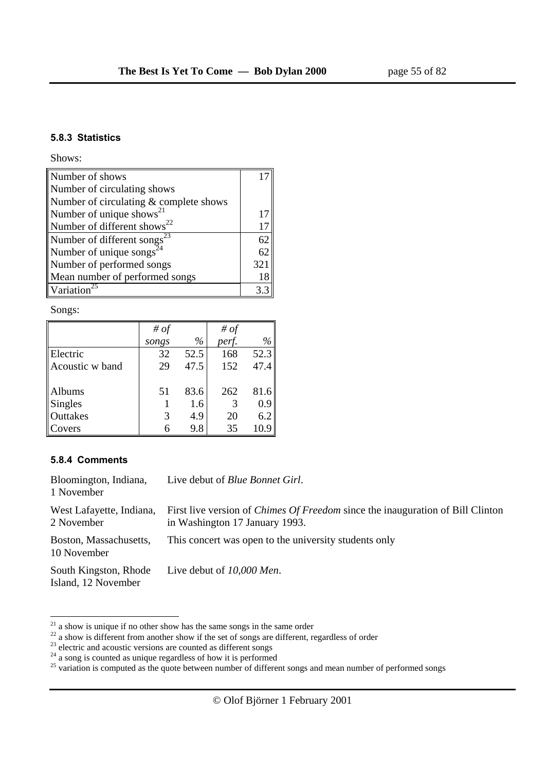#### **5.8.3 Statistics**

Shows:

| Number of shows                           |     |
|-------------------------------------------|-----|
| Number of circulating shows               |     |
| Number of circulating & complete shows    |     |
| Number of unique shows <sup>21</sup>      | 17  |
| Number of different shows <sup>22</sup>   | 17  |
| Number of different songs $\overline{23}$ | 62  |
| Number of unique songs <sup>24</sup>      | 62  |
| Number of performed songs                 | 321 |
| Mean number of performed songs            | 18  |
| Variation <sup>25</sup>                   |     |

Songs:

|                 | # of  |      | # of  |      |
|-----------------|-------|------|-------|------|
|                 | songs | $\%$ | perf. | $\%$ |
| Electric        | 32    | 52.5 | 168   | 52.3 |
| Acoustic w band | 29    | 47.5 | 152   | 47.4 |
|                 |       |      |       |      |
| Albums          | 51    | 83.6 | 262   | 81.6 |
| Singles         |       | 1.6  | 3     | 0.9  |
| Outtakes        | 3     | 4.9  | 20    | 6.2  |
| Covers          |       | 9.8  | 35    | 10.9 |

### **5.8.4 Comments**

| Bloomington, Indiana,<br>1 November          | Live debut of <i>Blue Bonnet Girl</i> .                                                                                 |
|----------------------------------------------|-------------------------------------------------------------------------------------------------------------------------|
| West Lafayette, Indiana,<br>2 November       | First live version of <i>Chimes Of Freedom</i> since the inauguration of Bill Clinton<br>in Washington 17 January 1993. |
| Boston, Massachusetts,<br>10 November        | This concert was open to the university students only                                                                   |
| South Kingston, Rhode<br>Island, 12 November | Live debut of 10,000 Men.                                                                                               |

 $21$  a show is unique if no other show has the same songs in the same order

 $22$  a show is different from another show if the set of songs are different, regardless of order

 $2<sup>23</sup>$  electric and acoustic versions are counted as different songs

 $24$  a song is counted as unique regardless of how it is performed

 $25$  variation is computed as the quote between number of different songs and mean number of performed songs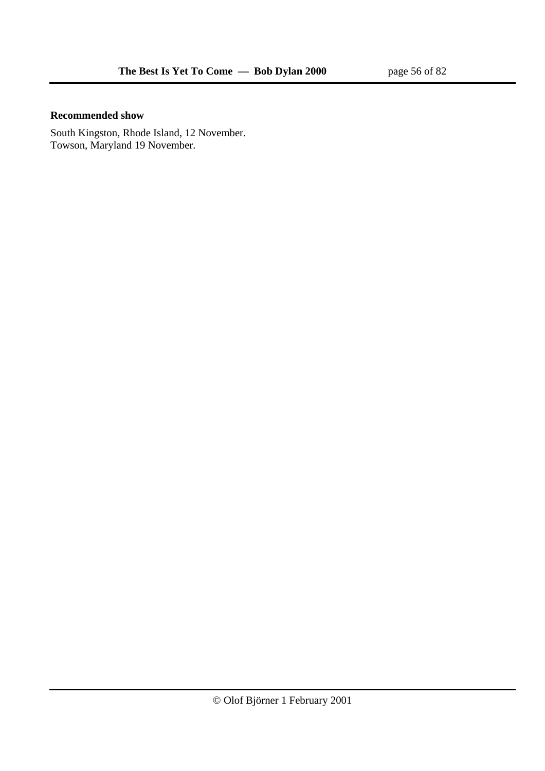### **Recommended show**

South Kingston, Rhode Island, 12 November. Towson, Maryland 19 November.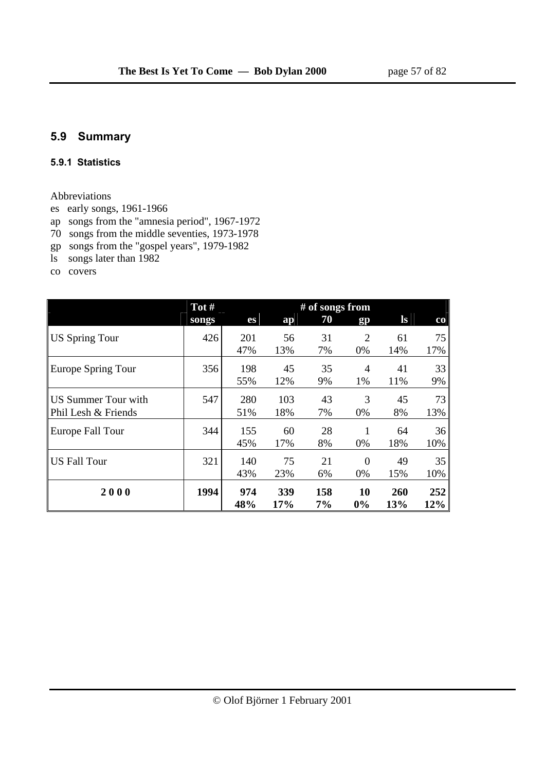# **5.9 Summary**

#### **5.9.1 Statistics**

### Abbreviations

- es early songs, 1961-1966
- ap songs from the "amnesia period", 1967-1972
- 70 songs from the middle seventies, 1973-1978
- gp songs from the "gospel years", 1979-1982
- ls songs later than 1982
- co covers

|                                            | Tot # |            | # of songs from |           |                      |                   |             |
|--------------------------------------------|-------|------------|-----------------|-----------|----------------------|-------------------|-------------|
|                                            | songs | es         | ap              | 70        | gp                   | $\bf ls$          | $_{\rm co}$ |
| <b>US Spring Tour</b>                      | 426   | 201<br>47% | 56<br>13%       | 31<br>7%  | $\overline{2}$<br>0% | 61<br>14%         | 75<br>17%   |
| Europe Spring Tour                         | 356   | 198<br>55% | 45<br>12%       | 35<br>9%  | 4<br>1%              | 41<br>11%         | 33<br>9%    |
| US Summer Tour with<br>Phil Lesh & Friends | 547   | 280<br>51% | 103<br>18%      | 43<br>7%  | 3<br>0%              | 45<br>8%          | 73<br>13%   |
| Europe Fall Tour                           | 344   | 155<br>45% | 60<br>17%       | 28<br>8%  | 1<br>0%              | 64<br>18%         | 36<br>10%   |
| <b>US Fall Tour</b>                        | 321   | 140<br>43% | 75<br>23%       | 21<br>6%  | $\Omega$<br>0%       | 49<br>15%         | 35<br>10%   |
| 2000                                       | 1994  | 974<br>48% | 339<br>17%      | 158<br>7% | 10<br>0%             | <b>260</b><br>13% | 252<br>12%  |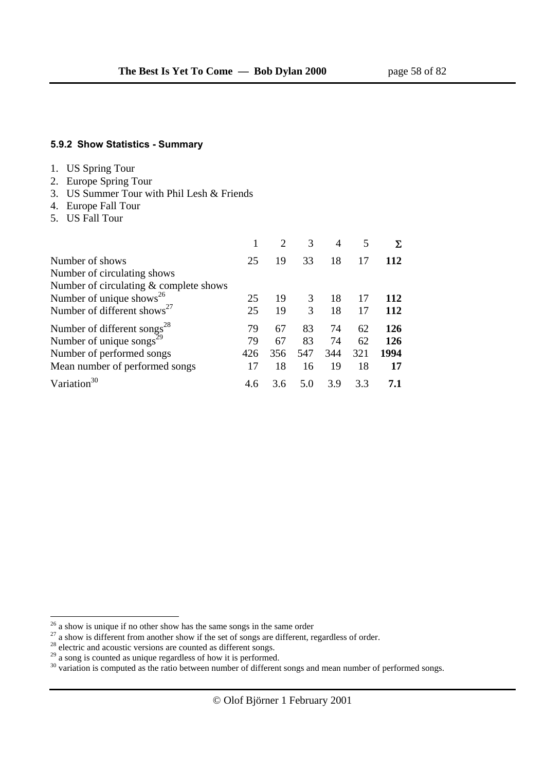#### **5.9.2 Show Statistics - Summary**

|  |  | <b>US Spring Tour</b> |  |
|--|--|-----------------------|--|
|--|--|-----------------------|--|

- 2. Europe Spring Tour
- 3. US Summer Tour with Phil Lesh & Friends
- 4. Europe Fall Tour
- 5. US Fall Tour

|                                         |     | 2   | 3   | $\overline{4}$ | 5   |      |
|-----------------------------------------|-----|-----|-----|----------------|-----|------|
| Number of shows                         | 25  | 19  | 33  | 18             | 17  | 112  |
| Number of circulating shows             |     |     |     |                |     |      |
| Number of circulating & complete shows  |     |     |     |                |     |      |
| Number of unique shows <sup>26</sup>    | 25  | 19  | 3   | 18             | 17  | 112  |
| Number of different shows <sup>27</sup> | 25  | 19  | 3   | 18             | 17  | 112  |
| Number of different songs <sup>28</sup> | 79  | 67  | 83  | 74             | 62  | 126  |
| Number of unique songs <sup>29</sup>    | 79  | 67  | 83  | 74             | 62  | 126  |
| Number of performed songs               | 426 | 356 | 547 | 344            | 321 | 1994 |
| Mean number of performed songs          | 17  | 18  | 16  | 19             | 18  | 17   |
| Variation $30$                          | 4.6 | 3.6 | 5.0 | 3.9            | 3.3 | 7.1  |

 $26$  a show is unique if no other show has the same songs in the same order

 $27$  a show is different from another show if the set of songs are different, regardless of order.

 $28$  electric and acoustic versions are counted as different songs.

 $29$  a song is counted as unique regardless of how it is performed.

 $30$  variation is computed as the ratio between number of different songs and mean number of performed songs.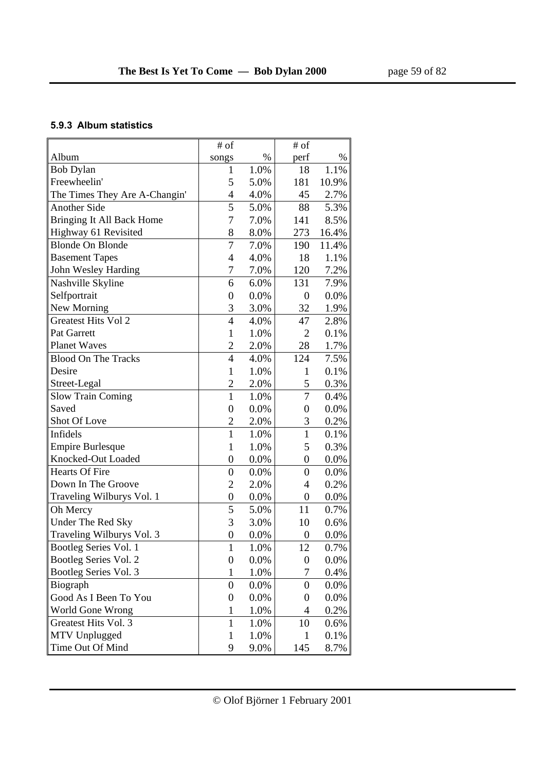### **5.9.3 Album statistics**

|                               | # of             |         | $#$ of           |       |
|-------------------------------|------------------|---------|------------------|-------|
| Album                         | songs            | $\%$    | perf             | $\%$  |
| <b>Bob Dylan</b>              | 1                | 1.0%    | 18               | 1.1%  |
| Freewheelin'                  | 5                | 5.0%    | 181              | 10.9% |
| The Times They Are A-Changin' | 4                | 4.0%    | 45               | 2.7%  |
| <b>Another Side</b>           | $\overline{5}$   | 5.0%    | 88               | 5.3%  |
| Bringing It All Back Home     | 7                | 7.0%    | 141              | 8.5%  |
| Highway 61 Revisited          | 8                | 8.0%    | 273              | 16.4% |
| <b>Blonde On Blonde</b>       | $\overline{7}$   | 7.0%    | 190              | 11.4% |
| <b>Basement Tapes</b>         | 4                | 4.0%    | 18               | 1.1%  |
| John Wesley Harding           | 7                | 7.0%    | 120              | 7.2%  |
| Nashville Skyline             | 6                | 6.0%    | 131              | 7.9%  |
| Selfportrait                  | $\overline{0}$   | 0.0%    | $\overline{0}$   | 0.0%  |
| New Morning                   | 3                | 3.0%    | 32               | 1.9%  |
| <b>Greatest Hits Vol 2</b>    | $\overline{4}$   | 4.0%    | 47               | 2.8%  |
| Pat Garrett                   | $\mathbf{1}$     | 1.0%    | $\overline{2}$   | 0.1%  |
| <b>Planet Waves</b>           | $\overline{2}$   | 2.0%    | 28               | 1.7%  |
| <b>Blood On The Tracks</b>    | $\overline{4}$   | 4.0%    | 124              | 7.5%  |
| Desire                        | $\mathbf{1}$     | 1.0%    | $\mathbf{1}$     | 0.1%  |
| Street-Legal                  | $\overline{2}$   | 2.0%    | 5                | 0.3%  |
| <b>Slow Train Coming</b>      | $\mathbf{1}$     | 1.0%    | 7                | 0.4%  |
| Saved                         | $\overline{0}$   | 0.0%    | $\overline{0}$   | 0.0%  |
| Shot Of Love                  | $\overline{c}$   | 2.0%    | 3                | 0.2%  |
| Infidels                      | $\mathbf{1}$     | 1.0%    | $\mathbf{1}$     | 0.1%  |
| <b>Empire Burlesque</b>       | $\mathbf{1}$     | 1.0%    | 5                | 0.3%  |
| Knocked-Out Loaded            | $\boldsymbol{0}$ | 0.0%    | $\boldsymbol{0}$ | 0.0%  |
| <b>Hearts Of Fire</b>         | $\overline{0}$   | 0.0%    | $\overline{0}$   | 0.0%  |
| Down In The Groove            | $\overline{2}$   | 2.0%    | $\overline{4}$   | 0.2%  |
| Traveling Wilburys Vol. 1     | $\boldsymbol{0}$ | 0.0%    | 0                | 0.0%  |
| Oh Mercy                      | 5                | 5.0%    | 11               | 0.7%  |
| <b>Under The Red Sky</b>      | 3                | 3.0%    | 10               | 0.6%  |
| Traveling Wilburys Vol. 3     | $\boldsymbol{0}$ | 0.0%    | $\boldsymbol{0}$ | 0.0%  |
| Bootleg Series Vol. 1         | $\mathbf{1}$     | 1.0%    | 12               | 0.7%  |
| Bootleg Series Vol. 2         | $\boldsymbol{0}$ | $0.0\%$ | 0                | 0.0%  |
| Bootleg Series Vol. 3         | $\mathbf{1}$     | 1.0%    | 7                | 0.4%  |
| Biograph                      | $\boldsymbol{0}$ | 0.0%    | 0                | 0.0%  |
| Good As I Been To You         | $\boldsymbol{0}$ | 0.0%    | $\boldsymbol{0}$ | 0.0%  |
| World Gone Wrong              | $\mathbf 1$      | 1.0%    | 4                | 0.2%  |
| Greatest Hits Vol. 3          | $\mathbf{1}$     | 1.0%    | 10               | 0.6%  |
| MTV Unplugged                 | 1                | 1.0%    | 1                | 0.1%  |
| Time Out Of Mind              | 9                | 9.0%    | 145              | 8.7%  |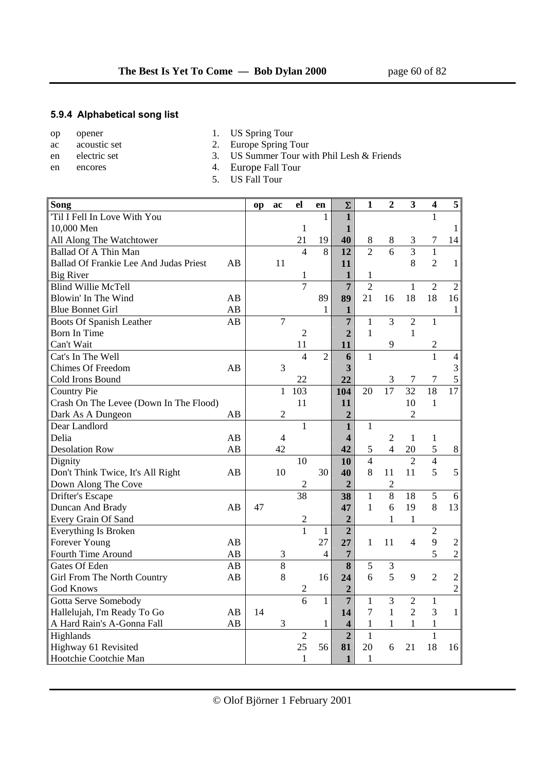### **5.9.4 Alphabetical song list**

- op opener 1. US Spring Tour
- ac acoustic set 2. Europe Spring Tour
- 
- 
- en electric set 3. US Summer Tour with Phil Lesh & Friends
- en encores 4. Europe Fall Tour
	- 5. US Fall Tour

| Song                                   |    | op | ac             | el             | en             | $\Sigma$                | $\mathbf{1}$   | $\boldsymbol{2}$ | $\mathbf{3}$    | $\overline{\mathbf{4}}$ | 5               |
|----------------------------------------|----|----|----------------|----------------|----------------|-------------------------|----------------|------------------|-----------------|-------------------------|-----------------|
| 'Til I Fell In Love With You           |    |    |                |                | 1              | $\mathbf{1}$            |                |                  |                 | $\mathbf{1}$            |                 |
| 10,000 Men                             |    |    |                | $\mathbf{1}$   |                | $\mathbf{1}$            |                |                  |                 |                         | $\mathbf{1}$    |
| All Along The Watchtower               |    |    |                | 21             | 19             | 40                      | $8\,$          | 8                | 3               | 7                       | 14              |
| <b>Ballad Of A Thin Man</b>            |    |    |                | $\overline{4}$ | $\overline{8}$ | 12                      | $\overline{2}$ | $\overline{6}$   | $\overline{3}$  | $\mathbf{1}$            |                 |
| Ballad Of Frankie Lee And Judas Priest | AB |    | 11             |                |                | 11                      |                |                  | 8               | $\overline{2}$          | $\mathbf{1}$    |
| <b>Big River</b>                       |    |    |                | $\mathbf{1}$   |                | $\mathbf{1}$            | $\mathbf{1}$   |                  |                 |                         |                 |
| <b>Blind Willie McTell</b>             |    |    |                | $\overline{7}$ |                | $\overline{7}$          | $\overline{2}$ |                  | $\mathbf{1}$    | $\overline{2}$          | $\overline{2}$  |
| Blowin' In The Wind                    | AB |    |                |                | 89             | 89                      | 21             | 16               | 18              | 18                      | 16              |
| <b>Blue Bonnet Girl</b>                | AB |    |                |                | $\mathbf{1}$   | $\mathbf{1}$            |                |                  |                 |                         | $\mathbf{1}$    |
| <b>Boots Of Spanish Leather</b>        | AB |    | $\overline{7}$ |                |                | $\overline{7}$          | $\mathbf{1}$   | 3                | $\overline{2}$  | 1                       |                 |
| <b>Born In Time</b>                    |    |    |                | $\overline{2}$ |                | $\overline{2}$          | $\mathbf{1}$   |                  | $\mathbf{1}$    |                         |                 |
| Can't Wait                             |    |    |                | 11             |                | 11                      |                | 9                |                 | $\mathbf{2}$            |                 |
| Cat's In The Well                      |    |    |                | $\overline{4}$ | $\overline{2}$ | 6                       | $\mathbf{1}$   |                  |                 | $\mathbf{1}$            | $\overline{4}$  |
| <b>Chimes Of Freedom</b>               | AB |    | 3              |                |                | 3                       |                |                  |                 |                         | $\mathfrak{Z}$  |
| Cold Irons Bound                       |    |    |                | 22             |                | 22                      |                | 3                | $\tau$          | $\tau$                  | 5               |
| <b>Country Pie</b>                     |    |    | $\mathbf{1}$   | 103            |                | 104                     | 20             | $\overline{17}$  | $\overline{32}$ | $\overline{18}$         | $\overline{17}$ |
| Crash On The Levee (Down In The Flood) |    |    |                | 11             |                | 11                      |                |                  | 10              | $\mathbf{1}$            |                 |
| Dark As A Dungeon                      | AB |    | $\overline{2}$ |                |                | $\overline{2}$          |                |                  | $\overline{2}$  |                         |                 |
| Dear Landlord                          |    |    |                | $\mathbf{1}$   |                | $\mathbf{1}$            | 1              |                  |                 |                         |                 |
| Delia                                  | AB |    | $\overline{4}$ |                |                | $\overline{\mathbf{4}}$ |                | $\overline{2}$   | $\mathbf{1}$    | 1                       |                 |
| <b>Desolation Row</b>                  | AB |    | 42             |                |                | 42                      | 5              | $\overline{4}$   | 20              | 5                       | $8\,$           |
| Dignity                                |    |    |                | 10             |                | 10                      | $\overline{4}$ |                  | $\overline{2}$  | $\overline{4}$          |                 |
| Don't Think Twice, It's All Right      | AB |    | 10             |                | 30             | 40                      | 8              | 11               | 11              | 5                       | 5               |
| Down Along The Cove                    |    |    |                | $\overline{2}$ |                | $\overline{2}$          |                | $\overline{c}$   |                 |                         |                 |
| Drifter's Escape                       |    |    |                | 38             |                | 38                      | $\mathbf{1}$   | 8                | 18              | 5                       | 6               |
| Duncan And Brady                       | AB | 47 |                |                |                | 47                      | $\mathbf{1}$   | 6                | 19              | 8                       | 13              |
| Every Grain Of Sand                    |    |    |                | $\overline{c}$ |                | $\overline{2}$          |                | 1                | 1               |                         |                 |
| Everything Is Broken                   |    |    |                | $\overline{1}$ | $\mathbf{1}$   | $\overline{2}$          |                |                  |                 | $\overline{2}$          |                 |
| Forever Young                          | AB |    |                |                | 27             | 27                      | 1              | 11               | $\overline{4}$  | 9                       | $\sqrt{2}$      |
| Fourth Time Around                     | AB |    | 3              |                | $\overline{4}$ | $\overline{7}$          |                |                  |                 | 5                       | $\overline{2}$  |
| Gates Of Eden                          | AB |    | $\overline{8}$ |                |                | 8                       | $\overline{5}$ | 3                |                 |                         |                 |
| Girl From The North Country            | AB |    | 8              |                | 16             | 24                      | 6              | 5                | 9               | $\overline{2}$          | $\overline{2}$  |
| <b>God Knows</b>                       |    |    |                | $\sqrt{2}$     |                | $\overline{2}$          |                |                  |                 |                         | $\overline{2}$  |
| Gotta Serve Somebody                   |    |    |                | $\overline{6}$ | $\mathbf{1}$   | $\overline{7}$          | $\mathbf{1}$   | 3                | $\overline{2}$  | $\mathbf{1}$            |                 |
| Hallelujah, I'm Ready To Go            | AB | 14 |                |                |                | 14                      | $\overline{7}$ | $\mathbf{1}$     | $\overline{2}$  | $\overline{3}$          | $\mathbf{1}$    |
| A Hard Rain's A-Gonna Fall             | AB |    | 3              |                | $\mathbf{1}$   | $\overline{\mathbf{4}}$ | $\mathbf{1}$   | $\mathbf{1}$     | 1               | $\mathbf{1}$            |                 |
| Highlands                              |    |    |                | $\overline{2}$ |                | $\overline{2}$          | $\mathbf{1}$   |                  |                 | $\mathbf{1}$            |                 |
| Highway 61 Revisited                   |    |    |                | 25             | 56             | 81                      | 20             | 6                | 21              | 18                      | 16              |
| Hootchie Cootchie Man                  |    |    |                | $\mathbf{1}$   |                | $\mathbf{1}$            | 1              |                  |                 |                         |                 |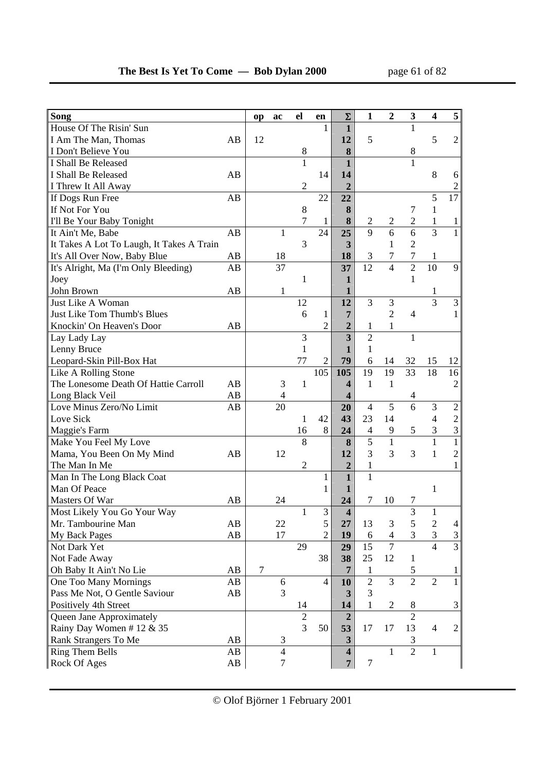| Song                                      |    | op | ac             | el             | en             | Σ                       | $\mathbf{1}$     | $\mathbf{2}$   | $\mathbf{3}$     | $\overline{\mathbf{4}}$ | 5                           |
|-------------------------------------------|----|----|----------------|----------------|----------------|-------------------------|------------------|----------------|------------------|-------------------------|-----------------------------|
| House Of The Risin' Sun                   |    |    |                |                | 1              | $\mathbf{1}$            |                  |                | 1                |                         |                             |
| I Am The Man, Thomas                      | AB | 12 |                |                |                | 12                      | 5                |                |                  | 5                       | $\overline{2}$              |
| I Don't Believe You                       |    |    |                | $\,8\,$        |                | 8                       |                  |                | 8                |                         |                             |
| I Shall Be Released                       |    |    |                | $\mathbf{1}$   |                | $\mathbf{1}$            |                  |                | $\mathbf{1}$     |                         |                             |
| I Shall Be Released                       | AB |    |                |                | 14             | 14                      |                  |                |                  | 8                       | 6                           |
| I Threw It All Away                       |    |    |                | $\mathfrak{2}$ |                | $\overline{2}$          |                  |                |                  |                         | $\boldsymbol{2}$            |
| If Dogs Run Free                          | AB |    |                |                | 22             | 22                      |                  |                |                  | 5                       | 17                          |
| If Not For You                            |    |    |                | $8\,$          |                | 8                       |                  |                | 7                | $\mathbf{1}$            |                             |
| I'll Be Your Baby Tonight                 |    |    |                | $\overline{7}$ | $\mathbf{1}$   | 8                       | $\boldsymbol{2}$ | $\sqrt{2}$     | $\overline{c}$   | $\mathbf{1}$            | $\mathbf{1}$                |
| It Ain't Me, Babe                         | AB |    | $\mathbf{1}$   |                | 24             | 25                      | $\overline{9}$   | $\overline{6}$ | $\overline{6}$   | $\overline{3}$          | $\mathbf{1}$                |
| It Takes A Lot To Laugh, It Takes A Train |    |    |                | 3              |                | 3                       |                  | 1              | $\overline{2}$   |                         |                             |
| It's All Over Now, Baby Blue              | AB |    | 18             |                |                | 18                      | 3                | $\overline{7}$ | $\boldsymbol{7}$ | $\mathbf{1}$            |                             |
| It's Alright, Ma (I'm Only Bleeding)      | AB |    | 37             |                |                | 37                      | 12               | $\overline{4}$ | $\overline{2}$   | 10                      | 9                           |
| Joey                                      |    |    |                | $\mathbf{1}$   |                | $\mathbf{1}$            |                  |                | $\mathbf{1}$     |                         |                             |
| John Brown                                | AB |    | $\mathbf{1}$   |                |                | 1                       |                  |                |                  | 1                       |                             |
| Just Like A Woman                         |    |    |                | 12             |                | 12                      | 3                | 3              |                  | $\overline{3}$          | 3                           |
| Just Like Tom Thumb's Blues               |    |    |                | 6              | $\mathbf{1}$   | $\overline{7}$          |                  | $\overline{2}$ | $\overline{4}$   |                         | 1                           |
| Knockin' On Heaven's Door                 | AB |    |                |                | $\overline{2}$ | $\overline{2}$          | $\mathbf{1}$     | $\mathbf{1}$   |                  |                         |                             |
| Lay Lady Lay                              |    |    |                | 3              |                | $\overline{\mathbf{3}}$ | $\overline{2}$   |                | $\mathbf{1}$     |                         |                             |
| Lenny Bruce                               |    |    |                | $\mathbf{1}$   |                | 1                       | $\mathbf{1}$     |                |                  |                         |                             |
| Leopard-Skin Pill-Box Hat                 |    |    |                | 77             | $\overline{2}$ | 79                      | 6                | 14             | 32               | 15                      | 12                          |
| Like A Rolling Stone                      |    |    |                |                | 105            | 105                     | 19               | 19             | 33               | 18                      | 16                          |
| The Lonesome Death Of Hattie Carroll      | AB |    | 3              | $\mathbf{1}$   |                | $\overline{\mathbf{4}}$ | $\mathbf{1}$     | 1              |                  |                         | $\overline{2}$              |
| Long Black Veil                           | AB |    | $\overline{4}$ |                |                | 4                       |                  |                | 4                |                         |                             |
| Love Minus Zero/No Limit                  | AB |    | 20             |                |                | 20                      | $\overline{4}$   | $\overline{5}$ | $\overline{6}$   | 3                       | $\overline{2}$              |
| Love Sick                                 |    |    |                | $\mathbf{1}$   | 42             | 43                      | 23               | 14             |                  | $\overline{4}$          | $\overline{c}$              |
| Maggie's Farm                             |    |    |                | 16             | 8              | 24                      | $\overline{4}$   | 9              | $\mathfrak{S}$   | $\mathfrak{Z}$          | $\mathfrak{Z}$              |
| Make You Feel My Love                     |    |    |                | 8              |                | 8                       | $\overline{5}$   | $\mathbf{1}$   |                  | $\mathbf{1}$            | $\mathbf{1}$                |
| Mama, You Been On My Mind                 | AB |    | 12             |                |                | 12                      | 3                | $\overline{3}$ | 3                | $\mathbf{1}$            | $\overline{2}$              |
| The Man In Me                             |    |    |                | $\overline{2}$ |                | $\overline{2}$          | $\mathbf{1}$     |                |                  |                         | 1                           |
| Man In The Long Black Coat                |    |    |                |                | 1              | $\mathbf{1}$            | $\mathbf{1}$     |                |                  |                         |                             |
| Man Of Peace                              |    |    |                |                | 1              | $\mathbf{1}$            |                  |                |                  | 1                       |                             |
| Masters Of War                            | AB |    | 24             |                |                | 24                      | 7                | 10             | 7                |                         |                             |
| Most Likely You Go Your Way               |    |    |                | $\mathbf{1}$   | 3              | $\overline{\mathbf{4}}$ |                  |                | $\overline{3}$   | $\mathbf{1}$            |                             |
| Mr. Tambourine Man                        | AB |    | 22             |                | 5              | 27                      | 13               | $\mathfrak{Z}$ | $\sqrt{5}$       | $\sqrt{2}$              | $\overline{4}$              |
| My Back Pages                             | AB |    | 17             |                | $\overline{2}$ | 19                      | 6                | $\overline{4}$ | $\mathfrak{Z}$   | $\mathfrak{Z}$          | $\ensuremath{\mathfrak{Z}}$ |
| Not Dark Yet                              |    |    |                | 29             |                | 29                      | 15               | $\tau$         |                  | $\overline{4}$          | $\overline{3}$              |
| Not Fade Away                             |    |    |                |                | 38             | 38                      | 25               | 12             | $\mathbf{1}$     |                         |                             |
| Oh Baby It Ain't No Lie                   | AB | 7  |                |                |                | $\overline{7}$          | $\mathbf{1}$     |                | $\sqrt{5}$       |                         | 1                           |
| One Too Many Mornings                     | AB |    | $\sqrt{6}$     |                | $\overline{4}$ | 10                      | $\overline{c}$   | 3              | $\overline{2}$   | $\overline{2}$          | $\mathbf{1}$                |
| Pass Me Not, O Gentle Saviour             | AB |    | 3              |                |                | 3                       | 3                |                |                  |                         |                             |
| Positively 4th Street                     |    |    |                | 14             |                | 14                      | $\mathbf{1}$     | $\overline{2}$ | $8\,$            |                         | 3                           |
| Queen Jane Approximately                  |    |    |                | $\overline{2}$ |                | $\overline{2}$          |                  |                | $\overline{2}$   |                         |                             |
| Rainy Day Women #12 & 35                  |    |    |                | $\overline{3}$ | 50             | 53                      | 17               | 17             | 13               | $\overline{4}$          | $\overline{2}$              |
| Rank Strangers To Me                      | AB |    | 3              |                |                | $\mathbf{3}$            |                  |                | 3                |                         |                             |
| Ring Them Bells                           | AB |    | $\overline{4}$ |                |                | $\overline{\mathbf{4}}$ |                  | $\mathbf{1}$   | $\overline{2}$   | $\mathbf{1}$            |                             |
| Rock Of Ages                              | AB |    | $\tau$         |                |                | $\overline{7}$          | $\tau$           |                |                  |                         |                             |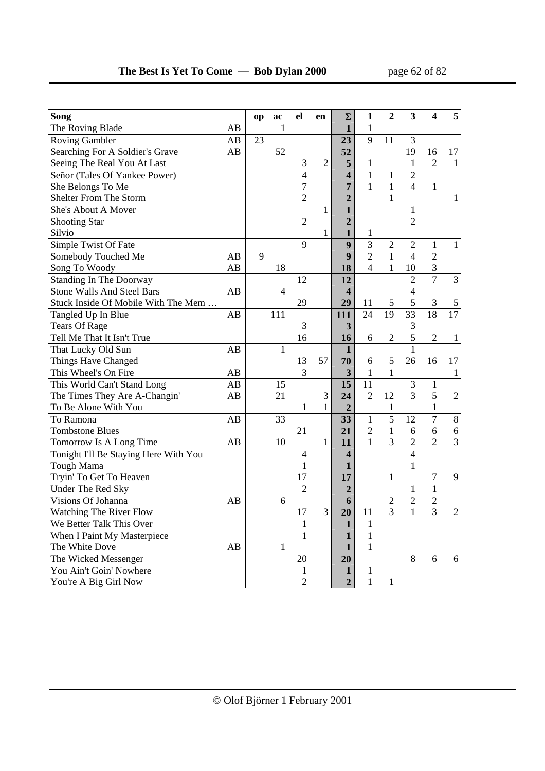| Song                                  |    | op | ac           | el             | en             | Σ                       | $\mathbf{1}$   | $\mathbf{2}$   | 3              | $\overline{\mathbf{4}}$ | 5              |
|---------------------------------------|----|----|--------------|----------------|----------------|-------------------------|----------------|----------------|----------------|-------------------------|----------------|
| The Roving Blade                      | AB |    | $\mathbf{1}$ |                |                | $\mathbf{1}$            | $\mathbf{1}$   |                |                |                         |                |
| <b>Roving Gambler</b>                 | AB | 23 |              |                |                | 23                      | 9              | 11             | 3              |                         |                |
| Searching For A Soldier's Grave       | AB |    | 52           |                |                | 52                      |                |                | 19             | 16                      | 17             |
| Seeing The Real You At Last           |    |    |              | 3              | $\mathfrak{2}$ | 5                       | 1              |                | 1              | $\sqrt{2}$              | 1              |
| Señor (Tales Of Yankee Power)         |    |    |              | $\overline{4}$ |                | $\overline{\mathbf{4}}$ | $\mathbf{1}$   | $\mathbf{1}$   | $\overline{2}$ |                         |                |
| She Belongs To Me                     |    |    |              | 7              |                | 7                       | $\mathbf{1}$   | $\mathbf{1}$   | $\overline{4}$ | $\mathbf{1}$            |                |
| Shelter From The Storm                |    |    |              | $\overline{2}$ |                | $\overline{2}$          |                | 1              |                |                         | 1              |
| She's About A Mover                   |    |    |              |                | $\mathbf{1}$   | $\mathbf{1}$            |                |                | 1              |                         |                |
| <b>Shooting Star</b>                  |    |    |              | $\mathbf{2}$   |                | $\overline{2}$          |                |                | $\overline{2}$ |                         |                |
| Silvio                                |    |    |              |                | 1              | $\mathbf{1}$            | 1              |                |                |                         |                |
| Simple Twist Of Fate                  |    |    |              | 9              |                | 9                       | $\overline{3}$ | $\overline{2}$ | $\overline{2}$ | $\mathbf{1}$            | $\mathbf{1}$   |
| Somebody Touched Me                   | AB | 9  |              |                |                | 9                       | $\overline{2}$ | 1              | $\overline{4}$ | $\overline{2}$          |                |
| Song To Woody                         | AB |    | 18           |                |                | 18                      | $\overline{4}$ | 1              | 10             | 3                       |                |
| <b>Standing In The Doorway</b>        |    |    |              | 12             |                | 12                      |                |                | $\overline{2}$ | $\overline{7}$          | $\overline{3}$ |
| <b>Stone Walls And Steel Bars</b>     | AB |    | 4            |                |                | $\overline{\mathbf{4}}$ |                |                | $\overline{4}$ |                         |                |
| Stuck Inside Of Mobile With The Mem   |    |    |              | 29             |                | 29                      | 11             | $\sqrt{5}$     | 5              | $\mathfrak{Z}$          | 5              |
| Tangled Up In Blue                    | AB |    | 111          |                |                | 111                     | 24             | 19             | 33             | $\overline{18}$         | 17             |
| <b>Tears Of Rage</b>                  |    |    |              | 3              |                | 3                       |                |                | 3              |                         |                |
| Tell Me That It Isn't True            |    |    |              | 16             |                | 16                      | 6              | $\mathbf{2}$   | 5              | $\overline{2}$          | $\mathbf{1}$   |
| That Lucky Old Sun                    | AB |    | 1            |                |                | $\mathbf{1}$            |                |                | $\mathbf{1}$   |                         |                |
| Things Have Changed                   |    |    |              | 13             | 57             | 70                      | 6              | 5              | 26             | 16                      | 17             |
| This Wheel's On Fire                  | AB |    |              | 3              |                | 3                       | $\mathbf{1}$   | $\mathbf{1}$   |                |                         | 1              |
| This World Can't Stand Long           | AB |    | 15           |                |                | 15                      | 11             |                | 3              | 1                       |                |
| The Times They Are A-Changin'         | AB |    | 21           |                | 3              | 24                      | $\overline{2}$ | 12             | 3              | 5                       | $\overline{2}$ |
| To Be Alone With You                  |    |    |              | $\mathbf{1}$   | $\mathbf{1}$   | $\overline{2}$          |                | $\mathbf{1}$   |                | $\mathbf{1}$            |                |
| To Ramona                             | AB |    | 33           |                |                | 33                      | $\mathbf{1}$   | $\overline{5}$ | 12             | $\overline{7}$          | $8\,$          |
| <b>Tombstone Blues</b>                |    |    |              | 21             |                | 21                      | $\mathfrak{2}$ | $\mathbf{1}$   | 6              | 6                       | 6              |
| Tomorrow Is A Long Time               | AB |    | 10           |                | $\mathbf{1}$   | 11                      | 1              | 3              | $\overline{2}$ | $\overline{2}$          | $\mathfrak{Z}$ |
| Tonight I'll Be Staying Here With You |    |    |              | $\overline{4}$ |                | 4                       |                |                | $\overline{4}$ |                         |                |
| Tough Mama                            |    |    |              | $\mathbf{1}$   |                | 1                       |                |                | $\mathbf{1}$   |                         |                |
| Tryin' To Get To Heaven               |    |    |              | 17             |                | 17                      |                | 1              |                | 7                       | 9              |
| Under The Red Sky                     |    |    |              | $\overline{2}$ |                | $\overline{2}$          |                |                | $\mathbf 1$    | $\mathbf{1}$            |                |
| Visions Of Johanna                    | AB |    | 6            |                |                | 6                       |                | $\sqrt{2}$     | $\overline{2}$ | $\overline{2}$          |                |
| <b>Watching The River Flow</b>        |    |    |              | 17             | 3              | 20                      | 11             | 3              | $\mathbf{1}$   | $\overline{3}$          | $\overline{c}$ |
| We Better Talk This Over              |    |    |              | 1              |                | $\mathbf{1}$            | 1              |                |                |                         |                |
| When I Paint My Masterpiece           |    |    |              | $\mathbf{1}$   |                | 1                       | 1              |                |                |                         |                |
| The White Dove                        | AB |    | 1            |                |                | 1                       | 1              |                |                |                         |                |
| The Wicked Messenger                  |    |    |              | 20             |                | 20                      |                |                | 8              | 6                       | 6              |
| You Ain't Goin' Nowhere               |    |    |              | 1              |                | 1                       | 1              |                |                |                         |                |
| You're A Big Girl Now                 |    |    |              | $\overline{c}$ |                | $\mathbf{2}$            | $\mathbf{1}$   | 1              |                |                         |                |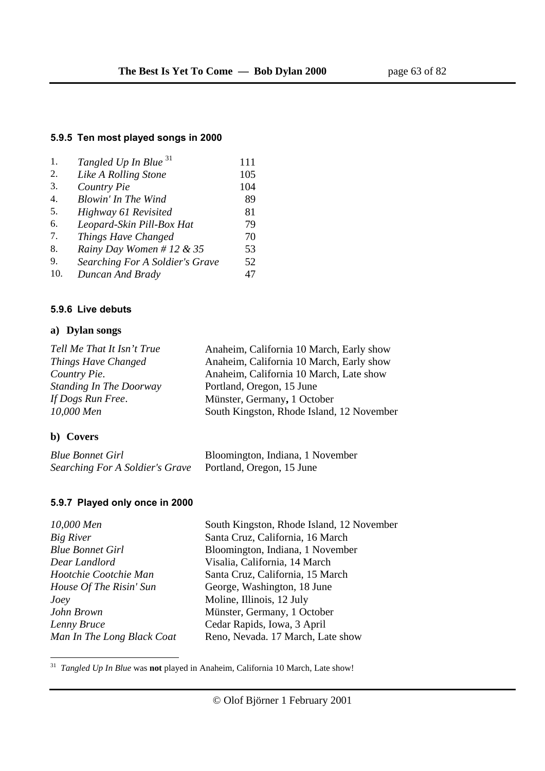### **5.9.5 Ten most played songs in 2000**

| 1.  | Tangled Up In Blue <sup>31</sup> | 111 |
|-----|----------------------------------|-----|
| 2.  | Like A Rolling Stone             | 105 |
| 3.  | Country Pie                      | 104 |
| 4.  | <b>Blowin' In The Wind</b>       | 89  |
| 5.  | Highway 61 Revisited             | 81  |
| 6.  | Leopard-Skin Pill-Box Hat        | 79  |
| 7.  | Things Have Changed              | 70  |
| 8.  | Rainy Day Women # 12 & 35        | 53  |
| 9.  | Searching For A Soldier's Grave  | 52  |
| 10. | Duncan And Brady                 | 47  |

#### **5.9.6 Live debuts**

### **a) Dylan songs**

| Tell Me That It Isn't True     | Anaheim, California 10 March, Early show  |
|--------------------------------|-------------------------------------------|
| Things Have Changed            | Anaheim, California 10 March, Early show  |
| Country Pie.                   | Anaheim, California 10 March, Late show   |
| <b>Standing In The Doorway</b> | Portland, Oregon, 15 June                 |
| If Dogs Run Free.              | Münster, Germany, 1 October               |
| 10,000 Men                     | South Kingston, Rhode Island, 12 November |
|                                |                                           |

#### **b) Covers**

| <b>Blue Bonnet Girl</b>         | Bloomington, Indiana, 1 November |
|---------------------------------|----------------------------------|
| Searching For A Soldier's Grave | Portland, Oregon, 15 June        |

# **5.9.7 Played only once in 2000**

| 10,000 Men                 | South Kingston, Rhode Island, 12 November |
|----------------------------|-------------------------------------------|
| <b>Big River</b>           | Santa Cruz, California, 16 March          |
| <b>Blue Bonnet Girl</b>    | Bloomington, Indiana, 1 November          |
| Dear Landlord              | Visalia, California, 14 March             |
| Hootchie Cootchie Man      | Santa Cruz, California, 15 March          |
| House Of The Risin' Sun    | George, Washington, 18 June               |
| Joey                       | Moline, Illinois, 12 July                 |
| John Brown                 | Münster, Germany, 1 October               |
| Lenny Bruce                | Cedar Rapids, Iowa, 3 April               |
| Man In The Long Black Coat | Reno, Nevada. 17 March, Late show         |

31 *Tangled Up In Blue* was **not** played in Anaheim, California 10 March, Late show!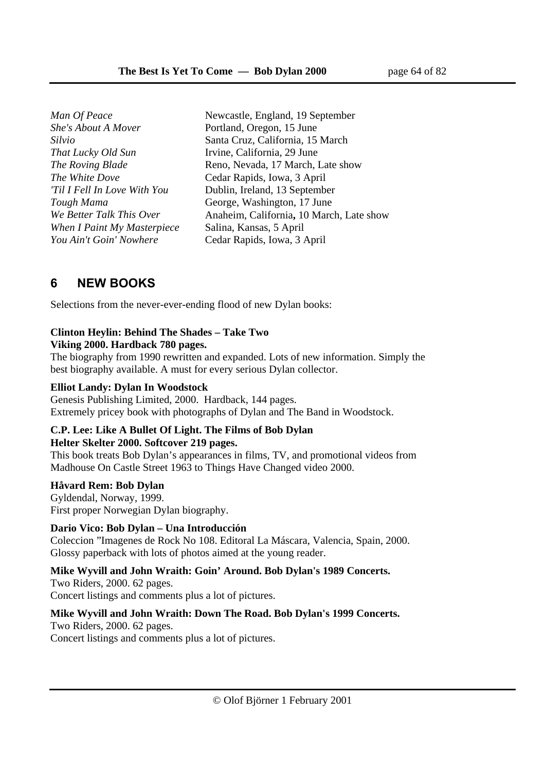*She's About A Mover* Portland, Oregon, 15 June *That Lucky Old Sun* Irvine, California, 29 June *The White Dove* **Cedar Rapids, Iowa, 3 April** *When I Paint My Masterpiece* Salina, Kansas, 5 April *You Ain't Goin' Nowhere* Cedar Rapids, Iowa, 3 April

*Man Of Peace* Newcastle, England, 19 September *Silvio* Santa Cruz, California, 15 March *The Roving Blade* **Reno, Nevada, 17 March, Late show** *'Til I Fell In Love With You* Dublin, Ireland, 13 September *Tough Mama* George, Washington, 17 June *We Better Talk This Over* Anaheim, California**,** 10 March, Late show

# **6 NEW BOOKS**

Selections from the never-ever-ending flood of new Dylan books:

# **Clinton Heylin: Behind The Shades – Take Two**

#### **Viking 2000. Hardback 780 pages.**

The biography from 1990 rewritten and expanded. Lots of new information. Simply the best biography available. A must for every serious Dylan collector.

### **Elliot Landy: Dylan In Woodstock**

Genesis Publishing Limited, 2000. Hardback, 144 pages. Extremely pricey book with photographs of Dylan and The Band in Woodstock.

### **C.P. Lee: Like A Bullet Of Light. The Films of Bob Dylan Helter Skelter 2000. Softcover 219 pages.**

This book treats Bob Dylan's appearances in films, TV, and promotional videos from Madhouse On Castle Street 1963 to Things Have Changed video 2000.

# **Håvard Rem: Bob Dylan**

Gyldendal, Norway, 1999. First proper Norwegian Dylan biography.

# **Dario Vico: Bob Dylan – Una Introducción**

Coleccion "Imagenes de Rock No 108. Editoral La Máscara, Valencia, Spain, 2000. Glossy paperback with lots of photos aimed at the young reader.

# **Mike Wyvill and John Wraith: Goin' Around. Bob Dylan's 1989 Concerts.**

Two Riders, 2000. 62 pages. Concert listings and comments plus a lot of pictures.

# **Mike Wyvill and John Wraith: Down The Road. Bob Dylan's 1999 Concerts.**

Two Riders, 2000. 62 pages. Concert listings and comments plus a lot of pictures.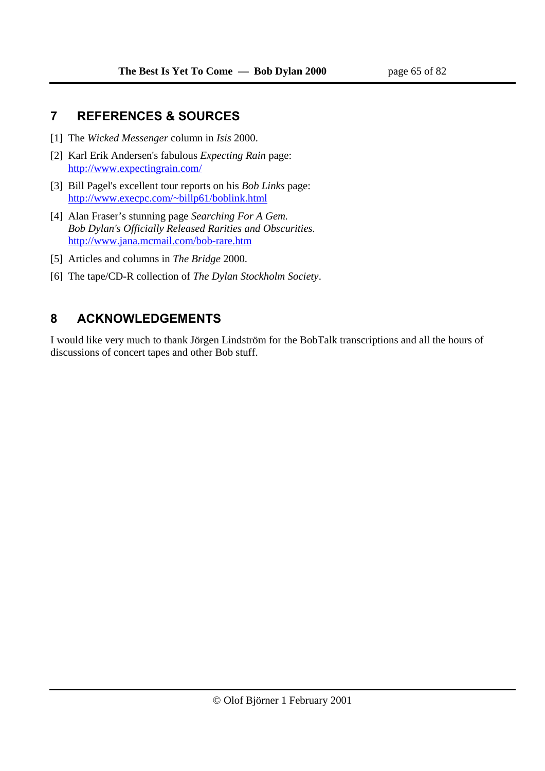# **7 REFERENCES & SOURCES**

- [1] The *Wicked Messenger* column in *Isis* 2000.
- [2] Karl Erik Andersen's fabulous *Expecting Rain* page: http://www.expectingrain.com/
- [3] Bill Pagel's excellent tour reports on his *Bob Links* page: http://www.execpc.com/~billp61/boblink.html
- [4] Alan Fraser's stunning page *Searching For A Gem. Bob Dylan's Officially Released Rarities and Obscurities.* http://www.jana.mcmail.com/bob-rare.htm
- [5] Articles and columns in *The Bridge* 2000.
- [6] The tape/CD-R collection of *The Dylan Stockholm Society*.

# **8 ACKNOWLEDGEMENTS**

I would like very much to thank Jörgen Lindström for the BobTalk transcriptions and all the hours of discussions of concert tapes and other Bob stuff.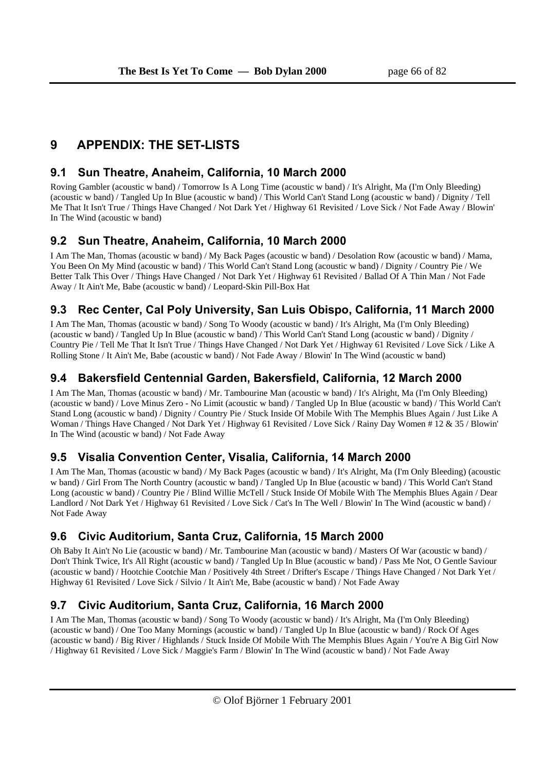# **9 APPENDIX: THE SET-LISTS**

# **9.1 Sun Theatre, Anaheim, California, 10 March 2000**

Roving Gambler (acoustic w band) / Tomorrow Is A Long Time (acoustic w band) / It's Alright, Ma (I'm Only Bleeding) (acoustic w band) / Tangled Up In Blue (acoustic w band) / This World Can't Stand Long (acoustic w band) / Dignity / Tell Me That It Isn't True / Things Have Changed / Not Dark Yet / Highway 61 Revisited / Love Sick / Not Fade Away / Blowin' In The Wind (acoustic w band)

# **9.2 Sun Theatre, Anaheim, California, 10 March 2000**

I Am The Man, Thomas (acoustic w band) / My Back Pages (acoustic w band) / Desolation Row (acoustic w band) / Mama, You Been On My Mind (acoustic w band) / This World Can't Stand Long (acoustic w band) / Dignity / Country Pie / We Better Talk This Over / Things Have Changed / Not Dark Yet / Highway 61 Revisited / Ballad Of A Thin Man / Not Fade Away / It Ain't Me, Babe (acoustic w band) / Leopard-Skin Pill-Box Hat

# **9.3 Rec Center, Cal Poly University, San Luis Obispo, California, 11 March 2000**

I Am The Man, Thomas (acoustic w band) / Song To Woody (acoustic w band) / It's Alright, Ma (I'm Only Bleeding) (acoustic w band) / Tangled Up In Blue (acoustic w band) / This World Can't Stand Long (acoustic w band) / Dignity / Country Pie / Tell Me That It Isn't True / Things Have Changed / Not Dark Yet / Highway 61 Revisited / Love Sick / Like A Rolling Stone / It Ain't Me, Babe (acoustic w band) / Not Fade Away / Blowin' In The Wind (acoustic w band)

# **9.4 Bakersfield Centennial Garden, Bakersfield, California, 12 March 2000**

I Am The Man, Thomas (acoustic w band) / Mr. Tambourine Man (acoustic w band) / It's Alright, Ma (I'm Only Bleeding) (acoustic w band) / Love Minus Zero - No Limit (acoustic w band) / Tangled Up In Blue (acoustic w band) / This World Can't Stand Long (acoustic w band) / Dignity / Country Pie / Stuck Inside Of Mobile With The Memphis Blues Again / Just Like A Woman / Things Have Changed / Not Dark Yet / Highway 61 Revisited / Love Sick / Rainy Day Women # 12 & 35 / Blowin' In The Wind (acoustic w band) / Not Fade Away

# **9.5 Visalia Convention Center, Visalia, California, 14 March 2000**

I Am The Man, Thomas (acoustic w band) / My Back Pages (acoustic w band) / It's Alright, Ma (I'm Only Bleeding) (acoustic w band) / Girl From The North Country (acoustic w band) / Tangled Up In Blue (acoustic w band) / This World Can't Stand Long (acoustic w band) / Country Pie / Blind Willie McTell / Stuck Inside Of Mobile With The Memphis Blues Again / Dear Landlord / Not Dark Yet / Highway 61 Revisited / Love Sick / Cat's In The Well / Blowin' In The Wind (acoustic w band) / Not Fade Away

# **9.6 Civic Auditorium, Santa Cruz, California, 15 March 2000**

Oh Baby It Ain't No Lie (acoustic w band) / Mr. Tambourine Man (acoustic w band) / Masters Of War (acoustic w band) / Don't Think Twice, It's All Right (acoustic w band) / Tangled Up In Blue (acoustic w band) / Pass Me Not, O Gentle Saviour (acoustic w band) / Hootchie Cootchie Man / Positively 4th Street / Drifter's Escape / Things Have Changed / Not Dark Yet / Highway 61 Revisited / Love Sick / Silvio / It Ain't Me, Babe (acoustic w band) / Not Fade Away

# **9.7 Civic Auditorium, Santa Cruz, California, 16 March 2000**

I Am The Man, Thomas (acoustic w band) / Song To Woody (acoustic w band) / It's Alright, Ma (I'm Only Bleeding) (acoustic w band) / One Too Many Mornings (acoustic w band) / Tangled Up In Blue (acoustic w band) / Rock Of Ages (acoustic w band) / Big River / Highlands / Stuck Inside Of Mobile With The Memphis Blues Again / You're A Big Girl Now / Highway 61 Revisited / Love Sick / Maggie's Farm / Blowin' In The Wind (acoustic w band) / Not Fade Away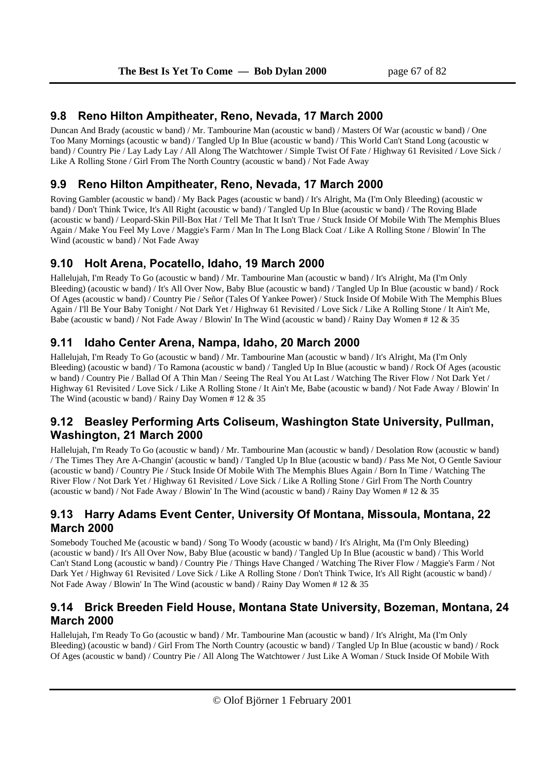### **9.8 Reno Hilton Ampitheater, Reno, Nevada, 17 March 2000**

Duncan And Brady (acoustic w band) / Mr. Tambourine Man (acoustic w band) / Masters Of War (acoustic w band) / One Too Many Mornings (acoustic w band) / Tangled Up In Blue (acoustic w band) / This World Can't Stand Long (acoustic w band) / Country Pie / Lay Lady Lay / All Along The Watchtower / Simple Twist Of Fate / Highway 61 Revisited / Love Sick / Like A Rolling Stone / Girl From The North Country (acoustic w band) / Not Fade Away

# **9.9 Reno Hilton Ampitheater, Reno, Nevada, 17 March 2000**

Roving Gambler (acoustic w band) / My Back Pages (acoustic w band) / It's Alright, Ma (I'm Only Bleeding) (acoustic w band) / Don't Think Twice, It's All Right (acoustic w band) / Tangled Up In Blue (acoustic w band) / The Roving Blade (acoustic w band) / Leopard-Skin Pill-Box Hat / Tell Me That It Isn't True / Stuck Inside Of Mobile With The Memphis Blues Again / Make You Feel My Love / Maggie's Farm / Man In The Long Black Coat / Like A Rolling Stone / Blowin' In The Wind (acoustic w band) / Not Fade Away

# **9.10 Holt Arena, Pocatello, Idaho, 19 March 2000**

Hallelujah, I'm Ready To Go (acoustic w band) / Mr. Tambourine Man (acoustic w band) / It's Alright, Ma (I'm Only Bleeding) (acoustic w band) / It's All Over Now, Baby Blue (acoustic w band) / Tangled Up In Blue (acoustic w band) / Rock Of Ages (acoustic w band) / Country Pie / Señor (Tales Of Yankee Power) / Stuck Inside Of Mobile With The Memphis Blues Again / I'll Be Your Baby Tonight / Not Dark Yet / Highway 61 Revisited / Love Sick / Like A Rolling Stone / It Ain't Me, Babe (acoustic w band) / Not Fade Away / Blowin' In The Wind (acoustic w band) / Rainy Day Women # 12 & 35

# **9.11 Idaho Center Arena, Nampa, Idaho, 20 March 2000**

Hallelujah, I'm Ready To Go (acoustic w band) / Mr. Tambourine Man (acoustic w band) / It's Alright, Ma (I'm Only Bleeding) (acoustic w band) / To Ramona (acoustic w band) / Tangled Up In Blue (acoustic w band) / Rock Of Ages (acoustic w band) / Country Pie / Ballad Of A Thin Man / Seeing The Real You At Last / Watching The River Flow / Not Dark Yet / Highway 61 Revisited / Love Sick / Like A Rolling Stone / It Ain't Me, Babe (acoustic w band) / Not Fade Away / Blowin' In The Wind (acoustic w band) / Rainy Day Women  $# 12 \& 35$ 

# **9.12 Beasley Performing Arts Coliseum, Washington State University, Pullman, Washington, 21 March 2000**

Hallelujah, I'm Ready To Go (acoustic w band) / Mr. Tambourine Man (acoustic w band) / Desolation Row (acoustic w band) / The Times They Are A-Changin' (acoustic w band) / Tangled Up In Blue (acoustic w band) / Pass Me Not, O Gentle Saviour (acoustic w band) / Country Pie / Stuck Inside Of Mobile With The Memphis Blues Again / Born In Time / Watching The River Flow / Not Dark Yet / Highway 61 Revisited / Love Sick / Like A Rolling Stone / Girl From The North Country (acoustic w band) / Not Fade Away / Blowin' In The Wind (acoustic w band) / Rainy Day Women # 12 & 35

# **9.13 Harry Adams Event Center, University Of Montana, Missoula, Montana, 22 March 2000**

Somebody Touched Me (acoustic w band) / Song To Woody (acoustic w band) / It's Alright, Ma (I'm Only Bleeding) (acoustic w band) / It's All Over Now, Baby Blue (acoustic w band) / Tangled Up In Blue (acoustic w band) / This World Can't Stand Long (acoustic w band) / Country Pie / Things Have Changed / Watching The River Flow / Maggie's Farm / Not Dark Yet / Highway 61 Revisited / Love Sick / Like A Rolling Stone / Don't Think Twice, It's All Right (acoustic w band) / Not Fade Away / Blowin' In The Wind (acoustic w band) / Rainy Day Women  $\# 12 \& 35$ 

# **9.14 Brick Breeden Field House, Montana State University, Bozeman, Montana, 24 March 2000**

Hallelujah, I'm Ready To Go (acoustic w band) / Mr. Tambourine Man (acoustic w band) / It's Alright, Ma (I'm Only Bleeding) (acoustic w band) / Girl From The North Country (acoustic w band) / Tangled Up In Blue (acoustic w band) / Rock Of Ages (acoustic w band) / Country Pie / All Along The Watchtower / Just Like A Woman / Stuck Inside Of Mobile With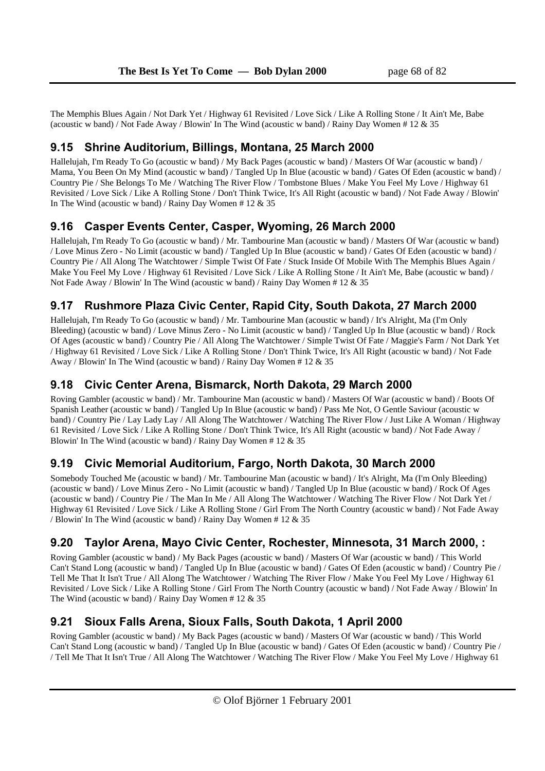The Memphis Blues Again / Not Dark Yet / Highway 61 Revisited / Love Sick / Like A Rolling Stone / It Ain't Me, Babe (acoustic w band) / Not Fade Away / Blowin' In The Wind (acoustic w band) / Rainy Day Women # 12 & 35

### **9.15 Shrine Auditorium, Billings, Montana, 25 March 2000**

Hallelujah, I'm Ready To Go (acoustic w band) / My Back Pages (acoustic w band) / Masters Of War (acoustic w band) / Mama, You Been On My Mind (acoustic w band) / Tangled Up In Blue (acoustic w band) / Gates Of Eden (acoustic w band) / Country Pie / She Belongs To Me / Watching The River Flow / Tombstone Blues / Make You Feel My Love / Highway 61 Revisited / Love Sick / Like A Rolling Stone / Don't Think Twice, It's All Right (acoustic w band) / Not Fade Away / Blowin' In The Wind (acoustic w band) / Rainy Day Women # 12 & 35

# **9.16 Casper Events Center, Casper, Wyoming, 26 March 2000**

Hallelujah, I'm Ready To Go (acoustic w band) / Mr. Tambourine Man (acoustic w band) / Masters Of War (acoustic w band) / Love Minus Zero - No Limit (acoustic w band) / Tangled Up In Blue (acoustic w band) / Gates Of Eden (acoustic w band) / Country Pie / All Along The Watchtower / Simple Twist Of Fate / Stuck Inside Of Mobile With The Memphis Blues Again / Make You Feel My Love / Highway 61 Revisited / Love Sick / Like A Rolling Stone / It Ain't Me, Babe (acoustic w band) / Not Fade Away / Blowin' In The Wind (acoustic w band) / Rainy Day Women # 12 & 35

# **9.17 Rushmore Plaza Civic Center, Rapid City, South Dakota, 27 March 2000**

Hallelujah, I'm Ready To Go (acoustic w band) / Mr. Tambourine Man (acoustic w band) / It's Alright, Ma (I'm Only Bleeding) (acoustic w band) / Love Minus Zero - No Limit (acoustic w band) / Tangled Up In Blue (acoustic w band) / Rock Of Ages (acoustic w band) / Country Pie / All Along The Watchtower / Simple Twist Of Fate / Maggie's Farm / Not Dark Yet / Highway 61 Revisited / Love Sick / Like A Rolling Stone / Don't Think Twice, It's All Right (acoustic w band) / Not Fade Away / Blowin' In The Wind (acoustic w band) / Rainy Day Women # 12 & 35

# **9.18 Civic Center Arena, Bismarck, North Dakota, 29 March 2000**

Roving Gambler (acoustic w band) / Mr. Tambourine Man (acoustic w band) / Masters Of War (acoustic w band) / Boots Of Spanish Leather (acoustic w band) / Tangled Up In Blue (acoustic w band) / Pass Me Not, O Gentle Saviour (acoustic w band) / Country Pie / Lay Lady Lay / All Along The Watchtower / Watching The River Flow / Just Like A Woman / Highway 61 Revisited / Love Sick / Like A Rolling Stone / Don't Think Twice, It's All Right (acoustic w band) / Not Fade Away / Blowin' In The Wind (acoustic w band) / Rainy Day Women # 12 & 35

# **9.19 Civic Memorial Auditorium, Fargo, North Dakota, 30 March 2000**

Somebody Touched Me (acoustic w band) / Mr. Tambourine Man (acoustic w band) / It's Alright, Ma (I'm Only Bleeding) (acoustic w band) / Love Minus Zero - No Limit (acoustic w band) / Tangled Up In Blue (acoustic w band) / Rock Of Ages (acoustic w band) / Country Pie / The Man In Me / All Along The Watchtower / Watching The River Flow / Not Dark Yet / Highway 61 Revisited / Love Sick / Like A Rolling Stone / Girl From The North Country (acoustic w band) / Not Fade Away / Blowin' In The Wind (acoustic w band) / Rainy Day Women # 12 & 35

# **9.20 Taylor Arena, Mayo Civic Center, Rochester, Minnesota, 31 March 2000, :**

Roving Gambler (acoustic w band) / My Back Pages (acoustic w band) / Masters Of War (acoustic w band) / This World Can't Stand Long (acoustic w band) / Tangled Up In Blue (acoustic w band) / Gates Of Eden (acoustic w band) / Country Pie / Tell Me That It Isn't True / All Along The Watchtower / Watching The River Flow / Make You Feel My Love / Highway 61 Revisited / Love Sick / Like A Rolling Stone / Girl From The North Country (acoustic w band) / Not Fade Away / Blowin' In The Wind (acoustic w band) / Rainy Day Women  $# 12 \& 35$ 

# **9.21 Sioux Falls Arena, Sioux Falls, South Dakota, 1 April 2000**

Roving Gambler (acoustic w band) / My Back Pages (acoustic w band) / Masters Of War (acoustic w band) / This World Can't Stand Long (acoustic w band) / Tangled Up In Blue (acoustic w band) / Gates Of Eden (acoustic w band) / Country Pie / / Tell Me That It Isn't True / All Along The Watchtower / Watching The River Flow / Make You Feel My Love / Highway 61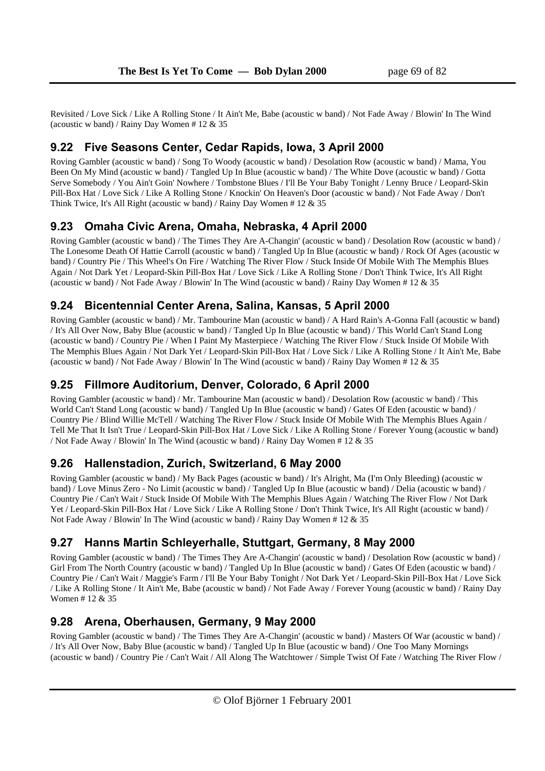Revisited / Love Sick / Like A Rolling Stone / It Ain't Me, Babe (acoustic w band) / Not Fade Away / Blowin' In The Wind (acoustic w band) / Rainy Day Women # 12 & 35

# **9.22 Five Seasons Center, Cedar Rapids, Iowa, 3 April 2000**

Roving Gambler (acoustic w band) / Song To Woody (acoustic w band) / Desolation Row (acoustic w band) / Mama, You Been On My Mind (acoustic w band) / Tangled Up In Blue (acoustic w band) / The White Dove (acoustic w band) / Gotta Serve Somebody / You Ain't Goin' Nowhere / Tombstone Blues / I'll Be Your Baby Tonight / Lenny Bruce / Leopard-Skin Pill-Box Hat / Love Sick / Like A Rolling Stone / Knockin' On Heaven's Door (acoustic w band) / Not Fade Away / Don't Think Twice, It's All Right (acoustic w band) / Rainy Day Women # 12 & 35

# **9.23 Omaha Civic Arena, Omaha, Nebraska, 4 April 2000**

Roving Gambler (acoustic w band) / The Times They Are A-Changin' (acoustic w band) / Desolation Row (acoustic w band) / The Lonesome Death Of Hattie Carroll (acoustic w band) / Tangled Up In Blue (acoustic w band) / Rock Of Ages (acoustic w band) / Country Pie / This Wheel's On Fire / Watching The River Flow / Stuck Inside Of Mobile With The Memphis Blues Again / Not Dark Yet / Leopard-Skin Pill-Box Hat / Love Sick / Like A Rolling Stone / Don't Think Twice, It's All Right (acoustic w band) / Not Fade Away / Blowin' In The Wind (acoustic w band) / Rainy Day Women # 12 & 35

# **9.24 Bicentennial Center Arena, Salina, Kansas, 5 April 2000**

Roving Gambler (acoustic w band) / Mr. Tambourine Man (acoustic w band) / A Hard Rain's A-Gonna Fall (acoustic w band) / It's All Over Now, Baby Blue (acoustic w band) / Tangled Up In Blue (acoustic w band) / This World Can't Stand Long (acoustic w band) / Country Pie / When I Paint My Masterpiece / Watching The River Flow / Stuck Inside Of Mobile With The Memphis Blues Again / Not Dark Yet / Leopard-Skin Pill-Box Hat / Love Sick / Like A Rolling Stone / It Ain't Me, Babe (acoustic w band) / Not Fade Away / Blowin' In The Wind (acoustic w band) / Rainy Day Women # 12 & 35

# **9.25 Fillmore Auditorium, Denver, Colorado, 6 April 2000**

Roving Gambler (acoustic w band) / Mr. Tambourine Man (acoustic w band) / Desolation Row (acoustic w band) / This World Can't Stand Long (acoustic w band) / Tangled Up In Blue (acoustic w band) / Gates Of Eden (acoustic w band) / Country Pie / Blind Willie McTell / Watching The River Flow / Stuck Inside Of Mobile With The Memphis Blues Again / Tell Me That It Isn't True / Leopard-Skin Pill-Box Hat / Love Sick / Like A Rolling Stone / Forever Young (acoustic w band) / Not Fade Away / Blowin' In The Wind (acoustic w band) / Rainy Day Women # 12 & 35

# **9.26 Hallenstadion, Zurich, Switzerland, 6 May 2000**

Roving Gambler (acoustic w band) / My Back Pages (acoustic w band) / It's Alright, Ma (I'm Only Bleeding) (acoustic w band) / Love Minus Zero - No Limit (acoustic w band) / Tangled Up In Blue (acoustic w band) / Delia (acoustic w band) / Country Pie / Can't Wait / Stuck Inside Of Mobile With The Memphis Blues Again / Watching The River Flow / Not Dark Yet / Leopard-Skin Pill-Box Hat / Love Sick / Like A Rolling Stone / Don't Think Twice, It's All Right (acoustic w band) / Not Fade Away / Blowin' In The Wind (acoustic w band) / Rainy Day Women # 12 & 35

# **9.27 Hanns Martin Schleyerhalle, Stuttgart, Germany, 8 May 2000**

Roving Gambler (acoustic w band) / The Times They Are A-Changin' (acoustic w band) / Desolation Row (acoustic w band) / Girl From The North Country (acoustic w band) / Tangled Up In Blue (acoustic w band) / Gates Of Eden (acoustic w band) / Country Pie / Can't Wait / Maggie's Farm / I'll Be Your Baby Tonight / Not Dark Yet / Leopard-Skin Pill-Box Hat / Love Sick / Like A Rolling Stone / It Ain't Me, Babe (acoustic w band) / Not Fade Away / Forever Young (acoustic w band) / Rainy Day Women # 12 & 35

# **9.28 Arena, Oberhausen, Germany, 9 May 2000**

Roving Gambler (acoustic w band) / The Times They Are A-Changin' (acoustic w band) / Masters Of War (acoustic w band) / / It's All Over Now, Baby Blue (acoustic w band) / Tangled Up In Blue (acoustic w band) / One Too Many Mornings (acoustic w band) / Country Pie / Can't Wait / All Along The Watchtower / Simple Twist Of Fate / Watching The River Flow /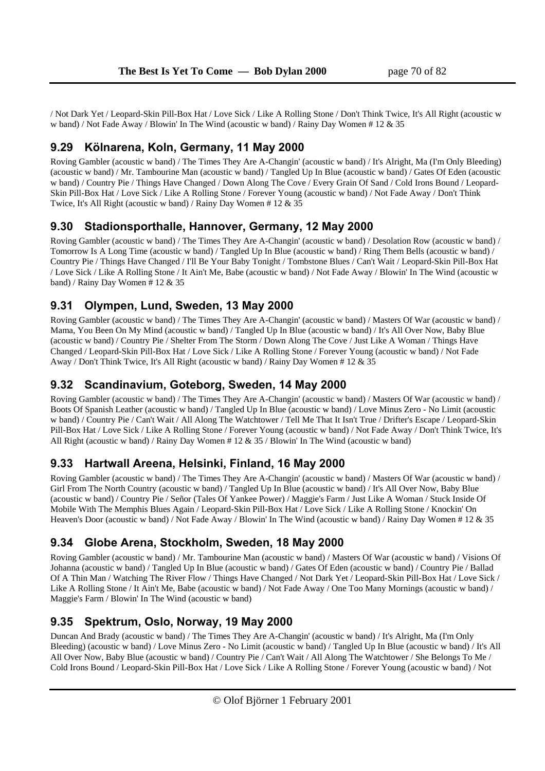/ Not Dark Yet / Leopard-Skin Pill-Box Hat / Love Sick / Like A Rolling Stone / Don't Think Twice, It's All Right (acoustic w w band) / Not Fade Away / Blowin' In The Wind (acoustic w band) / Rainy Day Women # 12 & 35

### **9.29 Kölnarena, Koln, Germany, 11 May 2000**

Roving Gambler (acoustic w band) / The Times They Are A-Changin' (acoustic w band) / It's Alright, Ma (I'm Only Bleeding) (acoustic w band) / Mr. Tambourine Man (acoustic w band) / Tangled Up In Blue (acoustic w band) / Gates Of Eden (acoustic w band) / Country Pie / Things Have Changed / Down Along The Cove / Every Grain Of Sand / Cold Irons Bound / Leopard-Skin Pill-Box Hat / Love Sick / Like A Rolling Stone / Forever Young (acoustic w band) / Not Fade Away / Don't Think Twice, It's All Right (acoustic w band) / Rainy Day Women # 12 & 35

### **9.30 Stadionsporthalle, Hannover, Germany, 12 May 2000**

Roving Gambler (acoustic w band) / The Times They Are A-Changin' (acoustic w band) / Desolation Row (acoustic w band) / Tomorrow Is A Long Time (acoustic w band) / Tangled Up In Blue (acoustic w band) / Ring Them Bells (acoustic w band) / Country Pie / Things Have Changed / I'll Be Your Baby Tonight / Tombstone Blues / Can't Wait / Leopard-Skin Pill-Box Hat / Love Sick / Like A Rolling Stone / It Ain't Me, Babe (acoustic w band) / Not Fade Away / Blowin' In The Wind (acoustic w band) / Rainy Day Women # 12 & 35

# **9.31 Olympen, Lund, Sweden, 13 May 2000**

Roving Gambler (acoustic w band) / The Times They Are A-Changin' (acoustic w band) / Masters Of War (acoustic w band) / Mama, You Been On My Mind (acoustic w band) / Tangled Up In Blue (acoustic w band) / It's All Over Now, Baby Blue (acoustic w band) / Country Pie / Shelter From The Storm / Down Along The Cove / Just Like A Woman / Things Have Changed / Leopard-Skin Pill-Box Hat / Love Sick / Like A Rolling Stone / Forever Young (acoustic w band) / Not Fade Away / Don't Think Twice, It's All Right (acoustic w band) / Rainy Day Women # 12 & 35

### **9.32 Scandinavium, Goteborg, Sweden, 14 May 2000**

Roving Gambler (acoustic w band) / The Times They Are A-Changin' (acoustic w band) / Masters Of War (acoustic w band) / Boots Of Spanish Leather (acoustic w band) / Tangled Up In Blue (acoustic w band) / Love Minus Zero - No Limit (acoustic w band) / Country Pie / Can't Wait / All Along The Watchtower / Tell Me That It Isn't True / Drifter's Escape / Leopard-Skin Pill-Box Hat / Love Sick / Like A Rolling Stone / Forever Young (acoustic w band) / Not Fade Away / Don't Think Twice, It's All Right (acoustic w band) / Rainy Day Women # 12 & 35 / Blowin' In The Wind (acoustic w band)

# **9.33 Hartwall Areena, Helsinki, Finland, 16 May 2000**

Roving Gambler (acoustic w band) / The Times They Are A-Changin' (acoustic w band) / Masters Of War (acoustic w band) / Girl From The North Country (acoustic w band) / Tangled Up In Blue (acoustic w band) / It's All Over Now, Baby Blue (acoustic w band) / Country Pie / Señor (Tales Of Yankee Power) / Maggie's Farm / Just Like A Woman / Stuck Inside Of Mobile With The Memphis Blues Again / Leopard-Skin Pill-Box Hat / Love Sick / Like A Rolling Stone / Knockin' On Heaven's Door (acoustic w band) / Not Fade Away / Blowin' In The Wind (acoustic w band) / Rainy Day Women # 12 & 35

### **9.34 Globe Arena, Stockholm, Sweden, 18 May 2000**

Roving Gambler (acoustic w band) / Mr. Tambourine Man (acoustic w band) / Masters Of War (acoustic w band) / Visions Of Johanna (acoustic w band) / Tangled Up In Blue (acoustic w band) / Gates Of Eden (acoustic w band) / Country Pie / Ballad Of A Thin Man / Watching The River Flow / Things Have Changed / Not Dark Yet / Leopard-Skin Pill-Box Hat / Love Sick / Like A Rolling Stone / It Ain't Me, Babe (acoustic w band) / Not Fade Away / One Too Many Mornings (acoustic w band) / Maggie's Farm / Blowin' In The Wind (acoustic w band)

# **9.35 Spektrum, Oslo, Norway, 19 May 2000**

Duncan And Brady (acoustic w band) / The Times They Are A-Changin' (acoustic w band) / It's Alright, Ma (I'm Only Bleeding) (acoustic w band) / Love Minus Zero - No Limit (acoustic w band) / Tangled Up In Blue (acoustic w band) / It's All All Over Now, Baby Blue (acoustic w band) / Country Pie / Can't Wait / All Along The Watchtower / She Belongs To Me / Cold Irons Bound / Leopard-Skin Pill-Box Hat / Love Sick / Like A Rolling Stone / Forever Young (acoustic w band) / Not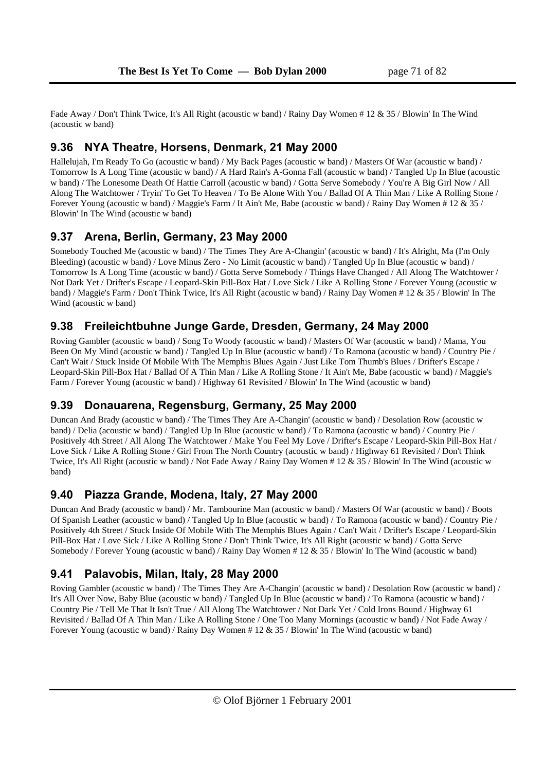Fade Away / Don't Think Twice, It's All Right (acoustic w band) / Rainy Day Women # 12 & 35 / Blowin' In The Wind (acoustic w band)

### **9.36 NYA Theatre, Horsens, Denmark, 21 May 2000**

Hallelujah, I'm Ready To Go (acoustic w band) / My Back Pages (acoustic w band) / Masters Of War (acoustic w band) / Tomorrow Is A Long Time (acoustic w band) / A Hard Rain's A-Gonna Fall (acoustic w band) / Tangled Up In Blue (acoustic w band) / The Lonesome Death Of Hattie Carroll (acoustic w band) / Gotta Serve Somebody / You're A Big Girl Now / All Along The Watchtower / Tryin' To Get To Heaven / To Be Alone With You / Ballad Of A Thin Man / Like A Rolling Stone / Forever Young (acoustic w band) / Maggie's Farm / It Ain't Me, Babe (acoustic w band) / Rainy Day Women # 12 & 35 / Blowin' In The Wind (acoustic w band)

### **9.37 Arena, Berlin, Germany, 23 May 2000**

Somebody Touched Me (acoustic w band) / The Times They Are A-Changin' (acoustic w band) / It's Alright, Ma (I'm Only Bleeding) (acoustic w band) / Love Minus Zero - No Limit (acoustic w band) / Tangled Up In Blue (acoustic w band) / Tomorrow Is A Long Time (acoustic w band) / Gotta Serve Somebody / Things Have Changed / All Along The Watchtower / Not Dark Yet / Drifter's Escape / Leopard-Skin Pill-Box Hat / Love Sick / Like A Rolling Stone / Forever Young (acoustic w band) / Maggie's Farm / Don't Think Twice, It's All Right (acoustic w band) / Rainy Day Women # 12 & 35 / Blowin' In The Wind (acoustic w band)

# **9.38 Freileichtbuhne Junge Garde, Dresden, Germany, 24 May 2000**

Roving Gambler (acoustic w band) / Song To Woody (acoustic w band) / Masters Of War (acoustic w band) / Mama, You Been On My Mind (acoustic w band) / Tangled Up In Blue (acoustic w band) / To Ramona (acoustic w band) / Country Pie / Can't Wait / Stuck Inside Of Mobile With The Memphis Blues Again / Just Like Tom Thumb's Blues / Drifter's Escape / Leopard-Skin Pill-Box Hat / Ballad Of A Thin Man / Like A Rolling Stone / It Ain't Me, Babe (acoustic w band) / Maggie's Farm / Forever Young (acoustic w band) / Highway 61 Revisited / Blowin' In The Wind (acoustic w band)

# **9.39 Donauarena, Regensburg, Germany, 25 May 2000**

Duncan And Brady (acoustic w band) / The Times They Are A-Changin' (acoustic w band) / Desolation Row (acoustic w band) / Delia (acoustic w band) / Tangled Up In Blue (acoustic w band) / To Ramona (acoustic w band) / Country Pie / Positively 4th Street / All Along The Watchtower / Make You Feel My Love / Drifter's Escape / Leopard-Skin Pill-Box Hat / Love Sick / Like A Rolling Stone / Girl From The North Country (acoustic w band) / Highway 61 Revisited / Don't Think Twice, It's All Right (acoustic w band) / Not Fade Away / Rainy Day Women # 12 & 35 / Blowin' In The Wind (acoustic w band)

### **9.40 Piazza Grande, Modena, Italy, 27 May 2000**

Duncan And Brady (acoustic w band) / Mr. Tambourine Man (acoustic w band) / Masters Of War (acoustic w band) / Boots Of Spanish Leather (acoustic w band) / Tangled Up In Blue (acoustic w band) / To Ramona (acoustic w band) / Country Pie / Positively 4th Street / Stuck Inside Of Mobile With The Memphis Blues Again / Can't Wait / Drifter's Escape / Leopard-Skin Pill-Box Hat / Love Sick / Like A Rolling Stone / Don't Think Twice, It's All Right (acoustic w band) / Gotta Serve Somebody / Forever Young (acoustic w band) / Rainy Day Women # 12 & 35 / Blowin' In The Wind (acoustic w band)

# **9.41 Palavobis, Milan, Italy, 28 May 2000**

Roving Gambler (acoustic w band) / The Times They Are A-Changin' (acoustic w band) / Desolation Row (acoustic w band) / It's All Over Now, Baby Blue (acoustic w band) / Tangled Up In Blue (acoustic w band) / To Ramona (acoustic w band) / Country Pie / Tell Me That It Isn't True / All Along The Watchtower / Not Dark Yet / Cold Irons Bound / Highway 61 Revisited / Ballad Of A Thin Man / Like A Rolling Stone / One Too Many Mornings (acoustic w band) / Not Fade Away / Forever Young (acoustic w band) / Rainy Day Women # 12 & 35 / Blowin' In The Wind (acoustic w band)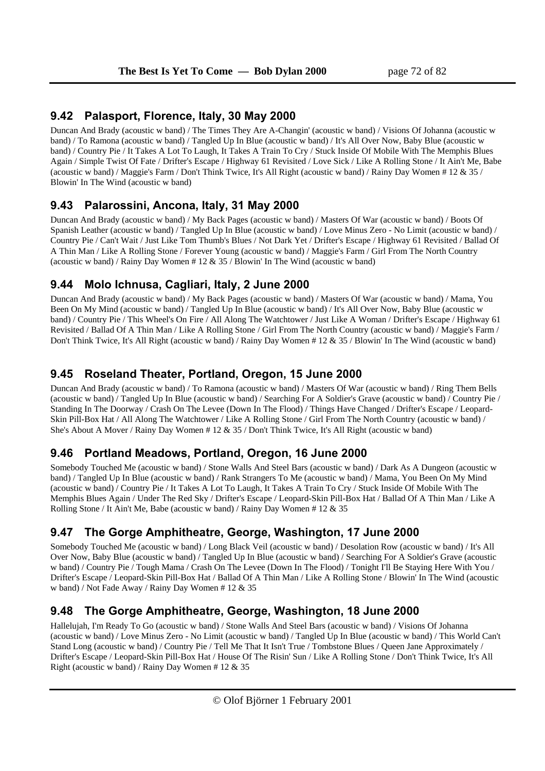# **9.42 Palasport, Florence, Italy, 30 May 2000**

Duncan And Brady (acoustic w band) / The Times They Are A-Changin' (acoustic w band) / Visions Of Johanna (acoustic w band) / To Ramona (acoustic w band) / Tangled Up In Blue (acoustic w band) / It's All Over Now, Baby Blue (acoustic w band) / Country Pie / It Takes A Lot To Laugh, It Takes A Train To Cry / Stuck Inside Of Mobile With The Memphis Blues Again / Simple Twist Of Fate / Drifter's Escape / Highway 61 Revisited / Love Sick / Like A Rolling Stone / It Ain't Me, Babe (acoustic w band) / Maggie's Farm / Don't Think Twice, It's All Right (acoustic w band) / Rainy Day Women # 12 & 35 / Blowin' In The Wind (acoustic w band)

# **9.43 Palarossini, Ancona, Italy, 31 May 2000**

Duncan And Brady (acoustic w band) / My Back Pages (acoustic w band) / Masters Of War (acoustic w band) / Boots Of Spanish Leather (acoustic w band) / Tangled Up In Blue (acoustic w band) / Love Minus Zero - No Limit (acoustic w band) / Country Pie / Can't Wait / Just Like Tom Thumb's Blues / Not Dark Yet / Drifter's Escape / Highway 61 Revisited / Ballad Of A Thin Man / Like A Rolling Stone / Forever Young (acoustic w band) / Maggie's Farm / Girl From The North Country (acoustic w band) / Rainy Day Women  $# 12 \& 35$  / Blowin' In The Wind (acoustic w band)

# **9.44 Molo Ichnusa, Cagliari, Italy, 2 June 2000**

Duncan And Brady (acoustic w band) / My Back Pages (acoustic w band) / Masters Of War (acoustic w band) / Mama, You Been On My Mind (acoustic w band) / Tangled Up In Blue (acoustic w band) / It's All Over Now, Baby Blue (acoustic w band) / Country Pie / This Wheel's On Fire / All Along The Watchtower / Just Like A Woman / Drifter's Escape / Highway 61 Revisited / Ballad Of A Thin Man / Like A Rolling Stone / Girl From The North Country (acoustic w band) / Maggie's Farm / Don't Think Twice, It's All Right (acoustic w band) / Rainy Day Women # 12 & 35 / Blowin' In The Wind (acoustic w band)

# **9.45 Roseland Theater, Portland, Oregon, 15 June 2000**

Duncan And Brady (acoustic w band) / To Ramona (acoustic w band) / Masters Of War (acoustic w band) / Ring Them Bells (acoustic w band) / Tangled Up In Blue (acoustic w band) / Searching For A Soldier's Grave (acoustic w band) / Country Pie / Standing In The Doorway / Crash On The Levee (Down In The Flood) / Things Have Changed / Drifter's Escape / Leopard-Skin Pill-Box Hat / All Along The Watchtower / Like A Rolling Stone / Girl From The North Country (acoustic w band) / She's About A Mover / Rainy Day Women # 12 & 35 / Don't Think Twice, It's All Right (acoustic w band)

# **9.46 Portland Meadows, Portland, Oregon, 16 June 2000**

Somebody Touched Me (acoustic w band) / Stone Walls And Steel Bars (acoustic w band) / Dark As A Dungeon (acoustic w band) / Tangled Up In Blue (acoustic w band) / Rank Strangers To Me (acoustic w band) / Mama, You Been On My Mind (acoustic w band) / Country Pie / It Takes A Lot To Laugh, It Takes A Train To Cry / Stuck Inside Of Mobile With The Memphis Blues Again / Under The Red Sky / Drifter's Escape / Leopard-Skin Pill-Box Hat / Ballad Of A Thin Man / Like A Rolling Stone / It Ain't Me, Babe (acoustic w band) / Rainy Day Women # 12 & 35

# **9.47 The Gorge Amphitheatre, George, Washington, 17 June 2000**

Somebody Touched Me (acoustic w band) / Long Black Veil (acoustic w band) / Desolation Row (acoustic w band) / It's All Over Now, Baby Blue (acoustic w band) / Tangled Up In Blue (acoustic w band) / Searching For A Soldier's Grave (acoustic w band) / Country Pie / Tough Mama / Crash On The Levee (Down In The Flood) / Tonight I'll Be Staying Here With You / Drifter's Escape / Leopard-Skin Pill-Box Hat / Ballad Of A Thin Man / Like A Rolling Stone / Blowin' In The Wind (acoustic w band) / Not Fade Away / Rainy Day Women # 12 & 35

# **9.48 The Gorge Amphitheatre, George, Washington, 18 June 2000**

Hallelujah, I'm Ready To Go (acoustic w band) / Stone Walls And Steel Bars (acoustic w band) / Visions Of Johanna (acoustic w band) / Love Minus Zero - No Limit (acoustic w band) / Tangled Up In Blue (acoustic w band) / This World Can't Stand Long (acoustic w band) / Country Pie / Tell Me That It Isn't True / Tombstone Blues / Queen Jane Approximately / Drifter's Escape / Leopard-Skin Pill-Box Hat / House Of The Risin' Sun / Like A Rolling Stone / Don't Think Twice, It's All Right (acoustic w band) / Rainy Day Women # 12 & 35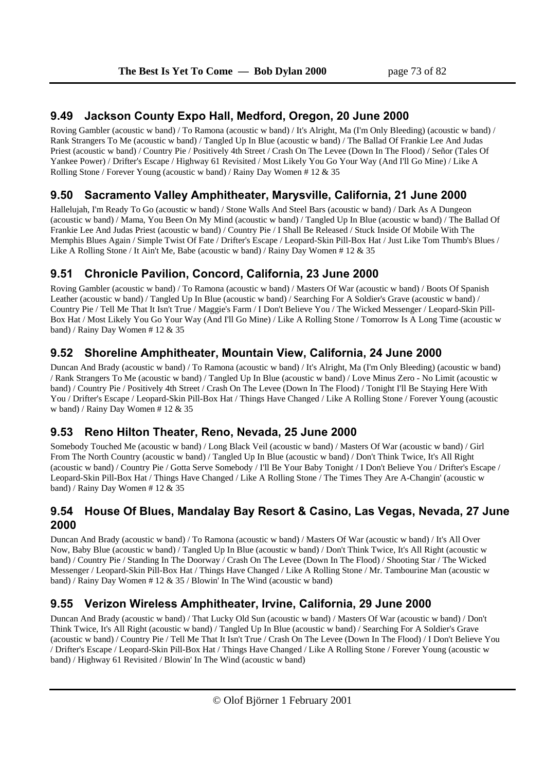### **9.49 Jackson County Expo Hall, Medford, Oregon, 20 June 2000**

Roving Gambler (acoustic w band) / To Ramona (acoustic w band) / It's Alright, Ma (I'm Only Bleeding) (acoustic w band) / Rank Strangers To Me (acoustic w band) / Tangled Up In Blue (acoustic w band) / The Ballad Of Frankie Lee And Judas Priest (acoustic w band) / Country Pie / Positively 4th Street / Crash On The Levee (Down In The Flood) / Señor (Tales Of Yankee Power) / Drifter's Escape / Highway 61 Revisited / Most Likely You Go Your Way (And I'll Go Mine) / Like A Rolling Stone / Forever Young (acoustic w band) / Rainy Day Women # 12 & 35

# **9.50 Sacramento Valley Amphitheater, Marysville, California, 21 June 2000**

Hallelujah, I'm Ready To Go (acoustic w band) / Stone Walls And Steel Bars (acoustic w band) / Dark As A Dungeon (acoustic w band) / Mama, You Been On My Mind (acoustic w band) / Tangled Up In Blue (acoustic w band) / The Ballad Of Frankie Lee And Judas Priest (acoustic w band) / Country Pie / I Shall Be Released / Stuck Inside Of Mobile With The Memphis Blues Again / Simple Twist Of Fate / Drifter's Escape / Leopard-Skin Pill-Box Hat / Just Like Tom Thumb's Blues / Like A Rolling Stone / It Ain't Me, Babe (acoustic w band) / Rainy Day Women # 12 & 35

## **9.51 Chronicle Pavilion, Concord, California, 23 June 2000**

Roving Gambler (acoustic w band) / To Ramona (acoustic w band) / Masters Of War (acoustic w band) / Boots Of Spanish Leather (acoustic w band) / Tangled Up In Blue (acoustic w band) / Searching For A Soldier's Grave (acoustic w band) / Country Pie / Tell Me That It Isn't True / Maggie's Farm / I Don't Believe You / The Wicked Messenger / Leopard-Skin Pill-Box Hat / Most Likely You Go Your Way (And I'll Go Mine) / Like A Rolling Stone / Tomorrow Is A Long Time (acoustic w band) / Rainy Day Women # 12 & 35

# **9.52 Shoreline Amphitheater, Mountain View, California, 24 June 2000**

Duncan And Brady (acoustic w band) / To Ramona (acoustic w band) / It's Alright, Ma (I'm Only Bleeding) (acoustic w band) / Rank Strangers To Me (acoustic w band) / Tangled Up In Blue (acoustic w band) / Love Minus Zero - No Limit (acoustic w band) / Country Pie / Positively 4th Street / Crash On The Levee (Down In The Flood) / Tonight I'll Be Staying Here With You / Drifter's Escape / Leopard-Skin Pill-Box Hat / Things Have Changed / Like A Rolling Stone / Forever Young (acoustic w band) / Rainy Day Women # 12 & 35

# **9.53 Reno Hilton Theater, Reno, Nevada, 25 June 2000**

Somebody Touched Me (acoustic w band) / Long Black Veil (acoustic w band) / Masters Of War (acoustic w band) / Girl From The North Country (acoustic w band) / Tangled Up In Blue (acoustic w band) / Don't Think Twice, It's All Right (acoustic w band) / Country Pie / Gotta Serve Somebody / I'll Be Your Baby Tonight / I Don't Believe You / Drifter's Escape / Leopard-Skin Pill-Box Hat / Things Have Changed / Like A Rolling Stone / The Times They Are A-Changin' (acoustic w band) / Rainy Day Women # 12 & 35

### **9.54 House Of Blues, Mandalay Bay Resort & Casino, Las Vegas, Nevada, 27 June 2000**

Duncan And Brady (acoustic w band) / To Ramona (acoustic w band) / Masters Of War (acoustic w band) / It's All Over Now, Baby Blue (acoustic w band) / Tangled Up In Blue (acoustic w band) / Don't Think Twice, It's All Right (acoustic w band) / Country Pie / Standing In The Doorway / Crash On The Levee (Down In The Flood) / Shooting Star / The Wicked Messenger / Leopard-Skin Pill-Box Hat / Things Have Changed / Like A Rolling Stone / Mr. Tambourine Man (acoustic w band) / Rainy Day Women # 12 & 35 / Blowin' In The Wind (acoustic w band)

# **9.55 Verizon Wireless Amphitheater, Irvine, California, 29 June 2000**

Duncan And Brady (acoustic w band) / That Lucky Old Sun (acoustic w band) / Masters Of War (acoustic w band) / Don't Think Twice, It's All Right (acoustic w band) / Tangled Up In Blue (acoustic w band) / Searching For A Soldier's Grave (acoustic w band) / Country Pie / Tell Me That It Isn't True / Crash On The Levee (Down In The Flood) / I Don't Believe You / Drifter's Escape / Leopard-Skin Pill-Box Hat / Things Have Changed / Like A Rolling Stone / Forever Young (acoustic w band) / Highway 61 Revisited / Blowin' In The Wind (acoustic w band)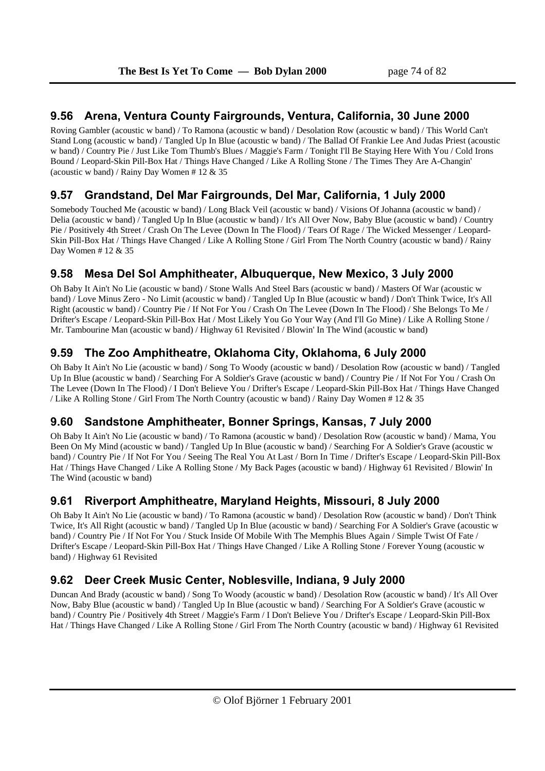### **9.56 Arena, Ventura County Fairgrounds, Ventura, California, 30 June 2000**

Roving Gambler (acoustic w band) / To Ramona (acoustic w band) / Desolation Row (acoustic w band) / This World Can't Stand Long (acoustic w band) / Tangled Up In Blue (acoustic w band) / The Ballad Of Frankie Lee And Judas Priest (acoustic w band) / Country Pie / Just Like Tom Thumb's Blues / Maggie's Farm / Tonight I'll Be Staying Here With You / Cold Irons Bound / Leopard-Skin Pill-Box Hat / Things Have Changed / Like A Rolling Stone / The Times They Are A-Changin' (acoustic w band) / Rainy Day Women # 12 & 35

# **9.57 Grandstand, Del Mar Fairgrounds, Del Mar, California, 1 July 2000**

Somebody Touched Me (acoustic w band) / Long Black Veil (acoustic w band) / Visions Of Johanna (acoustic w band) / Delia (acoustic w band) / Tangled Up In Blue (acoustic w band) / It's All Over Now, Baby Blue (acoustic w band) / Country Pie / Positively 4th Street / Crash On The Levee (Down In The Flood) / Tears Of Rage / The Wicked Messenger / Leopard-Skin Pill-Box Hat / Things Have Changed / Like A Rolling Stone / Girl From The North Country (acoustic w band) / Rainy Day Women # 12 & 35

## **9.58 Mesa Del Sol Amphitheater, Albuquerque, New Mexico, 3 July 2000**

Oh Baby It Ain't No Lie (acoustic w band) / Stone Walls And Steel Bars (acoustic w band) / Masters Of War (acoustic w band) / Love Minus Zero - No Limit (acoustic w band) / Tangled Up In Blue (acoustic w band) / Don't Think Twice, It's All Right (acoustic w band) / Country Pie / If Not For You / Crash On The Levee (Down In The Flood) / She Belongs To Me / Drifter's Escape / Leopard-Skin Pill-Box Hat / Most Likely You Go Your Way (And I'll Go Mine) / Like A Rolling Stone / Mr. Tambourine Man (acoustic w band) / Highway 61 Revisited / Blowin' In The Wind (acoustic w band)

# **9.59 The Zoo Amphitheatre, Oklahoma City, Oklahoma, 6 July 2000**

Oh Baby It Ain't No Lie (acoustic w band) / Song To Woody (acoustic w band) / Desolation Row (acoustic w band) / Tangled Up In Blue (acoustic w band) / Searching For A Soldier's Grave (acoustic w band) / Country Pie / If Not For You / Crash On The Levee (Down In The Flood) / I Don't Believe You / Drifter's Escape / Leopard-Skin Pill-Box Hat / Things Have Changed / Like A Rolling Stone / Girl From The North Country (acoustic w band) / Rainy Day Women # 12 & 35

# **9.60 Sandstone Amphitheater, Bonner Springs, Kansas, 7 July 2000**

Oh Baby It Ain't No Lie (acoustic w band) / To Ramona (acoustic w band) / Desolation Row (acoustic w band) / Mama, You Been On My Mind (acoustic w band) / Tangled Up In Blue (acoustic w band) / Searching For A Soldier's Grave (acoustic w band) / Country Pie / If Not For You / Seeing The Real You At Last / Born In Time / Drifter's Escape / Leopard-Skin Pill-Box Hat / Things Have Changed / Like A Rolling Stone / My Back Pages (acoustic w band) / Highway 61 Revisited / Blowin' In The Wind (acoustic w band)

# **9.61 Riverport Amphitheatre, Maryland Heights, Missouri, 8 July 2000**

Oh Baby It Ain't No Lie (acoustic w band) / To Ramona (acoustic w band) / Desolation Row (acoustic w band) / Don't Think Twice, It's All Right (acoustic w band) / Tangled Up In Blue (acoustic w band) / Searching For A Soldier's Grave (acoustic w band) / Country Pie / If Not For You / Stuck Inside Of Mobile With The Memphis Blues Again / Simple Twist Of Fate / Drifter's Escape / Leopard-Skin Pill-Box Hat / Things Have Changed / Like A Rolling Stone / Forever Young (acoustic w band) / Highway 61 Revisited

# **9.62 Deer Creek Music Center, Noblesville, Indiana, 9 July 2000**

Duncan And Brady (acoustic w band) / Song To Woody (acoustic w band) / Desolation Row (acoustic w band) / It's All Over Now, Baby Blue (acoustic w band) / Tangled Up In Blue (acoustic w band) / Searching For A Soldier's Grave (acoustic w band) / Country Pie / Positively 4th Street / Maggie's Farm / I Don't Believe You / Drifter's Escape / Leopard-Skin Pill-Box Hat / Things Have Changed / Like A Rolling Stone / Girl From The North Country (acoustic w band) / Highway 61 Revisited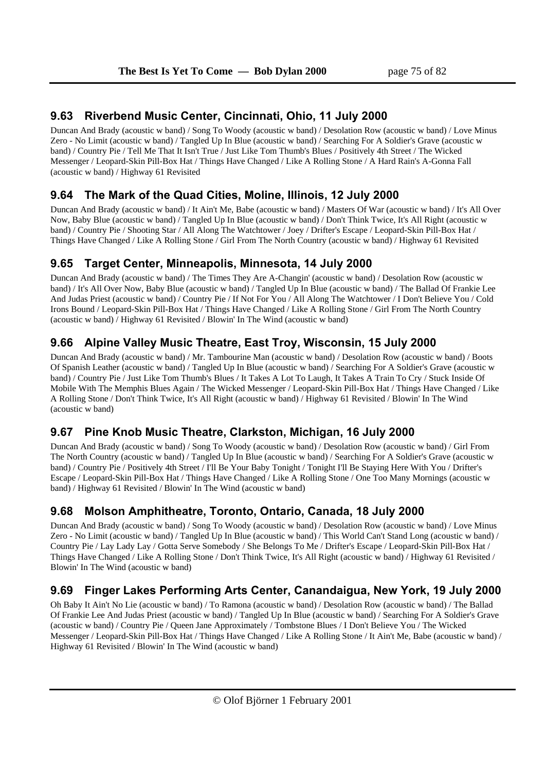## **9.63 Riverbend Music Center, Cincinnati, Ohio, 11 July 2000**

Duncan And Brady (acoustic w band) / Song To Woody (acoustic w band) / Desolation Row (acoustic w band) / Love Minus Zero - No Limit (acoustic w band) / Tangled Up In Blue (acoustic w band) / Searching For A Soldier's Grave (acoustic w band) / Country Pie / Tell Me That It Isn't True / Just Like Tom Thumb's Blues / Positively 4th Street / The Wicked Messenger / Leopard-Skin Pill-Box Hat / Things Have Changed / Like A Rolling Stone / A Hard Rain's A-Gonna Fall (acoustic w band) / Highway 61 Revisited

# **9.64 The Mark of the Quad Cities, Moline, Illinois, 12 July 2000**

Duncan And Brady (acoustic w band) / It Ain't Me, Babe (acoustic w band) / Masters Of War (acoustic w band) / It's All Over Now, Baby Blue (acoustic w band) / Tangled Up In Blue (acoustic w band) / Don't Think Twice, It's All Right (acoustic w band) / Country Pie / Shooting Star / All Along The Watchtower / Joey / Drifter's Escape / Leopard-Skin Pill-Box Hat / Things Have Changed / Like A Rolling Stone / Girl From The North Country (acoustic w band) / Highway 61 Revisited

## **9.65 Target Center, Minneapolis, Minnesota, 14 July 2000**

Duncan And Brady (acoustic w band) / The Times They Are A-Changin' (acoustic w band) / Desolation Row (acoustic w band) / It's All Over Now, Baby Blue (acoustic w band) / Tangled Up In Blue (acoustic w band) / The Ballad Of Frankie Lee And Judas Priest (acoustic w band) / Country Pie / If Not For You / All Along The Watchtower / I Don't Believe You / Cold Irons Bound / Leopard-Skin Pill-Box Hat / Things Have Changed / Like A Rolling Stone / Girl From The North Country (acoustic w band) / Highway 61 Revisited / Blowin' In The Wind (acoustic w band)

## **9.66 Alpine Valley Music Theatre, East Troy, Wisconsin, 15 July 2000**

Duncan And Brady (acoustic w band) / Mr. Tambourine Man (acoustic w band) / Desolation Row (acoustic w band) / Boots Of Spanish Leather (acoustic w band) / Tangled Up In Blue (acoustic w band) / Searching For A Soldier's Grave (acoustic w band) / Country Pie / Just Like Tom Thumb's Blues / It Takes A Lot To Laugh, It Takes A Train To Cry / Stuck Inside Of Mobile With The Memphis Blues Again / The Wicked Messenger / Leopard-Skin Pill-Box Hat / Things Have Changed / Like A Rolling Stone / Don't Think Twice, It's All Right (acoustic w band) / Highway 61 Revisited / Blowin' In The Wind (acoustic w band)

# **9.67 Pine Knob Music Theatre, Clarkston, Michigan, 16 July 2000**

Duncan And Brady (acoustic w band) / Song To Woody (acoustic w band) / Desolation Row (acoustic w band) / Girl From The North Country (acoustic w band) / Tangled Up In Blue (acoustic w band) / Searching For A Soldier's Grave (acoustic w band) / Country Pie / Positively 4th Street / I'll Be Your Baby Tonight / Tonight I'll Be Staying Here With You / Drifter's Escape / Leopard-Skin Pill-Box Hat / Things Have Changed / Like A Rolling Stone / One Too Many Mornings (acoustic w band) / Highway 61 Revisited / Blowin' In The Wind (acoustic w band)

# **9.68 Molson Amphitheatre, Toronto, Ontario, Canada, 18 July 2000**

Duncan And Brady (acoustic w band) / Song To Woody (acoustic w band) / Desolation Row (acoustic w band) / Love Minus Zero - No Limit (acoustic w band) / Tangled Up In Blue (acoustic w band) / This World Can't Stand Long (acoustic w band) / Country Pie / Lay Lady Lay / Gotta Serve Somebody / She Belongs To Me / Drifter's Escape / Leopard-Skin Pill-Box Hat / Things Have Changed / Like A Rolling Stone / Don't Think Twice, It's All Right (acoustic w band) / Highway 61 Revisited / Blowin' In The Wind (acoustic w band)

# **9.69 Finger Lakes Performing Arts Center, Canandaigua, New York, 19 July 2000**

Oh Baby It Ain't No Lie (acoustic w band) / To Ramona (acoustic w band) / Desolation Row (acoustic w band) / The Ballad Of Frankie Lee And Judas Priest (acoustic w band) / Tangled Up In Blue (acoustic w band) / Searching For A Soldier's Grave (acoustic w band) / Country Pie / Queen Jane Approximately / Tombstone Blues / I Don't Believe You / The Wicked Messenger / Leopard-Skin Pill-Box Hat / Things Have Changed / Like A Rolling Stone / It Ain't Me, Babe (acoustic w band) / Highway 61 Revisited / Blowin' In The Wind (acoustic w band)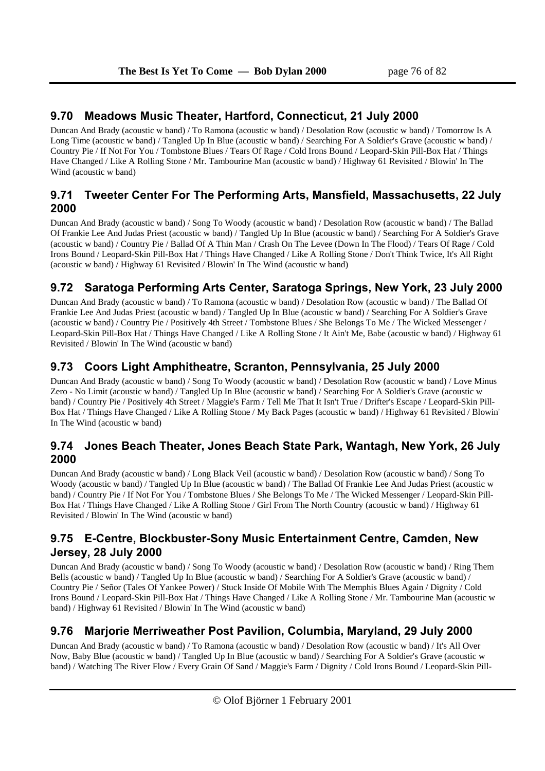## **9.70 Meadows Music Theater, Hartford, Connecticut, 21 July 2000**

Duncan And Brady (acoustic w band) / To Ramona (acoustic w band) / Desolation Row (acoustic w band) / Tomorrow Is A Long Time (acoustic w band) / Tangled Up In Blue (acoustic w band) / Searching For A Soldier's Grave (acoustic w band) / Country Pie / If Not For You / Tombstone Blues / Tears Of Rage / Cold Irons Bound / Leopard-Skin Pill-Box Hat / Things Have Changed / Like A Rolling Stone / Mr. Tambourine Man (acoustic w band) / Highway 61 Revisited / Blowin' In The Wind (acoustic w band)

# **9.71 Tweeter Center For The Performing Arts, Mansfield, Massachusetts, 22 July 2000**

Duncan And Brady (acoustic w band) / Song To Woody (acoustic w band) / Desolation Row (acoustic w band) / The Ballad Of Frankie Lee And Judas Priest (acoustic w band) / Tangled Up In Blue (acoustic w band) / Searching For A Soldier's Grave (acoustic w band) / Country Pie / Ballad Of A Thin Man / Crash On The Levee (Down In The Flood) / Tears Of Rage / Cold Irons Bound / Leopard-Skin Pill-Box Hat / Things Have Changed / Like A Rolling Stone / Don't Think Twice, It's All Right (acoustic w band) / Highway 61 Revisited / Blowin' In The Wind (acoustic w band)

# **9.72 Saratoga Performing Arts Center, Saratoga Springs, New York, 23 July 2000**

Duncan And Brady (acoustic w band) / To Ramona (acoustic w band) / Desolation Row (acoustic w band) / The Ballad Of Frankie Lee And Judas Priest (acoustic w band) / Tangled Up In Blue (acoustic w band) / Searching For A Soldier's Grave (acoustic w band) / Country Pie / Positively 4th Street / Tombstone Blues / She Belongs To Me / The Wicked Messenger / Leopard-Skin Pill-Box Hat / Things Have Changed / Like A Rolling Stone / It Ain't Me, Babe (acoustic w band) / Highway 61 Revisited / Blowin' In The Wind (acoustic w band)

# **9.73 Coors Light Amphitheatre, Scranton, Pennsylvania, 25 July 2000**

Duncan And Brady (acoustic w band) / Song To Woody (acoustic w band) / Desolation Row (acoustic w band) / Love Minus Zero - No Limit (acoustic w band) / Tangled Up In Blue (acoustic w band) / Searching For A Soldier's Grave (acoustic w band) / Country Pie / Positively 4th Street / Maggie's Farm / Tell Me That It Isn't True / Drifter's Escape / Leopard-Skin Pill-Box Hat / Things Have Changed / Like A Rolling Stone / My Back Pages (acoustic w band) / Highway 61 Revisited / Blowin' In The Wind (acoustic w band)

### **9.74 Jones Beach Theater, Jones Beach State Park, Wantagh, New York, 26 July 2000**

Duncan And Brady (acoustic w band) / Long Black Veil (acoustic w band) / Desolation Row (acoustic w band) / Song To Woody (acoustic w band) / Tangled Up In Blue (acoustic w band) / The Ballad Of Frankie Lee And Judas Priest (acoustic w band) / Country Pie / If Not For You / Tombstone Blues / She Belongs To Me / The Wicked Messenger / Leopard-Skin Pill-Box Hat / Things Have Changed / Like A Rolling Stone / Girl From The North Country (acoustic w band) / Highway 61 Revisited / Blowin' In The Wind (acoustic w band)

## **9.75 E-Centre, Blockbuster-Sony Music Entertainment Centre, Camden, New Jersey, 28 July 2000**

Duncan And Brady (acoustic w band) / Song To Woody (acoustic w band) / Desolation Row (acoustic w band) / Ring Them Bells (acoustic w band) / Tangled Up In Blue (acoustic w band) / Searching For A Soldier's Grave (acoustic w band) / Country Pie / Señor (Tales Of Yankee Power) / Stuck Inside Of Mobile With The Memphis Blues Again / Dignity / Cold Irons Bound / Leopard-Skin Pill-Box Hat / Things Have Changed / Like A Rolling Stone / Mr. Tambourine Man (acoustic w band) / Highway 61 Revisited / Blowin' In The Wind (acoustic w band)

# **9.76 Marjorie Merriweather Post Pavilion, Columbia, Maryland, 29 July 2000**

Duncan And Brady (acoustic w band) / To Ramona (acoustic w band) / Desolation Row (acoustic w band) / It's All Over Now, Baby Blue (acoustic w band) / Tangled Up In Blue (acoustic w band) / Searching For A Soldier's Grave (acoustic w band) / Watching The River Flow / Every Grain Of Sand / Maggie's Farm / Dignity / Cold Irons Bound / Leopard-Skin Pill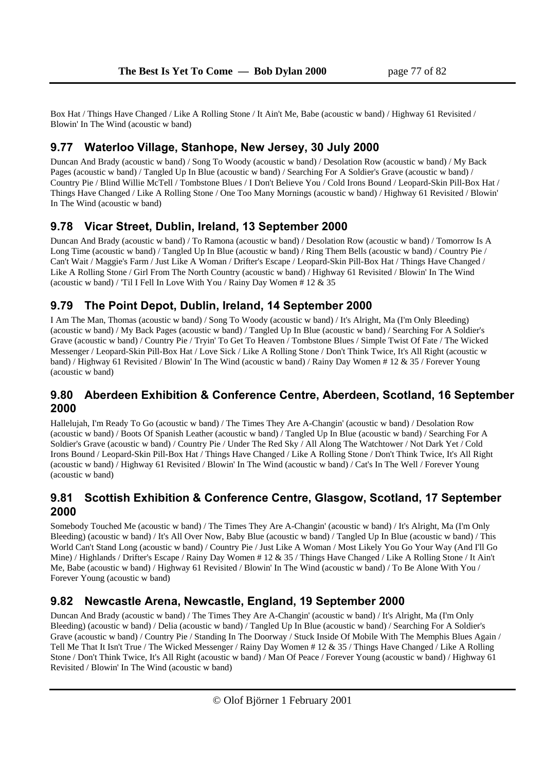Box Hat / Things Have Changed / Like A Rolling Stone / It Ain't Me, Babe (acoustic w band) / Highway 61 Revisited / Blowin' In The Wind (acoustic w band)

### **9.77 Waterloo Village, Stanhope, New Jersey, 30 July 2000**

Duncan And Brady (acoustic w band) / Song To Woody (acoustic w band) / Desolation Row (acoustic w band) / My Back Pages (acoustic w band) / Tangled Up In Blue (acoustic w band) / Searching For A Soldier's Grave (acoustic w band) / Country Pie / Blind Willie McTell / Tombstone Blues / I Don't Believe You / Cold Irons Bound / Leopard-Skin Pill-Box Hat / Things Have Changed / Like A Rolling Stone / One Too Many Mornings (acoustic w band) / Highway 61 Revisited / Blowin' In The Wind (acoustic w band)

## **9.78 Vicar Street, Dublin, Ireland, 13 September 2000**

Duncan And Brady (acoustic w band) / To Ramona (acoustic w band) / Desolation Row (acoustic w band) / Tomorrow Is A Long Time (acoustic w band) / Tangled Up In Blue (acoustic w band) / Ring Them Bells (acoustic w band) / Country Pie / Can't Wait / Maggie's Farm / Just Like A Woman / Drifter's Escape / Leopard-Skin Pill-Box Hat / Things Have Changed / Like A Rolling Stone / Girl From The North Country (acoustic w band) / Highway 61 Revisited / Blowin' In The Wind (acoustic w band) / 'Til I Fell In Love With You / Rainy Day Women # 12 & 35

## **9.79 The Point Depot, Dublin, Ireland, 14 September 2000**

I Am The Man, Thomas (acoustic w band) / Song To Woody (acoustic w band) / It's Alright, Ma (I'm Only Bleeding) (acoustic w band) / My Back Pages (acoustic w band) / Tangled Up In Blue (acoustic w band) / Searching For A Soldier's Grave (acoustic w band) / Country Pie / Tryin' To Get To Heaven / Tombstone Blues / Simple Twist Of Fate / The Wicked Messenger / Leopard-Skin Pill-Box Hat / Love Sick / Like A Rolling Stone / Don't Think Twice, It's All Right (acoustic w band) / Highway 61 Revisited / Blowin' In The Wind (acoustic w band) / Rainy Day Women # 12 & 35 / Forever Young (acoustic w band)

### **9.80 Aberdeen Exhibition & Conference Centre, Aberdeen, Scotland, 16 September 2000**

Hallelujah, I'm Ready To Go (acoustic w band) / The Times They Are A-Changin' (acoustic w band) / Desolation Row (acoustic w band) / Boots Of Spanish Leather (acoustic w band) / Tangled Up In Blue (acoustic w band) / Searching For A Soldier's Grave (acoustic w band) / Country Pie / Under The Red Sky / All Along The Watchtower / Not Dark Yet / Cold Irons Bound / Leopard-Skin Pill-Box Hat / Things Have Changed / Like A Rolling Stone / Don't Think Twice, It's All Right (acoustic w band) / Highway 61 Revisited / Blowin' In The Wind (acoustic w band) / Cat's In The Well / Forever Young (acoustic w band)

## **9.81 Scottish Exhibition & Conference Centre, Glasgow, Scotland, 17 September 2000**

Somebody Touched Me (acoustic w band) / The Times They Are A-Changin' (acoustic w band) / It's Alright, Ma (I'm Only Bleeding) (acoustic w band) / It's All Over Now, Baby Blue (acoustic w band) / Tangled Up In Blue (acoustic w band) / This World Can't Stand Long (acoustic w band) / Country Pie / Just Like A Woman / Most Likely You Go Your Way (And I'll Go Mine) / Highlands / Drifter's Escape / Rainy Day Women # 12 & 35 / Things Have Changed / Like A Rolling Stone / It Ain't Me, Babe (acoustic w band) / Highway 61 Revisited / Blowin' In The Wind (acoustic w band) / To Be Alone With You / Forever Young (acoustic w band)

### **9.82 Newcastle Arena, Newcastle, England, 19 September 2000**

Duncan And Brady (acoustic w band) / The Times They Are A-Changin' (acoustic w band) / It's Alright, Ma (I'm Only Bleeding) (acoustic w band) / Delia (acoustic w band) / Tangled Up In Blue (acoustic w band) / Searching For A Soldier's Grave (acoustic w band) / Country Pie / Standing In The Doorway / Stuck Inside Of Mobile With The Memphis Blues Again / Tell Me That It Isn't True / The Wicked Messenger / Rainy Day Women # 12 & 35 / Things Have Changed / Like A Rolling Stone / Don't Think Twice, It's All Right (acoustic w band) / Man Of Peace / Forever Young (acoustic w band) / Highway 61 Revisited / Blowin' In The Wind (acoustic w band)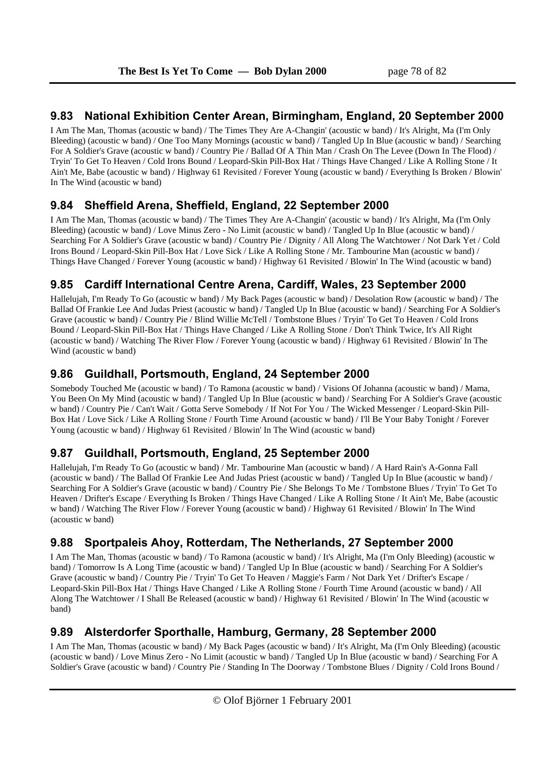## **9.83 National Exhibition Center Arean, Birmingham, England, 20 September 2000**

I Am The Man, Thomas (acoustic w band) / The Times They Are A-Changin' (acoustic w band) / It's Alright, Ma (I'm Only Bleeding) (acoustic w band) / One Too Many Mornings (acoustic w band) / Tangled Up In Blue (acoustic w band) / Searching For A Soldier's Grave (acoustic w band) / Country Pie / Ballad Of A Thin Man / Crash On The Levee (Down In The Flood) / Tryin' To Get To Heaven / Cold Irons Bound / Leopard-Skin Pill-Box Hat / Things Have Changed / Like A Rolling Stone / It Ain't Me, Babe (acoustic w band) / Highway 61 Revisited / Forever Young (acoustic w band) / Everything Is Broken / Blowin' In The Wind (acoustic w band)

# **9.84 Sheffield Arena, Sheffield, England, 22 September 2000**

I Am The Man, Thomas (acoustic w band) / The Times They Are A-Changin' (acoustic w band) / It's Alright, Ma (I'm Only Bleeding) (acoustic w band) / Love Minus Zero - No Limit (acoustic w band) / Tangled Up In Blue (acoustic w band) / Searching For A Soldier's Grave (acoustic w band) / Country Pie / Dignity / All Along The Watchtower / Not Dark Yet / Cold Irons Bound / Leopard-Skin Pill-Box Hat / Love Sick / Like A Rolling Stone / Mr. Tambourine Man (acoustic w band) / Things Have Changed / Forever Young (acoustic w band) / Highway 61 Revisited / Blowin' In The Wind (acoustic w band)

# **9.85 Cardiff International Centre Arena, Cardiff, Wales, 23 September 2000**

Hallelujah, I'm Ready To Go (acoustic w band) / My Back Pages (acoustic w band) / Desolation Row (acoustic w band) / The Ballad Of Frankie Lee And Judas Priest (acoustic w band) / Tangled Up In Blue (acoustic w band) / Searching For A Soldier's Grave (acoustic w band) / Country Pie / Blind Willie McTell / Tombstone Blues / Tryin' To Get To Heaven / Cold Irons Bound / Leopard-Skin Pill-Box Hat / Things Have Changed / Like A Rolling Stone / Don't Think Twice, It's All Right (acoustic w band) / Watching The River Flow / Forever Young (acoustic w band) / Highway 61 Revisited / Blowin' In The Wind (acoustic w band)

# **9.86 Guildhall, Portsmouth, England, 24 September 2000**

Somebody Touched Me (acoustic w band) / To Ramona (acoustic w band) / Visions Of Johanna (acoustic w band) / Mama, You Been On My Mind (acoustic w band) / Tangled Up In Blue (acoustic w band) / Searching For A Soldier's Grave (acoustic w band) / Country Pie / Can't Wait / Gotta Serve Somebody / If Not For You / The Wicked Messenger / Leopard-Skin Pill-Box Hat / Love Sick / Like A Rolling Stone / Fourth Time Around (acoustic w band) / I'll Be Your Baby Tonight / Forever Young (acoustic w band) / Highway 61 Revisited / Blowin' In The Wind (acoustic w band)

# **9.87 Guildhall, Portsmouth, England, 25 September 2000**

Hallelujah, I'm Ready To Go (acoustic w band) / Mr. Tambourine Man (acoustic w band) / A Hard Rain's A-Gonna Fall (acoustic w band) / The Ballad Of Frankie Lee And Judas Priest (acoustic w band) / Tangled Up In Blue (acoustic w band) / Searching For A Soldier's Grave (acoustic w band) / Country Pie / She Belongs To Me / Tombstone Blues / Tryin' To Get To Heaven / Drifter's Escape / Everything Is Broken / Things Have Changed / Like A Rolling Stone / It Ain't Me, Babe (acoustic w band) / Watching The River Flow / Forever Young (acoustic w band) / Highway 61 Revisited / Blowin' In The Wind (acoustic w band)

# **9.88 Sportpaleis Ahoy, Rotterdam, The Netherlands, 27 September 2000**

I Am The Man, Thomas (acoustic w band) / To Ramona (acoustic w band) / It's Alright, Ma (I'm Only Bleeding) (acoustic w band) / Tomorrow Is A Long Time (acoustic w band) / Tangled Up In Blue (acoustic w band) / Searching For A Soldier's Grave (acoustic w band) / Country Pie / Tryin' To Get To Heaven / Maggie's Farm / Not Dark Yet / Drifter's Escape / Leopard-Skin Pill-Box Hat / Things Have Changed / Like A Rolling Stone / Fourth Time Around (acoustic w band) / All Along The Watchtower / I Shall Be Released (acoustic w band) / Highway 61 Revisited / Blowin' In The Wind (acoustic w band)

# **9.89 Alsterdorfer Sporthalle, Hamburg, Germany, 28 September 2000**

I Am The Man, Thomas (acoustic w band) / My Back Pages (acoustic w band) / It's Alright, Ma (I'm Only Bleeding) (acoustic (acoustic w band) / Love Minus Zero - No Limit (acoustic w band) / Tangled Up In Blue (acoustic w band) / Searching For A Soldier's Grave (acoustic w band) / Country Pie / Standing In The Doorway / Tombstone Blues / Dignity / Cold Irons Bound /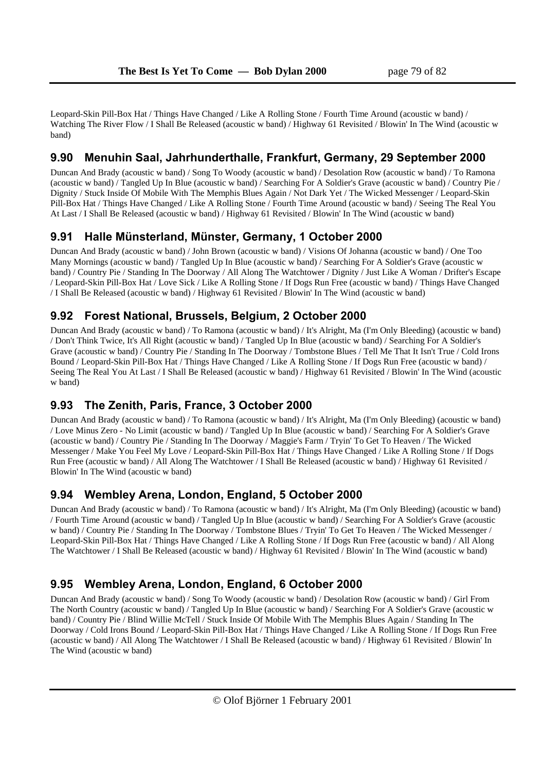Leopard-Skin Pill-Box Hat / Things Have Changed / Like A Rolling Stone / Fourth Time Around (acoustic w band) / Watching The River Flow / I Shall Be Released (acoustic w band) / Highway 61 Revisited / Blowin' In The Wind (acoustic w band)

#### **9.90 Menuhin Saal, Jahrhunderthalle, Frankfurt, Germany, 29 September 2000**

Duncan And Brady (acoustic w band) / Song To Woody (acoustic w band) / Desolation Row (acoustic w band) / To Ramona (acoustic w band) / Tangled Up In Blue (acoustic w band) / Searching For A Soldier's Grave (acoustic w band) / Country Pie / Dignity / Stuck Inside Of Mobile With The Memphis Blues Again / Not Dark Yet / The Wicked Messenger / Leopard-Skin Pill-Box Hat / Things Have Changed / Like A Rolling Stone / Fourth Time Around (acoustic w band) / Seeing The Real You At Last / I Shall Be Released (acoustic w band) / Highway 61 Revisited / Blowin' In The Wind (acoustic w band)

### **9.91 Halle Münsterland, Münster, Germany, 1 October 2000**

Duncan And Brady (acoustic w band) / John Brown (acoustic w band) / Visions Of Johanna (acoustic w band) / One Too Many Mornings (acoustic w band) / Tangled Up In Blue (acoustic w band) / Searching For A Soldier's Grave (acoustic w band) / Country Pie / Standing In The Doorway / All Along The Watchtower / Dignity / Just Like A Woman / Drifter's Escape / Leopard-Skin Pill-Box Hat / Love Sick / Like A Rolling Stone / If Dogs Run Free (acoustic w band) / Things Have Changed / I Shall Be Released (acoustic w band) / Highway 61 Revisited / Blowin' In The Wind (acoustic w band)

## **9.92 Forest National, Brussels, Belgium, 2 October 2000**

Duncan And Brady (acoustic w band) / To Ramona (acoustic w band) / It's Alright, Ma (I'm Only Bleeding) (acoustic w band) / Don't Think Twice, It's All Right (acoustic w band) / Tangled Up In Blue (acoustic w band) / Searching For A Soldier's Grave (acoustic w band) / Country Pie / Standing In The Doorway / Tombstone Blues / Tell Me That It Isn't True / Cold Irons Bound / Leopard-Skin Pill-Box Hat / Things Have Changed / Like A Rolling Stone / If Dogs Run Free (acoustic w band) / Seeing The Real You At Last / I Shall Be Released (acoustic w band) / Highway 61 Revisited / Blowin' In The Wind (acoustic w band)

### **9.93 The Zenith, Paris, France, 3 October 2000**

Duncan And Brady (acoustic w band) / To Ramona (acoustic w band) / It's Alright, Ma (I'm Only Bleeding) (acoustic w band) / Love Minus Zero - No Limit (acoustic w band) / Tangled Up In Blue (acoustic w band) / Searching For A Soldier's Grave (acoustic w band) / Country Pie / Standing In The Doorway / Maggie's Farm / Tryin' To Get To Heaven / The Wicked Messenger / Make You Feel My Love / Leopard-Skin Pill-Box Hat / Things Have Changed / Like A Rolling Stone / If Dogs Run Free (acoustic w band) / All Along The Watchtower / I Shall Be Released (acoustic w band) / Highway 61 Revisited / Blowin' In The Wind (acoustic w band)

### **9.94 Wembley Arena, London, England, 5 October 2000**

Duncan And Brady (acoustic w band) / To Ramona (acoustic w band) / It's Alright, Ma (I'm Only Bleeding) (acoustic w band) / Fourth Time Around (acoustic w band) / Tangled Up In Blue (acoustic w band) / Searching For A Soldier's Grave (acoustic w band) / Country Pie / Standing In The Doorway / Tombstone Blues / Tryin' To Get To Heaven / The Wicked Messenger / Leopard-Skin Pill-Box Hat / Things Have Changed / Like A Rolling Stone / If Dogs Run Free (acoustic w band) / All Along The Watchtower / I Shall Be Released (acoustic w band) / Highway 61 Revisited / Blowin' In The Wind (acoustic w band)

# **9.95 Wembley Arena, London, England, 6 October 2000**

Duncan And Brady (acoustic w band) / Song To Woody (acoustic w band) / Desolation Row (acoustic w band) / Girl From The North Country (acoustic w band) / Tangled Up In Blue (acoustic w band) / Searching For A Soldier's Grave (acoustic w band) / Country Pie / Blind Willie McTell / Stuck Inside Of Mobile With The Memphis Blues Again / Standing In The Doorway / Cold Irons Bound / Leopard-Skin Pill-Box Hat / Things Have Changed / Like A Rolling Stone / If Dogs Run Free (acoustic w band) / All Along The Watchtower / I Shall Be Released (acoustic w band) / Highway 61 Revisited / Blowin' In The Wind (acoustic w band)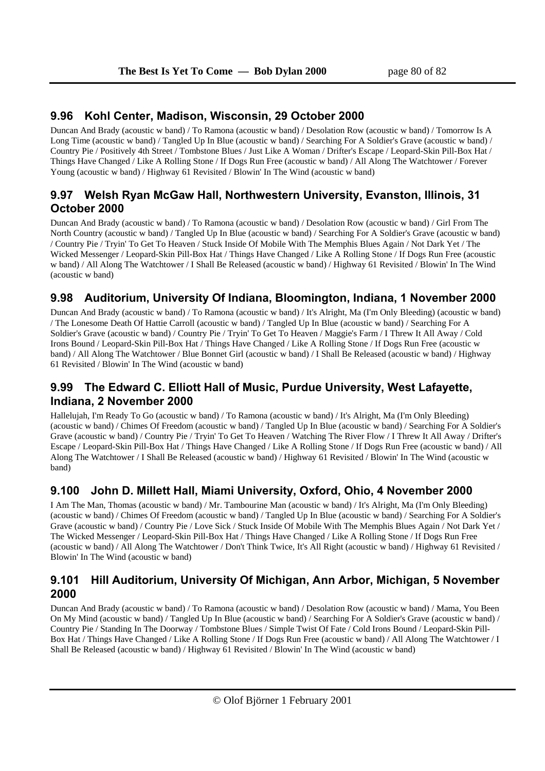### **9.96 Kohl Center, Madison, Wisconsin, 29 October 2000**

Duncan And Brady (acoustic w band) / To Ramona (acoustic w band) / Desolation Row (acoustic w band) / Tomorrow Is A Long Time (acoustic w band) / Tangled Up In Blue (acoustic w band) / Searching For A Soldier's Grave (acoustic w band) / Country Pie / Positively 4th Street / Tombstone Blues / Just Like A Woman / Drifter's Escape / Leopard-Skin Pill-Box Hat / Things Have Changed / Like A Rolling Stone / If Dogs Run Free (acoustic w band) / All Along The Watchtower / Forever Young (acoustic w band) / Highway 61 Revisited / Blowin' In The Wind (acoustic w band)

## **9.97 Welsh Ryan McGaw Hall, Northwestern University, Evanston, Illinois, 31 October 2000**

Duncan And Brady (acoustic w band) / To Ramona (acoustic w band) / Desolation Row (acoustic w band) / Girl From The North Country (acoustic w band) / Tangled Up In Blue (acoustic w band) / Searching For A Soldier's Grave (acoustic w band) / Country Pie / Tryin' To Get To Heaven / Stuck Inside Of Mobile With The Memphis Blues Again / Not Dark Yet / The Wicked Messenger / Leopard-Skin Pill-Box Hat / Things Have Changed / Like A Rolling Stone / If Dogs Run Free (acoustic w band) / All Along The Watchtower / I Shall Be Released (acoustic w band) / Highway 61 Revisited / Blowin' In The Wind (acoustic w band)

## **9.98 Auditorium, University Of Indiana, Bloomington, Indiana, 1 November 2000**

Duncan And Brady (acoustic w band) / To Ramona (acoustic w band) / It's Alright, Ma (I'm Only Bleeding) (acoustic w band) / The Lonesome Death Of Hattie Carroll (acoustic w band) / Tangled Up In Blue (acoustic w band) / Searching For A Soldier's Grave (acoustic w band) / Country Pie / Tryin' To Get To Heaven / Maggie's Farm / I Threw It All Away / Cold Irons Bound / Leopard-Skin Pill-Box Hat / Things Have Changed / Like A Rolling Stone / If Dogs Run Free (acoustic w band) / All Along The Watchtower / Blue Bonnet Girl (acoustic w band) / I Shall Be Released (acoustic w band) / Highway 61 Revisited / Blowin' In The Wind (acoustic w band)

# **9.99 The Edward C. Elliott Hall of Music, Purdue University, West Lafayette, Indiana, 2 November 2000**

Hallelujah, I'm Ready To Go (acoustic w band) / To Ramona (acoustic w band) / It's Alright, Ma (I'm Only Bleeding) (acoustic w band) / Chimes Of Freedom (acoustic w band) / Tangled Up In Blue (acoustic w band) / Searching For A Soldier's Grave (acoustic w band) / Country Pie / Tryin' To Get To Heaven / Watching The River Flow / I Threw It All Away / Drifter's Escape / Leopard-Skin Pill-Box Hat / Things Have Changed / Like A Rolling Stone / If Dogs Run Free (acoustic w band) / All Along The Watchtower / I Shall Be Released (acoustic w band) / Highway 61 Revisited / Blowin' In The Wind (acoustic w band)

### **9.100 John D. Millett Hall, Miami University, Oxford, Ohio, 4 November 2000**

I Am The Man, Thomas (acoustic w band) / Mr. Tambourine Man (acoustic w band) / It's Alright, Ma (I'm Only Bleeding) (acoustic w band) / Chimes Of Freedom (acoustic w band) / Tangled Up In Blue (acoustic w band) / Searching For A Soldier's Grave (acoustic w band) / Country Pie / Love Sick / Stuck Inside Of Mobile With The Memphis Blues Again / Not Dark Yet / The Wicked Messenger / Leopard-Skin Pill-Box Hat / Things Have Changed / Like A Rolling Stone / If Dogs Run Free (acoustic w band) / All Along The Watchtower / Don't Think Twice, It's All Right (acoustic w band) / Highway 61 Revisited / Blowin' In The Wind (acoustic w band)

## **9.101 Hill Auditorium, University Of Michigan, Ann Arbor, Michigan, 5 November 2000**

Duncan And Brady (acoustic w band) / To Ramona (acoustic w band) / Desolation Row (acoustic w band) / Mama, You Been On My Mind (acoustic w band) / Tangled Up In Blue (acoustic w band) / Searching For A Soldier's Grave (acoustic w band) / Country Pie / Standing In The Doorway / Tombstone Blues / Simple Twist Of Fate / Cold Irons Bound / Leopard-Skin Pill-Box Hat / Things Have Changed / Like A Rolling Stone / If Dogs Run Free (acoustic w band) / All Along The Watchtower / I Shall Be Released (acoustic w band) / Highway 61 Revisited / Blowin' In The Wind (acoustic w band)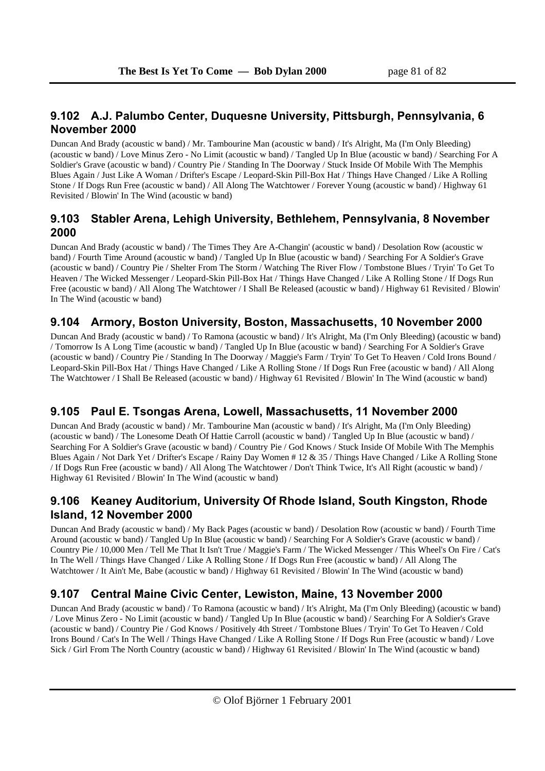## **9.102 A.J. Palumbo Center, Duquesne University, Pittsburgh, Pennsylvania, 6 November 2000**

Duncan And Brady (acoustic w band) / Mr. Tambourine Man (acoustic w band) / It's Alright, Ma (I'm Only Bleeding) (acoustic w band) / Love Minus Zero - No Limit (acoustic w band) / Tangled Up In Blue (acoustic w band) / Searching For A Soldier's Grave (acoustic w band) / Country Pie / Standing In The Doorway / Stuck Inside Of Mobile With The Memphis Blues Again / Just Like A Woman / Drifter's Escape / Leopard-Skin Pill-Box Hat / Things Have Changed / Like A Rolling Stone / If Dogs Run Free (acoustic w band) / All Along The Watchtower / Forever Young (acoustic w band) / Highway 61 Revisited / Blowin' In The Wind (acoustic w band)

### **9.103 Stabler Arena, Lehigh University, Bethlehem, Pennsylvania, 8 November 2000**

Duncan And Brady (acoustic w band) / The Times They Are A-Changin' (acoustic w band) / Desolation Row (acoustic w band) / Fourth Time Around (acoustic w band) / Tangled Up In Blue (acoustic w band) / Searching For A Soldier's Grave (acoustic w band) / Country Pie / Shelter From The Storm / Watching The River Flow / Tombstone Blues / Tryin' To Get To Heaven / The Wicked Messenger / Leopard-Skin Pill-Box Hat / Things Have Changed / Like A Rolling Stone / If Dogs Run Free (acoustic w band) / All Along The Watchtower / I Shall Be Released (acoustic w band) / Highway 61 Revisited / Blowin' In The Wind (acoustic w band)

# **9.104 Armory, Boston University, Boston, Massachusetts, 10 November 2000**

Duncan And Brady (acoustic w band) / To Ramona (acoustic w band) / It's Alright, Ma (I'm Only Bleeding) (acoustic w band) / Tomorrow Is A Long Time (acoustic w band) / Tangled Up In Blue (acoustic w band) / Searching For A Soldier's Grave (acoustic w band) / Country Pie / Standing In The Doorway / Maggie's Farm / Tryin' To Get To Heaven / Cold Irons Bound / Leopard-Skin Pill-Box Hat / Things Have Changed / Like A Rolling Stone / If Dogs Run Free (acoustic w band) / All Along The Watchtower / I Shall Be Released (acoustic w band) / Highway 61 Revisited / Blowin' In The Wind (acoustic w band)

# **9.105 Paul E. Tsongas Arena, Lowell, Massachusetts, 11 November 2000**

Duncan And Brady (acoustic w band) / Mr. Tambourine Man (acoustic w band) / It's Alright, Ma (I'm Only Bleeding) (acoustic w band) / The Lonesome Death Of Hattie Carroll (acoustic w band) / Tangled Up In Blue (acoustic w band) / Searching For A Soldier's Grave (acoustic w band) / Country Pie / God Knows / Stuck Inside Of Mobile With The Memphis Blues Again / Not Dark Yet / Drifter's Escape / Rainy Day Women # 12 & 35 / Things Have Changed / Like A Rolling Stone / If Dogs Run Free (acoustic w band) / All Along The Watchtower / Don't Think Twice, It's All Right (acoustic w band) / Highway 61 Revisited / Blowin' In The Wind (acoustic w band)

## **9.106 Keaney Auditorium, University Of Rhode Island, South Kingston, Rhode Island, 12 November 2000**

Duncan And Brady (acoustic w band) / My Back Pages (acoustic w band) / Desolation Row (acoustic w band) / Fourth Time Around (acoustic w band) / Tangled Up In Blue (acoustic w band) / Searching For A Soldier's Grave (acoustic w band) / Country Pie / 10,000 Men / Tell Me That It Isn't True / Maggie's Farm / The Wicked Messenger / This Wheel's On Fire / Cat's In The Well / Things Have Changed / Like A Rolling Stone / If Dogs Run Free (acoustic w band) / All Along The Watchtower / It Ain't Me, Babe (acoustic w band) / Highway 61 Revisited / Blowin' In The Wind (acoustic w band)

# **9.107 Central Maine Civic Center, Lewiston, Maine, 13 November 2000**

Duncan And Brady (acoustic w band) / To Ramona (acoustic w band) / It's Alright, Ma (I'm Only Bleeding) (acoustic w band) / Love Minus Zero - No Limit (acoustic w band) / Tangled Up In Blue (acoustic w band) / Searching For A Soldier's Grave (acoustic w band) / Country Pie / God Knows / Positively 4th Street / Tombstone Blues / Tryin' To Get To Heaven / Cold Irons Bound / Cat's In The Well / Things Have Changed / Like A Rolling Stone / If Dogs Run Free (acoustic w band) / Love Sick / Girl From The North Country (acoustic w band) / Highway 61 Revisited / Blowin' In The Wind (acoustic w band)